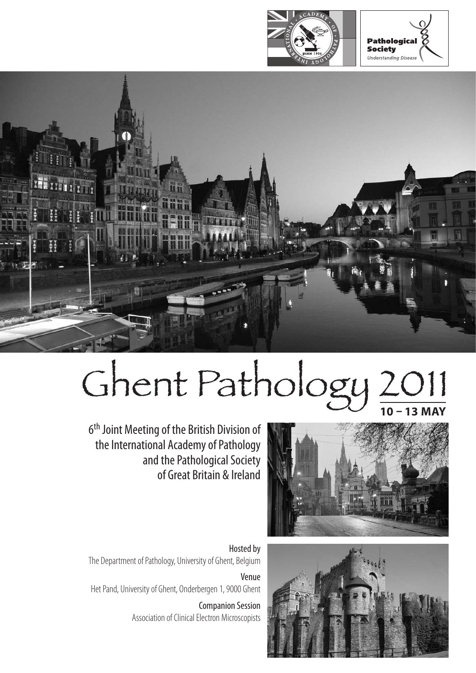



# Ghent Pathology 2011



6th Joint Meeting of the British Division of the International Academy of Pathology and the Pathological Society of Great Britain & Ireland

Hosted by The Department of Pathology, University of Ghent, Belgium Venue Het Pand, University of Ghent, Onderbergen 1, 9000 Ghent Companion Session

Association of Clinical Electron Microscopists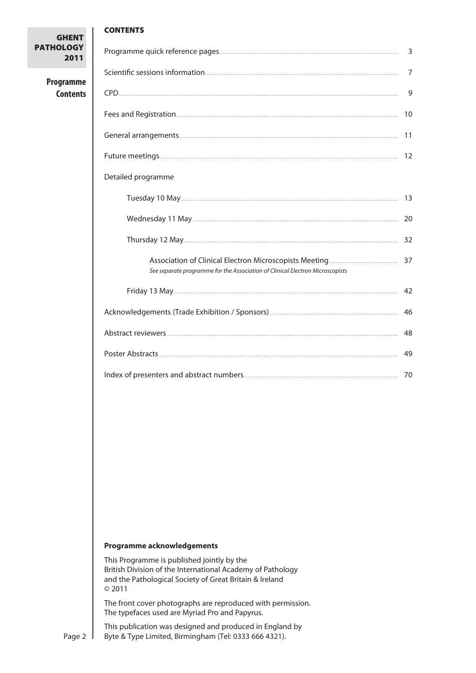# $\overline{C}$

**GHENT PATHOLOGY** 2011

> **Programme Contents**

| <b>ONTENTS</b> |  |
|----------------|--|
|----------------|--|

|                                                                               | 7  |  |  |
|-------------------------------------------------------------------------------|----|--|--|
|                                                                               | 9  |  |  |
|                                                                               | 10 |  |  |
|                                                                               | 11 |  |  |
|                                                                               | 12 |  |  |
| Detailed programme                                                            |    |  |  |
|                                                                               | 13 |  |  |
|                                                                               | 20 |  |  |
|                                                                               |    |  |  |
| See separate programme for the Association of Clinical Electron Microscopists |    |  |  |
|                                                                               |    |  |  |
|                                                                               |    |  |  |
|                                                                               | 48 |  |  |
|                                                                               | 49 |  |  |
|                                                                               |    |  |  |

#### **Programme acknowledgements**

This Programme is published jointly by the British Division of the International Academy of Pathology and the Pathological Society of Great Britain & Ireland © 2011

The front cover photographs are reproduced with permission. The typefaces used are Myriad Pro and Papyrus.

This publication was designed and produced in England by Byte & Type Limited, Birmingham (Tel: 0333 666 4321).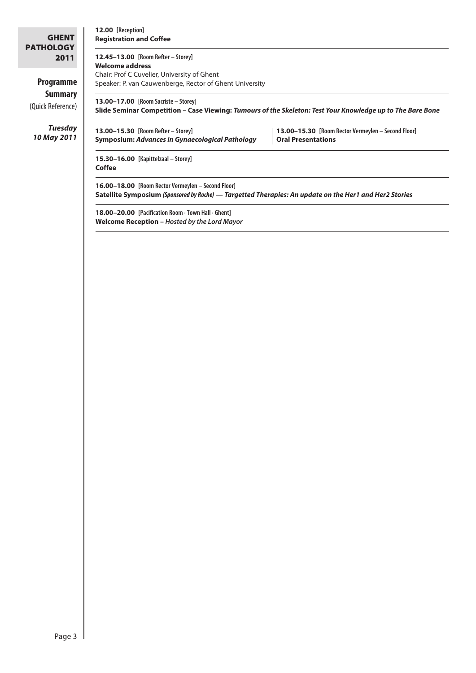| 12.45-13.00 [Room Refter - Storey]<br><b>Welcome address</b><br>Chair: Prof C Cuvelier, University of Ghent<br>Programme<br>Speaker: P. van Cauwenberge, Rector of Ghent University<br>13.00-17.00 [Room Sacriste - Storey]<br>Slide Seminar Competition - Case Viewing: Tumours of the Skeleton: Test Your Knowledge up to The Bare Bone<br>13.00-15.30 [Room Refter - Storey]<br>13.00-15.30 [Room Rector Vermeylen - Second Floor]<br>Symposium: Advances in Gynaecological Pathology<br><b>Oral Presentations</b><br>15.30-16.00 [Kapittelzaal - Storey]<br><b>Coffee</b><br>16.00-18.00 [Room Rector Vermeylen - Second Floor]<br>Satellite Symposium (Sponsored by Roche) - Targetted Therapies: An update on the Her1 and Her2 Stories<br>18.00-20.00 [Pacification Room · Town Hall · Ghent]<br>Welcome Reception - Hosted by the Lord Mayor | <b>PATHOLOGY</b>              |  |
|------------------------------------------------------------------------------------------------------------------------------------------------------------------------------------------------------------------------------------------------------------------------------------------------------------------------------------------------------------------------------------------------------------------------------------------------------------------------------------------------------------------------------------------------------------------------------------------------------------------------------------------------------------------------------------------------------------------------------------------------------------------------------------------------------------------------------------------------------|-------------------------------|--|
|                                                                                                                                                                                                                                                                                                                                                                                                                                                                                                                                                                                                                                                                                                                                                                                                                                                      | 2011                          |  |
|                                                                                                                                                                                                                                                                                                                                                                                                                                                                                                                                                                                                                                                                                                                                                                                                                                                      |                               |  |
|                                                                                                                                                                                                                                                                                                                                                                                                                                                                                                                                                                                                                                                                                                                                                                                                                                                      | <b>Summary</b>                |  |
|                                                                                                                                                                                                                                                                                                                                                                                                                                                                                                                                                                                                                                                                                                                                                                                                                                                      | (Quick Reference)             |  |
|                                                                                                                                                                                                                                                                                                                                                                                                                                                                                                                                                                                                                                                                                                                                                                                                                                                      | <b>Tuesday</b><br>10 May 2011 |  |
|                                                                                                                                                                                                                                                                                                                                                                                                                                                                                                                                                                                                                                                                                                                                                                                                                                                      |                               |  |
|                                                                                                                                                                                                                                                                                                                                                                                                                                                                                                                                                                                                                                                                                                                                                                                                                                                      |                               |  |
|                                                                                                                                                                                                                                                                                                                                                                                                                                                                                                                                                                                                                                                                                                                                                                                                                                                      |                               |  |
|                                                                                                                                                                                                                                                                                                                                                                                                                                                                                                                                                                                                                                                                                                                                                                                                                                                      |                               |  |
|                                                                                                                                                                                                                                                                                                                                                                                                                                                                                                                                                                                                                                                                                                                                                                                                                                                      |                               |  |
|                                                                                                                                                                                                                                                                                                                                                                                                                                                                                                                                                                                                                                                                                                                                                                                                                                                      |                               |  |
|                                                                                                                                                                                                                                                                                                                                                                                                                                                                                                                                                                                                                                                                                                                                                                                                                                                      |                               |  |
|                                                                                                                                                                                                                                                                                                                                                                                                                                                                                                                                                                                                                                                                                                                                                                                                                                                      |                               |  |
|                                                                                                                                                                                                                                                                                                                                                                                                                                                                                                                                                                                                                                                                                                                                                                                                                                                      |                               |  |
|                                                                                                                                                                                                                                                                                                                                                                                                                                                                                                                                                                                                                                                                                                                                                                                                                                                      |                               |  |
|                                                                                                                                                                                                                                                                                                                                                                                                                                                                                                                                                                                                                                                                                                                                                                                                                                                      |                               |  |
|                                                                                                                                                                                                                                                                                                                                                                                                                                                                                                                                                                                                                                                                                                                                                                                                                                                      |                               |  |
|                                                                                                                                                                                                                                                                                                                                                                                                                                                                                                                                                                                                                                                                                                                                                                                                                                                      |                               |  |
|                                                                                                                                                                                                                                                                                                                                                                                                                                                                                                                                                                                                                                                                                                                                                                                                                                                      |                               |  |
|                                                                                                                                                                                                                                                                                                                                                                                                                                                                                                                                                                                                                                                                                                                                                                                                                                                      |                               |  |
|                                                                                                                                                                                                                                                                                                                                                                                                                                                                                                                                                                                                                                                                                                                                                                                                                                                      |                               |  |
|                                                                                                                                                                                                                                                                                                                                                                                                                                                                                                                                                                                                                                                                                                                                                                                                                                                      |                               |  |
|                                                                                                                                                                                                                                                                                                                                                                                                                                                                                                                                                                                                                                                                                                                                                                                                                                                      |                               |  |
|                                                                                                                                                                                                                                                                                                                                                                                                                                                                                                                                                                                                                                                                                                                                                                                                                                                      |                               |  |
|                                                                                                                                                                                                                                                                                                                                                                                                                                                                                                                                                                                                                                                                                                                                                                                                                                                      |                               |  |
|                                                                                                                                                                                                                                                                                                                                                                                                                                                                                                                                                                                                                                                                                                                                                                                                                                                      |                               |  |
|                                                                                                                                                                                                                                                                                                                                                                                                                                                                                                                                                                                                                                                                                                                                                                                                                                                      |                               |  |
|                                                                                                                                                                                                                                                                                                                                                                                                                                                                                                                                                                                                                                                                                                                                                                                                                                                      |                               |  |
|                                                                                                                                                                                                                                                                                                                                                                                                                                                                                                                                                                                                                                                                                                                                                                                                                                                      |                               |  |
|                                                                                                                                                                                                                                                                                                                                                                                                                                                                                                                                                                                                                                                                                                                                                                                                                                                      |                               |  |
|                                                                                                                                                                                                                                                                                                                                                                                                                                                                                                                                                                                                                                                                                                                                                                                                                                                      |                               |  |
|                                                                                                                                                                                                                                                                                                                                                                                                                                                                                                                                                                                                                                                                                                                                                                                                                                                      |                               |  |
|                                                                                                                                                                                                                                                                                                                                                                                                                                                                                                                                                                                                                                                                                                                                                                                                                                                      |                               |  |
|                                                                                                                                                                                                                                                                                                                                                                                                                                                                                                                                                                                                                                                                                                                                                                                                                                                      |                               |  |
|                                                                                                                                                                                                                                                                                                                                                                                                                                                                                                                                                                                                                                                                                                                                                                                                                                                      |                               |  |
|                                                                                                                                                                                                                                                                                                                                                                                                                                                                                                                                                                                                                                                                                                                                                                                                                                                      |                               |  |
|                                                                                                                                                                                                                                                                                                                                                                                                                                                                                                                                                                                                                                                                                                                                                                                                                                                      |                               |  |
|                                                                                                                                                                                                                                                                                                                                                                                                                                                                                                                                                                                                                                                                                                                                                                                                                                                      |                               |  |
|                                                                                                                                                                                                                                                                                                                                                                                                                                                                                                                                                                                                                                                                                                                                                                                                                                                      |                               |  |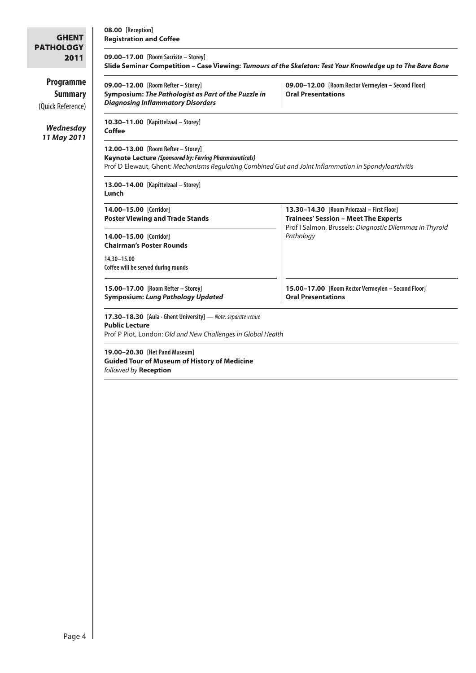| <b>GHENT</b>                                     | 08.00 [Reception]<br><b>Registration and Coffee</b>                                                                                                                                                    |                                                                                                                                                      |  |
|--------------------------------------------------|--------------------------------------------------------------------------------------------------------------------------------------------------------------------------------------------------------|------------------------------------------------------------------------------------------------------------------------------------------------------|--|
| <b>PATHOLOGY</b><br>2011                         | 09.00-17.00 [Room Sacriste - Storey]<br>Slide Seminar Competition - Case Viewing: Tumours of the Skeleton: Test Your Knowledge up to The Bare Bone                                                     |                                                                                                                                                      |  |
| Programme<br><b>Summary</b><br>(Quick Reference) | 09.00-12.00 [Room Refter - Storey]<br>Symposium: The Pathologist as Part of the Puzzle in<br><b>Diagnosing Inflammatory Disorders</b>                                                                  | 09.00-12.00 [Room Rector Vermeylen - Second Floor]<br><b>Oral Presentations</b>                                                                      |  |
| Wednesday<br>11 May 2011                         | 10.30-11.00 [Kapittelzaal - Storey]<br><b>Coffee</b>                                                                                                                                                   |                                                                                                                                                      |  |
|                                                  | 12.00-13.00 [Room Refter - Storey]<br>Keynote Lecture (Sponsored by: Ferring Pharmaceuticals)<br>Prof D Elewaut, Ghent: Mechanisms Regulating Combined Gut and Joint Inflammation in Spondyloarthritis |                                                                                                                                                      |  |
|                                                  | 13.00-14.00 [Kapittelzaal - Storey]<br>Lunch                                                                                                                                                           |                                                                                                                                                      |  |
|                                                  | 14.00-15.00 [Corridor]<br><b>Poster Viewing and Trade Stands</b>                                                                                                                                       | 13.30-14.30 [Room Priorzaal - First Floor]<br><b>Trainees' Session - Meet The Experts</b><br>Prof I Salmon, Brussels: Diagnostic Dilemmas in Thyroid |  |
|                                                  | 14.00-15.00 [Corridor]<br><b>Chairman's Poster Rounds</b>                                                                                                                                              | Pathology                                                                                                                                            |  |
|                                                  | 14.30-15.00<br>Coffee will be served during rounds                                                                                                                                                     |                                                                                                                                                      |  |
|                                                  | 15.00-17.00 [Room Refter - Storey]<br><b>Symposium: Lung Pathology Updated</b>                                                                                                                         | 15.00-17.00 [Room Rector Vermeylen - Second Floor]<br><b>Oral Presentations</b>                                                                      |  |
|                                                  | 17.30-18.30 [Aula · Ghent University] - Note: separate venue<br><b>Public Lecture</b><br>Prof P Piot, London: Old and New Challenges in Global Health                                                  |                                                                                                                                                      |  |
|                                                  | 19.00-20.30 [Het Pand Museum]<br><b>Guided Tour of Museum of History of Medicine</b><br>followed by Reception                                                                                          |                                                                                                                                                      |  |
|                                                  |                                                                                                                                                                                                        |                                                                                                                                                      |  |
|                                                  |                                                                                                                                                                                                        |                                                                                                                                                      |  |
|                                                  |                                                                                                                                                                                                        |                                                                                                                                                      |  |
|                                                  |                                                                                                                                                                                                        |                                                                                                                                                      |  |
|                                                  |                                                                                                                                                                                                        |                                                                                                                                                      |  |
|                                                  |                                                                                                                                                                                                        |                                                                                                                                                      |  |
|                                                  |                                                                                                                                                                                                        |                                                                                                                                                      |  |
|                                                  |                                                                                                                                                                                                        |                                                                                                                                                      |  |
|                                                  |                                                                                                                                                                                                        |                                                                                                                                                      |  |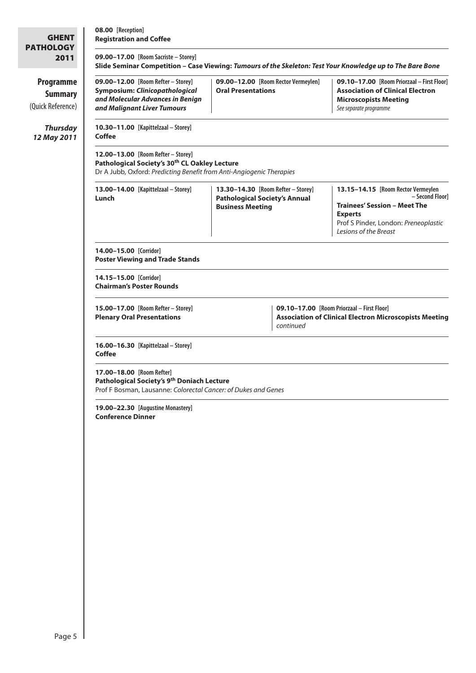| 09.00-17.00 [Room Sacriste - Storey]                                                                                                                                    |                                                                                                       |  |                                                                                                                                                                                 |  |
|-------------------------------------------------------------------------------------------------------------------------------------------------------------------------|-------------------------------------------------------------------------------------------------------|--|---------------------------------------------------------------------------------------------------------------------------------------------------------------------------------|--|
| Slide Seminar Competition - Case Viewing: Tumours of the Skeleton: Test Your Knowledge up to The Bare Bone                                                              |                                                                                                       |  |                                                                                                                                                                                 |  |
| 09.00-12.00 [Room Refter - Storey]<br>Symposium: Clinicopathological<br>and Molecular Advances in Benign<br>and Malignant Liver Tumours                                 | 09.00-12.00 [Room Rector Vermeylen]<br><b>Oral Presentations</b>                                      |  | 09.10-17.00 [Room Priorzaal - First Floor]<br><b>Association of Clinical Electron</b><br><b>Microscopists Meeting</b><br>See separate programme                                 |  |
| 10.30-11.00 [Kapittelzaal - Storey]<br>Coffee                                                                                                                           |                                                                                                       |  |                                                                                                                                                                                 |  |
| 12.00-13.00 [Room Refter - Storey]<br>Pathological Society's 30 <sup>th</sup> CL Oakley Lecture<br>Dr A Jubb, Oxford: Predicting Benefit from Anti-Angiogenic Therapies |                                                                                                       |  |                                                                                                                                                                                 |  |
| 13.00-14.00 [Kapittelzaal - Storey]<br>Lunch                                                                                                                            | 13.30-14.30 [Room Refter - Storey]<br><b>Pathological Society's Annual</b><br><b>Business Meeting</b> |  | 13.15-14.15 [Room Rector Vermeylen<br>- Second Floorl<br><b>Trainees' Session - Meet The</b><br><b>Experts</b><br>Prof S Pinder, London: Preneoplastic<br>Lesions of the Breast |  |
| 14.00-15.00 [Corridor]<br><b>Poster Viewing and Trade Stands</b>                                                                                                        |                                                                                                       |  |                                                                                                                                                                                 |  |
| 14.15-15.00 [Corridor]<br><b>Chairman's Poster Rounds</b>                                                                                                               |                                                                                                       |  |                                                                                                                                                                                 |  |
| 15.00-17.00 [Room Refter - Storey]<br><b>Plenary Oral Presentations</b>                                                                                                 | continued                                                                                             |  | 09.10-17.00 [Room Priorzaal - First Floor]<br><b>Association of Clinical Electron Microscopists Meeting</b>                                                                     |  |
| 16.00-16.30 [Kapittelzaal - Storey]<br>Coffee                                                                                                                           |                                                                                                       |  |                                                                                                                                                                                 |  |
| 17.00-18.00 [Room Refter]<br>Pathological Society's 9th Doniach Lecture<br>Prof F Bosman, Lausanne: Colorectal Cancer: of Dukes and Genes                               |                                                                                                       |  |                                                                                                                                                                                 |  |
| 19.00-22.30 [Augustine Monastery]<br><b>Conference Dinner</b>                                                                                                           |                                                                                                       |  |                                                                                                                                                                                 |  |
|                                                                                                                                                                         |                                                                                                       |  |                                                                                                                                                                                 |  |
|                                                                                                                                                                         |                                                                                                       |  |                                                                                                                                                                                 |  |
|                                                                                                                                                                         |                                                                                                       |  |                                                                                                                                                                                 |  |
|                                                                                                                                                                         |                                                                                                       |  |                                                                                                                                                                                 |  |
|                                                                                                                                                                         |                                                                                                       |  |                                                                                                                                                                                 |  |
|                                                                                                                                                                         |                                                                                                       |  |                                                                                                                                                                                 |  |
|                                                                                                                                                                         |                                                                                                       |  |                                                                                                                                                                                 |  |
|                                                                                                                                                                         |                                                                                                       |  |                                                                                                                                                                                 |  |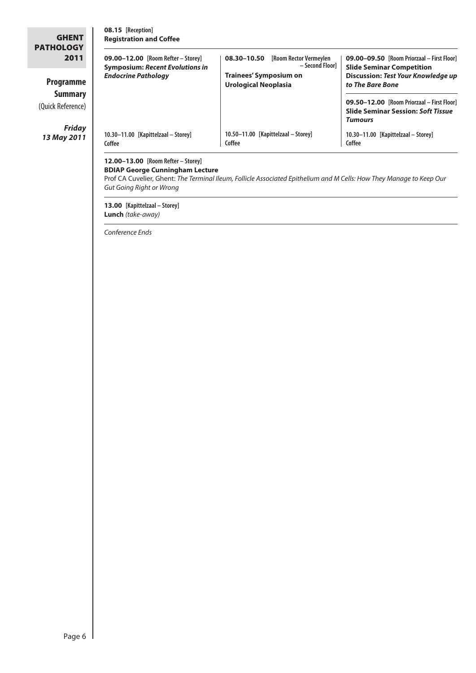| <b>GHENT</b><br><b>PATHOLOGY</b>    | 08.15 [Reception]<br><b>Registration and Coffee</b>                                                             |                                                                                                                       |                                                                                                                                          |
|-------------------------------------|-----------------------------------------------------------------------------------------------------------------|-----------------------------------------------------------------------------------------------------------------------|------------------------------------------------------------------------------------------------------------------------------------------|
| 2011<br>Programme                   | 09.00-12.00 [Room Refter - Storey]<br><b>Symposium: Recent Evolutions in</b><br><b>Endocrine Pathology</b>      | 08.30-10.50 [Room Rector Vermeylen<br>- Second Floor]<br><b>Trainees' Symposium on</b><br><b>Urological Neoplasia</b> | 09.00-09.50 [Room Priorzaal - First Floor]<br><b>Slide Seminar Competition</b><br>Discussion: Test Your Knowledge up<br>to The Bare Bone |
| <b>Summary</b><br>(Quick Reference) |                                                                                                                 |                                                                                                                       | 09.50-12.00 [Room Priorzaal - First Floor]<br><b>Slide Seminar Session: Soft Tissue</b><br><b>Tumours</b>                                |
| <b>Friday</b><br>13 May 2011        | 10.30-11.00 [Kapittelzaal - Storey]<br>Coffee                                                                   | 10.50-11.00 [Kapittelzaal - Storey]<br>Coffee                                                                         | 10.30-11.00 [Kapittelzaal - Storey]<br>Coffee                                                                                            |
|                                     | 12.00-13.00 [Room Refter - Storey]<br><b>BDIAP George Cunningham Lecture</b><br><b>Gut Going Right or Wrong</b> | Prof CA Cuvelier, Ghent: The Terminal Ileum, Follicle Associated Epithelium and M Cells: How They Manage to Keep Our  |                                                                                                                                          |
|                                     | 13.00 [Kapittelzaal - Storey]<br>Lunch (take-away)                                                              |                                                                                                                       |                                                                                                                                          |
|                                     | Conference Ends                                                                                                 |                                                                                                                       |                                                                                                                                          |
|                                     |                                                                                                                 |                                                                                                                       |                                                                                                                                          |
|                                     |                                                                                                                 |                                                                                                                       |                                                                                                                                          |
|                                     |                                                                                                                 |                                                                                                                       |                                                                                                                                          |
|                                     |                                                                                                                 |                                                                                                                       |                                                                                                                                          |
|                                     |                                                                                                                 |                                                                                                                       |                                                                                                                                          |
|                                     |                                                                                                                 |                                                                                                                       |                                                                                                                                          |
|                                     |                                                                                                                 |                                                                                                                       |                                                                                                                                          |
|                                     |                                                                                                                 |                                                                                                                       |                                                                                                                                          |
|                                     |                                                                                                                 |                                                                                                                       |                                                                                                                                          |
|                                     |                                                                                                                 |                                                                                                                       |                                                                                                                                          |
|                                     |                                                                                                                 |                                                                                                                       |                                                                                                                                          |
|                                     |                                                                                                                 |                                                                                                                       |                                                                                                                                          |
|                                     |                                                                                                                 |                                                                                                                       |                                                                                                                                          |
|                                     |                                                                                                                 |                                                                                                                       |                                                                                                                                          |
|                                     |                                                                                                                 |                                                                                                                       |                                                                                                                                          |
|                                     |                                                                                                                 |                                                                                                                       |                                                                                                                                          |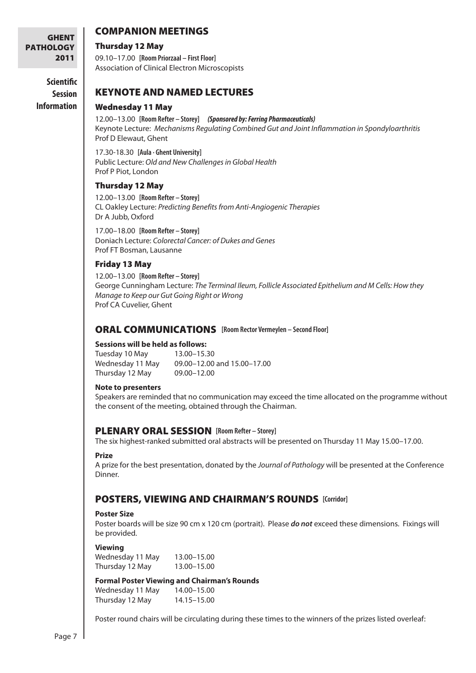**Scientific Session Information**

# COMPANION MEETINGS

### Thursday 12 May

09.10–17.00 **[Room Priorzaal – First Floor]** Association of Clinical Electron Microscopists

# KEYNOTE AND NAMED LECTURES

### Wednesday 11 May

12.00–13.00 **[Room Refter – Storey]** *(Sponsored by: Ferring Pharmaceuticals)* Keynote Lecture: *Mechanisms Regulating Combined Gut and Joint Inflammation in Spondyloarthritis* Prof D Elewaut, Ghent

17.30-18.30 **[Aula · Ghent University]** Public Lecture: *Old and New Challenges in Global Health* Prof P Piot, London

### Thursday 12 May

12.00–13.00 **[Room Refter – Storey]** CL Oakley Lecture: *Predicting Benefits from Anti-Angiogenic Therapies* Dr A Jubb, Oxford

17.00–18.00 **[Room Refter – Storey]** Doniach Lecture: *Colorectal Cancer: of Dukes and Genes* Prof FT Bosman, Lausanne

### Friday 13 May

12.00–13.00 **[Room Refter – Storey]** George Cunningham Lecture: *The Terminal Ileum, Follicle Associated Epithelium and M Cells: How they Manage to Keep our Gut Going Right or Wrong* Prof CA Cuvelier, Ghent

# ORAL COMMUNICATIONS **[Room Rector Vermeylen – Second Floor]**

### **Sessions will be held as follows:**

Tuesday 10 May 13.00–15.30 Wednesday 11 May 09.00–12.00 and 15.00–17.00 Thursday 12 May 09.00–12.00

### **Note to presenters**

Speakers are reminded that no communication may exceed the time allocated on the programme without the consent of the meeting, obtained through the Chairman.

### Plenary Oral Session **[Room Refter – Storey]**

The six highest-ranked submitted oral abstracts will be presented on Thursday 11 May 15.00–17.00.

### **Prize**

A prize for the best presentation, donated by the *Journal of Pathology* will be presented at the Conference Dinner.

# POSTERS, VIEWING AND CHAIRMAN'S ROUNDS **[Corridor]**

### **Poster Size**

Poster boards will be size 90 cm x 120 cm (portrait). Please *do not* exceed these dimensions. Fixings will be provided.

### **Viewing**

Wednesday 11 May 13.00-15.00 Thursday 12 May 13.00–15.00

### **Formal Poster Viewing and Chairman's Rounds**

Wednesday 11 May 14.00-15.00 Thursday 12 May 14.15–15.00

Poster round chairs will be circulating during these times to the winners of the prizes listed overleaf: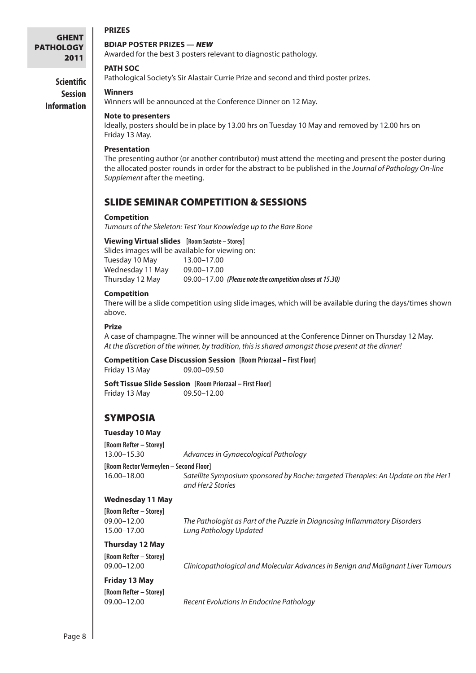**Scientific Session Information**

### **Prizes**

### **BDIAP Poster Prizes —** *NEW*

Awarded for the best 3 posters relevant to diagnostic pathology.

### **PATH SOC**

Pathological Society's Sir Alastair Currie Prize and second and third poster prizes.

### **Winners**

Winners will be announced at the Conference Dinner on 12 May.

### **Note to presenters**

Ideally, posters should be in place by 13.00 hrs on Tuesday 10 May and removed by 12.00 hrs on Friday 13 May.

### **Presentation**

The presenting author (or another contributor) must attend the meeting and present the poster during the allocated poster rounds in order for the abstract to be published in the *Journal of Pathology On-line Supplement* after the meeting.

# SLIDE SEMINAR COMPETITION & SESSIONS

### **Competition**

*Tumours of the Skeleton: Test Your Knowledge up to the Bare Bone*

### **Viewing Virtual slides [Room Sacriste – Storey]**

Slides images will be available for viewing on: Tuesday 10 May 13.00–17.00 Wednesday 11 May 09.00–17.00 Thursday 12 May 09.00–17.00 *(Please note the competition closes at 15.30)*

### **Competition**

There will be a slide competition using slide images, which will be available during the days/times shown above.

### **Prize**

A case of champagne. The winner will be announced at the Conference Dinner on Thursday 12 May. *At the discretion of the winner, by tradition, this is shared amongst those present at the dinner!*

**Competition Case Discussion Session [Room Priorzaal – First Floor]** Friday 13 May 09.00–09.50

**Soft Tissue Slide Session [Room Priorzaal – First Floor]** Friday 13 May 09.50–12.00

# **SYMPOSIA**

### **Tuesday 10 May**

**[Room Refter – Storey]** 13.00–15.30 *Advances in Gynaecological Pathology* **[Room Rector Vermeylen – Second Floor]** 16.00–18.00 *Satellite Symposium sponsored by Roche: targeted Therapies: An Update on the Her1 and Her2 Stories*

### **Wednesday 11 May**

**[Room Refter – Storey]**

09.00–12.00 *The Pathologist as Part of the Puzzle in Diagnosing Inflammatory Disorders* 15.00–17.00 *Lung Pathology Updated*

### **Thursday 12 May**

**[Room Refter – Storey]**

09.00–12.00 *Clinicopathological and Molecular Advances in Benign and Malignant Liver Tumours*

### **Friday 13 May**

**[Room Refter – Storey]**

09.00–12.00 *Recent Evolutions in Endocrine Pathology*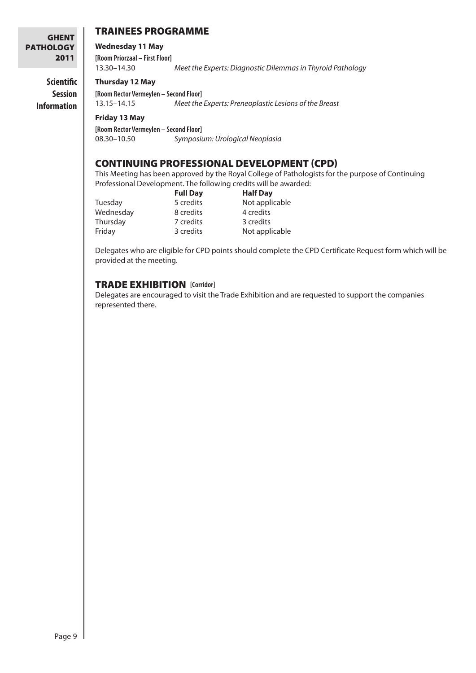**Session Information**

# TRAINEES PROGRAMME

### **Wednesday 11 May**

**[Room Priorzaal – First Floor]** 13.30–14.30 *Meet the Experts: Diagnostic Dilemmas in Thyroid Pathology*

#### **Thursday 12 May Scientific**

**[Room Rector Vermeylen – Second Floor]** 13.15–14.15 *Meet the Experts: Preneoplastic Lesions of the Breast*

### **Friday 13 May**

**[Room Rector Vermeylen – Second Floor]** 08.30–10.50 *Symposium: Urological Neoplasia*

# CONTINUING PROFESSIONAL DEVELOPMENT (CPD)

This Meeting has been approved by the Royal College of Pathologists for the purpose of Continuing Professional Development. The following credits will be awarded:

**Full Day**<br>5 credits **Half Day**<br>Not appli Tuesday 5 credits Not applicable Wednesday 8 credits 4 credits Thursday 7 credits 3 credits Friday 3 credits Not applicable

Delegates who are eligible for CPD points should complete the CPD Certificate Request form which will be provided at the meeting.

# TRADE EXHIBITION **[Corridor]**

Delegates are encouraged to visit the Trade Exhibition and are requested to support the companies represented there.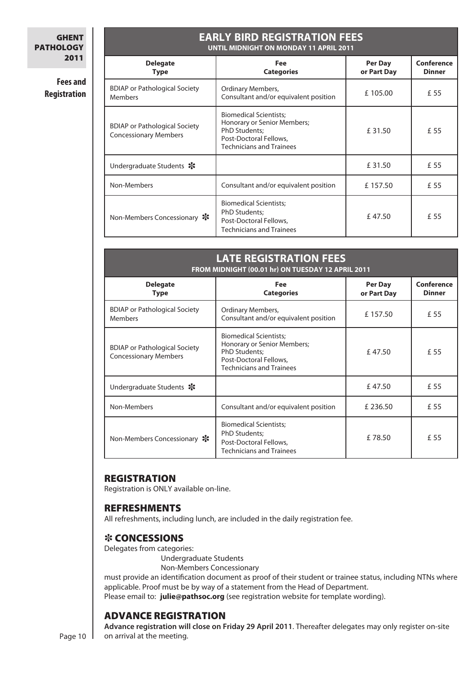# **EARLY BIRD REGISTRATION FEES**

**Until Midnight on Monday 11 APRIL 2011**

# **Fees and Registration**

| <b>Delegate</b><br><b>Type</b>                                       | <b>Fee</b><br><b>Categories</b>                                                                                                            | Per Day<br>or Part Day | Conference<br><b>Dinner</b> |
|----------------------------------------------------------------------|--------------------------------------------------------------------------------------------------------------------------------------------|------------------------|-----------------------------|
| <b>BDIAP</b> or Pathological Society<br><b>Members</b>               | Ordinary Members,<br>Consultant and/or equivalent position                                                                                 | £105.00                | £ 55                        |
| <b>BDIAP</b> or Pathological Society<br><b>Concessionary Members</b> | <b>Biomedical Scientists;</b><br>Honorary or Senior Members;<br>PhD Students;<br>Post-Doctoral Fellows,<br><b>Technicians and Trainees</b> | £31.50                 | £ 55                        |
| Undergraduate Students *                                             |                                                                                                                                            | £31.50                 | £ 55                        |
| Non-Members                                                          | Consultant and/or equivalent position                                                                                                      | £157.50                | £ 55                        |
| Non-Members Concessionary $\ast$                                     | <b>Biomedical Scientists;</b><br>PhD Students;<br>Post-Doctoral Fellows,<br><b>Technicians and Trainees</b>                                | £47.50                 | £ 55                        |

| <b>LATE REGISTRATION FEES</b><br>FROM MIDNIGHT (00.01 hr) ON TUESDAY 12 APRIL 2011 |                                                                                                                                            |                        |                             |
|------------------------------------------------------------------------------------|--------------------------------------------------------------------------------------------------------------------------------------------|------------------------|-----------------------------|
| <b>Delegate</b><br><b>Type</b>                                                     | Fee<br><b>Categories</b>                                                                                                                   | Per Day<br>or Part Day | Conference<br><b>Dinner</b> |
| <b>BDIAP or Pathological Society</b><br>Members                                    | Ordinary Members,<br>Consultant and/or equivalent position                                                                                 | £157.50                | £ 55                        |
| <b>BDIAP</b> or Pathological Society<br><b>Concessionary Members</b>               | <b>Biomedical Scientists;</b><br>Honorary or Senior Members;<br>PhD Students;<br>Post-Doctoral Fellows,<br><b>Technicians and Trainees</b> | £47.50                 | £ 55                        |
| Undergraduate Students *                                                           |                                                                                                                                            | £47.50                 | £ 55                        |
| Non-Members                                                                        | Consultant and/or equivalent position                                                                                                      | £236.50                | £ 55                        |
| Non-Members Concessionary *                                                        | <b>Biomedical Scientists;</b><br>PhD Students;<br>Post-Doctoral Fellows,<br><b>Technicians and Trainees</b>                                | £78.50                 | f 55                        |

# **REGISTRATION**

Registration is ONLY available on-line.

# **REFRESHMENTS**

All refreshments, including lunch, are included in the daily registration fee.

# **\* CONCESSIONS**

Delegates from categories:

Undergraduate Students

Non-Members Concessionary

must provide an identification document as proof of their student or trainee status, including NTNs where applicable. Proof must be by way of a statement from the Head of Department.

Please email to: **[julie@pathsoc.org](mailto:julie%40pathsoc.org?subject=Ghent%20Pathology%202011%3A%20Concessions)** (see registration website for template wording).

# Advance registration

**Advance registration will close on Friday 29 April 2011**. Thereafter delegates may only register on-site on arrival at the meeting.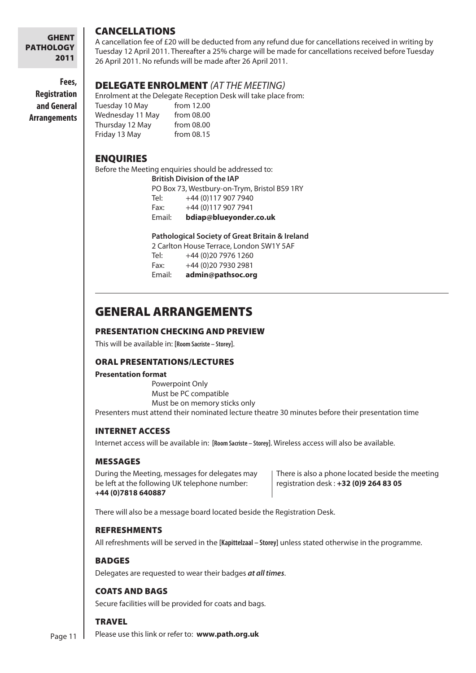**Fees,**

**Registration and General Arrangements**

# **CANCELLATIONS**

A cancellation fee of £20 will be deducted from any refund due for cancellations received in writing by Tuesday 12 April 2011. Thereafter a 25% charge will be made for cancellations received before Tuesday 26 April 2011. No refunds will be made after 26 April 2011.

# DELEGATE ENROLMENT *(AT THE MEETING)*

Enrolment at the Delegate Reception Desk will take place from: Tuesday 10 May from 12.00 Wednesday 11 May from 08.00 Thursday 12 May from 08.00 Friday 13 May from 08.15

# **ENQUIRIES**

Before the Meeting enquiries should be addressed to:

**British Division of the IAP**

PO Box 73, Westbury-on-Trym, Bristol BS9 1RY

Fax: +44 (0)117 907 7941

Email: **[bdiap@blueyonder.co.uk](mailto:bdiap%40blueyonder.co.uk?subject=Ghent%20Pathology%202011)**

### **Pathological Society of Great Britain & Ireland**

2 Carlton House Terrace, London SW1Y 5AF Tel: +44 (0)20 7976 1260 Fax: +44 (0)20 7930 2981

Email: **[admin@pathsoc.org](mailto:admin%40pathsoc.org?subject=Ghent%20Pathology%202011)**

# General Arrangements

# Presentation Checking and Preview

This will be available in: **[Room Sacriste – Storey]**.

### Oral Presentations/Lectures

### **Presentation format**

Powerpoint Only Must be PC compatible Must be on memory sticks only

Presenters must attend their nominated lecture theatre 30 minutes before their presentation time

# Internet Access

Internet access will be available in: **[Room Sacriste – Storey]**. Wireless access will also be available.

# Messages

During the Meeting, messages for delegates may | There is also a phone located beside the meeting be left at the following UK telephone number: registration desk : **+32 (0)9 264 83 05 +44 (0)7818 640887** 

There will also be a message board located beside the Registration Desk.

### Refreshments

All refreshments will be served in the **[Kapittelzaal – Storey]** unless stated otherwise in the programme.

# **BADGES**

Delegates are requested to wear their badges *at all times*.

# **COATS AND BAGS**

Secure facilities will be provided for coats and bags.

# **TRAVEL**

Please use this link or refer to: **[www.path.org.uk](http://www.ugent.be/en/facilities/hall-hiring/how_to_reach)** Page 11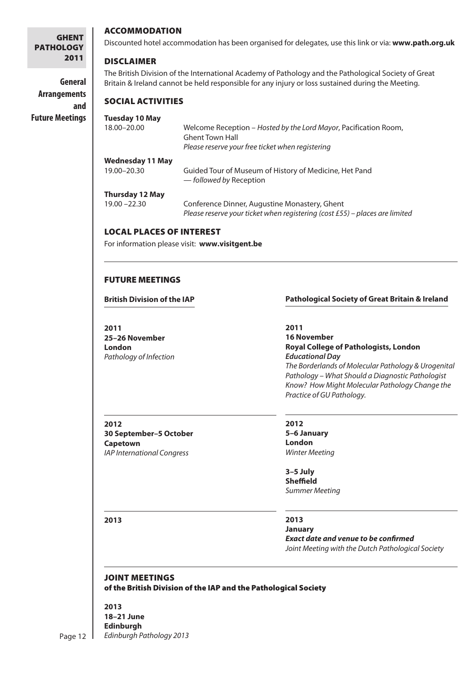# **ACCOMMODATION**

**GHENT PATHOLOGY** 2011

**General Arrangements and Future Meetings** Discounted hotel accommodation has been organised for delegates, use this link or via: **[www.path.org.uk](https://www.medicongress.com/hotel/reservation.aspx?event=pathology2011)**

# Disclaimer

The British Division of the International Academy of Pathology and the Pathological Society of Great Britain & Ireland cannot be held responsible for any injury or loss sustained during the Meeting.

# SOCIAL ACTIVITIES

| <b>Tuesday 10 May</b>           |                                                                             |
|---------------------------------|-----------------------------------------------------------------------------|
| 18.00-20.00                     | Welcome Reception – Hosted by the Lord Mayor, Pacification Room,            |
|                                 | <b>Ghent Town Hall</b>                                                      |
|                                 | Please reserve your free ticket when registering                            |
| Wednesday 11 May                |                                                                             |
| 19.00-20.30                     | Guided Tour of Museum of History of Medicine, Het Pand                      |
|                                 | - followed by Reception                                                     |
| <b>Thursday 12 May</b>          |                                                                             |
| $19.00 - 22.30$                 | Conference Dinner, Augustine Monastery, Ghent                               |
|                                 | Please reserve your ticket when registering (cost £55) - places are limited |
| <b>LOCAL PLACES OF INTEREST</b> |                                                                             |

For information please visit: **[www.visitgent.be](http://www.visitgent.be/eCache/VGG/3/114.dmdfbGFuZz1FTg.html)**

# FUTURE MEETINGS

**British Division of the IAP 2011 25–26 November London** *Pathology of Infection* **Pathological Society of Great Britain & Ireland 2011 16 November Royal College of Pathologists, London** *Educational Day The Borderlands of Molecular Pathology & Urogenital Pathology – What Should a Diagnostic Pathologist Know? How Might Molecular Pathology Change the Practice of GU Pathology.*

**2012 30 September–5 October Capetown** *IAP International Congress*

**2012 5–6 January London** *Winter Meeting*

**3–5 July Sheffield** *Summer Meeting*

**2013**

**2013**

**January** *Exact date and venue to be confirmed Joint Meeting with the Dutch Pathological Society*

# Joint Meetings of the British Division of the IAP and the Pathological Society

**2013 18–21 June Edinburgh** *Edinburgh Pathology 2013* Page 12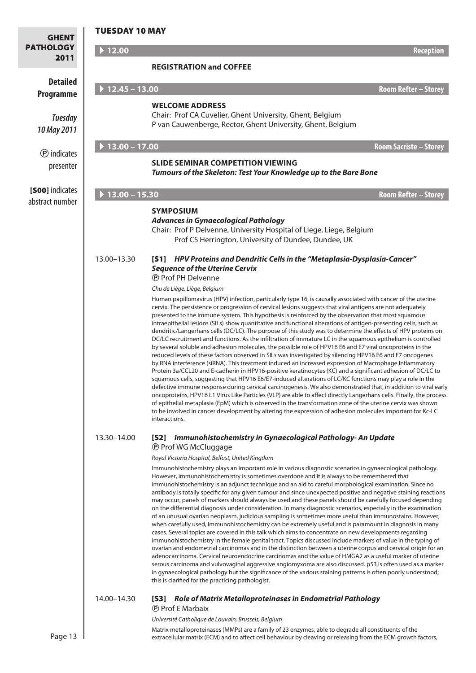# **TUESDAY 10 MAY**

| <b>GHENT</b><br>PATHOLOGY |                                     |                                                                                                                                                                                                                                                                                                                                                                                                                                                                                                                                                                                                                                                                                                                                                                                                                                                                                                                                                                                                                                                                                                                                                                                                                                                                                                                                                                                                                                                                                                                                                                                                                                                                                                                                                |                               |
|---------------------------|-------------------------------------|------------------------------------------------------------------------------------------------------------------------------------------------------------------------------------------------------------------------------------------------------------------------------------------------------------------------------------------------------------------------------------------------------------------------------------------------------------------------------------------------------------------------------------------------------------------------------------------------------------------------------------------------------------------------------------------------------------------------------------------------------------------------------------------------------------------------------------------------------------------------------------------------------------------------------------------------------------------------------------------------------------------------------------------------------------------------------------------------------------------------------------------------------------------------------------------------------------------------------------------------------------------------------------------------------------------------------------------------------------------------------------------------------------------------------------------------------------------------------------------------------------------------------------------------------------------------------------------------------------------------------------------------------------------------------------------------------------------------------------------------|-------------------------------|
| 2011                      | $\blacktriangleright$ 12.00         |                                                                                                                                                                                                                                                                                                                                                                                                                                                                                                                                                                                                                                                                                                                                                                                                                                                                                                                                                                                                                                                                                                                                                                                                                                                                                                                                                                                                                                                                                                                                                                                                                                                                                                                                                | <b>Reception</b>              |
|                           |                                     | <b>REGISTRATION and COFFEE</b>                                                                                                                                                                                                                                                                                                                                                                                                                                                                                                                                                                                                                                                                                                                                                                                                                                                                                                                                                                                                                                                                                                                                                                                                                                                                                                                                                                                                                                                                                                                                                                                                                                                                                                                 |                               |
| <b>Detailed</b>           | $\triangleright$ 12.45 - 13.00      |                                                                                                                                                                                                                                                                                                                                                                                                                                                                                                                                                                                                                                                                                                                                                                                                                                                                                                                                                                                                                                                                                                                                                                                                                                                                                                                                                                                                                                                                                                                                                                                                                                                                                                                                                | <b>Room Refter - Storey</b>   |
| <b>Programme</b>          |                                     | <b>WELCOME ADDRESS</b>                                                                                                                                                                                                                                                                                                                                                                                                                                                                                                                                                                                                                                                                                                                                                                                                                                                                                                                                                                                                                                                                                                                                                                                                                                                                                                                                                                                                                                                                                                                                                                                                                                                                                                                         |                               |
| <b>Tuesday</b>            |                                     | Chair: Prof CA Cuvelier, Ghent University, Ghent, Belgium                                                                                                                                                                                                                                                                                                                                                                                                                                                                                                                                                                                                                                                                                                                                                                                                                                                                                                                                                                                                                                                                                                                                                                                                                                                                                                                                                                                                                                                                                                                                                                                                                                                                                      |                               |
| 10 May 2011               |                                     | P van Cauwenberge, Rector, Ghent University, Ghent, Belgium                                                                                                                                                                                                                                                                                                                                                                                                                                                                                                                                                                                                                                                                                                                                                                                                                                                                                                                                                                                                                                                                                                                                                                                                                                                                                                                                                                                                                                                                                                                                                                                                                                                                                    |                               |
| <b>(P</b> ) indicates     | $\blacktriangleright$ 13.00 - 17.00 |                                                                                                                                                                                                                                                                                                                                                                                                                                                                                                                                                                                                                                                                                                                                                                                                                                                                                                                                                                                                                                                                                                                                                                                                                                                                                                                                                                                                                                                                                                                                                                                                                                                                                                                                                | <b>Room Sacriste - Storey</b> |
| presenter                 |                                     | <b>SLIDE SEMINAR COMPETITION VIEWING</b><br>Tumours of the Skeleton: Test Your Knowledge up to the Bare Bone                                                                                                                                                                                                                                                                                                                                                                                                                                                                                                                                                                                                                                                                                                                                                                                                                                                                                                                                                                                                                                                                                                                                                                                                                                                                                                                                                                                                                                                                                                                                                                                                                                   |                               |
| [SOO] indicates           | $\blacktriangleright$ 13.00 - 15.30 |                                                                                                                                                                                                                                                                                                                                                                                                                                                                                                                                                                                                                                                                                                                                                                                                                                                                                                                                                                                                                                                                                                                                                                                                                                                                                                                                                                                                                                                                                                                                                                                                                                                                                                                                                | <b>Room Refter - Storey</b>   |
| abstract number           |                                     | <b>SYMPOSIUM</b><br><b>Advances in Gynaecological Pathology</b><br>Chair: Prof P Delvenne, University Hospital of Liege, Liege, Belgium<br>Prof CS Herrington, University of Dundee, Dundee, UK                                                                                                                                                                                                                                                                                                                                                                                                                                                                                                                                                                                                                                                                                                                                                                                                                                                                                                                                                                                                                                                                                                                                                                                                                                                                                                                                                                                                                                                                                                                                                |                               |
|                           | 13.00-13.30                         | [S1] HPV Proteins and Dendritic Cells in the "Metaplasia-Dysplasia-Cancer"<br><b>Sequence of the Uterine Cervix</b><br><b>P</b> Prof PH Delvenne                                                                                                                                                                                                                                                                                                                                                                                                                                                                                                                                                                                                                                                                                                                                                                                                                                                                                                                                                                                                                                                                                                                                                                                                                                                                                                                                                                                                                                                                                                                                                                                               |                               |
|                           |                                     | Chu de Liège, Liège, Belgium                                                                                                                                                                                                                                                                                                                                                                                                                                                                                                                                                                                                                                                                                                                                                                                                                                                                                                                                                                                                                                                                                                                                                                                                                                                                                                                                                                                                                                                                                                                                                                                                                                                                                                                   |                               |
|                           |                                     | Human papillomavirus (HPV) infection, particularly type 16, is causally associated with cancer of the uterine<br>cervix. The persistence or progression of cervical lesions suggests that viral antigens are not adequately<br>presented to the immune system. This hypothesis is reinforced by the observation that most squamous<br>intraepithelial lesions (SILs) show quantitative and functional alterations of antigen-presenting cells, such as<br>dendritic/Langerhans cells (DC/LC). The purpose of this study was to determine the effects of HPV proteins on<br>DC/LC recruitment and functions. As the infiltration of immature LC in the squamous epithelium is controlled<br>by several soluble and adhesion molecules, the possible role of HPV16 E6 and E7 viral oncoproteins in the<br>reduced levels of these factors observed in SILs was investigated by silencing HPV16 E6 and E7 oncogenes<br>by RNA interference (siRNA). This treatment induced an increased expression of Macrophage Inflammatory<br>Protein 3a/CCL20 and E-cadherin in HPV16-positive keratinocytes (KC) and a significant adhesion of DC/LC to<br>squamous cells, suggesting that HPV16 E6/E7-induced alterations of LC/KC functions may play a role in the<br>defective immune response during cervical carcinogenesis. We also demonstrated that, in addition to viral early<br>oncoproteins, HPV16 L1 Virus Like Particles (VLP) are able to affect directly Langerhans cells. Finally, the process<br>of epithelial metaplasia (EpM) which is observed in the transformation zone of the uterine cervix was shown<br>to be involved in cancer development by altering the expression of adhesion molecules important for Kc-LC<br>interactions. |                               |
|                           | 13.30-14.00                         | [S2] Immunohistochemistry in Gynaecological Pathology- An Update<br><b><i>®</i></b> Prof WG McCluggage<br>Royal Victoria Hospital, Belfast, United Kingdom                                                                                                                                                                                                                                                                                                                                                                                                                                                                                                                                                                                                                                                                                                                                                                                                                                                                                                                                                                                                                                                                                                                                                                                                                                                                                                                                                                                                                                                                                                                                                                                     |                               |
|                           |                                     | Immunohistochemistry plays an important role in various diagnostic scenarios in gynaecological pathology.<br>However, immunohistochemistry is sometimes overdone and it is always to be remembered that<br>immunohistochemistry is an adjunct technique and an aid to careful morphological examination. Since no<br>antibody is totally specific for any given tumour and since unexpected positive and negative staining reactions<br>may occur, panels of markers should always be used and these panels should be carefully focused depending<br>on the differential diagnosis under consideration. In many diagnostic scenarios, especially in the examination<br>of an unusual ovarian neoplasm, judicious sampling is sometimes more useful than immunostains. However,<br>when carefully used, immunohistochemistry can be extremely useful and is paramount in diagnosis in many<br>cases. Several topics are covered in this talk which aims to concentrate on new developments regarding<br>immunohistochemistry in the female genital tract. Topics discussed include markers of value in the typing of<br>ovarian and endometrial carcinomas and in the distinction between a uterine corpus and cervical origin for an<br>adenocarcinoma. Cervical neuroendocrine carcinomas and the value of HMGA2 as a useful marker of uterine<br>serous carcinoma and vulvovaginal aggressive angiomyxoma are also discussed. p53 is often used as a marker<br>in gynaecological pathology but the significance of the various staining patterns is often poorly understood;<br>this is clarified for the practicing pathologist.                                                                                                            |                               |
|                           | 14.00-14.30                         | [S3] Role of Matrix Metalloproteinases in Endometrial Pathology<br><b><i><b>P</b></i></b> Prof E Marbaix<br>Université Catholique de Louvain, Brussels, Belgium<br>$f_{\text{eff}}$ = $f_{\text{eff}}$ = $f_{\text{eff}}$ (AAAAD = ) = $f_{\text{eff}}$                                                                                                                                                                                                                                                                                                                                                                                                                                                                                                                                                                                                                                                                                                                                                                                                                                                                                                                                                                                                                                                                                                                                                                                                                                                                                                                                                                                                                                                                                        |                               |

Matrix metalloproteinases (MMPs) are a family of 23 enzymes, able to degrade all constituents of the extracellular matrix (ECM) and to affect cell behaviour by cleaving or releasing from the ECM growth factors,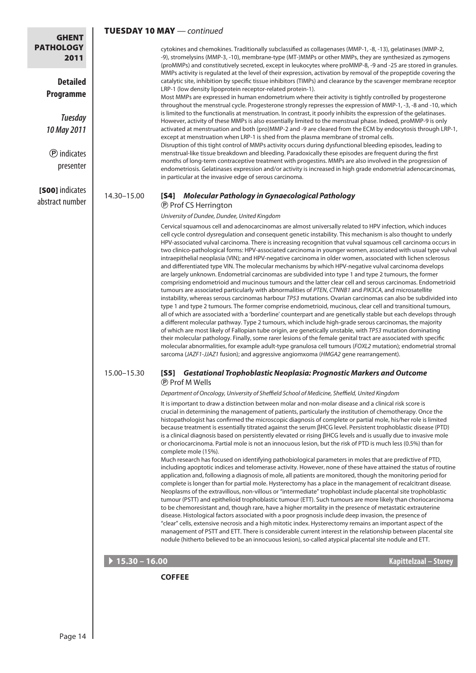| <b>GHENT</b>                                          |                                | <b>TUESDAY 10 MAY</b> - continued                                                                                                                                                                                                                                                                                                                                                                                                                                                                                                                                                                                                                                                                                                                                                                                                                                                                                                                                                                                                                                                                                                                                                                                                                                                                                                                                                                                                                                                                                                                                                                                                                                                                                                                                                                                                                                                                                             |
|-------------------------------------------------------|--------------------------------|-------------------------------------------------------------------------------------------------------------------------------------------------------------------------------------------------------------------------------------------------------------------------------------------------------------------------------------------------------------------------------------------------------------------------------------------------------------------------------------------------------------------------------------------------------------------------------------------------------------------------------------------------------------------------------------------------------------------------------------------------------------------------------------------------------------------------------------------------------------------------------------------------------------------------------------------------------------------------------------------------------------------------------------------------------------------------------------------------------------------------------------------------------------------------------------------------------------------------------------------------------------------------------------------------------------------------------------------------------------------------------------------------------------------------------------------------------------------------------------------------------------------------------------------------------------------------------------------------------------------------------------------------------------------------------------------------------------------------------------------------------------------------------------------------------------------------------------------------------------------------------------------------------------------------------|
| <b>PATHOLOGY</b><br>2011                              |                                | cytokines and chemokines. Traditionally subclassified as collagenases (MMP-1, -8, -13), gelatinases (MMP-2,<br>-9), stromelysins (MMP-3, -10), membrane-type (MT-)MMPs or other MMPs, they are synthesized as zymogens<br>(proMMPs) and constitutively secreted, except in leukocytes where proMMP-8, -9 and -25 are stored in granules.<br>MMPs activity is regulated at the level of their expression, activation by removal of the propeptide covering the                                                                                                                                                                                                                                                                                                                                                                                                                                                                                                                                                                                                                                                                                                                                                                                                                                                                                                                                                                                                                                                                                                                                                                                                                                                                                                                                                                                                                                                                 |
| <b>Detailed</b><br><b>Programme</b>                   |                                | catalytic site, inhibition by specific tissue inhibitors (TIMPs) and clearance by the scavenger membrane receptor<br>LRP-1 (low density lipoprotein receptor-related protein-1).<br>Most MMPs are expressed in human endometrium where their activity is tightly controlled by progesterone<br>throughout the menstrual cycle. Progesterone strongly represses the expression of MMP-1, -3, -8 and -10, which                                                                                                                                                                                                                                                                                                                                                                                                                                                                                                                                                                                                                                                                                                                                                                                                                                                                                                                                                                                                                                                                                                                                                                                                                                                                                                                                                                                                                                                                                                                 |
| <b>Tuesday</b>                                        |                                | is limited to the functionalis at menstruation. In contrast, it poorly inhibits the expression of the gelatinases.                                                                                                                                                                                                                                                                                                                                                                                                                                                                                                                                                                                                                                                                                                                                                                                                                                                                                                                                                                                                                                                                                                                                                                                                                                                                                                                                                                                                                                                                                                                                                                                                                                                                                                                                                                                                            |
| 10 May 2011<br><b><i>O</i></b> indicates<br>presenter |                                | However, activity of these MMPs is also essentially limited to the menstrual phase. Indeed, proMMP-9 is only<br>activated at menstruation and both (pro)MMP-2 and -9 are cleared from the ECM by endocytosis through LRP-1,<br>except at menstruation when LRP-1 is shed from the plasma membrane of stromal cells.<br>Disruption of this tight control of MMPs activity occurs during dysfunctional bleeding episodes, leading to<br>menstrual-like tissue breakdown and bleeding. Paradoxically these episodes are frequent during the first<br>months of long-term contraceptive treatment with progestins. MMPs are also involved in the progression of<br>endometriosis. Gelatinases expression and/or activity is increased in high grade endometrial adenocarcinomas,<br>in particular at the invasive edge of serous carcinoma.                                                                                                                                                                                                                                                                                                                                                                                                                                                                                                                                                                                                                                                                                                                                                                                                                                                                                                                                                                                                                                                                                       |
| [SOO] indicates<br>abstract number                    | 14.30-15.00                    | [S4] Molecular Pathology in Gynaecological Pathology<br><b><i>®</i></b> Prof CS Herrington                                                                                                                                                                                                                                                                                                                                                                                                                                                                                                                                                                                                                                                                                                                                                                                                                                                                                                                                                                                                                                                                                                                                                                                                                                                                                                                                                                                                                                                                                                                                                                                                                                                                                                                                                                                                                                    |
|                                                       |                                | University of Dundee, Dundee, United Kingdom                                                                                                                                                                                                                                                                                                                                                                                                                                                                                                                                                                                                                                                                                                                                                                                                                                                                                                                                                                                                                                                                                                                                                                                                                                                                                                                                                                                                                                                                                                                                                                                                                                                                                                                                                                                                                                                                                  |
|                                                       |                                | Cervical squamous cell and adenocarcinomas are almost universally related to HPV infection, which induces<br>cell cycle control dysregulation and consequent genetic instability. This mechanism is also thought to underly<br>HPV-associated vulval carcinoma. There is increasing recognition that vulval squamous cell carcinoma occurs in<br>two clinico-pathological forms: HPV-associated carcinoma in younger women, associated with usual type vulval<br>intraepithelial neoplasia (VIN); and HPV-negative carcinoma in older women, associated with lichen sclerosus<br>and differentiated type VIN. The molecular mechanisms by which HPV-negative vulval carcinoma develops<br>are largely unknown. Endometrial carcinomas are subdivided into type 1 and type 2 tumours, the former<br>comprising endometrioid and mucinous tumours and the latter clear cell and serous carcinomas. Endometrioid<br>tumours are associated particularly with abnormalities of PTEN, CTNNB1 and PIK3CA, and microsatellite<br>instability, whereas serous carcinomas harbour TP53 mutations. Ovarian carcinomas can also be subdivided into<br>type 1 and type 2 tumours. The former comprise endometrioid, mucinous, clear cell and transitional tumours,<br>all of which are associated with a 'borderline' counterpart and are genetically stable but each develops through<br>a different molecular pathway. Type 2 tumours, which include high-grade serous carcinomas, the majority<br>of which are most likely of Fallopian tube origin, are genetically unstable, with TP53 mutation dominating<br>their molecular pathology. Finally, some rarer lesions of the female genital tract are associated with specific<br>molecular abnormalities, for example adult-type granulosa cell tumours (FOXL2 mutation); endometrial stromal<br>sarcoma (JAZF1-JJAZ1 fusion); and aggressive angiomxoma (HMGA2 gene rearrangement). |
|                                                       | 15.00-15.30                    | <b>Gestational Trophoblastic Neoplasia: Prognostic Markers and Outcome</b><br>IS51<br>(P) Prof M Wells                                                                                                                                                                                                                                                                                                                                                                                                                                                                                                                                                                                                                                                                                                                                                                                                                                                                                                                                                                                                                                                                                                                                                                                                                                                                                                                                                                                                                                                                                                                                                                                                                                                                                                                                                                                                                        |
|                                                       |                                | Department of Oncology, University of Sheffield School of Medicine, Sheffield, United Kingdom<br>It is important to draw a distinction between molar and non-molar disease and a clinical risk score is<br>crucial in determining the management of patients, particularly the institution of chemotherapy. Once the<br>histopathologist has confirmed the microscopic diagnosis of complete or partial mole, his/her role is limited<br>because treatment is essentially titrated against the serum $\beta$ HCG level. Persistent trophoblastic disease (PTD)<br>is a clinical diagnosis based on persistently elevated or rising $\beta$ HCG levels and is usually due to invasive mole<br>or choriocarcinoma. Partial mole is not an innocuous lesion, but the risk of PTD is much less (0.5%) than for<br>complete mole (15%).<br>Much research has focused on identifying pathobiological parameters in moles that are predictive of PTD,<br>including apoptotic indices and telomerase activity. However, none of these have attained the status of routine<br>application and, following a diagnosis of mole, all patients are monitored, though the monitoring period for                                                                                                                                                                                                                                                                                                                                                                                                                                                                                                                                                                                                                                                                                                                                             |
|                                                       |                                | complete is longer than for partial mole. Hysterectomy has a place in the management of recalcitrant disease.<br>Neoplasms of the extravillous, non-villous or "intermediate" trophoblast include placental site trophoblastic<br>tumour (PSTT) and epithelioid trophoblastic tumour (ETT). Such tumours are more likely than choriocarcinoma<br>to be chemoresistant and, though rare, have a higher mortality in the presence of metastatic extrauterine<br>disease. Histological factors associated with a poor prognosis include deep invasion, the presence of<br>"clear" cells, extensive necrosis and a high mitotic index. Hysterectomy remains an important aspect of the<br>management of PSTT and ETT. There is considerable current interest in the relationship between placental site<br>nodule (hitherto believed to be an innocuous lesion), so-called atypical placental site nodule and ETT.                                                                                                                                                                                                                                                                                                                                                                                                                                                                                                                                                                                                                                                                                                                                                                                                                                                                                                                                                                                                                |
|                                                       | $\triangleright$ 15.30 - 16.00 | <b>Kapittelzaal - Storey</b>                                                                                                                                                                                                                                                                                                                                                                                                                                                                                                                                                                                                                                                                                                                                                                                                                                                                                                                                                                                                                                                                                                                                                                                                                                                                                                                                                                                                                                                                                                                                                                                                                                                                                                                                                                                                                                                                                                  |
|                                                       |                                | <b>COFFEE</b>                                                                                                                                                                                                                                                                                                                                                                                                                                                                                                                                                                                                                                                                                                                                                                                                                                                                                                                                                                                                                                                                                                                                                                                                                                                                                                                                                                                                                                                                                                                                                                                                                                                                                                                                                                                                                                                                                                                 |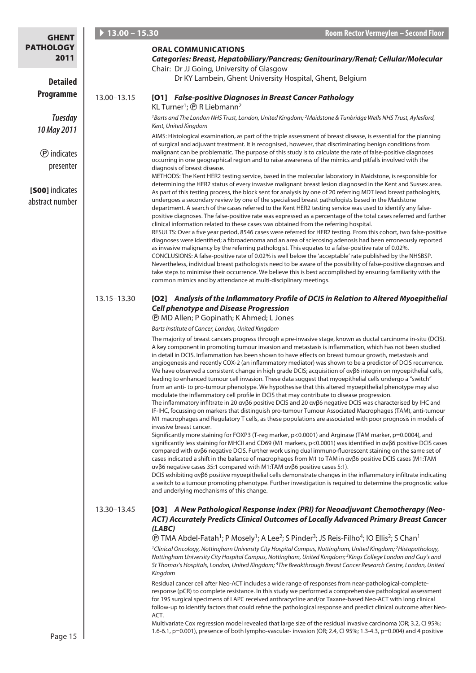| <b>GHENT</b>                                | $\triangleright$ 13.00 - 15.30 |                                                                                                                                                                                                                                                                                                                                                                                                                                                                                                                                                                                                                                                                                                                                                                                                                                                                                                                                                                                                                                                                                                                                                                                                                                                                                                                                                                                                                                                                                                                                                                                                                                                                                                                                                                                                                                                                                                                                                                                                                                                                                                                                                                                                                                              | Room Rector Vermeylen - Second Floor |
|---------------------------------------------|--------------------------------|----------------------------------------------------------------------------------------------------------------------------------------------------------------------------------------------------------------------------------------------------------------------------------------------------------------------------------------------------------------------------------------------------------------------------------------------------------------------------------------------------------------------------------------------------------------------------------------------------------------------------------------------------------------------------------------------------------------------------------------------------------------------------------------------------------------------------------------------------------------------------------------------------------------------------------------------------------------------------------------------------------------------------------------------------------------------------------------------------------------------------------------------------------------------------------------------------------------------------------------------------------------------------------------------------------------------------------------------------------------------------------------------------------------------------------------------------------------------------------------------------------------------------------------------------------------------------------------------------------------------------------------------------------------------------------------------------------------------------------------------------------------------------------------------------------------------------------------------------------------------------------------------------------------------------------------------------------------------------------------------------------------------------------------------------------------------------------------------------------------------------------------------------------------------------------------------------------------------------------------------|--------------------------------------|
| <b>PATHOLOGY</b><br>2011<br><b>Detailed</b> |                                | <b>ORAL COMMUNICATIONS</b><br>Categories: Breast, Hepatobiliary/Pancreas; Genitourinary/Renal; Cellular/Molecular<br>Chair: Dr JJ Going, University of Glasgow<br>Dr KY Lambein, Ghent University Hospital, Ghent, Belgium                                                                                                                                                                                                                                                                                                                                                                                                                                                                                                                                                                                                                                                                                                                                                                                                                                                                                                                                                                                                                                                                                                                                                                                                                                                                                                                                                                                                                                                                                                                                                                                                                                                                                                                                                                                                                                                                                                                                                                                                                   |                                      |
| <b>Programme</b>                            | 13.00-13.15                    | [01] False-positive Diagnoses in Breast Cancer Pathology<br>KL Turner <sup>1</sup> ; ® R Liebmann <sup>2</sup>                                                                                                                                                                                                                                                                                                                                                                                                                                                                                                                                                                                                                                                                                                                                                                                                                                                                                                                                                                                                                                                                                                                                                                                                                                                                                                                                                                                                                                                                                                                                                                                                                                                                                                                                                                                                                                                                                                                                                                                                                                                                                                                               |                                      |
| <b>Tuesday</b><br>10 May 2011               |                                | <sup>1</sup> Barts and The London NHS Trust, London, United Kingdom; <sup>2</sup> Maidstone & Tunbridge Wells NHS Trust, Aylesford,<br>Kent, United Kingdom<br>AIMS: Histological examination, as part of the triple assessment of breast disease, is essential for the planning<br>of surgical and adjuvant treatment. It is recognised, however, that discriminating benign conditions from                                                                                                                                                                                                                                                                                                                                                                                                                                                                                                                                                                                                                                                                                                                                                                                                                                                                                                                                                                                                                                                                                                                                                                                                                                                                                                                                                                                                                                                                                                                                                                                                                                                                                                                                                                                                                                                |                                      |
| <b><i>O</i></b> indicates<br>presenter      |                                | malignant can be problematic. The purpose of this study is to calculate the rate of false-positive diagnoses<br>occurring in one geographical region and to raise awareness of the mimics and pitfalls involved with the<br>diagnosis of breast disease.<br>METHODS: The Kent HER2 testing service, based in the molecular laboratory in Maidstone, is responsible for<br>determining the HER2 status of every invasive malignant breast lesion diagnosed in the Kent and Sussex area.                                                                                                                                                                                                                                                                                                                                                                                                                                                                                                                                                                                                                                                                                                                                                                                                                                                                                                                                                                                                                                                                                                                                                                                                                                                                                                                                                                                                                                                                                                                                                                                                                                                                                                                                                       |                                      |
| [SOO] indicates<br>abstract number          |                                | As part of this testing process, the block sent for analysis by one of 20 referring MDT lead breast pathologists,<br>undergoes a secondary review by one of the specialised breast pathologists based in the Maidstone<br>department. A search of the cases referred to the Kent HER2 testing service was used to identify any false-<br>positive diagnoses. The false-positive rate was expressed as a percentage of the total cases referred and further<br>clinical information related to these cases was obtained from the referring hospital.<br>RESULTS: Over a five year period, 8546 cases were referred for HER2 testing. From this cohort, two false-positive<br>diagnoses were identified; a fibroadenoma and an area of sclerosing adenosis had been erroneously reported<br>as invasive malignancy by the referring pathologist. This equates to a false-positive rate of 0.02%.<br>CONCLUSIONS: A false-positive rate of 0.02% is well below the 'acceptable' rate published by the NHSBSP.<br>Nevertheless, individual breast pathologists need to be aware of the possibility of false-positive diagnoses and<br>take steps to minimise their occurrence. We believe this is best accomplished by ensuring familiarity with the<br>common mimics and by attendance at multi-disciplinary meetings.                                                                                                                                                                                                                                                                                                                                                                                                                                                                                                                                                                                                                                                                                                                                                                                                                                                                                                                          |                                      |
|                                             | 13.15-13.30                    | [02] Analysis of the Inflammatory Profile of DCIS in Relation to Altered Myoepithelial<br><b>Cell phenotype and Disease Progression</b><br><b><i>@ MD Allen; P Gopinath; K Ahmed; L Jones</i></b>                                                                                                                                                                                                                                                                                                                                                                                                                                                                                                                                                                                                                                                                                                                                                                                                                                                                                                                                                                                                                                                                                                                                                                                                                                                                                                                                                                                                                                                                                                                                                                                                                                                                                                                                                                                                                                                                                                                                                                                                                                            |                                      |
|                                             |                                | Barts Institute of Cancer, London, United Kingdom<br>The majority of breast cancers progress through a pre-invasive stage, known as ductal carcinoma in-situ (DCIS).<br>A key component in promoting tumour invasion and metastasis is inflammation, which has not been studied<br>in detail in DCIS. Inflammation has been shown to have effects on breast tumour growth, metastasis and<br>angiogenesis and recently COX-2 (an inflammatory mediator) was shown to be a predictor of DCIS recurrence.<br>We have observed a consistent change in high grade DCIS; acquisition of $\alpha \gamma \beta 6$ integrin on myoepithelial cells,<br>leading to enhanced tumour cell invasion. These data suggest that myoepithelial cells undergo a "switch"<br>from an anti- to pro-tumour phenotype. We hypothesise that this altered myoepithelial phenotype may also<br>modulate the inflammatory cell profile in DCIS that may contribute to disease progression.<br>The inflammatory infiltrate in 20 $\alpha$ v $\beta$ 6 positive DCIS and 20 $\alpha$ v $\beta$ 6 negative DCIS was characterised by IHC and<br>IF-IHC, focussing on markers that distinguish pro-tumour Tumour Associated Macrophages (TAM), anti-tumour<br>M1 macrophages and Regulatory T cells, as these populations are associated with poor prognosis in models of<br>invasive breast cancer.<br>Significantly more staining for FOXP3 (T-reg marker, p<0.0001) and Arginase (TAM marker, p=0.0004), and<br>significantly less staining for MHCII and CD69 (M1 markers, p<0.0001) was identified in ανβ6 positive DCIS cases<br>compared with ανβ6 negative DCIS. Further work using dual immuno-fluorescent staining on the same set of<br>cases indicated a shift in the balance of macrophages from M1 to TAM in ανβ6 positive DCIS cases (M1:TAM<br>$\alpha$ av $\beta$ 6 negative cases 35:1 compared with M1:TAM $\alpha$ v $\beta$ 6 positive cases 5:1).<br>DCIS exhibiting $\alpha \gamma \beta$ positive myoepithelial cells demonstrate changes in the inflammatory infiltrate indicating<br>a switch to a tumour promoting phenotype. Further investigation is required to determine the prognostic value<br>and underlying mechanisms of this change. |                                      |
|                                             | 13.30-13.45                    | [O3] A New Pathological Response Index (PRI) for Neoadjuvant Chemotherapy (Neo-<br>ACT) Accurately Predicts Clinical Outcomes of Locally Advanced Primary Breast Cancer<br>(LABC)<br><b>TMA Abdel-Fatah<sup>1</sup>; P Mosely<sup>1</sup>; A Lee<sup>2</sup>; S Pinder<sup>3</sup>; JS Reis-Filho<sup>4</sup>; IO Ellis<sup>2</sup>; S Chan<sup>1</sup></b><br><sup>1</sup> Clinical Oncology, Nottingham University City Hospital Campus, Nottingham, United Kingdom; <sup>2</sup> Histopathology,<br>Nottingham University City Hospital Campus, Nottingham, United Kingdom; <sup>3</sup> Kings College London and Guy's and<br>St Thomas's Hospitals, London, United Kingdom; <sup>4</sup> The Breakthrough Breast Cancer Research Centre, London, United                                                                                                                                                                                                                                                                                                                                                                                                                                                                                                                                                                                                                                                                                                                                                                                                                                                                                                                                                                                                                                                                                                                                                                                                                                                                                                                                                                                                                                                                                 |                                      |
|                                             |                                | Kingdom<br>Residual cancer cell after Neo-ACT includes a wide range of responses from near-pathological-complete-<br>response (pCR) to complete resistance. In this study we performed a comprehensive pathological assessment<br>for 195 surgical specimens of LAPC received anthracycline and/or Taxane-based Neo-ACT with long clinical<br>follow-up to identify factors that could refine the pathological response and predict clinical outcome after Neo-<br>ACT.<br>Multivariate Cox regression model revealed that large size of the residual invasive carcinoma (OR; 3.2, CI 95%;                                                                                                                                                                                                                                                                                                                                                                                                                                                                                                                                                                                                                                                                                                                                                                                                                                                                                                                                                                                                                                                                                                                                                                                                                                                                                                                                                                                                                                                                                                                                                                                                                                                   |                                      |
| Page 15                                     |                                | 1.6-6.1, p=0.001), presence of both lympho-vascular- invasion (OR; 2.4, CI 95%; 1.3-4.3, p=0.004) and 4 positive                                                                                                                                                                                                                                                                                                                                                                                                                                                                                                                                                                                                                                                                                                                                                                                                                                                                                                                                                                                                                                                                                                                                                                                                                                                                                                                                                                                                                                                                                                                                                                                                                                                                                                                                                                                                                                                                                                                                                                                                                                                                                                                             |                                      |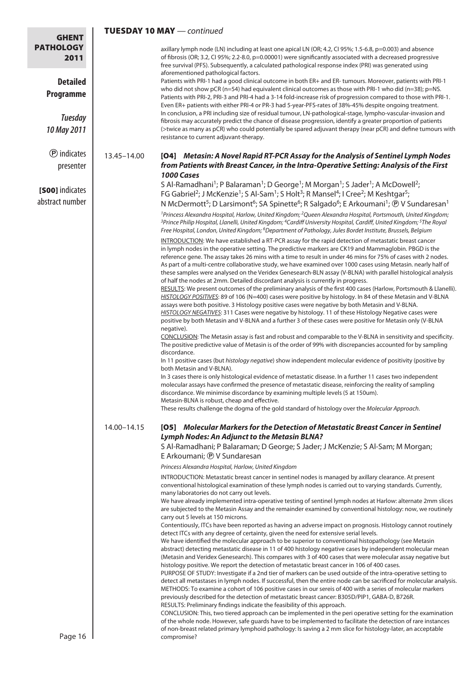| <b>GHENT</b>                           | <b>TUESDAY 10 MAY</b> - continued |                                                                                                                                                                                                                                                                                                                                                                                                                                                                                                                                                                                                                                                                                                                                                                                                                                                                                                                                                                                                                                                                                                                                                                                                                                                                                                                                                                                                                                                                                                                                                                                                                                         |  |
|----------------------------------------|-----------------------------------|-----------------------------------------------------------------------------------------------------------------------------------------------------------------------------------------------------------------------------------------------------------------------------------------------------------------------------------------------------------------------------------------------------------------------------------------------------------------------------------------------------------------------------------------------------------------------------------------------------------------------------------------------------------------------------------------------------------------------------------------------------------------------------------------------------------------------------------------------------------------------------------------------------------------------------------------------------------------------------------------------------------------------------------------------------------------------------------------------------------------------------------------------------------------------------------------------------------------------------------------------------------------------------------------------------------------------------------------------------------------------------------------------------------------------------------------------------------------------------------------------------------------------------------------------------------------------------------------------------------------------------------------|--|
| <b>PATHOLOGY</b><br>2011               |                                   | axillary lymph node (LN) including at least one apical LN (OR; 4.2, CI 95%; 1.5-6.8, p=0.003) and absence<br>of fibrosis (OR; 3.2, CI 95%; 2.2-8.0, p=0.00001) were significantly associated with a decreased progressive<br>free survival (PFS). Subsequently, a calculated pathological response index (PRI) was generated using<br>aforementioned pathological factors.                                                                                                                                                                                                                                                                                                                                                                                                                                                                                                                                                                                                                                                                                                                                                                                                                                                                                                                                                                                                                                                                                                                                                                                                                                                              |  |
| <b>Detailed</b><br>Programme           |                                   | Patients with PRI-1 had a good clinical outcome in both ER+ and ER-tumours. Moreover, patients with PRI-1<br>who did not show pCR ( $n=54$ ) had equivalent clinical outcomes as those with PRI-1 who did ( $n=38$ ); $p=NS$ .<br>Patients with PRI-2, PRI-3 and PRI-4 had a 3-14 fold-increase risk of progression compared to those with PRI-1.<br>Even ER+ patients with either PRI-4 or PR-3 had 5-year-PFS-rates of 38%-45% despite ongoing treatment.                                                                                                                                                                                                                                                                                                                                                                                                                                                                                                                                                                                                                                                                                                                                                                                                                                                                                                                                                                                                                                                                                                                                                                             |  |
| <b>Tuesday</b><br>10 May 2011          |                                   | In conclusion, a PRI including size of residual tumour, LN-pathological-stage, lympho-vascular-invasion and<br>fibrosis may accurately predict the chance of disease progression, identify a greater proportion of patients<br>(>twice as many as pCR) who could potentially be spared adjuvant therapy (near pCR) and define tumours with<br>resistance to current adjuvant-therapy.                                                                                                                                                                                                                                                                                                                                                                                                                                                                                                                                                                                                                                                                                                                                                                                                                                                                                                                                                                                                                                                                                                                                                                                                                                                   |  |
| <b><i>O</i></b> indicates<br>presenter | 13.45-14.00                       | [04] Metasin: A Novel Rapid RT-PCR Assay for the Analysis of Sentinel Lymph Nodes<br>from Patients with Breast Cancer, in the Intra-Operative Setting: Analysis of the First<br>1000 Cases                                                                                                                                                                                                                                                                                                                                                                                                                                                                                                                                                                                                                                                                                                                                                                                                                                                                                                                                                                                                                                                                                                                                                                                                                                                                                                                                                                                                                                              |  |
| [SOO] indicates<br>abstract number     |                                   | S Al-Ramadhani <sup>1</sup> ; P Balaraman <sup>1</sup> ; D George <sup>1</sup> ; M Morgan <sup>1</sup> ; S Jader <sup>1</sup> ; A McDowell <sup>2</sup> ;<br>FG Gabriel <sup>2</sup> ; J McKenzie <sup>1</sup> ; S Al-Sam <sup>1</sup> ; S Holt <sup>3</sup> ; R Mansel <sup>4</sup> ; I Cree <sup>2</sup> ; M Keshtgar <sup>5</sup> ;<br>N McDermott <sup>5</sup> ; D Larsimont <sup>6</sup> ; SA Spinette <sup>6</sup> ; R Salgado <sup>6</sup> ; E Arkoumani <sup>1</sup> ; <b>@ V Sundaresan</b> <sup>1</sup>                                                                                                                                                                                                                                                                                                                                                                                                                                                                                                                                                                                                                                                                                                                                                                                                                                                                                                                                                                                                                                                                                                                       |  |
|                                        |                                   | <sup>1</sup> Princess Alexandra Hospital, Harlow, United Kingdom; <sup>2</sup> Queen Alexandra Hospital, Portsmouth, United Kingdom;<br><sup>3</sup> Prince Philip Hospital, Llanelli, United Kingdom; <sup>4</sup> Cardiff University Hospital, Cardiff, United Kingdom; <sup>5</sup> The Royal<br>Free Hospital, London, United Kingdom; <sup>6</sup> Department of Pathology, Jules Bordet Institute, Brussels, Belgium                                                                                                                                                                                                                                                                                                                                                                                                                                                                                                                                                                                                                                                                                                                                                                                                                                                                                                                                                                                                                                                                                                                                                                                                              |  |
|                                        |                                   | INTRODUCTION: We have established a RT-PCR assay for the rapid detection of metastatic breast cancer<br>in lymph nodes in the operative setting. The predictive markers are CK19 and Mammaglobin. PBGD is the<br>reference gene. The assay takes 26 mins with a time to result in under 46 mins for 75% of cases with 2 nodes.<br>As part of a multi-centre collaborative study, we have examined over 1000 cases using Metasin. nearly half of<br>these samples were analysed on the Veridex Genesearch-BLN assay (V-BLNA) with parallel histological analysis<br>of half the nodes at 2mm. Detailed discordant analysis is currently in progress.                                                                                                                                                                                                                                                                                                                                                                                                                                                                                                                                                                                                                                                                                                                                                                                                                                                                                                                                                                                     |  |
|                                        |                                   | RESULTS: We present outcomes of the preliminary analysis of the first 400 cases (Harlow, Portsmouth & Llanelli).<br>HISTOLOGY POSITIVES: 89 of 106 (N=400) cases were positive by histology. In 84 of these Metasin and V-BLNA<br>assays were both positive. 3 Histology positive cases were negative by both Metasin and V-BLNA.<br>HISTOLOGY NEGATIVES: 311 Cases were negative by histology. 11 of these Histology Negative cases were<br>positive by both Metasin and V-BLNA and a further 3 of these cases were positive for Metasin only (V-BLNA<br>negative).                                                                                                                                                                                                                                                                                                                                                                                                                                                                                                                                                                                                                                                                                                                                                                                                                                                                                                                                                                                                                                                                    |  |
|                                        |                                   | CONCLUSION: The Metasin assay is fast and robust and comparable to the V-BLNA in sensitivity and specificity.<br>The positive predictive value of Metasin is of the order of 99% with discrepancies accounted for by sampling<br>discordance.<br>In 11 positive cases (but histology negative) show independent molecular evidence of positivity (positive by                                                                                                                                                                                                                                                                                                                                                                                                                                                                                                                                                                                                                                                                                                                                                                                                                                                                                                                                                                                                                                                                                                                                                                                                                                                                           |  |
|                                        |                                   | both Metasin and V-BLNA).<br>In 3 cases there is only histological evidence of metastatic disease. In a further 11 cases two independent<br>molecular assays have confirmed the presence of metastatic disease, reinforcing the reality of sampling<br>discordance. We minimise discordance by examining multiple levels (5 at 150um).<br>Metasin-BLNA is robust, cheap and effective.<br>These results challenge the dogma of the gold standard of histology over the Molecular Approach.                                                                                                                                                                                                                                                                                                                                                                                                                                                                                                                                                                                                                                                                                                                                                                                                                                                                                                                                                                                                                                                                                                                                              |  |
|                                        | 14.00-14.15                       | [05] Molecular Markers for the Detection of Metastatic Breast Cancer in Sentinel<br><b>Lymph Nodes: An Adjunct to the Metasin BLNA?</b>                                                                                                                                                                                                                                                                                                                                                                                                                                                                                                                                                                                                                                                                                                                                                                                                                                                                                                                                                                                                                                                                                                                                                                                                                                                                                                                                                                                                                                                                                                 |  |
|                                        |                                   | S Al-Ramadhani; P Balaraman; D George; S Jader; J McKenzie; S Al-Sam; M Morgan;<br>E Arkoumani; ® V Sundaresan<br>Princess Alexandra Hospital, Harlow, United Kingdom                                                                                                                                                                                                                                                                                                                                                                                                                                                                                                                                                                                                                                                                                                                                                                                                                                                                                                                                                                                                                                                                                                                                                                                                                                                                                                                                                                                                                                                                   |  |
|                                        |                                   | INTRODUCTION: Metastatic breast cancer in sentinel nodes is managed by axillary clearance. At present<br>conventional histological examination of these lymph nodes is carried out to varying standards. Currently,<br>many laboratories do not carry out levels.<br>We have already implemented intra-operative testing of sentinel lymph nodes at Harlow: alternate 2mm slices<br>are subjected to the Metasin Assay and the remainder examined by conventional histology: now, we routinely<br>carry out 5 levels at 150 microns.<br>Contentiously, ITCs have been reported as having an adverse impact on prognosis. Histology cannot routinely<br>detect ITCs with any degree of certainty, given the need for extensive serial levels.<br>We have identified the molecular approach to be superior to conventional histopathology (see Metasin<br>abstract) detecting metastatic disease in 11 of 400 histology negative cases by independent molecular mean<br>(Metasin and Veridex Genesearch). This compares with 3 of 400 cases that were molecular assay negative but<br>histology positive. We report the detection of metastatic breast cancer in 106 of 400 cases.<br>PURPOSE OF STUDY: Investigate if a 2nd tier of markers can be used outside of the intra-operative setting to<br>detect all metastases in lymph nodes. If successful, then the entire node can be sacrificed for molecular analysis.<br>METHODS: To examine a cohort of 106 positive cases in our sereis of 400 with a series of molecular markers<br>previously described for the detection of metastatic breast cancer: B305D/PIP1, GABA-D, B726R. |  |
| Page 16                                |                                   | RESULTS: Preliminary findings indicate the feasibility of this approach.<br>CONCLUSION: This, two tiered approach can be implemented in the peri operative setting for the examination<br>of the whole node. However, safe guards have to be implemented to facilitate the detection of rare instances<br>of non-breast related primary lymphoid pathology: Is saving a 2 mm slice for histology-later, an acceptable<br>compromise?                                                                                                                                                                                                                                                                                                                                                                                                                                                                                                                                                                                                                                                                                                                                                                                                                                                                                                                                                                                                                                                                                                                                                                                                    |  |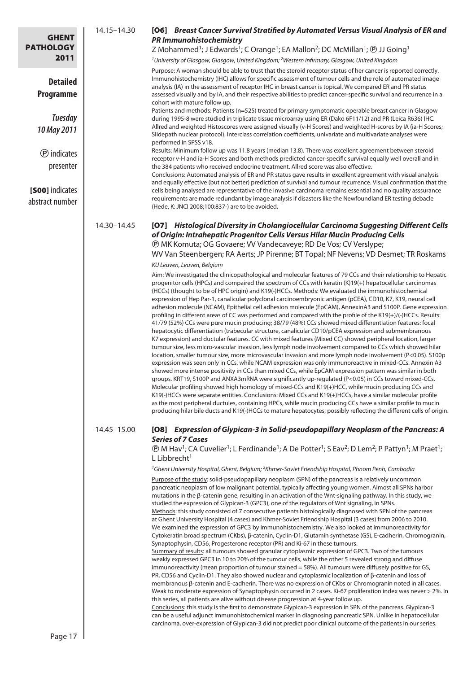| <b>GHENT</b>                           | 14.15-14.30 | [O6] Breast Cancer Survival Stratified by Automated Versus Visual Analysis of ER and<br><b>PR Immunohistochemistry</b>                                                                                                                                                                                                                                                                                                                                                                                                                                                                                                                                                                                                                                                                                                                                                                                                                                                                                                                                                                                                                                                                                                                                                                                                                                                                                                                                                                                                                                                                                                                                                                                                                                                                                                                                                                                                                                                                                                                                                                                                                                                                                            |
|----------------------------------------|-------------|-------------------------------------------------------------------------------------------------------------------------------------------------------------------------------------------------------------------------------------------------------------------------------------------------------------------------------------------------------------------------------------------------------------------------------------------------------------------------------------------------------------------------------------------------------------------------------------------------------------------------------------------------------------------------------------------------------------------------------------------------------------------------------------------------------------------------------------------------------------------------------------------------------------------------------------------------------------------------------------------------------------------------------------------------------------------------------------------------------------------------------------------------------------------------------------------------------------------------------------------------------------------------------------------------------------------------------------------------------------------------------------------------------------------------------------------------------------------------------------------------------------------------------------------------------------------------------------------------------------------------------------------------------------------------------------------------------------------------------------------------------------------------------------------------------------------------------------------------------------------------------------------------------------------------------------------------------------------------------------------------------------------------------------------------------------------------------------------------------------------------------------------------------------------------------------------------------------------|
| <b>PATHOLOGY</b><br>2011               |             | Z Mohammed <sup>1</sup> ; J Edwards <sup>1</sup> ; C Orange <sup>1</sup> ; EA Mallon <sup>2</sup> ; DC McMillan <sup>1</sup> ; <b>@</b> JJ Going <sup>1</sup>                                                                                                                                                                                                                                                                                                                                                                                                                                                                                                                                                                                                                                                                                                                                                                                                                                                                                                                                                                                                                                                                                                                                                                                                                                                                                                                                                                                                                                                                                                                                                                                                                                                                                                                                                                                                                                                                                                                                                                                                                                                     |
|                                        |             | <sup>1</sup> University of Glasgow, Glasgow, United Kingdom; <sup>2</sup> Western Infirmary, Glasgow, United Kingdom                                                                                                                                                                                                                                                                                                                                                                                                                                                                                                                                                                                                                                                                                                                                                                                                                                                                                                                                                                                                                                                                                                                                                                                                                                                                                                                                                                                                                                                                                                                                                                                                                                                                                                                                                                                                                                                                                                                                                                                                                                                                                              |
| <b>Detailed</b><br><b>Programme</b>    |             | Purpose: A woman should be able to trust that the steroid receptor status of her cancer is reported correctly.<br>Immunohistochemistry (IHC) allows for specific assessment of tumour cells and the role of automated image<br>analysis (IA) in the assessment of receptor IHC in breast cancer is topical. We compared ER and PR status<br>assessed visually and by IA, and their respective abilities to predict cancer-specific survival and recurrence in a<br>cohort with mature follow up.                                                                                                                                                                                                                                                                                                                                                                                                                                                                                                                                                                                                                                                                                                                                                                                                                                                                                                                                                                                                                                                                                                                                                                                                                                                                                                                                                                                                                                                                                                                                                                                                                                                                                                                  |
| <b>Tuesday</b><br>10 May 2011          |             | Patients and methods: Patients (n=525) treated for primary symptomatic operable breast cancer in Glasgow<br>during 1995-8 were studied in triplicate tissue microarray using ER (Dako 6F11/12) and PR (Leica R636) IHC.<br>Allred and weighted Histoscores were assigned visually (v-H Scores) and weighted H-scores by IA (ia-H Scores;<br>Slidepath nuclear protocol). Interclass correlation coefficients, univariate and multivariate analyses were<br>performed in SPSS v18.                                                                                                                                                                                                                                                                                                                                                                                                                                                                                                                                                                                                                                                                                                                                                                                                                                                                                                                                                                                                                                                                                                                                                                                                                                                                                                                                                                                                                                                                                                                                                                                                                                                                                                                                 |
| <b><i>O</i></b> indicates<br>presenter |             | Results: Minimum follow up was 11.8 years (median 13.8). There was excellent agreement between steroid<br>receptor v-H and ia-H Scores and both methods predicted cancer-specific survival equally well overall and in<br>the 384 patients who received endocrine treatment. Allred score was also effective.<br>Conclusions: Automated analysis of ER and PR status gave results in excellent agreement with visual analysis                                                                                                                                                                                                                                                                                                                                                                                                                                                                                                                                                                                                                                                                                                                                                                                                                                                                                                                                                                                                                                                                                                                                                                                                                                                                                                                                                                                                                                                                                                                                                                                                                                                                                                                                                                                     |
| [SOO] indicates<br>abstract number     |             | and equally effective (but not better) prediction of survival and tumour recurrence. Visual confirmation that the<br>cells being analysed are representative of the invasive carcinoma remains essential and no quality asssurance<br>requirements are made redundant by image analysis if disasters like the Newfoundland ER testing debacle<br>(Hede, K: JNCI 2008;100:837-) are to be avoided.                                                                                                                                                                                                                                                                                                                                                                                                                                                                                                                                                                                                                                                                                                                                                                                                                                                                                                                                                                                                                                                                                                                                                                                                                                                                                                                                                                                                                                                                                                                                                                                                                                                                                                                                                                                                                 |
|                                        | 14.30-14.45 | [07] Histological Diversity in Cholangiocellular Carcinoma Suggesting Different Cells<br>of Origin: Intrahepatic Progenitor Cells Versus Hilar Mucin Producing Cells<br><b><i>®</i></b> MK Komuta; OG Govaere; VV Vandecaveye; RD De Vos; CV Verslype;                                                                                                                                                                                                                                                                                                                                                                                                                                                                                                                                                                                                                                                                                                                                                                                                                                                                                                                                                                                                                                                                                                                                                                                                                                                                                                                                                                                                                                                                                                                                                                                                                                                                                                                                                                                                                                                                                                                                                            |
|                                        |             | WV Van Steenbergen; RA Aerts; JP Pirenne; BT Topal; NF Nevens; VD Desmet; TR Roskams                                                                                                                                                                                                                                                                                                                                                                                                                                                                                                                                                                                                                                                                                                                                                                                                                                                                                                                                                                                                                                                                                                                                                                                                                                                                                                                                                                                                                                                                                                                                                                                                                                                                                                                                                                                                                                                                                                                                                                                                                                                                                                                              |
|                                        |             | KU Leuven, Leuven, Belgium<br>Aim: We investigated the clinicopathological and molecular features of 79 CCs and their relationship to Hepatic<br>progenitor cells (HPCs) and compaired the spectrum of CCs with keratin (K)19(+) hepatocellular carcinomas<br>(HCCs) (thought to be of HPC origin) and K19(-)HCCs. Methods: We evaluated the immunohistochemical                                                                                                                                                                                                                                                                                                                                                                                                                                                                                                                                                                                                                                                                                                                                                                                                                                                                                                                                                                                                                                                                                                                                                                                                                                                                                                                                                                                                                                                                                                                                                                                                                                                                                                                                                                                                                                                  |
|                                        |             | expression of Hep Par-1, canalicular polyclonal carcinoembryonic antigen (pCEA), CD10, K7, K19, neural cell<br>adhesion molecule (NCAM), Epithelial cell adhesion molecule (EpCAM), AnnexinA3 and S100P. Gene expression<br>profiling in different areas of CC was performed and compared with the profile of the K19(+)/(-)HCCs. Results:<br>41/79 (52%) CCs were pure mucin producing; 38/79 (48%) CCs showed mixed differentiation features: focal<br>hepatocytic differentiation (trabecular structure, canalicular CD10/pCEA expression and submembranous<br>K7 expression) and ductular features. CC with mixed features (Mixed CC) showed peripheral location, larger<br>tumour size, less micro-vascular invasion, less lymph node involvement compared to CCs which showed hilar<br>location, smaller tumour size, more microvascular invasion and more lymph node involvement (P<0.05). S100p<br>expression was seen only in CCs, while NCAM expression was only immunoreactive in mixed-CCs. Annexin A3<br>showed more intense positivity in CCs than mixed CCs, while EpCAM expression pattern was similar in both                                                                                                                                                                                                                                                                                                                                                                                                                                                                                                                                                                                                                                                                                                                                                                                                                                                                                                                                                                                                                                                                                    |
|                                        |             | groups. KRT19, S100P and ANXA3mRNA were significantly up-regulated (P<0.05) in CCs toward mixed-CCs.<br>Molecular profiling showed high homology of mixed-CCs and K19(+)HCC, while mucin producing CCs and<br>K19(-)HCCs were separate entities. Conclusions: Mixed CCs and K19(+)HCCs, have a similar molecular profile<br>as the most peripheral ductules, containing HPCs, while mucin producing CCs have a similar profile to mucin<br>producing hilar bile ducts and K19(-)HCCs to mature hepatocytes, possibly reflecting the different cells of origin.                                                                                                                                                                                                                                                                                                                                                                                                                                                                                                                                                                                                                                                                                                                                                                                                                                                                                                                                                                                                                                                                                                                                                                                                                                                                                                                                                                                                                                                                                                                                                                                                                                                    |
|                                        | 14.45-15.00 | [O8] Expression of Glypican-3 in Solid-pseudopapillary Neoplasm of the Pancreas: A<br><b>Series of 7 Cases</b><br>(D) M Hav <sup>1</sup> ; CA Cuvelier <sup>1</sup> ; L Ferdinande <sup>1</sup> ; A De Potter <sup>1</sup> ; S Eav <sup>2</sup> ; D Lem <sup>2</sup> ; P Pattyn <sup>1</sup> ; M Praet <sup>1</sup> ;<br>L Libbrecht <sup>1</sup>                                                                                                                                                                                                                                                                                                                                                                                                                                                                                                                                                                                                                                                                                                                                                                                                                                                                                                                                                                                                                                                                                                                                                                                                                                                                                                                                                                                                                                                                                                                                                                                                                                                                                                                                                                                                                                                                 |
|                                        |             | <sup>1</sup> Ghent University Hospital, Ghent, Belgium; <sup>2</sup> Khmer-Soviet Friendship Hospital, Phnom Penh, Cambodia<br>Purpose of the study: solid-pseudopapillary neoplasm (SPN) of the pancreas is a relatively uncommon<br>pancreatic neoplasm of low malignant potential, typically affecting young women. Almost all SPNs harbor<br>mutations in the $\beta$ -catenin gene, resulting in an activation of the Wnt-signaling pathway. In this study, we<br>studied the expression of Glypican-3 (GPC3), one of the regulators of Wnt signaling, in SPNs.<br>Methods: this study consisted of 7 consecutive patients histologically diagnosed with SPN of the pancreas<br>at Ghent University Hospital (4 cases) and Khmer-Soviet Friendship Hospital (3 cases) from 2006 to 2010.<br>We examined the expression of GPC3 by immunohistochemistry. We also looked at immunoreactivity for<br>Cytokeratin broad spectrum (CKbs), β-catenin, Cyclin-D1, Glutamin synthetase (GS), E-cadherin, Chromogranin,<br>Synaptophysin, CD56, Progesterone receptor (PR) and Ki-67 in these tumours.<br>Summary of results: all tumours showed granular cytoplasmic expression of GPC3. Two of the tumours<br>weakly expressed GPC3 in 10 to 20% of the tumour cells, while the other 5 revealed strong and diffuse<br>immunoreactivity (mean proportion of tumour stained = 58%). All tumours were diffusely positive for GS,<br>PR, CD56 and Cyclin-D1. They also showed nuclear and cytoplasmic localization of $\beta$ -catenin and loss of<br>membranous β-catenin and E-cadherin. There was no expression of CKbs or Chromogranin noted in all cases.<br>Weak to moderate expression of Synaptophysin occurred in 2 cases. Ki-67 proliferation index was never > 2%. In<br>this series, all patients are alive without disease progression at 4-year follow up.<br>Conclusions: this study is the first to demonstrate Glypican-3 expression in SPN of the pancreas. Glypican-3<br>can be a useful adjunct immunohistochemical marker in diagnosing pancreatic SPN. Unlike in hepatocellular<br>carcinoma, over-expression of Glypican-3 did not predict poor clinical outcome of the patients in our series. |
| Page 17                                |             |                                                                                                                                                                                                                                                                                                                                                                                                                                                                                                                                                                                                                                                                                                                                                                                                                                                                                                                                                                                                                                                                                                                                                                                                                                                                                                                                                                                                                                                                                                                                                                                                                                                                                                                                                                                                                                                                                                                                                                                                                                                                                                                                                                                                                   |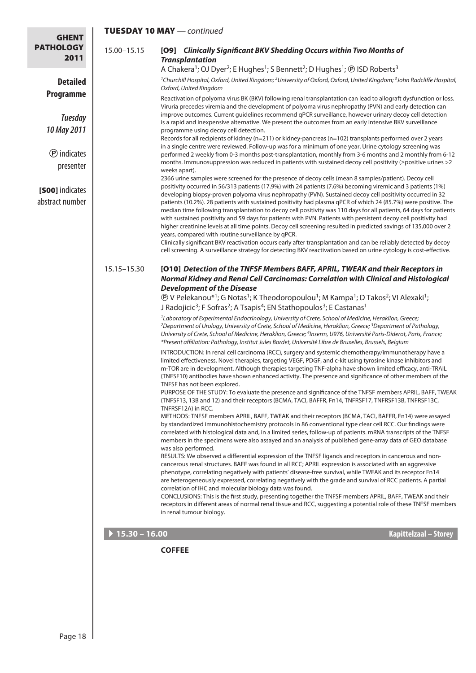| <b>GHENT</b>                       |                                |                                                                                                                                                                                                                                                                                                                                                                                                                                                                                                                                                                                                                                                                                                                                                                                                                                                                                         |
|------------------------------------|--------------------------------|-----------------------------------------------------------------------------------------------------------------------------------------------------------------------------------------------------------------------------------------------------------------------------------------------------------------------------------------------------------------------------------------------------------------------------------------------------------------------------------------------------------------------------------------------------------------------------------------------------------------------------------------------------------------------------------------------------------------------------------------------------------------------------------------------------------------------------------------------------------------------------------------|
| <b>PATHOLOGY</b><br>2011           | 15.00-15.15                    | [09] Clinically Significant BKV Shedding Occurs within Two Months of<br><b>Transplantation</b>                                                                                                                                                                                                                                                                                                                                                                                                                                                                                                                                                                                                                                                                                                                                                                                          |
|                                    |                                | A Chakera <sup>1</sup> ; OJ Dyer <sup>2</sup> ; E Hughes <sup>1</sup> ; S Bennett <sup>2</sup> ; D Hughes <sup>1</sup> ; <b>@ ISD Roberts</b> <sup>3</sup>                                                                                                                                                                                                                                                                                                                                                                                                                                                                                                                                                                                                                                                                                                                              |
| <b>Detailed</b>                    |                                | <sup>1</sup> Churchill Hospital, Oxford, United Kingdom; <sup>2</sup> University of Oxford, Oxford, United Kingdom; <sup>3</sup> John Radcliffe Hospital,<br>Oxford, United Kingdom                                                                                                                                                                                                                                                                                                                                                                                                                                                                                                                                                                                                                                                                                                     |
| <b>Programme</b>                   |                                | Reactivation of polyoma virus BK (BKV) following renal transplantation can lead to allograft dysfunction or loss.<br>Viruria precedes viremia and the development of polyoma virus nephropathy (PVN) and early detection can<br>improve outcomes. Current guidelines recommend qPCR surveillance, however urinary decoy cell detection                                                                                                                                                                                                                                                                                                                                                                                                                                                                                                                                                  |
| <b>Tuesday</b>                     |                                | is a rapid and inexpensive alternative. We present the outcomes from an early intensive BKV surveillance                                                                                                                                                                                                                                                                                                                                                                                                                                                                                                                                                                                                                                                                                                                                                                                |
| 10 May 2011                        |                                | programme using decoy cell detection.<br>Records for all recipients of kidney (n=211) or kidney-pancreas (n=102) transplants performed over 2 years                                                                                                                                                                                                                                                                                                                                                                                                                                                                                                                                                                                                                                                                                                                                     |
| <b><i>O</i></b> indicates          |                                | in a single centre were reviewed. Follow-up was for a minimum of one year. Urine cytology screening was<br>performed 2 weekly from 0-3 months post-transplantation, monthly from 3-6 months and 2 monthly from 6-12                                                                                                                                                                                                                                                                                                                                                                                                                                                                                                                                                                                                                                                                     |
| presenter                          |                                | months. Immunosuppression was reduced in patients with sustained decoy cell positivity ( $\ge$ positive urines >2<br>weeks apart).                                                                                                                                                                                                                                                                                                                                                                                                                                                                                                                                                                                                                                                                                                                                                      |
|                                    |                                | 2366 urine samples were screened for the presence of decoy cells (mean 8 samples/patient). Decoy cell<br>positivity occurred in 56/313 patients (17.9%) with 24 patients (7.6%) becoming viremic and 3 patients (1%)                                                                                                                                                                                                                                                                                                                                                                                                                                                                                                                                                                                                                                                                    |
| [SOO] indicates<br>abstract number |                                | developing biopsy-proven polyoma virus nephropathy (PVN). Sustained decoy cell positivity occurred in 32<br>patients (10.2%). 28 patients with sustained positivity had plasma qPCR of which 24 (85.7%) were positive. The<br>median time following transplantation to decoy cell positivity was 110 days for all patients, 64 days for patients<br>with sustained positivity and 59 days for patients with PVN. Patients with persistent decoy cell positivity had<br>higher creatinine levels at all time points. Decoy cell screening resulted in predicted savings of 135,000 over 2<br>years, compared with routine surveillance by qPCR.<br>Clinically significant BKV reactivation occurs early after transplantation and can be reliably detected by decoy<br>cell screening. A surveillance strategy for detecting BKV reactivation based on urine cytology is cost-effective. |
|                                    |                                |                                                                                                                                                                                                                                                                                                                                                                                                                                                                                                                                                                                                                                                                                                                                                                                                                                                                                         |
|                                    | 15.15-15.30                    | [010] Detection of the TNFSF Members BAFF, APRIL, TWEAK and their Receptors in                                                                                                                                                                                                                                                                                                                                                                                                                                                                                                                                                                                                                                                                                                                                                                                                          |
|                                    |                                | Normal Kidney and Renal Cell Carcinomas: Correlation with Clinical and Histological<br><b>Development of the Disease</b>                                                                                                                                                                                                                                                                                                                                                                                                                                                                                                                                                                                                                                                                                                                                                                |
|                                    |                                | $\textcircled{P}$ V Pelekanou* <sup>1</sup> ; G Notas <sup>1</sup> ; K Theodoropoulou <sup>1</sup> ; M Kampa <sup>1</sup> ; D Takos <sup>2</sup> ; VI Alexaki <sup>1</sup> ;                                                                                                                                                                                                                                                                                                                                                                                                                                                                                                                                                                                                                                                                                                            |
|                                    |                                | J Radojicic <sup>3</sup> ; F Sofras <sup>2</sup> ; A Tsapis <sup>4</sup> ; EN Stathopoulos <sup>3</sup> ; E Castanas <sup>1</sup>                                                                                                                                                                                                                                                                                                                                                                                                                                                                                                                                                                                                                                                                                                                                                       |
|                                    |                                | <sup>1</sup> Laboratory of Experimental Endocrinology, University of Crete, School of Medicine, Heraklion, Greece;<br><sup>2</sup> Department of Urology, University of Crete, School of Medicine, Heraklion, Greece; <sup>3</sup> Department of Pathology,                                                                                                                                                                                                                                                                                                                                                                                                                                                                                                                                                                                                                             |
|                                    |                                | University of Crete, School of Medicine, Heraklion, Greece; <sup>4</sup> Inserm, U976, Université Paris-Diderot, Paris, France;<br>*Present affiliation: Pathology, Institut Jules Bordet, Université Libre de Bruxelles, Brussels, Belgium                                                                                                                                                                                                                                                                                                                                                                                                                                                                                                                                                                                                                                             |
|                                    |                                | INTRODUCTION: In renal cell carcinoma (RCC), surgery and systemic chemotherapy/immunotherapy have a<br>limited effectiveness. Novel therapies, targeting VEGF, PDGF, and c-kit using tyrosine kinase inhibitors and<br>m-TOR are in development. Although therapies targeting TNF-alpha have shown limited efficacy, anti-TRAIL<br>(TNFSF10) antibodies have shown enhanced activity. The presence and significance of other members of the<br>TNFSF has not been explored.                                                                                                                                                                                                                                                                                                                                                                                                             |
|                                    |                                | PURPOSE OF THE STUDY: To evaluate the presence and significance of the TNFSF members APRIL, BAFF, TWEAK<br>(TNFSF13, 13B and 12) and their receptors (BCMA, TACI, BAFFR, Fn14, TNFRSF17, TNFRSF13B, TNFRSF13C,<br>TNFRSF12A) in RCC.                                                                                                                                                                                                                                                                                                                                                                                                                                                                                                                                                                                                                                                    |
|                                    |                                | METHODS: TNFSF members APRIL, BAFF, TWEAK and their receptors (BCMA, TACI, BAFFR, Fn14) were assayed<br>by standardized immunohistochemistry protocols in 86 conventional type clear cell RCC. Our findings were<br>correlated with histological data and, in a limited series, follow-up of patients. mRNA transcripts of the TNFSF<br>members in the specimens were also assayed and an analysis of published gene-array data of GEO database<br>was also performed.                                                                                                                                                                                                                                                                                                                                                                                                                  |
|                                    |                                | RESULTS: We observed a differential expression of the TNFSF ligands and receptors in cancerous and non-<br>cancerous renal structures. BAFF was found in all RCC; APRIL expression is associated with an aggressive<br>phenotype, correlating negatively with patients' disease-free survival, while TWEAK and its receptor Fn14<br>are heterogeneously expressed, correlating negatively with the grade and survival of RCC patients. A partial<br>correlation of IHC and molecular biology data was found.                                                                                                                                                                                                                                                                                                                                                                            |
|                                    |                                | CONCLUSIONS: This is the first study, presenting together the TNFSF members APRIL, BAFF, TWEAK and their<br>receptors in different areas of normal renal tissue and RCC, suggesting a potential role of these TNFSF members<br>in renal tumour biology.                                                                                                                                                                                                                                                                                                                                                                                                                                                                                                                                                                                                                                 |
|                                    | $\triangleright$ 15.30 - 16.00 | <b>Kapittelzaal - Storey</b>                                                                                                                                                                                                                                                                                                                                                                                                                                                                                                                                                                                                                                                                                                                                                                                                                                                            |
|                                    |                                | <b>COFFEE</b>                                                                                                                                                                                                                                                                                                                                                                                                                                                                                                                                                                                                                                                                                                                                                                                                                                                                           |
|                                    |                                |                                                                                                                                                                                                                                                                                                                                                                                                                                                                                                                                                                                                                                                                                                                                                                                                                                                                                         |
|                                    |                                |                                                                                                                                                                                                                                                                                                                                                                                                                                                                                                                                                                                                                                                                                                                                                                                                                                                                                         |
|                                    |                                |                                                                                                                                                                                                                                                                                                                                                                                                                                                                                                                                                                                                                                                                                                                                                                                                                                                                                         |
|                                    |                                |                                                                                                                                                                                                                                                                                                                                                                                                                                                                                                                                                                                                                                                                                                                                                                                                                                                                                         |
|                                    |                                |                                                                                                                                                                                                                                                                                                                                                                                                                                                                                                                                                                                                                                                                                                                                                                                                                                                                                         |
|                                    |                                |                                                                                                                                                                                                                                                                                                                                                                                                                                                                                                                                                                                                                                                                                                                                                                                                                                                                                         |
| Page 18                            |                                |                                                                                                                                                                                                                                                                                                                                                                                                                                                                                                                                                                                                                                                                                                                                                                                                                                                                                         |

TUESDAY 10 MAY *— continued*

 $\overline{\phantom{a}}$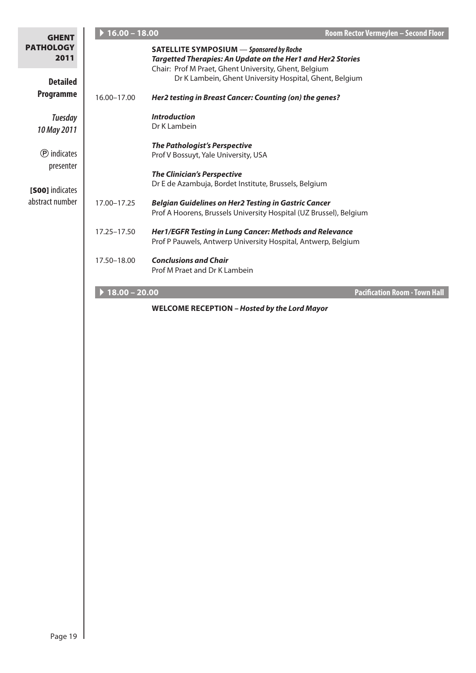| <b>GHENT</b>                           | $\blacktriangleright$ 16.00 - 18.00 |                                                                                                                                                                                | <b>Room Rector Vermeylen - Second Floor</b> |
|----------------------------------------|-------------------------------------|--------------------------------------------------------------------------------------------------------------------------------------------------------------------------------|---------------------------------------------|
| <b>PATHOLOGY</b><br>2011               |                                     | <b>SATELLITE SYMPOSIUM</b> - Sponsored by Roche<br><b>Targetted Therapies: An Update on the Her1 and Her2 Stories</b><br>Chair: Prof M Praet, Ghent University, Ghent, Belgium |                                             |
| <b>Detailed</b><br>Programme           | 16.00-17.00                         | Dr K Lambein, Ghent University Hospital, Ghent, Belgium<br>Her2 testing in Breast Cancer: Counting (on) the genes?                                                             |                                             |
| <b>Tuesday</b><br>10 May 2011          |                                     | <b>Introduction</b><br>Dr K Lambein                                                                                                                                            |                                             |
| <b><i>O</i></b> indicates<br>presenter |                                     | <b>The Pathologist's Perspective</b><br>Prof V Bossuyt, Yale University, USA<br><b>The Clinician's Perspective</b>                                                             |                                             |
| [SOO] indicates                        |                                     | Dr E de Azambuja, Bordet Institute, Brussels, Belgium                                                                                                                          |                                             |
| abstract number                        | 17.00-17.25                         | <b>Belgian Guidelines on Her2 Testing in Gastric Cancer</b><br>Prof A Hoorens, Brussels University Hospital (UZ Brussel), Belgium                                              |                                             |
|                                        | 17.25-17.50                         | Her1/EGFR Testing in Lung Cancer: Methods and Relevance<br>Prof P Pauwels, Antwerp University Hospital, Antwerp, Belgium                                                       |                                             |
|                                        | 17.50-18.00                         | <b>Conclusions and Chair</b><br>Prof M Praet and Dr K Lambein                                                                                                                  |                                             |
|                                        | ▶ 18.00 - 20.00                     |                                                                                                                                                                                | <b>Pacification Room · Town Hall</b>        |
|                                        |                                     | <b>WELCOME RECEPTION - Hosted by the Lord Mayor</b>                                                                                                                            |                                             |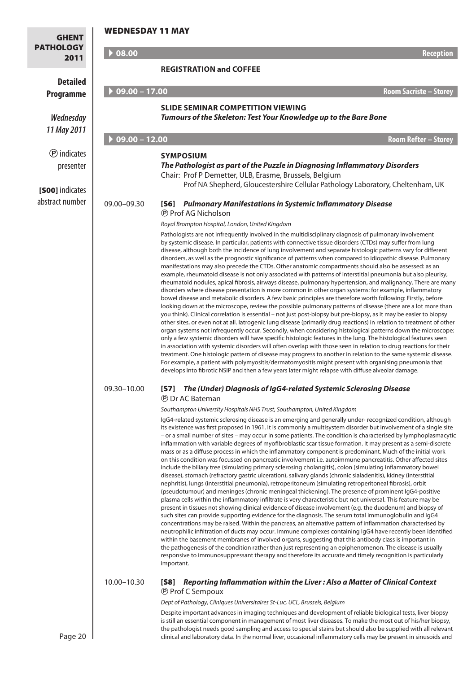### WEDNESDAY 11 MAY

| <b>WEDNESDAY 11 MAY</b> |                                                                                                                                                                                                                                                                                                                                                                                                                                                                                                                                                                                                                                                                                                                                                                                                                                                                                                                                                                                                                                                                                                                                                                                                                                                                                                                                                                                                                                                                                                                                                                                                                                                                                                                                                                                                                                                                                                                                                                     |                                                                                                                |  |
|-------------------------|---------------------------------------------------------------------------------------------------------------------------------------------------------------------------------------------------------------------------------------------------------------------------------------------------------------------------------------------------------------------------------------------------------------------------------------------------------------------------------------------------------------------------------------------------------------------------------------------------------------------------------------------------------------------------------------------------------------------------------------------------------------------------------------------------------------------------------------------------------------------------------------------------------------------------------------------------------------------------------------------------------------------------------------------------------------------------------------------------------------------------------------------------------------------------------------------------------------------------------------------------------------------------------------------------------------------------------------------------------------------------------------------------------------------------------------------------------------------------------------------------------------------------------------------------------------------------------------------------------------------------------------------------------------------------------------------------------------------------------------------------------------------------------------------------------------------------------------------------------------------------------------------------------------------------------------------------------------------|----------------------------------------------------------------------------------------------------------------|--|
| $\triangleright$ 08.00  |                                                                                                                                                                                                                                                                                                                                                                                                                                                                                                                                                                                                                                                                                                                                                                                                                                                                                                                                                                                                                                                                                                                                                                                                                                                                                                                                                                                                                                                                                                                                                                                                                                                                                                                                                                                                                                                                                                                                                                     | <b>Reception</b>                                                                                               |  |
|                         | <b>REGISTRATION and COFFEE</b>                                                                                                                                                                                                                                                                                                                                                                                                                                                                                                                                                                                                                                                                                                                                                                                                                                                                                                                                                                                                                                                                                                                                                                                                                                                                                                                                                                                                                                                                                                                                                                                                                                                                                                                                                                                                                                                                                                                                      |                                                                                                                |  |
| $09.00 - 17.00$         |                                                                                                                                                                                                                                                                                                                                                                                                                                                                                                                                                                                                                                                                                                                                                                                                                                                                                                                                                                                                                                                                                                                                                                                                                                                                                                                                                                                                                                                                                                                                                                                                                                                                                                                                                                                                                                                                                                                                                                     | <b>Room Sacriste - Storey</b>                                                                                  |  |
|                         | <b>SLIDE SEMINAR COMPETITION VIEWING</b>                                                                                                                                                                                                                                                                                                                                                                                                                                                                                                                                                                                                                                                                                                                                                                                                                                                                                                                                                                                                                                                                                                                                                                                                                                                                                                                                                                                                                                                                                                                                                                                                                                                                                                                                                                                                                                                                                                                            |                                                                                                                |  |
|                         | Tumours of the Skeleton: Test Your Knowledge up to the Bare Bone                                                                                                                                                                                                                                                                                                                                                                                                                                                                                                                                                                                                                                                                                                                                                                                                                                                                                                                                                                                                                                                                                                                                                                                                                                                                                                                                                                                                                                                                                                                                                                                                                                                                                                                                                                                                                                                                                                    |                                                                                                                |  |
| $09.00 - 12.00$         |                                                                                                                                                                                                                                                                                                                                                                                                                                                                                                                                                                                                                                                                                                                                                                                                                                                                                                                                                                                                                                                                                                                                                                                                                                                                                                                                                                                                                                                                                                                                                                                                                                                                                                                                                                                                                                                                                                                                                                     | <b>Room Refter - Storey</b>                                                                                    |  |
|                         | <b>SYMPOSIUM</b>                                                                                                                                                                                                                                                                                                                                                                                                                                                                                                                                                                                                                                                                                                                                                                                                                                                                                                                                                                                                                                                                                                                                                                                                                                                                                                                                                                                                                                                                                                                                                                                                                                                                                                                                                                                                                                                                                                                                                    |                                                                                                                |  |
|                         | The Pathologist as part of the Puzzle in Diagnosing Inflammatory Disorders<br>Chair: Prof P Demetter, ULB, Erasme, Brussels, Belgium<br>Prof NA Shepherd, Gloucestershire Cellular Pathology Laboratory, Cheltenham, UK                                                                                                                                                                                                                                                                                                                                                                                                                                                                                                                                                                                                                                                                                                                                                                                                                                                                                                                                                                                                                                                                                                                                                                                                                                                                                                                                                                                                                                                                                                                                                                                                                                                                                                                                             |                                                                                                                |  |
|                         |                                                                                                                                                                                                                                                                                                                                                                                                                                                                                                                                                                                                                                                                                                                                                                                                                                                                                                                                                                                                                                                                                                                                                                                                                                                                                                                                                                                                                                                                                                                                                                                                                                                                                                                                                                                                                                                                                                                                                                     |                                                                                                                |  |
| 09.00-09.30             | [S6] Pulmonary Manifestations in Systemic Inflammatory Disease<br><b>P</b> Prof AG Nicholson                                                                                                                                                                                                                                                                                                                                                                                                                                                                                                                                                                                                                                                                                                                                                                                                                                                                                                                                                                                                                                                                                                                                                                                                                                                                                                                                                                                                                                                                                                                                                                                                                                                                                                                                                                                                                                                                        |                                                                                                                |  |
|                         | Royal Brompton Hospital, London, United Kingdom<br>Pathologists are not infrequently involved in the multidisciplinary diagnosis of pulmonary involvement                                                                                                                                                                                                                                                                                                                                                                                                                                                                                                                                                                                                                                                                                                                                                                                                                                                                                                                                                                                                                                                                                                                                                                                                                                                                                                                                                                                                                                                                                                                                                                                                                                                                                                                                                                                                           |                                                                                                                |  |
|                         | by systemic disease. In particular, patients with connective tissue disorders (CTDs) may suffer from lung<br>disease, although both the incidence of lung involvement and separate histologic patterns vary for different<br>disorders, as well as the prognostic significance of patterns when compared to idiopathic disease. Pulmonary<br>manifestations may also precede the CTDs. Other anatomic compartments should also be assessed: as an<br>example, rheumatoid disease is not only associated with patterns of interstitial pneumonia but also pleurisy,<br>rheumatoid nodules, apical fibrosis, airways disease, pulmonary hypertension, and malignancy. There are many<br>disorders where disease presentation is more common in other organ systems: for example, inflammatory<br>bowel disease and metabolic disorders. A few basic principles are therefore worth following: Firstly, before<br>looking down at the microscope, review the possible pulmonary patterns of disease (there are a lot more than<br>you think). Clinical correlation is essential - not just post-biopsy but pre-biopsy, as it may be easier to biopsy<br>other sites, or even not at all. latrogenic lung disease (primarily drug reactions) in relation to treatment of other<br>organ systems not infrequently occur. Secondly, when considering histological patterns down the microscope:<br>only a few systemic disorders will have specific histologic features in the lung. The histological features seen<br>in association with systemic disorders will often overlap with those seen in relation to drug reactions for their<br>treatment. One histologic pattern of disease may progress to another in relation to the same systemic disease.<br>For example, a patient with polymyositis/dermatomyositis might present with organising pneumonia that<br>develops into fibrotic NSIP and then a few years later might relapse with diffuse alveolar damage. |                                                                                                                |  |
| 09.30-10.00             | [S7] The (Under) Diagnosis of IgG4-related Systemic Sclerosing Disease<br><b><i><b>P</b></i></b> Dr AC Bateman                                                                                                                                                                                                                                                                                                                                                                                                                                                                                                                                                                                                                                                                                                                                                                                                                                                                                                                                                                                                                                                                                                                                                                                                                                                                                                                                                                                                                                                                                                                                                                                                                                                                                                                                                                                                                                                      |                                                                                                                |  |
|                         | Southampton University Hospitals NHS Trust, Southampton, United Kingdom<br>IgG4-related systemic sclerosing disease is an emerging and generally under- recognized condition, although                                                                                                                                                                                                                                                                                                                                                                                                                                                                                                                                                                                                                                                                                                                                                                                                                                                                                                                                                                                                                                                                                                                                                                                                                                                                                                                                                                                                                                                                                                                                                                                                                                                                                                                                                                              |                                                                                                                |  |
|                         | its existence was first proposed in 1961. It is commonly a multisystem disorder but involvement of a single site<br>inflammation with variable degrees of myofibroblastic scar tissue formation. It may present as a semi-discrete<br>mass or as a diffuse process in which the inflammatory component is predominant. Much of the initial work<br>on this condition was focussed on pancreatic involvement i.e. autoimmune pancreatitis. Other affected sites<br>include the biliary tree (simulating primary sclerosing cholangitis), colon (simulating inflammatory bowel<br>disease), stomach (refractory gastric ulceration), salivary glands (chronic sialadenitis), kidney (interstitial<br>nephritis), lungs (interstitial pneumonia), retroperitoneum (simulating retroperitoneal fibrosis), orbit<br>(pseudotumour) and meninges (chronic meningeal thickening). The presence of prominent IgG4-positive<br>plasma cells within the inflammatory infiltrate is very characteristic but not universal. This feature may be<br>present in tissues not showing clinical evidence of disease involvement (e.g. the duodenum) and biopsy of<br>such sites can provide supporting evidence for the diagnosis. The serum total immunoglobulin and IgG4<br>concentrations may be raised. Within the pancreas, an alternative pattern of inflammation characterised by<br>neutrophilic infiltration of ducts may occur. Immune complexes containing IgG4 have recently been identified<br>within the basement membranes of involved organs, suggesting that this antibody class is important in<br>the pathogenesis of the condition rather than just representing an epiphenomenon. The disease is usually<br>responsive to immunosuppressant therapy and therefore its accurate and timely recognition is particularly<br>important.                                                                                                                             | - or a small number of sites - may occur in some patients. The condition is characterised by lymphoplasmacytic |  |
| 10.00-10.30             | [S8] Reporting Inflammation within the Liver: Also a Matter of Clinical Context<br><b><i>®</i></b> Prof C Sempoux                                                                                                                                                                                                                                                                                                                                                                                                                                                                                                                                                                                                                                                                                                                                                                                                                                                                                                                                                                                                                                                                                                                                                                                                                                                                                                                                                                                                                                                                                                                                                                                                                                                                                                                                                                                                                                                   |                                                                                                                |  |
|                         | Dept of Pathology, Cliniques Universitaires St-Luc, UCL, Brussels, Belgium                                                                                                                                                                                                                                                                                                                                                                                                                                                                                                                                                                                                                                                                                                                                                                                                                                                                                                                                                                                                                                                                                                                                                                                                                                                                                                                                                                                                                                                                                                                                                                                                                                                                                                                                                                                                                                                                                          |                                                                                                                |  |
|                         | Despite important advances in imaging techniques and development of reliable biological tests, liver biopsy<br>is still an essential component in management of most liver diseases. To make the most out of his/her biopsy,<br>the pathologist needs good sampling and access to special stains but should also be supplied with all relevant                                                                                                                                                                                                                                                                                                                                                                                                                                                                                                                                                                                                                                                                                                                                                                                                                                                                                                                                                                                                                                                                                                                                                                                                                                                                                                                                                                                                                                                                                                                                                                                                                      |                                                                                                                |  |

clinical and laboratory data. In the normal liver, occasional inflammatory cells may be present in sinusoids and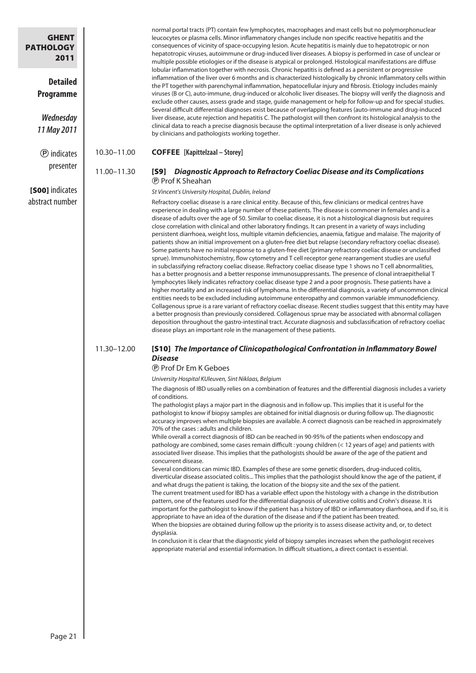| <b>GHENT</b><br><b>PATHOLOGY</b><br>2011 |             | normal portal tracts (PT) contain few lymphocytes, macrophages and mast cells but no polymorphonuclear<br>leucocytes or plasma cells. Minor inflammatory changes include non specific reactive hepatitis and the<br>consequences of vicinity of space-occupying lesion. Acute hepatitis is mainly due to hepatotropic or non<br>hepatotropic viruses, autoimmune or drug-induced liver diseases. A biopsy is performed in case of unclear or<br>multiple possible etiologies or if the disease is atypical or prolonged. Histological manifestations are diffuse<br>lobular inflammation together with necrosis. Chronic hepatitis is defined as a persistent or progressive                                                                                                                                                                                                                                                                                                                                                                                                                                                                                                                                                                                                                                                                                                                                                                                                                                                                                                                                                                                                                                                                                                                                                                                                                                                                 |
|------------------------------------------|-------------|----------------------------------------------------------------------------------------------------------------------------------------------------------------------------------------------------------------------------------------------------------------------------------------------------------------------------------------------------------------------------------------------------------------------------------------------------------------------------------------------------------------------------------------------------------------------------------------------------------------------------------------------------------------------------------------------------------------------------------------------------------------------------------------------------------------------------------------------------------------------------------------------------------------------------------------------------------------------------------------------------------------------------------------------------------------------------------------------------------------------------------------------------------------------------------------------------------------------------------------------------------------------------------------------------------------------------------------------------------------------------------------------------------------------------------------------------------------------------------------------------------------------------------------------------------------------------------------------------------------------------------------------------------------------------------------------------------------------------------------------------------------------------------------------------------------------------------------------------------------------------------------------------------------------------------------------|
| <b>Detailed</b><br><b>Programme</b>      |             | inflammation of the liver over 6 months and is characterized histologically by chronic inflammatory cells within<br>the PT together with parenchymal inflammation, hepatocellular injury and fibrosis. Etiology includes mainly<br>viruses (B or C), auto-immune, drug-induced or alcoholic liver diseases. The biopsy will verify the diagnosis and<br>exclude other causes, assess grade and stage, guide management or help for follow-up and for special studies.<br>Several difficult differential diagnoses exist because of overlapping features (auto-immune and drug-induced                                                                                                                                                                                                                                                                                                                                                                                                                                                                                                                                                                                                                                                                                                                                                                                                                                                                                                                                                                                                                                                                                                                                                                                                                                                                                                                                                        |
| <b>Wednesday</b><br>11 May 2011          |             | liver disease, acute rejection and hepatitis C. The pathologist will then confront its histological analysis to the<br>clinical data to reach a precise diagnosis because the optimal interpretation of a liver disease is only achieved<br>by clinicians and pathologists working together.                                                                                                                                                                                                                                                                                                                                                                                                                                                                                                                                                                                                                                                                                                                                                                                                                                                                                                                                                                                                                                                                                                                                                                                                                                                                                                                                                                                                                                                                                                                                                                                                                                                 |
| <b><i>O</i></b> indicates                | 10.30-11.00 | <b>COFFEE</b> [Kapittelzaal - Storey]                                                                                                                                                                                                                                                                                                                                                                                                                                                                                                                                                                                                                                                                                                                                                                                                                                                                                                                                                                                                                                                                                                                                                                                                                                                                                                                                                                                                                                                                                                                                                                                                                                                                                                                                                                                                                                                                                                        |
| presenter                                | 11.00-11.30 | [S9] Diagnostic Approach to Refractory Coeliac Disease and its Complications<br><b><i>®</i></b> Prof K Sheahan                                                                                                                                                                                                                                                                                                                                                                                                                                                                                                                                                                                                                                                                                                                                                                                                                                                                                                                                                                                                                                                                                                                                                                                                                                                                                                                                                                                                                                                                                                                                                                                                                                                                                                                                                                                                                               |
| [SOO] indicates                          |             | St Vincent's University Hospital, Dublin, Ireland                                                                                                                                                                                                                                                                                                                                                                                                                                                                                                                                                                                                                                                                                                                                                                                                                                                                                                                                                                                                                                                                                                                                                                                                                                                                                                                                                                                                                                                                                                                                                                                                                                                                                                                                                                                                                                                                                            |
| abstract number                          |             | Refractory coeliac disease is a rare clinical entity. Because of this, few clinicians or medical centres have<br>experience in dealing with a large number of these patients. The disease is commoner in females and is a<br>disease of adults over the age of 50. Similar to coeliac disease, it is not a histological diagnosis but requires<br>close correlation with clinical and other laboratory findings. It can present in a variety of ways including<br>persistent diarrhoea, weight loss, multiple vitamin deficiencies, anaemia, fatigue and malaise. The majority of<br>patients show an initial improvement on a gluten-free diet but relapse (secondary refractory coeliac disease).<br>Some patients have no initial response to a gluten-free diet (primary refractory coeliac disease or unclassified<br>sprue). Immunohistochemistry, flow cytometry and T cell receptor gene rearrangement studies are useful<br>in subclassifying refractory coeliac disease. Refractory coeliac disease type 1 shows no T cell abnormalities,<br>has a better prognosis and a better response immunosuppressants. The presence of clonal intraepithelial T<br>lymphocytes likely indicates refractory coeliac disease type 2 and a poor prognosis. These patients have a<br>higher mortality and an increased risk of lymphoma. In the differential diagnosis, a variety of uncommon clinical<br>entities needs to be excluded including autoimmune enteropathy and common variable immunodeficiency.<br>Collagenous sprue is a rare variant of refractory coeliac disease. Recent studies suggest that this entity may have<br>a better prognosis than previously considered. Collagenous sprue may be associated with abnormal collagen<br>deposition throughout the gastro-intestinal tract. Accurate diagnosis and subclassification of refractory coeliac<br>disease plays an important role in the management of these patients. |
|                                          | 11.30-12.00 | [S10] The Importance of Clinicopathological Confrontation in Inflammatory Bowel<br><b>Disease</b><br><b>P</b> Prof Dr Em K Geboes                                                                                                                                                                                                                                                                                                                                                                                                                                                                                                                                                                                                                                                                                                                                                                                                                                                                                                                                                                                                                                                                                                                                                                                                                                                                                                                                                                                                                                                                                                                                                                                                                                                                                                                                                                                                            |
|                                          |             | University Hospital KUleuven, Sint Niklaas, Belgium                                                                                                                                                                                                                                                                                                                                                                                                                                                                                                                                                                                                                                                                                                                                                                                                                                                                                                                                                                                                                                                                                                                                                                                                                                                                                                                                                                                                                                                                                                                                                                                                                                                                                                                                                                                                                                                                                          |
|                                          |             | The diagnosis of IBD usually relies on a combination of features and the differential diagnosis includes a variety<br>of conditions.                                                                                                                                                                                                                                                                                                                                                                                                                                                                                                                                                                                                                                                                                                                                                                                                                                                                                                                                                                                                                                                                                                                                                                                                                                                                                                                                                                                                                                                                                                                                                                                                                                                                                                                                                                                                         |
|                                          |             | The pathologist plays a major part in the diagnosis and in follow up. This implies that it is useful for the<br>pathologist to know if biopsy samples are obtained for initial diagnosis or during follow up. The diagnostic<br>accuracy improves when multiple biopsies are available. A correct diagnosis can be reached in approximately<br>70% of the cases : adults and children.<br>While overall a correct diagnosis of IBD can be reached in 90-95% of the patients when endoscopy and<br>pathology are combined, some cases remain difficult : young children (< 12 years of age) and patients with<br>associated liver disease. This implies that the pathologists should be aware of the age of the patient and                                                                                                                                                                                                                                                                                                                                                                                                                                                                                                                                                                                                                                                                                                                                                                                                                                                                                                                                                                                                                                                                                                                                                                                                                   |
|                                          |             | concurrent disease.<br>Several conditions can mimic IBD. Examples of these are some genetic disorders, drug-induced colitis,<br>diverticular disease associated colitis This implies that the pathologist should know the age of the patient, if<br>and what drugs the patient is taking, the location of the biopsy site and the sex of the patient.<br>The current treatment used for IBD has a variable effect upon the histology with a change in the distribution<br>pattern, one of the features used for the differential diagnosis of ulcerative colitis and Crohn's disease. It is<br>important for the pathologist to know if the patient has a history of IBD or inflammatory diarrhoea, and if so, it is<br>appropriate to have an idea of the duration of the disease and if the patient has been treated.<br>When the biopsies are obtained during follow up the priority is to assess disease activity and, or, to detect<br>dysplasia.                                                                                                                                                                                                                                                                                                                                                                                                                                                                                                                                                                                                                                                                                                                                                                                                                                                                                                                                                                                       |
|                                          |             | In conclusion it is clear that the diagnostic yield of biopsy samples increases when the pathologist receives<br>appropriate material and essential information. In difficult situations, a direct contact is essential.                                                                                                                                                                                                                                                                                                                                                                                                                                                                                                                                                                                                                                                                                                                                                                                                                                                                                                                                                                                                                                                                                                                                                                                                                                                                                                                                                                                                                                                                                                                                                                                                                                                                                                                     |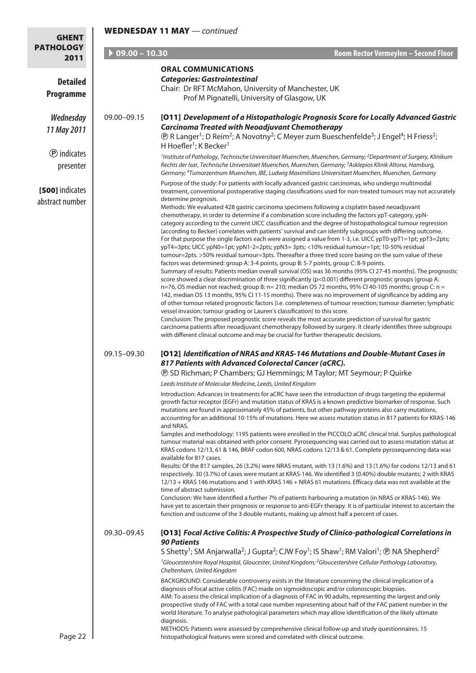GHENT P

WEDNESDAY 11 MAY *— continued*

| GHEN I<br><b>PATHOLOGY</b>         |                 |                                                                                                                                                                                                                                                                                                                                                                                                                                                                                                                                                                                                                                                                                                                                                                                                                                                                                                                                                                                                                                                                                                                                                                                                                                                                                                                                                                                                                                                                                                                |                                                                                                                                                                                                                                                                                                                                                                                                                                                                                                                                                                                                                                                                                                           |
|------------------------------------|-----------------|----------------------------------------------------------------------------------------------------------------------------------------------------------------------------------------------------------------------------------------------------------------------------------------------------------------------------------------------------------------------------------------------------------------------------------------------------------------------------------------------------------------------------------------------------------------------------------------------------------------------------------------------------------------------------------------------------------------------------------------------------------------------------------------------------------------------------------------------------------------------------------------------------------------------------------------------------------------------------------------------------------------------------------------------------------------------------------------------------------------------------------------------------------------------------------------------------------------------------------------------------------------------------------------------------------------------------------------------------------------------------------------------------------------------------------------------------------------------------------------------------------------|-----------------------------------------------------------------------------------------------------------------------------------------------------------------------------------------------------------------------------------------------------------------------------------------------------------------------------------------------------------------------------------------------------------------------------------------------------------------------------------------------------------------------------------------------------------------------------------------------------------------------------------------------------------------------------------------------------------|
| 2011                               | $09.00 - 10.30$ |                                                                                                                                                                                                                                                                                                                                                                                                                                                                                                                                                                                                                                                                                                                                                                                                                                                                                                                                                                                                                                                                                                                                                                                                                                                                                                                                                                                                                                                                                                                | Room Rector Vermeylen - Second Floor                                                                                                                                                                                                                                                                                                                                                                                                                                                                                                                                                                                                                                                                      |
| <b>Detailed</b>                    |                 | <b>ORAL COMMUNICATIONS</b><br><b>Categories: Gastrointestinal</b><br>Chair: Dr RFT McMahon, University of Manchester, UK                                                                                                                                                                                                                                                                                                                                                                                                                                                                                                                                                                                                                                                                                                                                                                                                                                                                                                                                                                                                                                                                                                                                                                                                                                                                                                                                                                                       |                                                                                                                                                                                                                                                                                                                                                                                                                                                                                                                                                                                                                                                                                                           |
| <b>Programme</b>                   |                 | Prof M Pignatelli, University of Glasgow, UK                                                                                                                                                                                                                                                                                                                                                                                                                                                                                                                                                                                                                                                                                                                                                                                                                                                                                                                                                                                                                                                                                                                                                                                                                                                                                                                                                                                                                                                                   |                                                                                                                                                                                                                                                                                                                                                                                                                                                                                                                                                                                                                                                                                                           |
| <b>Wednesday</b><br>11 May 2011    | 09.00-09.15     | <b>Carcinoma Treated with Neoadjuvant Chemotherapy</b><br><b><i>®</i></b> R Langer <sup>1</sup> ; D Reim <sup>2</sup> ; A Novotny <sup>2</sup> ; C Meyer zum Bueschenfelde <sup>3</sup> ; J Engel <sup>4</sup> ; H Friess <sup>2</sup> ;                                                                                                                                                                                                                                                                                                                                                                                                                                                                                                                                                                                                                                                                                                                                                                                                                                                                                                                                                                                                                                                                                                                                                                                                                                                                       | [011] Development of a Histopathologic Prognosis Score for Locally Advanced Gastric                                                                                                                                                                                                                                                                                                                                                                                                                                                                                                                                                                                                                       |
|                                    |                 | H Hoefler <sup>1</sup> ; K Becker <sup>1</sup>                                                                                                                                                                                                                                                                                                                                                                                                                                                                                                                                                                                                                                                                                                                                                                                                                                                                                                                                                                                                                                                                                                                                                                                                                                                                                                                                                                                                                                                                 |                                                                                                                                                                                                                                                                                                                                                                                                                                                                                                                                                                                                                                                                                                           |
| <b>(P</b> ) indicates<br>presenter |                 | <sup>1</sup> Institute of Pathology, Technische Universitaet Muenchen, Muenchen, Germany; <sup>2</sup> Department of Surgery, Klinikum<br>Rechts der Isar, Technische Universitaet Muenchen, Muenchen, Germany; <sup>3</sup> Asklepios Klinik Altona, Hamburg,<br>Germany; <sup>4</sup> Tumorzentrum Muenchen, IBE, Ludwig Maximilians Universitaet Muenchen, Muenchen, Germany                                                                                                                                                                                                                                                                                                                                                                                                                                                                                                                                                                                                                                                                                                                                                                                                                                                                                                                                                                                                                                                                                                                                |                                                                                                                                                                                                                                                                                                                                                                                                                                                                                                                                                                                                                                                                                                           |
| [SOO] indicates<br>abstract number |                 | Purpose of the study: For patients with locally advanced gastric carcinomas, who undergo multimodal<br>determine prognosis.<br>Methods: We evaluated 428 gastric carcinoma specimens following a cisplatin based neoadjuvant<br>chemotherapy, in order to determine if a combination score including the factors ypT-category, ypN-<br>category according to the current UICC classification and the degree of histopathological tumour regression<br>(according to Becker) correlates with patients' survival and can identify subgroups with differing outcome.<br>For that purpose the single factors each were assigned a value from 1-3, i.e. UICC ypT0-ypT1=1pt; ypT3=2pts;<br>ypT4=3pts; UICC ypN0=1pt; ypN1-2=2pts; ypN3=3pts; <10% residual tumour=1pt; 10-50% residual<br>tumour=2pts. >50% residual tumour=3pts. Thereafter a three tired score basing on the sum value of these<br>factors was determined: group A: 3-4 points, group B: 5-7 points, group C: 8-9 points.<br>score showed a clear discrimination of three significantly (p<0.001) different prognostic groups (group A:<br>n=76, OS median not reached; group B: n= 210; median OS 72 months, 95% CI 40-105 months; group C: n =<br>142, median OS 13 months, 95% CI 11-15 months). There was no improvement of significance by adding any<br>vessel invasion; tumour grading or Lauren's classification) to this score.<br>Conclusion: The proposed prognostic score reveals the most accurate prediction of survival for gastric | treatment, conventional postoperative staging classifications used for non-treated tumours may not accurately<br>Summary of results: Patients median overall survival (OS) was 36 months (95% CI 27-45 months). The prognostic<br>of other tumour related prognostic factors (i.e. completeness of tumour resection; tumour diameter; lymphatic                                                                                                                                                                                                                                                                                                                                                           |
|                                    | 09.15-09.30     | carcinoma patients after neoadjuvant chemotherapy followed by surgery. It clearly identifies three subgroups<br>with different clinical outcome and may be crucial for further therapeutic decisions.<br>[012] Identification of NRAS and KRAS-146 Mutations and Double-Mutant Cases in<br>817 Patients with Advanced Colorectal Cancer (aCRC).                                                                                                                                                                                                                                                                                                                                                                                                                                                                                                                                                                                                                                                                                                                                                                                                                                                                                                                                                                                                                                                                                                                                                                |                                                                                                                                                                                                                                                                                                                                                                                                                                                                                                                                                                                                                                                                                                           |
|                                    |                 | <b><i>®</i></b> SD Richman; P Chambers; GJ Hemmings; M Taylor; MT Seymour; P Quirke<br>Leeds Institute of Molecular Medicine, Leeds, United Kingdom                                                                                                                                                                                                                                                                                                                                                                                                                                                                                                                                                                                                                                                                                                                                                                                                                                                                                                                                                                                                                                                                                                                                                                                                                                                                                                                                                            |                                                                                                                                                                                                                                                                                                                                                                                                                                                                                                                                                                                                                                                                                                           |
|                                    |                 | Introduction: Advances in treatments for aCRC have seen the introduction of drugs targeting the epidermal<br>growth factor receptor (EGFr) and mutation status of KRAS is a known predictive biomarker of response. Such<br>mutations are found in approximately 45% of patients, but other pathway proteins also carry mutations,<br>and NRAS.<br>KRAS codons 12/13, 61 & 146, BRAF codon 600, NRAS codons 12/13 & 61. Complete pyrosequencing data was<br>available for 817 cases.<br>12/13 + KRAS 146 mutations and 1 with KRAS 146 + NRAS 61 mutations. Efficacy data was not available at the<br>time of abstract submission.<br>Conclusion: We have identified a further 7% of patients harbouring a mutation (in NRAS or KRAS-146). We<br>function and outcome of the 3 double mutants, making up almost half a percent of cases.                                                                                                                                                                                                                                                                                                                                                                                                                                                                                                                                                                                                                                                                       | accounting for an additional 10-15% of mutations. Here we assess mutation status in 817 patients for KRAS-146<br>Samples and methodology: 1195 patients were enrolled in the PICCOLO aCRC clinical trial. Surplus pathological<br>tumour material was obtained with prior consent. Pyrosequencing was carried out to assess mutation status at<br>Results: Of the 817 samples, 26 (3.2%) were NRAS mutant, with 13 (1.6%) and 13 (1.6%) for codons 12/13 and 61<br>respectively. 30 (3.7%) of cases were mutant at KRAS-146. We identified 3 (0.40%) double mutants; 2 with KRAS<br>have yet to ascertain their prognosis or response to anti-EGFr therapy. It is of particular interest to ascertain the |
|                                    | 09.30-09.45     | [013] Focal Active Colitis: A Prospective Study of Clinico-pathological Correlations in<br><b>90 Patients</b><br>S Shetty <sup>1</sup> ; SM Anjarwalla <sup>2</sup> ; J Gupta <sup>2</sup> ; CJW Foy <sup>1</sup> ; IS Shaw <sup>1</sup> ; RM Valori <sup>1</sup> ; <b>@</b> NA Shepherd <sup>2</sup>                                                                                                                                                                                                                                                                                                                                                                                                                                                                                                                                                                                                                                                                                                                                                                                                                                                                                                                                                                                                                                                                                                                                                                                                          |                                                                                                                                                                                                                                                                                                                                                                                                                                                                                                                                                                                                                                                                                                           |
|                                    |                 | <sup>1</sup> Gloucestershire Royal Hospital, Gloucester, United Kingdom; <sup>2</sup> Gloucestershire Cellular Pathology Laboratory,<br>Cheltenham, United Kingdom                                                                                                                                                                                                                                                                                                                                                                                                                                                                                                                                                                                                                                                                                                                                                                                                                                                                                                                                                                                                                                                                                                                                                                                                                                                                                                                                             |                                                                                                                                                                                                                                                                                                                                                                                                                                                                                                                                                                                                                                                                                                           |
|                                    |                 | BACKGROUND: Considerable controversy exists in the literature concerning the clinical implication of a<br>diagnosis of focal active colitis (FAC) made on sigmoidoscopic and/or colonoscopic biopsies.<br>AIM: To assess the clinical implication of a diagnosis of FAC in 90 adults, representing the largest and only<br>prospective study of FAC with a total case number representing about half of the FAC patient number in the<br>world literature. To analyse pathological parameters which may allow identification of the likely ultimate<br>diagnosis.<br>METHODS: Patients were assessed by comprehensive clinical follow-up and study questionnaires. 15                                                                                                                                                                                                                                                                                                                                                                                                                                                                                                                                                                                                                                                                                                                                                                                                                                          |                                                                                                                                                                                                                                                                                                                                                                                                                                                                                                                                                                                                                                                                                                           |
| Page 22                            |                 | histopathological features were scored and correlated with clinical outcome.                                                                                                                                                                                                                                                                                                                                                                                                                                                                                                                                                                                                                                                                                                                                                                                                                                                                                                                                                                                                                                                                                                                                                                                                                                                                                                                                                                                                                                   |                                                                                                                                                                                                                                                                                                                                                                                                                                                                                                                                                                                                                                                                                                           |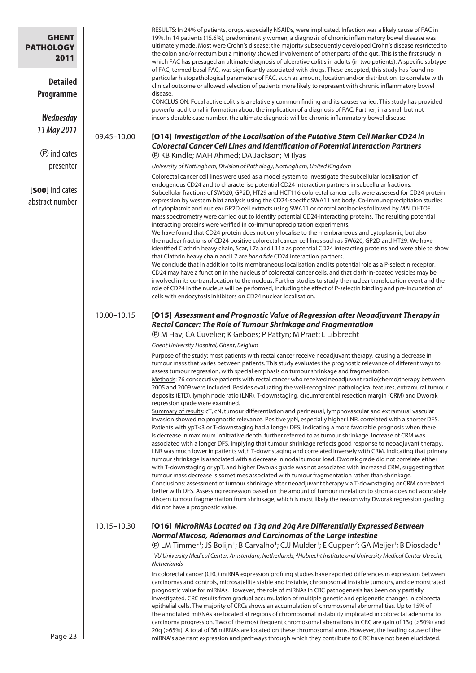| <b>GHENT</b><br><b>PATHOLOGY</b><br>2011<br><b>Detailed</b><br><b>Programme</b><br><b>Wednesday</b> |             | RESULTS: In 24% of patients, drugs, especially NSAIDs, were implicated. Infection was a likely cause of FAC in<br>19%. In 14 patients (15.6%), predominantly women, a diagnosis of chronic inflammatory bowel disease was<br>ultimately made. Most were Crohn's disease: the majority subsequently developed Crohn's disease restricted to<br>the colon and/or rectum but a minority showed involvement of other parts of the gut. This is the first study in<br>which FAC has presaged an ultimate diagnosis of ulcerative colitis in adults (in two patients). A specific subtype<br>of FAC, termed basal FAC, was significantly associated with drugs. These excepted, this study has found no<br>particular histopathological parameters of FAC, such as amount, location and/or distribution, to correlate with<br>clinical outcome or allowed selection of patients more likely to represent with chronic inflammatory bowel<br>disease.<br>CONCLUSION: Focal active colitis is a relatively common finding and its causes varied. This study has provided<br>powerful additional information about the implication of a diagnosis of FAC. Further, in a small but not<br>inconsiderable case number, the ultimate diagnosis will be chronic inflammatory bowel disease.                                                                                                                                                                                                                                                                                                                                                                                                                                                                                                                                                                                                                                                                                                                                                                                                               |
|-----------------------------------------------------------------------------------------------------|-------------|----------------------------------------------------------------------------------------------------------------------------------------------------------------------------------------------------------------------------------------------------------------------------------------------------------------------------------------------------------------------------------------------------------------------------------------------------------------------------------------------------------------------------------------------------------------------------------------------------------------------------------------------------------------------------------------------------------------------------------------------------------------------------------------------------------------------------------------------------------------------------------------------------------------------------------------------------------------------------------------------------------------------------------------------------------------------------------------------------------------------------------------------------------------------------------------------------------------------------------------------------------------------------------------------------------------------------------------------------------------------------------------------------------------------------------------------------------------------------------------------------------------------------------------------------------------------------------------------------------------------------------------------------------------------------------------------------------------------------------------------------------------------------------------------------------------------------------------------------------------------------------------------------------------------------------------------------------------------------------------------------------------------------------------------------------------------------------------------|
| 11 May 2011                                                                                         | 09.45-10.00 | [014] Investigation of the Localisation of the Putative Stem Cell Marker CD24 in<br><b>Colorectal Cancer Cell Lines and Identification of Potential Interaction Partners</b>                                                                                                                                                                                                                                                                                                                                                                                                                                                                                                                                                                                                                                                                                                                                                                                                                                                                                                                                                                                                                                                                                                                                                                                                                                                                                                                                                                                                                                                                                                                                                                                                                                                                                                                                                                                                                                                                                                                 |
| <b><i>O</i></b> indicates                                                                           |             | <b><i>®</i></b> KB Kindle; MAH Ahmed; DA Jackson; M Ilyas                                                                                                                                                                                                                                                                                                                                                                                                                                                                                                                                                                                                                                                                                                                                                                                                                                                                                                                                                                                                                                                                                                                                                                                                                                                                                                                                                                                                                                                                                                                                                                                                                                                                                                                                                                                                                                                                                                                                                                                                                                    |
| presenter                                                                                           |             | University of Nottingham, Division of Pathology, Nottingham, United Kingdom                                                                                                                                                                                                                                                                                                                                                                                                                                                                                                                                                                                                                                                                                                                                                                                                                                                                                                                                                                                                                                                                                                                                                                                                                                                                                                                                                                                                                                                                                                                                                                                                                                                                                                                                                                                                                                                                                                                                                                                                                  |
| [SOO] indicates<br>abstract number                                                                  |             | Colorectal cancer cell lines were used as a model system to investigate the subcellular localisation of<br>endogenous CD24 and to characterise potential CD24 interaction partners in subcellular fractions.<br>Subcellular fractions of SW620, GP2D, HT29 and HCT116 colorectal cancer cells were assesesd for CD24 protein<br>expression by western blot analysis using the CD24-specific SWA11 antibody. Co-immunoprecipitaion studies<br>of cytoplasmic and nuclear GP2D cell extracts using SWA11 or control antibodies followed by MALDI-TOF<br>mass spectrometry were carried out to identify potential CD24-interacting proteins. The resulting potential<br>interacting proteins were verified in co-immunoprecipitation experiments.<br>We have found that CD24 protein does not only localise to the membraneous and cytoplasmic, but also<br>the nuclear fractions of CD24 positive colorectal cancer cell lines such as SW620, GP2D and HT29. We have<br>identified Clathrin heavy chain, Scar, L7a and L11a as potential CD24 interacting proteins and were able to show<br>that Clathrin heavy chain and L7 are bona fide CD24 interaction partners.<br>We conclude that in addition to its membraneous localisation and its potential role as a P-selectin receptor,<br>CD24 may have a function in the nucleus of colorectal cancer cells, and that clathrin-coated vesicles may be<br>involved in its co-translocation to the nucleus. Further studies to study the nuclear translocation event and the<br>role of CD24 in the nucleus will be performed, including the effect of P-selectin binding and pre-incubation of<br>cells with endocytosis inhibitors on CD24 nuclear localisation.                                                                                                                                                                                                                                                                                                                                                                              |
|                                                                                                     | 10.00-10.15 | [015] Assessment and Prognostic Value of Regression after Neoadjuvant Therapy in<br><b>Rectal Cancer: The Role of Tumour Shrinkage and Fragmentation</b><br><b>D</b> M Hav; CA Cuvelier; K Geboes; P Pattyn; M Praet; L Libbrecht<br>Ghent University Hospital, Ghent, Belgium                                                                                                                                                                                                                                                                                                                                                                                                                                                                                                                                                                                                                                                                                                                                                                                                                                                                                                                                                                                                                                                                                                                                                                                                                                                                                                                                                                                                                                                                                                                                                                                                                                                                                                                                                                                                               |
|                                                                                                     |             | Purpose of the study: most patients with rectal cancer receive neoadjuvant therapy, causing a decrease in<br>tumour mass that varies between patients. This study evaluates the prognostic relevance of different ways to<br>assess tumour regression, with special emphasis on tumour shrinkage and fragmentation.<br>Methods: 76 consecutive patients with rectal cancer who received neoadjuvant radio(chemo)therapy between<br>2005 and 2009 were included. Besides evaluating the well-recognized pathological features, extramural tumour<br>deposits (ETD), lymph node ratio (LNR), T-downstaging, circumferential resection margin (CRM) and Dworak<br>regression grade were examined.<br>Summary of results: cT, cN, tumour differentiation and perineural, lymphovascular and extramural vascular<br>invasion showed no prognostic relevance. Positive ypN, especially higher LNR, correlated with a shorter DFS.<br>Patients with ypT<3 or T-downstaging had a longer DFS, indicating a more favorable prognosis when there<br>is decrease in maximum infiltrative depth, further referred to as tumour shrinkage. Increase of CRM was<br>associated with a longer DFS, implying that tumour shrinkage reflects good response to neoadjuvant therapy.<br>LNR was much lower in patients with T-downstaging and correlated inversely with CRM, indicating that primary<br>tumour shrinkage is associated with a decrease in nodal tumour load. Dworak grade did not correlate either<br>with T-downstaging or ypT, and higher Dworak grade was not associated with increased CRM, suggesting that<br>tumour mass decrease is sometimes associated with tumour fragmentation rather than shrinkage.<br>Conclusions: assessment of tumour shrinkage after neoadjuvant therapy via T-downstaging or CRM correlated<br>better with DFS. Assessing regression based on the amount of tumour in relation to stroma does not accurately<br>discern tumour fragmentation from shrinkage, which is most likely the reason why Dworak regression grading<br>did not have a prognostic value. |
|                                                                                                     | 10.15-10.30 | [016] MicroRNAs Located on 13q and 20q Are Differentially Expressed Between<br>Normal Mucosa, Adenomas and Carcinomas of the Large Intestine<br><b>(D)</b> LM Timmer <sup>1</sup> ; JS Bolijn <sup>1</sup> ; B Carvalho <sup>1</sup> ; CJJ Mulder <sup>1</sup> ; E Cuppen <sup>2</sup> ; GA Meijer <sup>1</sup> ; B Diosdado <sup>1</sup><br><sup>1</sup> VU University Medical Center, Amsterdam, Netherlands; <sup>2</sup> Hubrecht Institute and University Medical Center Utrecht,<br><b>Netherlands</b>                                                                                                                                                                                                                                                                                                                                                                                                                                                                                                                                                                                                                                                                                                                                                                                                                                                                                                                                                                                                                                                                                                                                                                                                                                                                                                                                                                                                                                                                                                                                                                                 |
| Page 23                                                                                             |             | In colorectal cancer (CRC) miRNA expression profiling studies have reported differences in expression between<br>carcinomas and controls, microsatellite stable and instable, chromosomal instable tumours, and demonstrated<br>prognostic value for miRNAs. However, the role of miRNAs in CRC pathogenesis has been only partially<br>investigated. CRC results from gradual accumulation of multiple genetic and epigenetic changes in colorectal<br>epithelial cells. The majority of CRCs shows an accumulation of chromosomal abnormalities. Up to 15% of<br>the annotated miRNAs are located at regions of chromosomal instability implicated in colorectal adenoma to<br>carcinoma progression. Two of the most frequent chromosomal aberrations in CRC are gain of 13q (>50%) and<br>20q (>65%). A total of 36 miRNAs are located on these chromosomal arms. However, the leading cause of the<br>miRNA's aberrant expression and pathways through which they contribute to CRC have not been elucidated.                                                                                                                                                                                                                                                                                                                                                                                                                                                                                                                                                                                                                                                                                                                                                                                                                                                                                                                                                                                                                                                                           |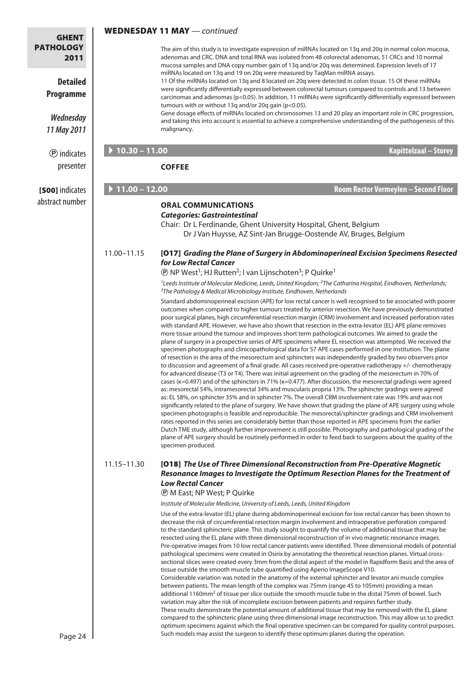| <b>GHENT</b>                                |                                | <b>WEDNESDAY 11 MAY</b> — continued                                                                                                                                                                                                                                                                                                                                                                                                                                                                                                                                                                                                                                                                                                                                                                                                                                                                                                                                                                                                                                                                                                                                                                                                                                                                                                                                                                                                                                                                                                                                                                                                                                                                                                                                                                                                                                                                                                                                                                                                                                         |
|---------------------------------------------|--------------------------------|-----------------------------------------------------------------------------------------------------------------------------------------------------------------------------------------------------------------------------------------------------------------------------------------------------------------------------------------------------------------------------------------------------------------------------------------------------------------------------------------------------------------------------------------------------------------------------------------------------------------------------------------------------------------------------------------------------------------------------------------------------------------------------------------------------------------------------------------------------------------------------------------------------------------------------------------------------------------------------------------------------------------------------------------------------------------------------------------------------------------------------------------------------------------------------------------------------------------------------------------------------------------------------------------------------------------------------------------------------------------------------------------------------------------------------------------------------------------------------------------------------------------------------------------------------------------------------------------------------------------------------------------------------------------------------------------------------------------------------------------------------------------------------------------------------------------------------------------------------------------------------------------------------------------------------------------------------------------------------------------------------------------------------------------------------------------------------|
| <b>PATHOLOGY</b><br>2011<br><b>Detailed</b> |                                | The aim of this study is to investigate expression of miRNAs located on 13q and 20q in normal colon mucosa,<br>adenomas and CRC. DNA and total RNA was isolated from 48 colorectal adenomas, 51 CRCs and 10 normal<br>mucosa samples and DNA copy number gain of 13q and/or 20q was determined. Expression levels of 17<br>miRNAs located on 13q and 19 on 20q were measured by TaqMan miRNA assays.<br>11 Of the miRNAs located on 13q and 8 located on 20q were detected in colon tissue. 15 Of these miRNAs                                                                                                                                                                                                                                                                                                                                                                                                                                                                                                                                                                                                                                                                                                                                                                                                                                                                                                                                                                                                                                                                                                                                                                                                                                                                                                                                                                                                                                                                                                                                                              |
| <b>Programme</b>                            |                                | were significantly differentially expressed between colorectal tumours compared to controls and 13 between<br>carcinomas and adenomas (p<0.05). In addition, 11 miRNAs were significantly differentially expressed between<br>tumours with or without 13q and/or 20q gain (p<0.05).                                                                                                                                                                                                                                                                                                                                                                                                                                                                                                                                                                                                                                                                                                                                                                                                                                                                                                                                                                                                                                                                                                                                                                                                                                                                                                                                                                                                                                                                                                                                                                                                                                                                                                                                                                                         |
| <b>Wednesday</b><br>11 May 2011             |                                | Gene dosage effects of miRNAs located on chromosomes 13 and 20 play an important role in CRC progression,<br>and taking this into account is essential to achieve a comprehensive understanding of the pathogenesis of this<br>malignancy.                                                                                                                                                                                                                                                                                                                                                                                                                                                                                                                                                                                                                                                                                                                                                                                                                                                                                                                                                                                                                                                                                                                                                                                                                                                                                                                                                                                                                                                                                                                                                                                                                                                                                                                                                                                                                                  |
| <b><i>O</i></b> indicates                   | $\triangleright$ 10.30 - 11.00 | <b>Kapittelzaal - Storey</b>                                                                                                                                                                                                                                                                                                                                                                                                                                                                                                                                                                                                                                                                                                                                                                                                                                                                                                                                                                                                                                                                                                                                                                                                                                                                                                                                                                                                                                                                                                                                                                                                                                                                                                                                                                                                                                                                                                                                                                                                                                                |
| presenter                                   |                                | <b>COFFEE</b>                                                                                                                                                                                                                                                                                                                                                                                                                                                                                                                                                                                                                                                                                                                                                                                                                                                                                                                                                                                                                                                                                                                                                                                                                                                                                                                                                                                                                                                                                                                                                                                                                                                                                                                                                                                                                                                                                                                                                                                                                                                               |
| [SOO] indicates                             | $\triangleright$ 11.00 - 12.00 | Room Rector Vermeylen - Second Floor                                                                                                                                                                                                                                                                                                                                                                                                                                                                                                                                                                                                                                                                                                                                                                                                                                                                                                                                                                                                                                                                                                                                                                                                                                                                                                                                                                                                                                                                                                                                                                                                                                                                                                                                                                                                                                                                                                                                                                                                                                        |
| abstract number                             |                                | <b>ORAL COMMUNICATIONS</b><br><b>Categories: Gastrointestinal</b><br>Chair: Dr L Ferdinande, Ghent University Hospital, Ghent, Belgium<br>Dr J Van Huysse, AZ Sint-Jan Brugge-Oostende AV, Bruges, Belgium                                                                                                                                                                                                                                                                                                                                                                                                                                                                                                                                                                                                                                                                                                                                                                                                                                                                                                                                                                                                                                                                                                                                                                                                                                                                                                                                                                                                                                                                                                                                                                                                                                                                                                                                                                                                                                                                  |
|                                             | 11.00-11.15                    | [017] Grading the Plane of Surgery in Abdominoperineal Excision Specimens Resected<br>for Low Rectal Cancer<br><b><i>®</i></b> NP West <sup>1</sup> ; HJ Rutten <sup>2</sup> ; I van Lijnschoten <sup>3</sup> ; P Quirke <sup>1</sup>                                                                                                                                                                                                                                                                                                                                                                                                                                                                                                                                                                                                                                                                                                                                                                                                                                                                                                                                                                                                                                                                                                                                                                                                                                                                                                                                                                                                                                                                                                                                                                                                                                                                                                                                                                                                                                       |
|                                             |                                | <sup>1</sup> Leeds Institute of Molecular Medicine, Leeds, United Kingdom; <sup>2</sup> The Catharina Hospital, Eindhoven, Netherlands;<br><sup>3</sup> The Pathology & Medical Microbiology Institute, Eindhoven, Netherlands                                                                                                                                                                                                                                                                                                                                                                                                                                                                                                                                                                                                                                                                                                                                                                                                                                                                                                                                                                                                                                                                                                                                                                                                                                                                                                                                                                                                                                                                                                                                                                                                                                                                                                                                                                                                                                              |
|                                             |                                | Standard abdominoperineal excision (APE) for low rectal cancer is well recognised to be associated with poorer<br>outcomes when compared to higher tumours treated by anterior resection. We have previously demonstrated<br>poor surgical planes, high circumferential resection margin (CRM) involvement and increased perforation rates<br>with standard APE. However, we have also shown that resection in the extra-levator (EL) APE plane removes<br>more tissue around the tumour and improves short term pathological outcomes. We aimed to grade the<br>plane of surgery in a prospective series of APE specimens where EL resection was attempted. We received the<br>specimen photographs and clinicopathological data for 57 APE cases performed in one institution. The plane<br>of resection in the area of the mesorectum and sphincters was independently graded by two observers prior<br>to discussion and agreement of a final grade. All cases received pre-operative radiotherapy +/- chemotherapy<br>for advanced disease (T3 or T4). There was initial agreement on the grading of the mesorectum in 70% of<br>cases (k=0.497) and of the sphincters in 71% (k=0.477). After discussion, the mesorectal gradings were agreed<br>as: mesorectal 54%, intramesorectal 34% and muscularis propria 13%. The sphincter gradings were agreed<br>as: EL 58%, on sphincter 35% and in sphincter 7%. The overall CRM involvement rate was 19% and was not<br>significantly related to the plane of surgery. We have shown that grading the plane of APE surgery using whole<br>specimen photographs is feasible and reproducible. The mesorectal/sphincter gradings and CRM involvement<br>rates reported in this series are considerably better than those reported in APE specimens from the earlier<br>Dutch TME study, although further improvement is still possible. Photography and pathological grading of the<br>plane of APE surgery should be routinely performed in order to feed back to surgeons about the quality of the<br>specimen produced. |
|                                             | 11.15-11.30                    | [018] The Use of Three Dimensional Reconstruction from Pre-Operative Magnetic<br>Resonance Images to Investigate the Optimum Resection Planes for the Treatment of<br><b>Low Rectal Cancer</b><br><b><i>®</i></b> M East; NP West; P Quirke<br>Institute of Molecular Medicine, University of Leeds, Leeds, United Kingdom<br>Use of the extra-levator (EL) plane during abdominoperineal excision for low rectal cancer has been shown to<br>decrease the risk of circumferential resection margin involvement and intraoperative perforation compared<br>to the standard sphincteric plane. This study sought to quantify the volume of additional tissue that may be<br>resected using the EL plane with three dimensional reconstruction of in vivo magnetic resonance images.<br>Pre-operative images from 10 low rectal cancer patients were identified. Three dimensional models of potential<br>pathological specimens were created in Osirix by annotating the theoretical resection planes. Virtual cross-<br>sectional slices were created every 3mm from the distal aspect of the model in Rapidform Basis and the area of<br>tissue outside the smooth muscle tube quantified using Aperio ImageScope V10.<br>Considerable variation was noted in the anatomy of the external sphincter and levator ani muscle complex<br>between patients. The mean length of the complex was 75mm (range 45 to 105mm) providing a mean<br>additional 1160mm <sup>2</sup> of tissue per slice outside the smooth muscle tube in the distal 75mm of bowel. Such<br>variation may alter the risk of incomplete excision between patients and requires further study.<br>These results demonstrate the potential amount of additional tissue that may be removed with the EL plane<br>compared to the sphincteric plane using three dimensional image reconstruction. This may allow us to predict<br>optimum specimens against which the final operative specimen can be compared for quality control purposes.                                                                 |
| $P$ <sub>200</sub> $24$                     |                                | Such models may assist the surgeon to identify these optimum planes during the operation.                                                                                                                                                                                                                                                                                                                                                                                                                                                                                                                                                                                                                                                                                                                                                                                                                                                                                                                                                                                                                                                                                                                                                                                                                                                                                                                                                                                                                                                                                                                                                                                                                                                                                                                                                                                                                                                                                                                                                                                   |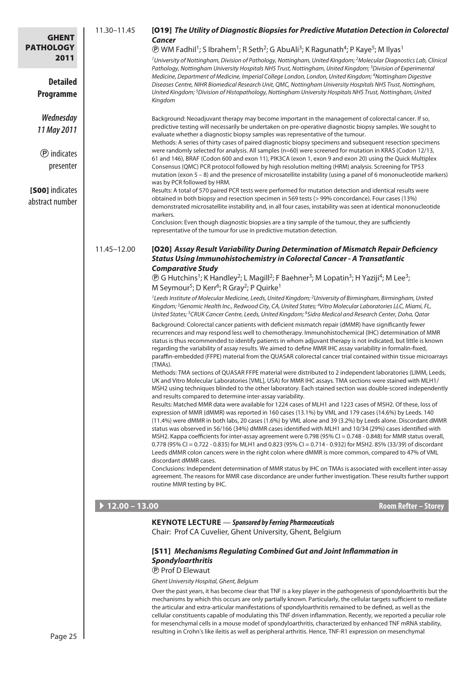| <b>GHENT</b><br><b>PATHOLOGY</b>                                                                         | 11.30-11.45                    | [019] The Utility of Diagnostic Biopsies for Predictive Mutation Detection in Colorectal<br>Cancer<br><b><i>T</i></b> WM Fadhil <sup>1</sup> ; S Ibrahem <sup>1</sup> ; R Seth <sup>2</sup> ; G AbuAli <sup>3</sup> ; K Ragunath <sup>4</sup> ; P Kaye <sup>5</sup> ; M Ilyas <sup>1</sup>                                                                                                                                                                                                                                                                                                                                                                                                                                                                                                                                                                                                                                                                                                                                                                                                                                                                                                                                                                                                                                                                                                                                                                                                                                                                                                                                                                                                                                                                                                                                                                                                                                                                                                                                                                                                                                                                                                                                                                                                                                                                                                                                                                                                                                                                                                                                                                                                                                                                                                                                                                                                                                                                                       |  |  |
|----------------------------------------------------------------------------------------------------------|--------------------------------|----------------------------------------------------------------------------------------------------------------------------------------------------------------------------------------------------------------------------------------------------------------------------------------------------------------------------------------------------------------------------------------------------------------------------------------------------------------------------------------------------------------------------------------------------------------------------------------------------------------------------------------------------------------------------------------------------------------------------------------------------------------------------------------------------------------------------------------------------------------------------------------------------------------------------------------------------------------------------------------------------------------------------------------------------------------------------------------------------------------------------------------------------------------------------------------------------------------------------------------------------------------------------------------------------------------------------------------------------------------------------------------------------------------------------------------------------------------------------------------------------------------------------------------------------------------------------------------------------------------------------------------------------------------------------------------------------------------------------------------------------------------------------------------------------------------------------------------------------------------------------------------------------------------------------------------------------------------------------------------------------------------------------------------------------------------------------------------------------------------------------------------------------------------------------------------------------------------------------------------------------------------------------------------------------------------------------------------------------------------------------------------------------------------------------------------------------------------------------------------------------------------------------------------------------------------------------------------------------------------------------------------------------------------------------------------------------------------------------------------------------------------------------------------------------------------------------------------------------------------------------------------------------------------------------------------------------------------------------------|--|--|
| 2011<br><b>Detailed</b><br>Programme                                                                     |                                | <sup>1</sup> University of Nottingham, Division of Pathology, Nottingham, United Kingdom; <sup>2</sup> Molecular Diagnostics Lab, Clinical<br>Pathology, Nottingham University Hospitals NHS Trust, Nottingham, United Kingdom; <sup>3</sup> Division of Experimental<br>Medicine, Department of Medicine, Imperial College London, London, United Kingdom; <sup>4</sup> Nottingham Digestive<br>Diseases Centre, NIHR Biomedical Research Unit, QMC, Nottingham University Hospitals NHS Trust, Nottingham,<br>United Kingdom; <sup>5</sup> Division of Histopathology, Nottingham University Hospitals NHS Trust, Nottingham, United<br>Kingdom                                                                                                                                                                                                                                                                                                                                                                                                                                                                                                                                                                                                                                                                                                                                                                                                                                                                                                                                                                                                                                                                                                                                                                                                                                                                                                                                                                                                                                                                                                                                                                                                                                                                                                                                                                                                                                                                                                                                                                                                                                                                                                                                                                                                                                                                                                                                |  |  |
| Wednesday<br>11 May 2011<br><b><i>O</i></b> indicates<br>presenter<br>[SOO] indicates<br>abstract number |                                | Background: Neoadjuvant therapy may become important in the management of colorectal cancer. If so,<br>predictive testing will necessarily be undertaken on pre-operative diagnostic biopsy samples. We sought to<br>evaluate whether a diagnostic biopsy samples was representative of the tumour.<br>Methods: A series of thirty cases of paired diagnostic biopsy specimens and subsequent resection specimens<br>were randomly selected for analysis. All samples (n=60) were screened for mutation in KRAS (Codon 12/13,<br>61 and 146), BRAF (Codon 600 and exon 11), PIK3CA (exon 1, exon 9 and exon 20) using the Quick Multiplex<br>Consensus (QMC) PCR protocol followed by high resolution melting (HRM) analysis. Screening for TP53<br>mutation (exon $5 - 8$ ) and the presence of microsatellite instability (using a panel of 6 mononucleotide markers)<br>was by PCR followed by HRM.<br>Results: A total of 570 paired PCR tests were performed for mutation detection and identical results were<br>obtained in both biopsy and resection specimen in 569 tests (> 99% concordance). Four cases (13%)<br>demonstrated microsatellite instability and, in all four cases, instability was seen at identical mononucleotide<br>markers.<br>Conclusion: Even though diagnostic biopsies are a tiny sample of the tumour, they are sufficiently<br>representative of the tumour for use in predictive mutation detection.                                                                                                                                                                                                                                                                                                                                                                                                                                                                                                                                                                                                                                                                                                                                                                                                                                                                                                                                                                                                                                                                                                                                                                                                                                                                                                                                                                                                                                                                                                                                         |  |  |
|                                                                                                          | 11.45-12.00                    | [O20] Assay Result Variability During Determination of Mismatch Repair Deficiency<br><b>Status Using Immunohistochemistry in Colorectal Cancer - A Transatlantic</b><br><b>Comparative Study</b><br><b><i>®</i> G Hutchins<sup>1</sup>; K Handley<sup>2</sup>; L Magill<sup>2</sup>; F Baehner<sup>3</sup>; M Lopatin<sup>3</sup>; H Yaziji<sup>4</sup>; M Lee<sup>3</sup>;</b><br>M Seymour <sup>5</sup> ; D Kerr <sup>6</sup> ; R Gray <sup>2</sup> ; P Quirke <sup>1</sup><br><sup>1</sup> Leeds Institute of Molecular Medicine, Leeds, United Kingdom; <sup>2</sup> University of Birmingham, Birmingham, United<br>Kingdom; <sup>3</sup> Genomic Health Inc., Redwood City, CA, United States; <sup>4</sup> Vitro Molecular Laboratories LLC, Miami, FL,<br>United States; <sup>5</sup> CRUK Cancer Centre, Leeds, United Kingdom; <sup>6</sup> Sidra Medical and Research Center, Doha, Qatar<br>Background: Colorectal cancer patients with deficient mismatch repair (dMMR) have significantly fewer<br>recurrences and may respond less well to chemotherapy. Immunohistochemical (IHC) determination of MMR<br>status is thus recommended to identify patients in whom adjuvant therapy is not indicated, but little is known<br>regarding the variability of assay results. We aimed to define MMR IHC assay variability in formalin-fixed,<br>paraffin-embedded (FFPE) material from the QUASAR colorectal cancer trial contained within tissue microarrays<br>(TMAs).<br>Methods: TMA sections of QUASAR FFPE material were distributed to 2 independent laboratories (LIMM, Leeds,<br>UK and Vitro Molecular Laboratories [VML], USA) for MMR IHC assays. TMA sections were stained with MLH1/<br>MSH2 using techniques blinded to the other laboratory. Each stained section was double-scored independently<br>and results compared to determine inter-assay variability.<br>Results: Matched MMR data were available for 1224 cases of MLH1 and 1223 cases of MSH2. Of these, loss of<br>expression of MMR (dMMR) was reported in 160 cases (13.1%) by VML and 179 cases (14.6%) by Leeds. 140<br>(11.4%) were dMMR in both labs, 20 cases (1.6%) by VML alone and 39 (3.2%) by Leeds alone. Discordant dMMR<br>status was observed in 56/166 (34%) dMMR cases identified with MLH1 and 10/34 (29%) cases identified with<br>MSH2. Kappa coefficients for inter-assay agreement were 0.798 (95% CI = 0.748 - 0.848) for MMR status overall,<br>0.778 (95% CI = 0.722 - 0.835) for MLH1 and 0.823 (95% CI = 0.714 - 0.932) for MSH2. 85% (33/39) of discordant<br>Leeds dMMR colon cancers were in the right colon where dMMR is more common, compared to 47% of VML<br>discordant dMMR cases.<br>Conclusions: Independent determination of MMR status by IHC on TMAs is associated with excellent inter-assay<br>agreement. The reasons for MMR case discordance are under further investigation. These results further support<br>routine MMR testing by IHC. |  |  |
|                                                                                                          | $\triangleright$ 12.00 - 13.00 | <b>Room Refter - Storey</b><br><b>KEYNOTE LECTURE</b> - Sponsored by Ferring Pharmaceuticals<br>Chair: Prof CA Cuvelier, Ghent University, Ghent, Belgium<br>[S11] Mechanisms Regulating Combined Gut and Joint Inflammation in<br><b>Spondyloarthritis</b><br><b>P</b> Prof D Elewaut<br>Ghent University Hospital, Ghent, Belgium<br>Over the past years, it has become clear that TNF is a key player in the pathogenesis of spondyloarthritis but the<br>mechanisms by which this occurs are only partially known. Particularly, the cellular targets sufficient to mediate<br>the articular and extra-articular manifestations of spondyloarthritis remained to be defined, as well as the<br>cellular constituents capable of modulating this TNF driven inflammation. Recently, we reported a peculiar role<br>for mesenchymal cells in a mouse model of spondyloarthritis, characterized by enhanced TNF mRNA stability,<br>resulting in Crohn's like ileitis as well as peripheral arthritis. Hence, TNF-R1 expression on mesenchymal                                                                                                                                                                                                                                                                                                                                                                                                                                                                                                                                                                                                                                                                                                                                                                                                                                                                                                                                                                                                                                                                                                                                                                                                                                                                                                                                                                                                                                                                                                                                                                                                                                                                                                                                                                                                                                                                                                                                   |  |  |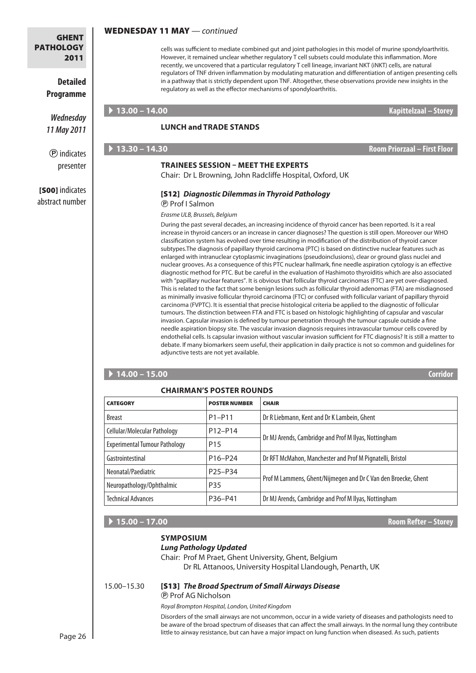# **Detailed Programme**

*Wednesday 11 May 2011*

P indicates presenter

**[S00]** indicates abstract number

### WEDNESDAY 11 MAY *— continued*

cells was sufficient to mediate combined gut and joint pathologies in this model of murine spondyloarthritis. However, it remained unclear whether regulatory T cell subsets could modulate this inflammation. More recently, we uncovered that a particular regulatory T cell lineage, invariant NKT (iNKT) cells, are natural regulators of TNF driven inflammation by modulating maturation and differentiation of antigen presenting cells in a pathway that is strictly dependent upon TNF. Altogether, these observations provide new insights in the regulatory as well as the effector mechanisms of spondyloarthritis.

A **13.00 – 14.00 Kapittelzaal – Storey**

### **Lunch and Trade Stands**

### A **13.30 – 14.30 Room Priorzaal – First Floor**

### **Trainees Session – Meet the Experts**

Chair: Dr L Browning, John Radcliffe Hospital, Oxford, UK

# [S12] *Diagnostic Dilemmas in Thyroid Pathology*

#### P Prof I Salmon

*Erasme ULB, Brussels, Belgium*

During the past several decades, an increasing incidence of thyroid cancer has been reported. Is it a real increase in thyroid cancers or an increase in cancer diagnoses? The question is still open. Moreover our WHO classification system has evolved over time resulting in modification of the distribution of thyroid cancer subtypes.The diagnosis of papillary thyroid carcinoma (PTC) is based on distinctive nuclear features such as enlarged with intranuclear cytoplasmic invaginations (pseudoinclusions), clear or ground glass nuclei and nuclear grooves. As a consequence of this PTC nuclear hallmark, fine needle aspiration cytology is an effective diagnostic method for PTC. But be careful in the evaluation of Hashimoto thyroiditis which are also associated with "papillary nuclear features". It is obvious that follicular thyroid carcinomas (FTC) are yet over-diagnosed. This is related to the fact that some benign lesions such as follicular thyroid adenomas (FTA) are misdiagnosed as minimally invasive follicular thyroid carcinoma (FTC) or confused with follicular variant of papillary thyroid carcinoma (FVPTC). It is essential that precise histological criteria be applied to the diagnostic of follicular tumours. The distinction between FTA and FTC is based on histologic highlighting of capsular and vascular invasion. Capsular invasion is defined by tumour penetration through the tumour capsule outside a fine needle aspiration biopsy site. The vascular invasion diagnosis requires intravascular tumour cells covered by endothelial cells. Is capsular invasion without vascular invasion sufficient for FTC diagnosis? It is still a matter to debate. If many biomarkers seem useful, their application in daily practice is not so common and guidelines for adjunctive tests are not yet available.

### A **14.00 – 15.00 Corridor**

### **Chairman's Poster Rounds**

| <b>CATEGORY</b>                      | <b>POSTER NUMBER</b>             | <b>CHAIR</b>                                                   |
|--------------------------------------|----------------------------------|----------------------------------------------------------------|
| <b>Breast</b>                        | $P1-P11$                         | Dr R Liebmann, Kent and Dr K Lambein, Ghent                    |
| Cellular/Molecular Pathology         | P12-P14                          |                                                                |
| <b>Experimental Tumour Pathology</b> | P <sub>15</sub>                  | Dr MJ Arends, Cambridge and Prof M Ilyas, Nottingham           |
| Gastrointestinal                     | P <sub>16</sub> -P <sub>24</sub> | Dr RFT McMahon, Manchester and Prof M Pignatelli, Bristol      |
| Neonatal/Paediatric                  | P25-P34                          |                                                                |
| Neuropathology/Ophthalmic            | P <sub>35</sub>                  | Prof M Lammens, Ghent/Nijmegen and Dr C Van den Broecke, Ghent |
| <b>Technical Advances</b>            | P36-P41                          | Dr MJ Arends, Cambridge and Prof M Ilyas, Nottingham           |

A **15.00 – 17.00 Room Refter – Storey**

# **SYMPOSIUM**

# *Lung Pathology Updated*

Chair: Prof M Praet, Ghent University, Ghent, Belgium Dr RL Attanoos, University Hospital Llandough, Penarth, UK

#### 15.00–15.30 [S13] *The Broad Spectrum of Small Airways Disease* P Prof AG Nicholson

*Royal Brompton Hospital, London, United Kingdom*

Disorders of the small airways are not uncommon, occur in a wide variety of diseases and pathologists need to be aware of the broad spectrum of diseases that can affect the small airways. In the normal lung they contribute little to airway resistance, but can have a major impact on lung function when diseased. As such, patients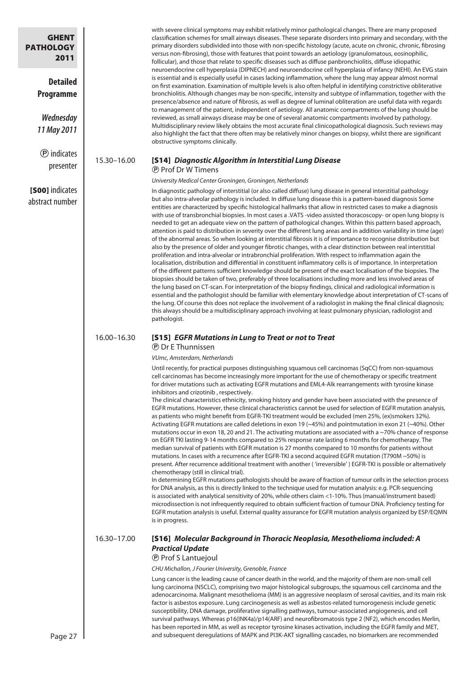| <b>GHENT</b><br><b>PATHOLOGY</b><br>2011 |             | with severe clinical symptoms may exhibit relatively minor pathological changes. There are many proposed<br>classification schemes for small airways diseases. These separate disorders into primary and secondary, with the<br>primary disorders subdivided into those with non-specific histology (acute, acute on chronic, chronic, fibrosing<br>versus non-fibrosing), those with features that point towards an aetiology (granulomatous, eosinophilic,<br>follicular), and those that relate to specific diseases such as diffuse panbronchiolitis, diffuse idiopathic<br>neuroendocrine cell hyperplasia (DIPNECH) and neuroendocrine cell hyperplasia of infancy (NEHI). An EVG stain<br>is essential and is especially useful in cases lacking inflammation, where the lung may appear almost normal                                                                                                                                                                                                                                                                                                                                                                                                                                                                                                                                                                                                                                                                                                                                                                                                                                                                                                                                                                                                                                                                                                                                                                                                                                               |
|------------------------------------------|-------------|-------------------------------------------------------------------------------------------------------------------------------------------------------------------------------------------------------------------------------------------------------------------------------------------------------------------------------------------------------------------------------------------------------------------------------------------------------------------------------------------------------------------------------------------------------------------------------------------------------------------------------------------------------------------------------------------------------------------------------------------------------------------------------------------------------------------------------------------------------------------------------------------------------------------------------------------------------------------------------------------------------------------------------------------------------------------------------------------------------------------------------------------------------------------------------------------------------------------------------------------------------------------------------------------------------------------------------------------------------------------------------------------------------------------------------------------------------------------------------------------------------------------------------------------------------------------------------------------------------------------------------------------------------------------------------------------------------------------------------------------------------------------------------------------------------------------------------------------------------------------------------------------------------------------------------------------------------------------------------------------------------------------------------------------------------------|
| <b>Detailed</b><br><b>Programme</b>      |             | on first examination. Examination of multiple levels is also often helpful in identifying constrictive obliterative<br>bronchiolitis. Although changes may be non-specific, intensity and subtype of inflammation, together with the<br>presence/absence and nature of fibrosis, as well as degree of luminal obliteration are useful data with regards<br>to management of the patient, independent of aetiology. All anatomic compartments of the lung should be                                                                                                                                                                                                                                                                                                                                                                                                                                                                                                                                                                                                                                                                                                                                                                                                                                                                                                                                                                                                                                                                                                                                                                                                                                                                                                                                                                                                                                                                                                                                                                                          |
| Wednesday<br>11 May 2011                 |             | reviewed, as small airways disease may be one of several anatomic compartments involved by pathology.<br>Multidisciplinary review likely obtains the most accurate final clinicopathological diagnosis. Such reviews may<br>also highlight the fact that there often may be relatively minor changes on biopsy, whilst there are significant<br>obstructive symptoms clinically.                                                                                                                                                                                                                                                                                                                                                                                                                                                                                                                                                                                                                                                                                                                                                                                                                                                                                                                                                                                                                                                                                                                                                                                                                                                                                                                                                                                                                                                                                                                                                                                                                                                                            |
| <b><i>O</i></b> indicates<br>presenter   | 15.30-16.00 | [S14] Diagnostic Algorithm in Interstitial Lung Disease<br><b>P</b> Prof Dr W Timens                                                                                                                                                                                                                                                                                                                                                                                                                                                                                                                                                                                                                                                                                                                                                                                                                                                                                                                                                                                                                                                                                                                                                                                                                                                                                                                                                                                                                                                                                                                                                                                                                                                                                                                                                                                                                                                                                                                                                                        |
|                                          |             | University Medical Center Groningen, Groningen, Netherlands                                                                                                                                                                                                                                                                                                                                                                                                                                                                                                                                                                                                                                                                                                                                                                                                                                                                                                                                                                                                                                                                                                                                                                                                                                                                                                                                                                                                                                                                                                                                                                                                                                                                                                                                                                                                                                                                                                                                                                                                 |
| [SOO] indicates<br>abstract number       |             | In diagnostic pathology of interstitial (or also called diffuse) lung disease in general interstitial pathology<br>but also intra-alveolar pathology is included. In diffuse lung disease this is a pattern-based diagnosis Some<br>entities are characterized by specific histological hallmarks that allow in restricted cases to make a diagnosis<br>with use of transbronchial biopsies. In most cases a .VATS -video assisted thoracoscopy- or open lung biopsy is<br>needed to get an adequate view on the pattern of pathological changes. Within this pattern based approach,<br>attention is paid to distribution in severity over the different lung areas and in addition variability in time (age)<br>of the abnormal areas. So when looking at interstitial fibrosis it is of importance to recognise distribution but<br>also by the presence of older and younger fibrotic changes, with a clear distinction between real interstitial<br>proliferation and intra-alveolar or intrabronchial proliferation. With respect to inflammation again the<br>localisation, distribution and differential in constituent inflammatory cells is of importance. In interpretation<br>of the different patterns sufficient knowledge should be present of the exact localisation of the biopsies. The<br>biopsies should be taken of two, preferably of three localisations including more and less involved areas of<br>the lung based on CT-scan. For interpretation of the biopsy findings, clinical and radiological information is<br>essential and the pathologist should be familiar with elementary knowledge about interpretation of CT-scans of<br>the lung. Of course this does not replace the involvement of a radiologist in making the final clinical diagnosis;<br>this always should be a multidisciplinary approach involving at least pulmonary physician, radiologist and<br>pathologist.                                                                                                                                           |
|                                          | 16.00-16.30 | [S15] EGFR Mutations in Lung to Treat or not to Treat<br><b><i>®</i></b> Dr E Thunnissen                                                                                                                                                                                                                                                                                                                                                                                                                                                                                                                                                                                                                                                                                                                                                                                                                                                                                                                                                                                                                                                                                                                                                                                                                                                                                                                                                                                                                                                                                                                                                                                                                                                                                                                                                                                                                                                                                                                                                                    |
|                                          |             | VUmc, Amsterdam, Netherlands                                                                                                                                                                                                                                                                                                                                                                                                                                                                                                                                                                                                                                                                                                                                                                                                                                                                                                                                                                                                                                                                                                                                                                                                                                                                                                                                                                                                                                                                                                                                                                                                                                                                                                                                                                                                                                                                                                                                                                                                                                |
|                                          |             | Until recently, for practical purposes distinguishing squamous cell carcinomas (SqCC) from non-squamous<br>cell carcinomas has become increasingly more important for the use of chemotherapy or specific treatment<br>for driver mutations such as activating EGFR mutations and EML4-Alk rearrangements with tyrosine kinase<br>inhibitors and crizotinib, respectively.<br>The clinical characteristics ethnicity, smoking history and gender have been associated with the presence of<br>EGFR mutations. However, these clinical characteristics cannot be used for selection of EGFR mutation analysis,<br>as patients who might benefit from EGFR-TKI treatment would be excluded (men 25%, (ex)smokers 32%).<br>Activating EGFR mutations are called deletions in exon 19 (~45%) and pointmutation in exon 21 (~40%). Other<br>mutations occur in exon 18, 20 and 21. The activating mutations are associated with a ~70% chance of response<br>on EGFR TKI lasting 9-14 months compared to 25% response rate lasting 6 months for chemotherapy. The<br>median survival of patients with EGFR mutation is 27 months compared to 10 months for patients without<br>mutations. In cases with a recurrence after EGFR-TKI a second acquired EGFR mutation (T790M ~50%) is<br>present. After recurrence additional treatment with another ('irreversible') EGFR-TKI is possible or alternatively<br>chemotherapy (still in clinical trial).<br>In determining EGFR mutations pathologists should be aware of fraction of tumour cells in the selection process<br>for DNA analysis, as this is directly linked to the technique used for mutation analysis: e.g. PCR-sequencing<br>is associated with analytical sensitivity of 20%, while others claim <1-10%. Thus (manual/instrument based)<br>microdissection is not infrequently required to obtain sufficient fraction of tumour DNA. Proficiency testing for<br>EGFR mutation analysis is useful. External quality assurance for EGFR mutation analysis organized by ESP/EQMN<br>is in progress. |
|                                          | 16.30-17.00 | [S16] Molecular Background in Thoracic Neoplasia, Mesothelioma included: A<br><b>Practical Update</b><br><b><i><b>@</b></i></b> Prof S Lantuejoul<br>CHU Michallon, J Fourier University, Grenoble, France                                                                                                                                                                                                                                                                                                                                                                                                                                                                                                                                                                                                                                                                                                                                                                                                                                                                                                                                                                                                                                                                                                                                                                                                                                                                                                                                                                                                                                                                                                                                                                                                                                                                                                                                                                                                                                                  |
| Page 27                                  |             | Lung cancer is the leading cause of cancer death in the world, and the majority of them are non-small cell<br>lung carcinoma (NSCLC), comprising two major histological subgroups, the squamous cell carcinoma and the<br>adenocarcinoma. Malignant mesothelioma (MM) is an aggressive neoplasm of serosal cavities, and its main risk<br>factor is asbestos exposure. Lung carcinogenesis as well as asbestos-related tumorogenesis include genetic<br>susceptibility, DNA damage, proliferative signalling pathways, tumour-associated angiogenesis, and cell<br>survival pathways. Whereas p16(INK4a)/p14(ARF) and neurofibromatosis type 2 (NF2), which encodes Merlin,<br>has been reported in MM, as well as receptor tyrosine kinases activation, including the EGFR family and MET,<br>and subsequent deregulations of MAPK and PI3K-AKT signalling cascades, no biomarkers are recommended                                                                                                                                                                                                                                                                                                                                                                                                                                                                                                                                                                                                                                                                                                                                                                                                                                                                                                                                                                                                                                                                                                                                                         |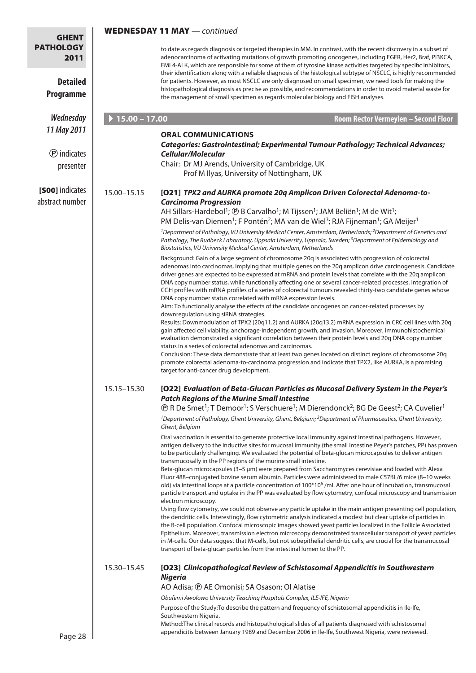| <b>GHENT</b>                                          |                 | <b>WEDNESDAY 11 MAY</b> - continued                                                                                                                                                                                                        |                                                                                                                                                                                                                                                                                                                                                                                                                                                                                                                                                                                                                                                                                                                                                                                                                                                                                                                                                                                                                                                                                                                                                                                                                                                                                                                                                                                                                                                                                                                                                                                                                                                                                                                                                                                                                                  |
|-------------------------------------------------------|-----------------|--------------------------------------------------------------------------------------------------------------------------------------------------------------------------------------------------------------------------------------------|----------------------------------------------------------------------------------------------------------------------------------------------------------------------------------------------------------------------------------------------------------------------------------------------------------------------------------------------------------------------------------------------------------------------------------------------------------------------------------------------------------------------------------------------------------------------------------------------------------------------------------------------------------------------------------------------------------------------------------------------------------------------------------------------------------------------------------------------------------------------------------------------------------------------------------------------------------------------------------------------------------------------------------------------------------------------------------------------------------------------------------------------------------------------------------------------------------------------------------------------------------------------------------------------------------------------------------------------------------------------------------------------------------------------------------------------------------------------------------------------------------------------------------------------------------------------------------------------------------------------------------------------------------------------------------------------------------------------------------------------------------------------------------------------------------------------------------|
| <b>PATHOLOGY</b><br>2011                              |                 |                                                                                                                                                                                                                                            | to date as regards diagnosis or targeted therapies in MM. In contrast, with the recent discovery in a subset of<br>adenocarcinoma of activating mutations of growth promoting oncogenes, including EGFR, Her2, Braf, PI3KCA,<br>EML4-ALK, which are responsible for some of them of tyrosine kinase activities targeted by specific inhibitors,<br>their identification along with a reliable diagnosis of the histological subtype of NSCLC, is highly recommended                                                                                                                                                                                                                                                                                                                                                                                                                                                                                                                                                                                                                                                                                                                                                                                                                                                                                                                                                                                                                                                                                                                                                                                                                                                                                                                                                              |
| <b>Detailed</b><br>Programme                          |                 | the management of small specimen as regards molecular biology and FISH analyses.                                                                                                                                                           | for patients. However, as most NSCLC are only diagnosed on small specimen, we need tools for making the<br>histopathological diagnosis as precise as possible, and recommendations in order to ovoid material waste for                                                                                                                                                                                                                                                                                                                                                                                                                                                                                                                                                                                                                                                                                                                                                                                                                                                                                                                                                                                                                                                                                                                                                                                                                                                                                                                                                                                                                                                                                                                                                                                                          |
| <b>Wednesday</b>                                      | $15.00 - 17.00$ |                                                                                                                                                                                                                                            | <b>Room Rector Vermeylen - Second Floor</b>                                                                                                                                                                                                                                                                                                                                                                                                                                                                                                                                                                                                                                                                                                                                                                                                                                                                                                                                                                                                                                                                                                                                                                                                                                                                                                                                                                                                                                                                                                                                                                                                                                                                                                                                                                                      |
| 11 May 2011<br><b><i>O</i></b> indicates<br>presenter |                 | <b>ORAL COMMUNICATIONS</b><br><b>Cellular/Molecular</b><br>Chair: Dr MJ Arends, University of Cambridge, UK<br>Prof M Ilyas, University of Nottingham, UK                                                                                  | Categories: Gastrointestinal; Experimental Tumour Pathology; Technical Advances;                                                                                                                                                                                                                                                                                                                                                                                                                                                                                                                                                                                                                                                                                                                                                                                                                                                                                                                                                                                                                                                                                                                                                                                                                                                                                                                                                                                                                                                                                                                                                                                                                                                                                                                                                 |
| [SOO] indicates<br>abstract number                    | 15.00-15.15     | <b>Carcinoma Progression</b><br>Biostatistics, VU University Medical Center, Amsterdam, Netherlands                                                                                                                                        | [O21] TPX2 and AURKA promote 20q Amplicon Driven Colorectal Adenoma-to-<br>AH Sillars-Hardebol <sup>1</sup> ; ® B Carvalho <sup>1</sup> ; M Tijssen <sup>1</sup> ; JAM Beliën <sup>1</sup> ; M de Wit <sup>1</sup> ;<br>PM Delis-van Diemen <sup>1</sup> ; F Pontén <sup>2</sup> ; MA van de Wiel <sup>3</sup> ; RJA Fijneman <sup>1</sup> ; GA Meijer <sup>1</sup><br><sup>1</sup> Department of Pathology, VU University Medical Center, Amsterdam, Netherlands; <sup>2</sup> Department of Genetics and<br>Pathology, The Rudbeck Laboratory, Uppsala University, Uppsala, Sweden; <sup>3</sup> Department of Epidemiology and                                                                                                                                                                                                                                                                                                                                                                                                                                                                                                                                                                                                                                                                                                                                                                                                                                                                                                                                                                                                                                                                                                                                                                                                |
|                                                       |                 | DNA copy number status correlated with mRNA expression levels.<br>downregulation using siRNA strategies.<br>status in a series of colorectal adenomas and carcinomas.<br>target for anti-cancer drug development.                          | Background: Gain of a large segment of chromosome 20q is associated with progression of colorectal<br>adenomas into carcinomas, implying that multiple genes on the 20q amplicon drive carcinogenesis. Candidate<br>driver genes are expected to be expressed at mRNA and protein levels that correlate with the 20q amplicon<br>DNA copy number status, while functionally affecting one or several cancer-related processes. Integration of<br>CGH profiles with mRNA profiles of a series of colorectal tumours revealed thirty-two candidate genes whose<br>Aim: To functionally analyse the effects of the candidate oncogenes on cancer-related processes by<br>Results: Downmodulation of TPX2 (20q11.2) and AURKA (20q13.2) mRNA expression in CRC cell lines with 20q<br>gain affected cell viability, anchorage-independent growth, and invasion. Moreover, immunohistochemical<br>evaluation demonstrated a significant correlation between their protein levels and 20q DNA copy number<br>Conclusion: These data demonstrate that at least two genes located on distinct regions of chromosome 20q<br>promote colorectal adenoma-to-carcinoma progression and indicate that TPX2, like AURKA, is a promising                                                                                                                                                                                                                                                                                                                                                                                                                                                                                                                                                                                                        |
|                                                       | 15.15-15.30     | <b>Patch Regions of the Murine Small Intestine</b><br>Ghent, Belgium<br>transmucosally in the PP regions of the murine small intestine.<br>electron microscopy.<br>transport of beta-glucan particles from the intestinal lumen to the PP. | [022] Evaluation of Beta-Glucan Particles as Mucosal Delivery System in the Peyer's<br><b><i>®</i></b> R De Smet <sup>1</sup> ; T Demoor <sup>1</sup> ; S Verschuere <sup>1</sup> ; M Dierendonck <sup>2</sup> ; BG De Geest <sup>2</sup> ; CA Cuvelier <sup>1</sup><br><sup>1</sup> Department of Pathology, Ghent University, Ghent, Belgium; <sup>2</sup> Department of Pharmaceutics, Ghent University,<br>Oral vaccination is essential to generate protective local immunity against intestinal pathogens. However,<br>antigen delivery to the inductive sites for mucosal immunity (the small intestine Peyer's patches, PP) has proven<br>to be particularly challenging. We evaluated the potential of beta-glucan microcapsules to deliver antigen<br>Beta-glucan microcapsules (3-5 µm) were prepared from Saccharomyces cerevisiae and loaded with Alexa<br>Fluor 488-conjugated bovine serum albumin. Particles were administered to male C57BL/6 mice (8-10 weeks<br>old) via intestinal loops at a particle concentration of 100*10 <sup>6</sup> /ml. After one hour of incubation, transmucosal<br>particle transport and uptake in the PP was evaluated by flow cytometry, confocal microscopy and transmission<br>Using flow cytometry, we could not observe any particle uptake in the main antigen presenting cell population,<br>the dendritic cells. Interestingly, flow cytometric analysis indicated a modest but clear uptake of particles in<br>the B-cell population. Confocal microscopic images showed yeast particles localized in the Follicle Associated<br>Epithelium. Moreover, transmission electron microscopy demonstrated transcellular transport of yeast particles<br>in M-cells. Our data suggest that M-cells, but not subepithelial dendritic cells, are crucial for the transmucosal |
| Page 28                                               | 15.30-15.45     | <b>Nigeria</b><br>AO Adisa; ® AE Omonisi; SA Osason; OI Alatise<br>Obafemi Awolowo University Teaching Hospitals Complex, ILE-IFE, Nigeria<br>Southwestern Nigeria.                                                                        | [023] Clinicopathological Review of Schistosomal Appendicitis in Southwestern<br>Purpose of the Study: To describe the pattern and frequency of schistosomal appendicitis in Ile-Ife,<br>Method:The clinical records and histopathological slides of all patients diagnosed with schistosomal<br>appendicitis between January 1989 and December 2006 in Ile-Ife, Southwest Nigeria, were reviewed.                                                                                                                                                                                                                                                                                                                                                                                                                                                                                                                                                                                                                                                                                                                                                                                                                                                                                                                                                                                                                                                                                                                                                                                                                                                                                                                                                                                                                               |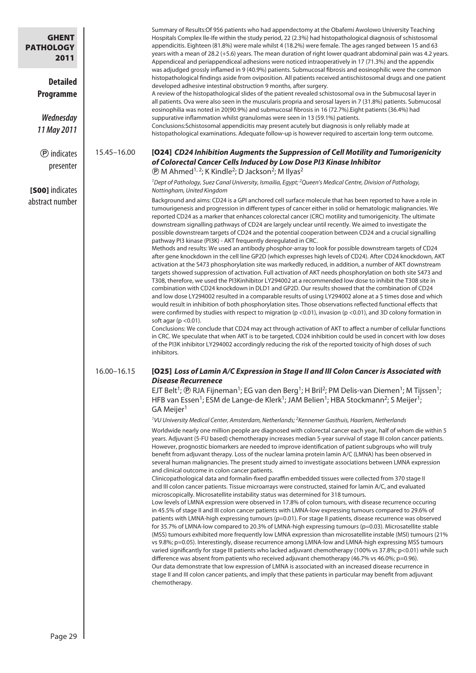| all patients. Ova were also seen in the muscularis propria and serosal layers in 7 (31.8%) patients. Submucosal<br>eosinophilia was noted in 20(90.9%) and submucosal fibrosis in 16 (72.7%). Eight patients (36.4%) had<br>suppurative inflammation whilst granulomas were seen in 13 (59.1%) patients.<br>Conclusions: Schistosomal appendicitis may present acutely but diagnosis is only reliably made at<br>histopathological examinations. Adequate follow-up is however required to ascertain long-term outcome.<br>[O24] CD24 Inhibition Augments the Suppression of Cell Motility and Tumorigenicity<br>of Colorectal Cancer Cells Induced by Low Dose PI3 Kinase Inhibitor                                                                                                                                                                                                                                                                                                                                                                                                                                                                                                                                                                                                                                                                                                                                                                                                                                                                                                                                                                                                                                                                                                                                                                                                                                                                                                                      |
|-----------------------------------------------------------------------------------------------------------------------------------------------------------------------------------------------------------------------------------------------------------------------------------------------------------------------------------------------------------------------------------------------------------------------------------------------------------------------------------------------------------------------------------------------------------------------------------------------------------------------------------------------------------------------------------------------------------------------------------------------------------------------------------------------------------------------------------------------------------------------------------------------------------------------------------------------------------------------------------------------------------------------------------------------------------------------------------------------------------------------------------------------------------------------------------------------------------------------------------------------------------------------------------------------------------------------------------------------------------------------------------------------------------------------------------------------------------------------------------------------------------------------------------------------------------------------------------------------------------------------------------------------------------------------------------------------------------------------------------------------------------------------------------------------------------------------------------------------------------------------------------------------------------------------------------------------------------------------------------------------------------|
|                                                                                                                                                                                                                                                                                                                                                                                                                                                                                                                                                                                                                                                                                                                                                                                                                                                                                                                                                                                                                                                                                                                                                                                                                                                                                                                                                                                                                                                                                                                                                                                                                                                                                                                                                                                                                                                                                                                                                                                                           |
|                                                                                                                                                                                                                                                                                                                                                                                                                                                                                                                                                                                                                                                                                                                                                                                                                                                                                                                                                                                                                                                                                                                                                                                                                                                                                                                                                                                                                                                                                                                                                                                                                                                                                                                                                                                                                                                                                                                                                                                                           |
| <sup>1</sup> Dept of Pathology, Suez Canal University, Ismailia, Egypt; <sup>2</sup> Queen's Medical Centre, Division of Pathology,                                                                                                                                                                                                                                                                                                                                                                                                                                                                                                                                                                                                                                                                                                                                                                                                                                                                                                                                                                                                                                                                                                                                                                                                                                                                                                                                                                                                                                                                                                                                                                                                                                                                                                                                                                                                                                                                       |
| Background and aims: CD24 is a GPI anchored cell surface molecule that has been reported to have a role in<br>tumourigenesis and progression in different types of cancer either in solid or hematologic malignancies. We<br>reported CD24 as a marker that enhances colorectal cancer (CRC) motility and tumorigenicity. The ultimate<br>downstream signalling pathways of CD24 are largely unclear until recently. We aimed to investigate the<br>possible downstream targets of CD24 and the potential cooperation between CD24 and a crucial signalling<br>Methods and results: We used an antibody phosphor-array to look for possible downstream targets of CD24<br>after gene knockdown in the cell line GP2D (which expresses high levels of CD24). After CD24 knockdown, AKT<br>activation at the S473 phosphorylation site was markedly reduced, in addition, a number of AKT downstream<br>targets showed suppression of activation. Full activation of AKT needs phosphorylation on both site S473 and<br>T308, therefore, we used the PI3Kinhibitor LY294002 at a recommended low dose to inhibit the T308 site in<br>combination with CD24 knockdown in DLD1 and GP2D. Our results showed that the combination of CD24<br>and low dose LY294002 resulted in a comparable results of using LY294002 alone at a 5 times dose and which<br>would result in inhibition of both phosphorylation sites. Those observations reflected functional effects that<br>were confirmed by studies with respect to migration ( $p < 0.01$ ), invasion ( $p < 0.01$ ), and 3D colony formation in<br>Conclusions: We conclude that CD24 may act through activation of AKT to affect a number of cellular functions<br>in CRC. We speculate that when AKT is to be targeted, CD24 inhibition could be used in concert with low doses<br>of the PI3K inhibitor LY294002 accordingly reducing the risk of the reported toxicity of high doses of such                                                          |
| [025] Loss of Lamin A/C Expression in Stage II and III Colon Cancer is Associated with<br>EJT Belt <sup>1</sup> ; @ RJA Fijneman <sup>1</sup> ; EG van den Berg <sup>1</sup> ; H Bril <sup>2</sup> ; PM Delis-van Diemen <sup>1</sup> ; M Tijssen <sup>1</sup> ;<br>HFB van Essen <sup>1</sup> ; ESM de Lange-de Klerk <sup>1</sup> ; JAM Belien <sup>1</sup> ; HBA Stockmann <sup>2</sup> ; S Meijer <sup>1</sup> ;                                                                                                                                                                                                                                                                                                                                                                                                                                                                                                                                                                                                                                                                                                                                                                                                                                                                                                                                                                                                                                                                                                                                                                                                                                                                                                                                                                                                                                                                                                                                                                                      |
| <sup>1</sup> VU University Medical Center, Amsterdam, Netherlands; <sup>2</sup> Kennemer Gasthuis, Haarlem, Netherlands                                                                                                                                                                                                                                                                                                                                                                                                                                                                                                                                                                                                                                                                                                                                                                                                                                                                                                                                                                                                                                                                                                                                                                                                                                                                                                                                                                                                                                                                                                                                                                                                                                                                                                                                                                                                                                                                                   |
| Worldwide nearly one million people are diagnosed with colorectal cancer each year, half of whom die within 5<br>years. Adjuvant (5-FU based) chemotherapy increases median 5-year survival of stage III colon cancer patients.<br>However, prognostic biomarkers are needed to improve identification of patient subgroups who will truly<br>benefit from adjuvant therapy. Loss of the nuclear lamina protein lamin A/C (LMNA) has been observed in<br>several human malignancies. The present study aimed to investigate associations between LMNA expression<br>Clinicopathological data and formalin-fixed paraffin embedded tissues were collected from 370 stage II<br>and III colon cancer patients. Tissue microarrays were constructed, stained for lamin A/C, and evaluated<br>microscopically. Microsatellite instability status was determined for 318 tumours.<br>Low levels of LMNA expression were observed in 17.8% of colon tumours, with disease recurrence occuring<br>in 45.5% of stage II and III colon cancer patients with LMNA-low expressing tumours compared to 29.6% of<br>patients with LMNA-high expressing tumours (p=0.01). For stage II patients, disease recurrence was observed<br>for 35.7% of LMNA-low compared to 20.3% of LMNA-high expressing tumours (p=0.03). Microsatellite stable<br>(MSS) tumours exhibited more frequently low LMNA expression than microsatellite instable (MSI) tumours (21%<br>vs 9.8%; p=0.05). Interestingly, disease recurrence among LMNA-low and LMNA-high expressing MSS tumours<br>varied significantly for stage III patients who lacked adjuvant chemotherapy (100% vs 37.8%; p<0.01) while such<br>difference was absent from patients who received adjuvant chemotherapy (46.7% vs 46.0%; p=0.96).<br>Our data demonstrate that low expression of LMNA is associated with an increased disease recurrence in<br>stage II and III colon cancer patients, and imply that these patients in particular may benefit from adjuvant |
|                                                                                                                                                                                                                                                                                                                                                                                                                                                                                                                                                                                                                                                                                                                                                                                                                                                                                                                                                                                                                                                                                                                                                                                                                                                                                                                                                                                                                                                                                                                                                                                                                                                                                                                                                                                                                                                                                                                                                                                                           |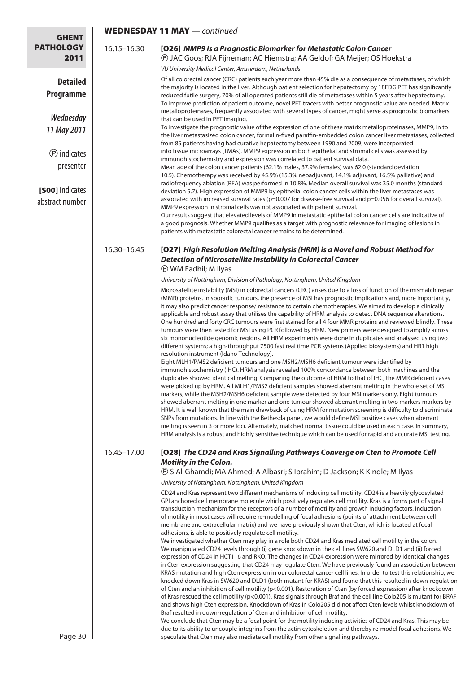#### WEDNESDAY 11 MAY *— continued*

GHENT **PATHOLOGY** 2011

> **Detailed Programme**

*Wednesday 11 May 2011*

P indicates presenter

**[S00]** indicates abstract number 16.15–16.30 [O26] *MMP9 Is a Prognostic Biomarker for Metastatic Colon Cancer* P JAC Goos; RJA Fijneman; AC Hiemstra; AA Geldof; GA Meijer; OS Hoekstra

*VU University Medical Center, Amsterdam, Netherlands*

Of all colorectal cancer (CRC) patients each year more than 45% die as a consequence of metastases, of which the majority is located in the liver. Although patient selection for hepatectomy by 18FDG PET has significantly reduced futile surgery, 70% of all operated patients still die of metastases within 5 years after hepatectomy. To improve prediction of patient outcome, novel PET tracers with better prognostic value are needed. Matrix metalloproteinases, frequently associated with several types of cancer, might serve as prognostic biomarkers that can be used in PET imaging.

To investigate the prognostic value of the expression of one of these matrix metalloproteinases, MMP9, in to the liver metastasized colon cancer, formalin-fixed paraffin-embedded colon cancer liver metastases, collected from 85 patients having had curative hepatectomy between 1990 and 2009, were incorporated into tissue microarrays (TMAs). MMP9 expression in both epithelial and stromal cells was assessed by immunohistochemistry and expression was correlated to patient survival data.

Mean age of the colon cancer patients (62.1% males, 37.9% females) was 62.0 (standard deviation 10.5). Chemotherapy was received by 45.9% (15.3% neoadjuvant, 14.1% adjuvant, 16.5% palliative) and radiofrequency ablation (RFA) was performed in 10.8%. Median overall survival was 35.0 months (standard deviation 5.7). High expression of MMP9 by epithelial colon cancer cells within the liver metastases was associated with increased survival rates (p=0.007 for disease-free survival and p=0.056 for overall survival). MMP9 expression in stromal cells was not associated with patient survival.

Our results suggest that elevated levels of MMP9 in metastatic epithelial colon cancer cells are indicative of a good prognosis. Whether MMP9 qualifies as a target with prognostic relevance for imaging of lesions in patients with metastatic colorectal cancer remains to be determined.

#### 16.30–16.45 [O27] *High Resolution Melting Analysis (HRM) is a Novel and Robust Method for Detection of Microsatellite Instability in Colorectal Cancer* P WM Fadhil; M Ilyas

*University of Nottingham, Division of Pathology, Nottingham, United Kingdom*

Microsatellite instability (MSI) in colorectal cancers (CRC) arises due to a loss of function of the mismatch repair (MMR) proteins. In sporadic tumours, the presence of MSI has prognostic implications and, more importantly, it may also predict cancer response/ resistance to certain chemotherapies. We aimed to develop a clinically applicable and robust assay that utilises the capability of HRM analysis to detect DNA sequence alterations. One hundred and forty CRC tumours were first stained for all 4 four MMR proteins and reviewed blindly. These tumours were then tested for MSI using PCR followed by HRM. New primers were designed to amplify across six mononucleotide genomic regions. All HRM experiments were done in duplicates and analysed using two different systems; a high-throughput 7500 fast real time PCR systems (Applied biosystems) and HR1 high resolution instrument (Idaho Technology).

Eight MLH1/PMS2 deficient tumours and one MSH2/MSH6 deficient tumour were identified by immunohistochemistry (IHC). HRM analysis revealed 100% concordance between both machines and the duplicates showed identical melting. Comparing the outcome of HRM to that of IHC, the MMR deficient cases were picked up by HRM. All MLH1/PMS2 deficient samples showed aberrant melting in the whole set of MSI markers, while the MSH2/MSH6 deficient sample were detected by four MSI markers only. Eight tumours showed aberrant melting in one marker and one tumour showed aberrant melting in two markers markers by HRM. It is well known that the main drawback of using HRM for mutation screening is difficulty to discriminate SNPs from mutations. In line with the Bethesda panel, we would define MSI positive cases when aberrant melting is seen in 3 or more loci. Alternately, matched normal tissue could be used in each case. In summary, HRM analysis is a robust and highly sensitive technique which can be used for rapid and accurate MSI testing.

16.45–17.00 [O28] *The CD24 and Kras Signalling Pathways Converge on Cten to Promote Cell Motility in the Colon.*

P S Al-Ghamdi; MA Ahmed; A Albasri; S Ibrahim; D Jackson; K Kindle; M Ilyas

*University of Nottingham, Nottingham, United Kingdom*

CD24 and Kras represent two different mechanisms of inducing cell motility. CD24 is a heavily glycosylated GPI anchored cell membrane molecule which positively regulates cell motility. Kras is a forms part of signal transduction mechanism for the receptors of a number of motility and growth inducing factors. Induction of motility in most cases will require re-modelling of focal adhesions (points of attachment between cell membrane and extracellular matrix) and we have previously shown that Cten, which is located at focal adhesions, is able to positively regulate cell motility.

We investigated whether Cten may play in a role both CD24 and Kras mediated cell motility in the colon. We manipulated CD24 levels through (i) gene knockdown in the cell lines SW620 and DLD1 and (ii) forced expression of CD24 in HCT116 and RKO. The changes in CD24 expression were mirrored by identical changes in Cten expression suggesting that CD24 may regulate Cten. We have previously found an association between KRAS mutation and high Cten expression in our colorectal cancer cell lines. In order to test this relationship, we knocked down Kras in SW620 and DLD1 (both mutant for KRAS) and found that this resulted in down-regulation of Cten and an inhibition of cell motility (p<0.001). Restoration of Cten (by forced expression) after knockdown of Kras rescued the cell motility (p<0.001). Kras signals through Braf and the cell line Colo205 is mutant for BRAF and shows high Cten expression. Knockdown of Kras in Colo205 did not affect Cten levels whilst knockdown of Braf resulted in down-regulation of Cten and inhibition of cell motility.

We conclude that Cten may be a focal point for the motility inducing activities of CD24 and Kras. This may be due to its ability to uncouple integrins from the actin cytoskeletion and thereby re-model focal adhesions. We speculate that Cten may also mediate cell motility from other signalling pathways.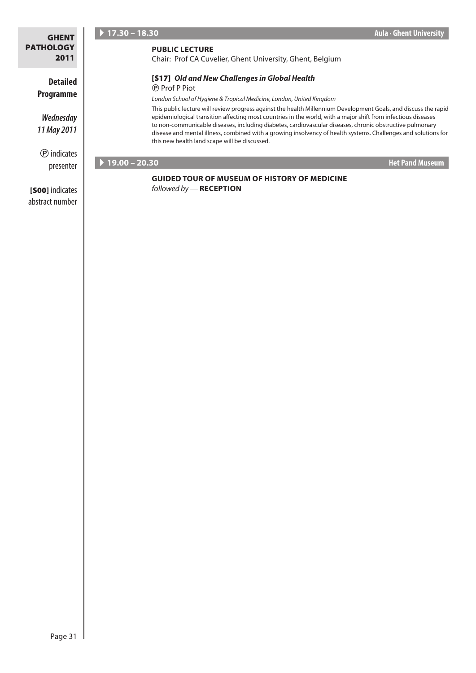| <b>GHENT</b>                    | ▶ $17.30 - 18.30$<br>Aula · Ghent University                                                                                                                                                                                                                                                                                                                                                                                                                                                                    |
|---------------------------------|-----------------------------------------------------------------------------------------------------------------------------------------------------------------------------------------------------------------------------------------------------------------------------------------------------------------------------------------------------------------------------------------------------------------------------------------------------------------------------------------------------------------|
| <b>PATHOLOGY</b><br>2011        | <b>PUBLIC LECTURE</b><br>Chair: Prof CA Cuvelier, Ghent University, Ghent, Belgium                                                                                                                                                                                                                                                                                                                                                                                                                              |
| <b>Detailed</b>                 | [S17] Old and New Challenges in Global Health<br>(P) Prof P Piot                                                                                                                                                                                                                                                                                                                                                                                                                                                |
| <b>Programme</b>                | London School of Hygiene & Tropical Medicine, London, United Kingdom                                                                                                                                                                                                                                                                                                                                                                                                                                            |
| <b>Wednesday</b><br>11 May 2011 | This public lecture will review progress against the health Millennium Development Goals, and discuss the rapid<br>epidemiological transition affecting most countries in the world, with a major shift from infectious diseases<br>to non-communicable diseases, including diabetes, cardiovascular diseases, chronic obstructive pulmonary<br>disease and mental illness, combined with a growing insolvency of health systems. Challenges and solutions for<br>this new health land scape will be discussed. |
| <b>(P</b> ) indicates           | $\blacktriangleright$ 19.00 - 20.30<br><b>Het Pand Museum</b>                                                                                                                                                                                                                                                                                                                                                                                                                                                   |
| presenter                       | <b>GUIDED TOUR OF MUSEUM OF HISTORY OF MEDICINE</b>                                                                                                                                                                                                                                                                                                                                                                                                                                                             |

*followed by —* **Reception**

[S00] indicates abstract number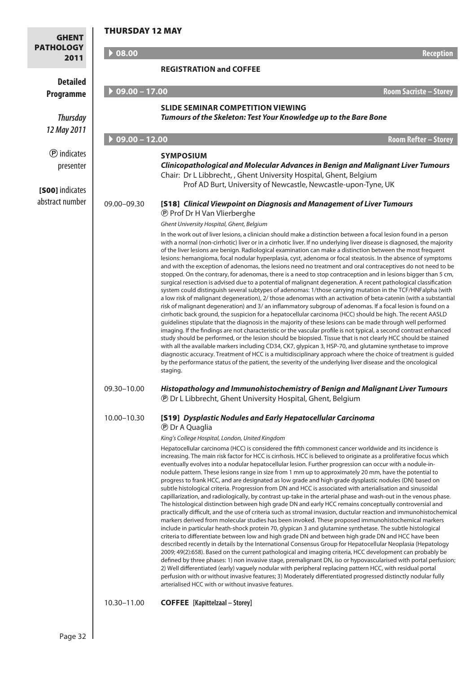# THURSDAY 12 MAY

| <b>GHENT</b>                           |                        |                                                                                                                                                                                                                                                                                                                                                                                                                                                                                                                                                                                                                                                                                                                                                                                                                                                                                                                                                                                                                                                                                                                                                                                                                                                                                                                                                                                                                                                                                                                                                                                                                                                                                                                                                                                                                                                                                                                                                                                                              |                               |
|----------------------------------------|------------------------|--------------------------------------------------------------------------------------------------------------------------------------------------------------------------------------------------------------------------------------------------------------------------------------------------------------------------------------------------------------------------------------------------------------------------------------------------------------------------------------------------------------------------------------------------------------------------------------------------------------------------------------------------------------------------------------------------------------------------------------------------------------------------------------------------------------------------------------------------------------------------------------------------------------------------------------------------------------------------------------------------------------------------------------------------------------------------------------------------------------------------------------------------------------------------------------------------------------------------------------------------------------------------------------------------------------------------------------------------------------------------------------------------------------------------------------------------------------------------------------------------------------------------------------------------------------------------------------------------------------------------------------------------------------------------------------------------------------------------------------------------------------------------------------------------------------------------------------------------------------------------------------------------------------------------------------------------------------------------------------------------------------|-------------------------------|
| <b>PATHOLOGY</b><br>2011               | $\triangleright$ 08.00 |                                                                                                                                                                                                                                                                                                                                                                                                                                                                                                                                                                                                                                                                                                                                                                                                                                                                                                                                                                                                                                                                                                                                                                                                                                                                                                                                                                                                                                                                                                                                                                                                                                                                                                                                                                                                                                                                                                                                                                                                              | <b>Reception</b>              |
| <b>Detailed</b>                        |                        | <b>REGISTRATION and COFFEE</b>                                                                                                                                                                                                                                                                                                                                                                                                                                                                                                                                                                                                                                                                                                                                                                                                                                                                                                                                                                                                                                                                                                                                                                                                                                                                                                                                                                                                                                                                                                                                                                                                                                                                                                                                                                                                                                                                                                                                                                               |                               |
| Programme                              | $09.00 - 17.00$        |                                                                                                                                                                                                                                                                                                                                                                                                                                                                                                                                                                                                                                                                                                                                                                                                                                                                                                                                                                                                                                                                                                                                                                                                                                                                                                                                                                                                                                                                                                                                                                                                                                                                                                                                                                                                                                                                                                                                                                                                              | <b>Room Sacriste - Storey</b> |
|                                        |                        | <b>SLIDE SEMINAR COMPETITION VIEWING</b>                                                                                                                                                                                                                                                                                                                                                                                                                                                                                                                                                                                                                                                                                                                                                                                                                                                                                                                                                                                                                                                                                                                                                                                                                                                                                                                                                                                                                                                                                                                                                                                                                                                                                                                                                                                                                                                                                                                                                                     |                               |
| <b>Thursday</b><br>12 May 2011         |                        | Tumours of the Skeleton: Test Your Knowledge up to the Bare Bone                                                                                                                                                                                                                                                                                                                                                                                                                                                                                                                                                                                                                                                                                                                                                                                                                                                                                                                                                                                                                                                                                                                                                                                                                                                                                                                                                                                                                                                                                                                                                                                                                                                                                                                                                                                                                                                                                                                                             |                               |
|                                        | $09.00 - 12.00$        |                                                                                                                                                                                                                                                                                                                                                                                                                                                                                                                                                                                                                                                                                                                                                                                                                                                                                                                                                                                                                                                                                                                                                                                                                                                                                                                                                                                                                                                                                                                                                                                                                                                                                                                                                                                                                                                                                                                                                                                                              | <b>Room Refter - Storey</b>   |
| <b><i>O</i></b> indicates<br>presenter |                        | <b>SYMPOSIUM</b><br>Clinicopathological and Molecular Advances in Benign and Malignant Liver Tumours<br>Chair: Dr L Libbrecht, , Ghent University Hospital, Ghent, Belgium<br>Prof AD Burt, University of Newcastle, Newcastle-upon-Tyne, UK                                                                                                                                                                                                                                                                                                                                                                                                                                                                                                                                                                                                                                                                                                                                                                                                                                                                                                                                                                                                                                                                                                                                                                                                                                                                                                                                                                                                                                                                                                                                                                                                                                                                                                                                                                 |                               |
| [SOO] indicates                        |                        |                                                                                                                                                                                                                                                                                                                                                                                                                                                                                                                                                                                                                                                                                                                                                                                                                                                                                                                                                                                                                                                                                                                                                                                                                                                                                                                                                                                                                                                                                                                                                                                                                                                                                                                                                                                                                                                                                                                                                                                                              |                               |
| abstract number                        | 09.00-09.30            | [S18] Clinical Viewpoint on Diagnosis and Management of Liver Tumours<br><b><i>®</i></b> Prof Dr H Van Vlierberghe<br>Ghent University Hospital, Ghent, Belgium                                                                                                                                                                                                                                                                                                                                                                                                                                                                                                                                                                                                                                                                                                                                                                                                                                                                                                                                                                                                                                                                                                                                                                                                                                                                                                                                                                                                                                                                                                                                                                                                                                                                                                                                                                                                                                              |                               |
|                                        |                        | In the work out of liver lesions, a clinician should make a distinction between a focal lesion found in a person<br>with a normal (non-cirrhotic) liver or in a cirrhotic liver. If no underlying liver disease is diagnosed, the majority<br>of the liver lesions are benign. Radiological examination can make a distinction between the most frequent<br>lesions: hemangioma, focal nodular hyperplasia, cyst, adenoma or focal steatosis. In the absence of symptoms<br>and with the exception of adenomas, the lesions need no treatment and oral contraceptives do not need to be<br>stopped. On the contrary, for adenomas, there is a need to stop contraception and in lesions bigger than 5 cm,<br>surgical resection is advised due to a potential of malignant degeneration. A recent pathological classification<br>system could distinguish several subtypes of adenomas: 1/those carrying mutation in the TCF/HNFalpha (with<br>a low risk of malignant degeneration), 2/ those adenomas with an activation of beta-catenin (with a substantial<br>risk of malignant degeneration) and 3/ an inflammatory subgroup of adenomas. If a focal lesion is found on a<br>cirrhotic back ground, the suspicion for a hepatocellular carcinoma (HCC) should be high. The recent AASLD<br>guidelines stipulate that the diagnosis in the majority of these lesions can be made through well performed<br>imaging. If the findings are not characteristic or the vascular profile is not typical, a second contrast enhanced<br>study should be performed, or the lesion should be biopsied. Tissue that is not clearly HCC should be stained<br>with all the available markers including CD34, CK7, glypican 3, HSP-70, and glutamine synthetase to improve<br>diagnostic accuracy. Treatment of HCC is a multidisciplinary approach where the choice of treatment is guided<br>by the performance status of the patient, the severity of the underlying liver disease and the oncological<br>staging. |                               |
|                                        | 09.30-10.00            | Histopathology and Immunohistochemistry of Benign and Malignant Liver Tumours<br><b>D</b> Dr L Libbrecht, Ghent University Hospital, Ghent, Belgium                                                                                                                                                                                                                                                                                                                                                                                                                                                                                                                                                                                                                                                                                                                                                                                                                                                                                                                                                                                                                                                                                                                                                                                                                                                                                                                                                                                                                                                                                                                                                                                                                                                                                                                                                                                                                                                          |                               |
|                                        | 10.00-10.30            | [S19] Dysplastic Nodules and Early Hepatocellular Carcinoma<br><b><i>®</i></b> Dr A Quaglia                                                                                                                                                                                                                                                                                                                                                                                                                                                                                                                                                                                                                                                                                                                                                                                                                                                                                                                                                                                                                                                                                                                                                                                                                                                                                                                                                                                                                                                                                                                                                                                                                                                                                                                                                                                                                                                                                                                  |                               |
|                                        |                        | King's College Hospital, London, United Kingdom                                                                                                                                                                                                                                                                                                                                                                                                                                                                                                                                                                                                                                                                                                                                                                                                                                                                                                                                                                                                                                                                                                                                                                                                                                                                                                                                                                                                                                                                                                                                                                                                                                                                                                                                                                                                                                                                                                                                                              |                               |
|                                        |                        | Hepatocellular carcinoma (HCC) is considered the fifth commonest cancer worldwide and its incidence is<br>increasing. The main risk factor for HCC is cirrhosis. HCC is believed to originate as a proliferative focus which<br>eventually evolves into a nodular hepatocellular lesion. Further progression can occur with a nodule-in-<br>nodule pattern. These lesions range in size from 1 mm up to approximately 20 mm, have the potential to<br>progress to frank HCC, and are designated as low grade and high grade dysplastic nodules (DN) based on<br>subtle histological criteria. Progression from DN and HCC is associated with arterialisation and sinusoidal<br>capillarization, and radiologically, by contrast up-take in the arterial phase and wash-out in the venous phase.<br>The histological distinction between high grade DN and early HCC remains conceptually controversial and<br>practically difficult, and the use of criteria such as stromal invasion, ductular reaction and immunohistochemical<br>markers derived from molecular studies has been invoked. These proposed immunohistochemical markers<br>include in particular heath-shock protein 70, glypican 3 and glutamine synthetase. The subtle histological<br>criteria to differentiate between low and high grade DN and between high grade DN and HCC have been<br>described recently in details by the International Consensus Group for Hepatocellular Neoplasia (Hepatology<br>2009; 49(2):658). Based on the current pathological and imaging criteria, HCC development can probably be<br>defined by three phases: 1) non invasive stage, premalignant DN, iso or hypovascularised with portal perfusion;<br>2) Well differentiated (early) vaguely nodular with peripheral replacing pattern HCC, with residual portal<br>perfusion with or without invasive features; 3) Moderately differentiated progressed distinctly nodular fully<br>arterialised HCC with or without invasive features.            |                               |
|                                        | 10.30-11.00            | <b>COFFEE</b> [Kapittelzaal - Storey]                                                                                                                                                                                                                                                                                                                                                                                                                                                                                                                                                                                                                                                                                                                                                                                                                                                                                                                                                                                                                                                                                                                                                                                                                                                                                                                                                                                                                                                                                                                                                                                                                                                                                                                                                                                                                                                                                                                                                                        |                               |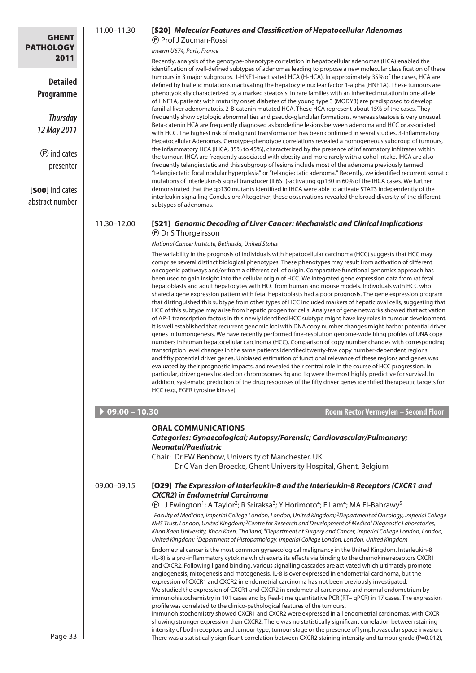

11.00–11.30 [S20] *Molecular Features and Classification of Hepatocellular Adenomas*

Recently, analysis of the genotype-phenotype correlation in hepatocellular adenomas (HCA) enabled the identification of well-defined subtypes of adenomas leading to propose a new molecular classification of these tumours in 3 major subgroups. 1-HNF1-inactivated HCA (H-HCA). In approximately 35% of the cases, HCA are defined by biallelic mutations inactivating the hepatocyte nuclear factor 1-alpha (HNF1A). These tumours are phenotypically characterized by a marked steatosis. In rare families with an inherited mutation in one allele of HNF1A, patients with maturity onset diabetes of the young type 3 (MODY3) are predisposed to develop familial liver adenomatosis. 2-B-catenin mutated HCA. These HCA represent about 15% of the cases. They frequently show cytologic abnormalities and pseudo-glandular formations, whereas steatosis is very unusual. Beta-catenin HCA are frequently diagnosed as borderline lesions between adenoma and HCC or associated with HCC. The highest risk of malignant transformation has been confirmed in sevral studies. 3-Inflammatory Hepatocellular Adenomas. Genotype-phenotype correlations revealed a homogeneous subgroup of tumours, the inflammatory HCA (IHCA, 35% to 45%), characterized by the presence of inflammatory infiltrates within the tumour. IHCA are frequently associated with obesity and more rarely with alcohol intake. IHCA are also frequently telangiectatic and this subgroup of lesions include most of the adenoma previously termed "telangiectatic focal nodular hyperplasia" or "telangiectatic adenoma." Recently, we identified recurrent somatic mutations of interleukin-6 signal transducer (IL6ST)-activating gp130 in 60% of the IHCA cases. We further demonstrated that the gp130 mutants identified in IHCA were able to activate STAT3 independently of the interleukin signalling Conclusion: Altogether, these observations revealed the broad diversity of the different

# 11.30–12.00 [S21] *Genomic Decoding of Liver Cancer: Mechanistic and Clinical Implications*

*National Cancer Institute, Bethesda, United States*

The variability in the prognosis of individuals with hepatocellular carcinoma (HCC) suggests that HCC may comprise several distinct biological phenotypes. These phenotypes may result from activation of different oncogenic pathways and/or from a different cell of origin. Comparative functional genomics approach has been used to gain insight into the cellular origin of HCC. We integrated gene expression data from rat fetal hepatoblasts and adult hepatocytes with HCC from human and mouse models. Individuals with HCC who shared a gene expression pattern with fetal hepatoblasts had a poor prognosis. The gene expression program that distinguished this subtype from other types of HCC included markers of hepatic oval cells, suggesting that HCC of this subtype may arise from hepatic progenitor cells. Analyses of gene networks showed that activation of AP-1 transcription factors in this newly identified HCC subtype might have key roles in tumour development. It is well established that recurrent genomic loci with DNA copy number changes might harbor potential driver genes in tumorigenesis. We have recently performed fine-resolution genome-wide tiling profiles of DNA copy numbers in human hepatocellular carcinoma (HCC). Comparison of copy number changes with corresponding transcription level changes in the same patients identified twenty-five copy number-dependent regions and fifty potential driver genes. Unbiased estimation of functional relevance of these regions and genes was evaluated by their prognostic impacts, and revealed their central role in the course of HCC progression. In particular, driver genes located on chromosomes 8q and 1q were the most highly predictive for survival. In addition, systematic prediction of the drug responses of the fifty driver genes identified therapeutic targets for HCC (e.g., EGFR tyrosine kinase).

### **ORAL COMMUNICATIONS**

*Categories: Gynaecological; Autopsy/Forensic; Cardiovascular/Pulmonary; Neonatal/Paediatric* 

Chair: Dr EW Benbow, University of Manchester, UK

Dr C Van den Broecke, Ghent University Hospital, Ghent, Belgium

# $\textcircled{P}$  LJ Ewington<sup>1</sup>; A Taylor<sup>2</sup>; R Sriraksa<sup>3</sup>; Y Horimoto<sup>4</sup>; E Lam<sup>4</sup>; MA El-Bahrawy<sup>5</sup>

*1Faculty of Medicine, Imperial College London, London, United Kingdom; 2Department of Oncology, Imperial College NHS Trust, London, United Kingdom; 3Centre for Research and Development of Medical Diagnostic Laboratories, Khon Kaen University, Khon Kaen, Thailand; 4Department of Surgery and Cancer, Imperial College London, London, United Kingdom; 5Department of Histopathology, Imperial College London, London, United Kingdom*

Endometrial cancer is the most common gynaecological malignancy in the United Kingdom. Interleukin-8 (IL-8) is a pro-inflammatory cytokine which exerts its effects via binding to the chemokine receptors CXCR1 and CXCR2. Following ligand binding, various signalling cascades are activated which ultimately promote angiogenesis, mitogenesis and motogenesis. IL-8 is over expressed in endometrial carcinoma, but the expression of CXCR1 and CXCR2 in endometrial carcinoma has not been previously investigated. We studied the expression of CXCR1 and CXCR2 in endometrial carcinomas and normal endometrium by immunohistochemistry in 101 cases and by Real-time quantitative PCR (RT– qPCR) in 17 cases. The expression profile was correlated to the clinico-pathological features of the tumours.

Immunohistochemistry showed CXCR1 and CXCR2 were expressed in all endometrial carcinomas, with CXCR1 showing stronger expression than CXCR2. There was no statistically significant correlation between staining intensity of both receptors and tumour type, tumour stage or the presence of lymphovascular space invasion. There was a statistically significant correlation between CXCR2 staining intensity and tumour grade (P=0.012),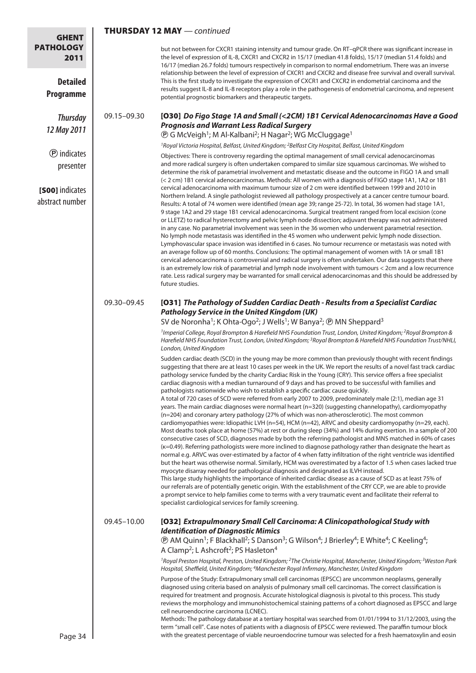| <b>GHENT</b>                           | <b>THURSDAY 12 MAY</b> - continued |                                                                                                                                                                                                                                                                                                                                                                                                                                                                                                                                                                                                                                                                                                                                                                                                                                                                                                                                                                                                                                                                                                                                                                                                                                                                                                                                                                                                                                                                                                                                                                                                                                                                                                                                                                                                                                                                                                                                                                                                                                                                              |  |
|----------------------------------------|------------------------------------|------------------------------------------------------------------------------------------------------------------------------------------------------------------------------------------------------------------------------------------------------------------------------------------------------------------------------------------------------------------------------------------------------------------------------------------------------------------------------------------------------------------------------------------------------------------------------------------------------------------------------------------------------------------------------------------------------------------------------------------------------------------------------------------------------------------------------------------------------------------------------------------------------------------------------------------------------------------------------------------------------------------------------------------------------------------------------------------------------------------------------------------------------------------------------------------------------------------------------------------------------------------------------------------------------------------------------------------------------------------------------------------------------------------------------------------------------------------------------------------------------------------------------------------------------------------------------------------------------------------------------------------------------------------------------------------------------------------------------------------------------------------------------------------------------------------------------------------------------------------------------------------------------------------------------------------------------------------------------------------------------------------------------------------------------------------------------|--|
| <b>PATHOLOGY</b><br>2011               |                                    | but not between for CXCR1 staining intensity and tumour grade. On RT-qPCR there was significant increase in<br>the level of expression of IL-8, CXCR1 and CXCR2 in 15/17 (median 41.8 folds), 15/17 (median 51.4 folds) and<br>16/17 (median 26.7 folds) tumours respectively in comparison to normal endometrium. There was an inverse<br>relationship between the level of expression of CXCR1 and CXCR2 and disease free survival and overall survival.                                                                                                                                                                                                                                                                                                                                                                                                                                                                                                                                                                                                                                                                                                                                                                                                                                                                                                                                                                                                                                                                                                                                                                                                                                                                                                                                                                                                                                                                                                                                                                                                                   |  |
| <b>Detailed</b><br>Programme           |                                    | This is the first study to investigate the expression of CXCR1 and CXCR2 in endometrial carcinoma and the<br>results suggest IL-8 and IL-8 receptors play a role in the pathogenesis of endometrial carcinoma, and represent<br>potential prognostic biomarkers and therapeutic targets.                                                                                                                                                                                                                                                                                                                                                                                                                                                                                                                                                                                                                                                                                                                                                                                                                                                                                                                                                                                                                                                                                                                                                                                                                                                                                                                                                                                                                                                                                                                                                                                                                                                                                                                                                                                     |  |
| <b>Thursday</b><br>12 May 2011         | 09.15-09.30                        | [030] Do Figo Stage 1A and Small (<2CM) 1B1 Cervical Adenocarcinomas Have a Good<br><b>Prognosis and Warrant Less Radical Surgery</b><br><b><i>@</i></b> G McVeigh <sup>1</sup> ; M Al-Kalbani <sup>2</sup> ; H Nagar <sup>2</sup> ; WG McCluggage <sup>1</sup>                                                                                                                                                                                                                                                                                                                                                                                                                                                                                                                                                                                                                                                                                                                                                                                                                                                                                                                                                                                                                                                                                                                                                                                                                                                                                                                                                                                                                                                                                                                                                                                                                                                                                                                                                                                                              |  |
| <b><i>O</i></b> indicates<br>presenter |                                    | <sup>1</sup> Royal Victoria Hospital, Belfast, United Kingdom; <sup>2</sup> Belfast City Hospital, Belfast, United Kingdom<br>Objectives: There is controversy regarding the optimal management of small cervical adenocarcinomas<br>and more radical surgery is often undertaken compared to similar size squamous carcinomas. We wished to<br>determine the risk of parametrial involvement and metastatic disease and the outcome in FIGO 1A and small<br>(< 2 cm) 1B1 cervical adenocarcinomas. Methods: All women with a diagnosis of FIGO stage 1A1, 1A2 or 1B1                                                                                                                                                                                                                                                                                                                                                                                                                                                                                                                                                                                                                                                                                                                                                                                                                                                                                                                                                                                                                                                                                                                                                                                                                                                                                                                                                                                                                                                                                                        |  |
| [SOO] indicates<br>abstract number     |                                    | cervical adenocarcinoma with maximum tumour size of 2 cm were identified between 1999 and 2010 in<br>Northern Ireland. A single pathologist reviewed all pathology prospectively at a cancer centre tumour board.<br>Results: A total of 74 women were identified (mean age 39; range 25-72). In total, 36 women had stage 1A1,<br>9 stage 1A2 and 29 stage 1B1 cervical adenocarcinoma. Surgical treatment ranged from local excision (cone<br>or LLETZ) to radical hysterectomy and pelvic lymph node dissection; adjuvant therapy was not administered<br>in any case. No parametrial involvement was seen in the 36 women who underwent parametrial resection.<br>No lymph node metastasis was identified in the 45 women who underwent pelvic lymph node dissection.<br>Lymphovascular space invasion was identified in 6 cases. No tumour recurrence or metastasis was noted with<br>an average follow up of 60 months. Conclusions: The optimal management of women with 1A or small 1B1<br>cervical adenocarcinoma is controversial and radical surgery is often undertaken. Our data suggests that there<br>is an extremely low risk of parametrial and lymph node involvement with tumours < 2cm and a low recurrence<br>rate. Less radical surgery may be warranted for small cervical adenocarcinomas and this should be addressed by<br>future studies.                                                                                                                                                                                                                                                                                                                                                                                                                                                                                                                                                                                                                                                                                                         |  |
|                                        | 09.30-09.45                        | [O31] The Pathology of Sudden Cardiac Death - Results from a Specialist Cardiac<br><b>Pathology Service in the United Kingdom (UK)</b><br>SV de Noronha <sup>1</sup> ; K Ohta-Ogo <sup>2</sup> ; J Wells <sup>1</sup> ; W Banya <sup>2</sup> ; <b>(D)</b> MN Sheppard <sup>3</sup>                                                                                                                                                                                                                                                                                                                                                                                                                                                                                                                                                                                                                                                                                                                                                                                                                                                                                                                                                                                                                                                                                                                                                                                                                                                                                                                                                                                                                                                                                                                                                                                                                                                                                                                                                                                           |  |
|                                        |                                    | <sup>1</sup> Imperial College, Royal Brompton & Harefield NHS Foundation Trust, London, United Kingdom; <sup>2</sup> Royal Brompton &<br>Harefield NHS Foundation Trust, London, United Kingdom; <sup>3</sup> Royal Brompton & Harefield NHS Foundation Trust/NHLI,<br>London, United Kingdom                                                                                                                                                                                                                                                                                                                                                                                                                                                                                                                                                                                                                                                                                                                                                                                                                                                                                                                                                                                                                                                                                                                                                                                                                                                                                                                                                                                                                                                                                                                                                                                                                                                                                                                                                                                |  |
|                                        |                                    | Sudden cardiac death (SCD) in the young may be more common than previously thought with recent findings<br>suggesting that there are at least 10 cases per week in the UK. We report the results of a novel fast track cardiac<br>pathology service funded by the charity Cardiac Risk in the Young (CRY). This service offers a free specialist<br>cardiac diagnosis with a median turnaround of 9 days and has proved to be successful with families and<br>pathologists nationwide who wish to establish a specific cardiac cause quickly.<br>A total of 720 cases of SCD were referred from early 2007 to 2009, predominately male (2:1), median age 31<br>years. The main cardiac diagnoses were normal heart (n=320) (suggesting channelopathy), cardiomyopathy<br>(n=204) and coronary artery pathology (27% of which was non-atherosclerotic). The most common<br>cardiomyopathies were: Idiopathic LVH (n=54), HCM (n=42), ARVC and obesity cardiomyopathy (n=29, each).<br>Most deaths took place at home (57%) at rest or during sleep (34%) and 14% during exertion. In a sample of 200<br>consecutive cases of SCD, diagnoses made by both the referring pathologist and MNS matched in 60% of cases<br>(k=0.49). Referring pathologists were more inclined to diagnose pathology rather than designate the heart as<br>normal e.g. ARVC was over-estimated by a factor of 4 when fatty infiltration of the right ventricle was identified<br>but the heart was otherwise normal. Similarly, HCM was overestimated by a factor of 1.5 when cases lacked true<br>myocyte disarray needed for pathological diagnosis and designated as ILVH instead.<br>This large study highlights the importance of inherited cardiac disease as a cause of SCD as at least 75% of<br>our referrals are of potentially genetic origin. With the establishment of the CRY CCP, we are able to provide<br>a prompt service to help families come to terms with a very traumatic event and facilitate their referral to<br>specialist cardiological services for family screening. |  |
|                                        | 09.45-10.00                        | [032] Extrapulmonary Small Cell Carcinoma: A Clinicopathological Study with<br><b>Identification of Diagnostic Mimics</b><br><b><i>Theory</i></b> AM Quinn <sup>1</sup> ; F Blackhall <sup>2</sup> ; S Danson <sup>3</sup> ; G Wilson <sup>4</sup> ; J Brierley <sup>4</sup> ; E White <sup>4</sup> ; C Keeling <sup>4</sup> ;<br>A Clamp <sup>2</sup> ; L Ashcroft <sup>2</sup> ; PS Hasleton <sup>4</sup>                                                                                                                                                                                                                                                                                                                                                                                                                                                                                                                                                                                                                                                                                                                                                                                                                                                                                                                                                                                                                                                                                                                                                                                                                                                                                                                                                                                                                                                                                                                                                                                                                                                                  |  |
|                                        |                                    | <sup>1</sup> Royal Preston Hospital, Preston, United Kingdom; <sup>2</sup> The Christie Hospital, Manchester, United Kingdom; <sup>3</sup> Weston Park<br>Hospital, Sheffield, United Kingdom; <sup>4</sup> Manchester Royal Infirmary, Manchester, United Kingdom                                                                                                                                                                                                                                                                                                                                                                                                                                                                                                                                                                                                                                                                                                                                                                                                                                                                                                                                                                                                                                                                                                                                                                                                                                                                                                                                                                                                                                                                                                                                                                                                                                                                                                                                                                                                           |  |
|                                        |                                    | Purpose of the Study: Extrapulmonary small cell carcinomas (EPSCC) are uncommon neoplasms, generally<br>diagnosed using criteria based on analysis of pulmonary small cell carcinomas. The correct classification is<br>required for treatment and prognosis. Accurate histological diagnosis is pivotal to this process. This study<br>reviews the morphology and immunohistochemical staining patterns of a cohort diagnosed as EPSCC and large<br>cell neuroendocrine carcinoma (LCNEC).<br>Methods: The pathology database at a tertiary hospital was searched from 01/01/1994 to 31/12/2003, using the                                                                                                                                                                                                                                                                                                                                                                                                                                                                                                                                                                                                                                                                                                                                                                                                                                                                                                                                                                                                                                                                                                                                                                                                                                                                                                                                                                                                                                                                  |  |
| Page 34                                |                                    | term "small cell". Case notes of patients with a diagnosis of EPSCC were reviewed. The paraffin tumour block<br>with the greatest percentage of viable neuroendocrine tumour was selected for a fresh haematoxylin and eosin                                                                                                                                                                                                                                                                                                                                                                                                                                                                                                                                                                                                                                                                                                                                                                                                                                                                                                                                                                                                                                                                                                                                                                                                                                                                                                                                                                                                                                                                                                                                                                                                                                                                                                                                                                                                                                                 |  |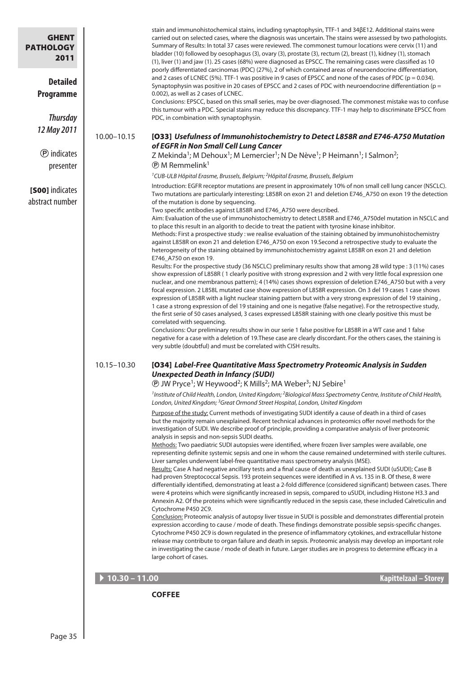|                                                                          |                             | <b>COFFEE</b>                                                                                                                                                                                                                                                                                                                                                                                                                                                                                                                                                                                                                                                                                                                                                                                                                                                                                                                                                                                                                                                                                                                                                                                                                                                                                                                                                                                                                                                                                                                                                                                                                                                                                                                                                                                                                                                                                                                                                                                                                                                                                                                                                                                                                                                                                                                                                                                                                                                                                                         |
|--------------------------------------------------------------------------|-----------------------------|-----------------------------------------------------------------------------------------------------------------------------------------------------------------------------------------------------------------------------------------------------------------------------------------------------------------------------------------------------------------------------------------------------------------------------------------------------------------------------------------------------------------------------------------------------------------------------------------------------------------------------------------------------------------------------------------------------------------------------------------------------------------------------------------------------------------------------------------------------------------------------------------------------------------------------------------------------------------------------------------------------------------------------------------------------------------------------------------------------------------------------------------------------------------------------------------------------------------------------------------------------------------------------------------------------------------------------------------------------------------------------------------------------------------------------------------------------------------------------------------------------------------------------------------------------------------------------------------------------------------------------------------------------------------------------------------------------------------------------------------------------------------------------------------------------------------------------------------------------------------------------------------------------------------------------------------------------------------------------------------------------------------------------------------------------------------------------------------------------------------------------------------------------------------------------------------------------------------------------------------------------------------------------------------------------------------------------------------------------------------------------------------------------------------------------------------------------------------------------------------------------------------------|
|                                                                          | $\rightarrow$ 10.30 - 11.00 | <b>Kapittelzaal - Storey</b>                                                                                                                                                                                                                                                                                                                                                                                                                                                                                                                                                                                                                                                                                                                                                                                                                                                                                                                                                                                                                                                                                                                                                                                                                                                                                                                                                                                                                                                                                                                                                                                                                                                                                                                                                                                                                                                                                                                                                                                                                                                                                                                                                                                                                                                                                                                                                                                                                                                                                          |
|                                                                          | 10.15-10.30                 | very subtle (doubtful) and must be correlated with CISH results.<br>[O34] Label-Free Quantitative Mass Spectrometry Proteomic Analysis in Sudden<br><b>Unexpected Death in Infancy (SUDI)</b><br><b>(D)</b> JW Pryce <sup>1</sup> ; W Heywood <sup>2</sup> ; K Mills <sup>2</sup> ; MA Weber <sup>3</sup> ; NJ Sebire <sup>1</sup><br><sup>1</sup> Institute of Child Health, London, United Kingdom; <sup>2</sup> Biological Mass Spectrometry Centre, Institute of Child Health,<br>London, United Kingdom; <sup>3</sup> Great Ormond Street Hospital, London, United Kingdom<br>Purpose of the study: Current methods of investigating SUDI identify a cause of death in a third of cases<br>but the majority remain unexplained. Recent technical advances in proteomics offer novel methods for the<br>investigation of SUDI. We describe proof of principle, providing a comparative analysis of liver proteomic<br>analysis in sepsis and non-sepsis SUDI deaths.<br>Methods: Two paediatric SUDI autopsies were identified, where frozen liver samples were available, one<br>representing definite systemic sepsis and one in whom the cause remained undetermined with sterile cultures.<br>Liver samples underwent label-free quantitative mass spectrometry analysis (MSE).<br>Results: Case A had negative ancillary tests and a final cause of death as unexplained SUDI (uSUDI); Case B<br>had proven Streptococcal Sepsis. 193 protein sequences were identified in A vs. 135 in B. Of these, 8 were<br>differentially identified, demonstrating at least a 2-fold difference (considered significant) between cases. There<br>were 4 proteins which were significantly increased in sepsis, compared to uSUDI, including Histone H3.3 and<br>Annexin A2. Of the proteins which were significantly reduced in the sepsis case, these included Calreticulin and<br>Cytochrome P450 2C9.<br>Conclusion: Proteomic analysis of autopsy liver tissue in SUDI is possible and demonstrates differential protein<br>expression according to cause / mode of death. These findings demonstrate possible sepsis-specific changes.<br>Cytochrome P450 2C9 is down regulated in the presence of inflammatory cytokines, and extracellular histone<br>release may contribute to organ failure and death in sepsis. Proteomic analysis may develop an important role<br>in investigating the cause / mode of death in future. Larger studies are in progress to determine efficacy in a<br>large cohort of cases. |
| [SOO] indicates<br>abstract number                                       |                             | Two mutations are particularly interesting: L858R on exon 21 and deletion E746_A750 on exon 19 the detection<br>of the mutation is done by sequencing.<br>Two specific antibodies against L858R and E746_A750 were described.<br>Aim: Evaluation of the use of immunohistochemistry to detect L858R and E746_A750del mutation in NSCLC and<br>to place this result in an algorith to decide to treat the patient with tyrosine kinase inhibitor.<br>Methods: First a prospective study : we realise evaluation of the staining obtained by immunohistochemistry<br>against L858R on exon 21 and deletion E746_A750 on exon 19. Second a retrospective study to evaluate the<br>heterogeneity of the staining obtained by immunohistochemistry against L858R on exon 21 and deletion<br>E746_A750 on exon 19.<br>Results: For the prospective study (36 NSCLC) preliminary results show that among 28 wild type : 3 (11%) cases<br>show expression of L858R (1 clearly positive with strong expression and 2 with very little focal expression one<br>nuclear, and one membranous pattern); 4 (14%) cases shows expression of deletion E746_A750 but with a very<br>focal expression. 2 L858L mutated case show expression of L858R expression. On 3 del 19 cases 1 case shows<br>expression of L858R with a light nuclear staining pattern but with a very strong expression of del 19 staining,<br>1 case a strong expression of del 19 staining and one is negative (false negative). For the retrospective study,<br>the first serie of 50 cases analysed, 3 cases expressed L858R staining with one clearly positive this must be<br>correlated with sequencing.<br>Conclusions: Our preliminary results show in our serie 1 false positive for L858R in a WT case and 1 false<br>negative for a case with a deletion of 19. These case are clearly discordant. For the others cases, the staining is                                                                                                                                                                                                                                                                                                                                                                                                                                                                                                                                                                                                             |
| <b><i>O</i></b> indicates<br>presenter                                   | 10.00-10.15                 | [033] Usefulness of Immunohistochemistry to Detect L858R and E746-A750 Mutation<br>of EGFR in Non Small Cell Lung Cancer<br>Z Mekinda <sup>1</sup> ; M Dehoux <sup>1</sup> ; M Lemercier <sup>1</sup> ; N De Nève <sup>1</sup> ; P Heimann <sup>1</sup> ; I Salmon <sup>2</sup> ;<br><b><i>®</i></b> M Remmelink <sup>1</sup><br><sup>1</sup> CUB-ULB Hôpital Erasme, Brussels, Belgium; <sup>2</sup> Hôpital Erasme, Brussels, Belgium<br>Introduction: EGFR receptor mutations are present in approximately 10% of non small cell lung cancer (NSCLC).                                                                                                                                                                                                                                                                                                                                                                                                                                                                                                                                                                                                                                                                                                                                                                                                                                                                                                                                                                                                                                                                                                                                                                                                                                                                                                                                                                                                                                                                                                                                                                                                                                                                                                                                                                                                                                                                                                                                                              |
| <b>Thursday</b><br>12 May 2011                                           |                             | Conclusions: EPSCC, based on this small series, may be over-diagnosed. The commonest mistake was to confuse<br>this tumour with a PDC. Special stains may reduce this discrepancy. TTF-1 may help to discriminate EPSCC from<br>PDC, in combination with synaptophysin.                                                                                                                                                                                                                                                                                                                                                                                                                                                                                                                                                                                                                                                                                                                                                                                                                                                                                                                                                                                                                                                                                                                                                                                                                                                                                                                                                                                                                                                                                                                                                                                                                                                                                                                                                                                                                                                                                                                                                                                                                                                                                                                                                                                                                                               |
| <b>GHENT</b><br><b>PATHOLOGY</b><br>2011<br><b>Detailed</b><br>Programme |                             | stain and immunohistochemical stains, including synaptophysin, TTF-1 and 34βE12. Additional stains were<br>carried out on selected cases, where the diagnosis was uncertain. The stains were assessed by two pathologists.<br>Summary of Results: In total 37 cases were reviewed. The commonest tumour locations were cervix (11) and<br>bladder (10) followed by oesophagus (3), ovary (3), prostate (3), rectum (2), breast (1), kidney (1), stomach<br>(1), liver (1) and jaw (1). 25 cases (68%) were diagnosed as EPSCC. The remaining cases were classified as 10<br>poorly differentiated carcinomas (PDC) (27%), 2 of which contained areas of neuroendocrine differentiation,<br>and 2 cases of LCNEC (5%). TTF-1 was positive in 9 cases of EPSCC and none of the cases of PDC ( $p = 0.034$ ).<br>Synaptophysin was positive in 20 cases of EPSCC and 2 cases of PDC with neuroendocrine differentiation ( $p =$<br>0.002), as well as 2 cases of LCNEC.                                                                                                                                                                                                                                                                                                                                                                                                                                                                                                                                                                                                                                                                                                                                                                                                                                                                                                                                                                                                                                                                                                                                                                                                                                                                                                                                                                                                                                                                                                                                                  |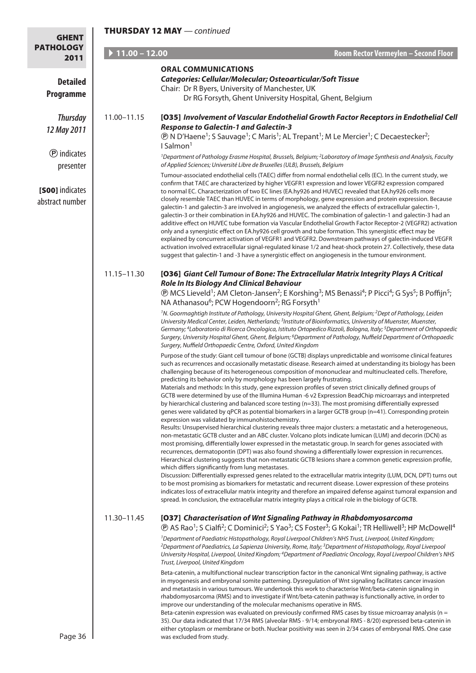| <b>GHENT</b>                                                    |                                                                                                                                                                                                                                                                                                                                                                                                                                                                                                                                                                                                                                                                                                                                                                                                                                                                                                                                                                                                                                                                                                                                                                                                                                                                                                                                                                                                                                                                                                                                                                                                                                                                                                                                                                                                                                                                                                                                                                                                                                    |  |  |
|-----------------------------------------------------------------|------------------------------------------------------------------------------------------------------------------------------------------------------------------------------------------------------------------------------------------------------------------------------------------------------------------------------------------------------------------------------------------------------------------------------------------------------------------------------------------------------------------------------------------------------------------------------------------------------------------------------------------------------------------------------------------------------------------------------------------------------------------------------------------------------------------------------------------------------------------------------------------------------------------------------------------------------------------------------------------------------------------------------------------------------------------------------------------------------------------------------------------------------------------------------------------------------------------------------------------------------------------------------------------------------------------------------------------------------------------------------------------------------------------------------------------------------------------------------------------------------------------------------------------------------------------------------------------------------------------------------------------------------------------------------------------------------------------------------------------------------------------------------------------------------------------------------------------------------------------------------------------------------------------------------------------------------------------------------------------------------------------------------------|--|--|
| <b>PATHOLOGY</b><br>$\blacktriangleright$ 11.00 - 12.00<br>2011 | Room Rector Vermeylen - Second Floor                                                                                                                                                                                                                                                                                                                                                                                                                                                                                                                                                                                                                                                                                                                                                                                                                                                                                                                                                                                                                                                                                                                                                                                                                                                                                                                                                                                                                                                                                                                                                                                                                                                                                                                                                                                                                                                                                                                                                                                               |  |  |
|                                                                 | <b>ORAL COMMUNICATIONS</b><br>Categories: Cellular/Molecular; Osteoarticular/Soft Tissue<br>Chair: Dr R Byers, University of Manchester, UK<br>Dr RG Forsyth, Ghent University Hospital, Ghent, Belgium                                                                                                                                                                                                                                                                                                                                                                                                                                                                                                                                                                                                                                                                                                                                                                                                                                                                                                                                                                                                                                                                                                                                                                                                                                                                                                                                                                                                                                                                                                                                                                                                                                                                                                                                                                                                                            |  |  |
| <b>Thursday</b><br>11.00-11.15                                  | [035] Involvement of Vascular Endothelial Growth Factor Receptors in Endothelial Cell                                                                                                                                                                                                                                                                                                                                                                                                                                                                                                                                                                                                                                                                                                                                                                                                                                                                                                                                                                                                                                                                                                                                                                                                                                                                                                                                                                                                                                                                                                                                                                                                                                                                                                                                                                                                                                                                                                                                              |  |  |
| 12 May 2011                                                     | <b>Response to Galectin-1 and Galectin-3</b><br><b>(D)</b> N D'Haene <sup>1</sup> ; S Sauvage <sup>1</sup> ; C Maris <sup>1</sup> ; AL Trepant <sup>1</sup> ; M Le Mercier <sup>1</sup> ; C Decaestecker <sup>2</sup> ;<br>I Salmon <sup>1</sup>                                                                                                                                                                                                                                                                                                                                                                                                                                                                                                                                                                                                                                                                                                                                                                                                                                                                                                                                                                                                                                                                                                                                                                                                                                                                                                                                                                                                                                                                                                                                                                                                                                                                                                                                                                                   |  |  |
|                                                                 | <sup>1</sup> Department of Pathology Erasme Hospital, Brussels, Belgium; <sup>2</sup> Laboratory of Image Synthesis and Analysis, Faculty<br>of Applied Sciences; Université Libre de Bruxelles (ULB), Brussels, Belgium                                                                                                                                                                                                                                                                                                                                                                                                                                                                                                                                                                                                                                                                                                                                                                                                                                                                                                                                                                                                                                                                                                                                                                                                                                                                                                                                                                                                                                                                                                                                                                                                                                                                                                                                                                                                           |  |  |
|                                                                 | Tumour-associated endothelial cells (TAEC) differ from normal endothelial cells (EC). In the current study, we<br>confirm that TAEC are characterized by higher VEGFR1 expression and lower VEGFR2 expression compared<br>to normal EC. Characterization of two EC lines (EA.hy926 and HUVEC) revealed that EA.hy926 cells more<br>closely resemble TAEC than HUVEC in terms of morphology, gene expression and protein expression. Because<br>galectin-1 and galectin-3 are involved in angiogenesis, we analyzed the effects of extracellular galectin-1,<br>galectin-3 or their combination in EA.hy926 and HUVEC. The combination of galectin-1 and galectin-3 had an<br>additive effect on HUVEC tube formation via Vascular Endothelial Growth Factor Receptor-2 (VEGFR2) activation<br>only and a synergistic effect on EA.hy926 cell growth and tube formation. This synergistic effect may be<br>explained by concurrent activation of VEGFR1 and VEGFR2. Downstream pathways of galectin-induced VEGFR<br>activation involved extracellular signal-regulated kinase 1/2 and heat-shock protein 27. Collectively, these data<br>suggest that galectin-1 and -3 have a synergistic effect on angiogenesis in the tumour environment.                                                                                                                                                                                                                                                                                                                                                                                                                                                                                                                                                                                                                                                                                                                                                                                       |  |  |
| 11.15-11.30                                                     | [O36] Giant Cell Tumour of Bone: The Extracellular Matrix Integrity Plays A Critical<br><b>Role In Its Biology And Clinical Behaviour</b><br><b>The Senandian Senandi</b> ; AM Cleton-Jansen <sup>2</sup> ; E Korshing <sup>3</sup> ; MS Benassi <sup>4</sup> ; P Picci <sup>4</sup> ; G Sys <sup>5</sup> ; B Poffijn <sup>5</sup> ;<br>NA Athanasou <sup>6</sup> ; PCW Hogendoorn <sup>2</sup> ; RG Forsyth <sup>1</sup>                                                                                                                                                                                                                                                                                                                                                                                                                                                                                                                                                                                                                                                                                                                                                                                                                                                                                                                                                                                                                                                                                                                                                                                                                                                                                                                                                                                                                                                                                                                                                                                                          |  |  |
|                                                                 | <sup>1</sup> N. Goormaghtigh Institute of Pathology, University Hospital Ghent, Ghent, Belgium; <sup>2</sup> Dept of Pathology, Leiden<br>University Medical Center, Leiden, Netherlands; <sup>3</sup> Institute of Bioinformatics, University of Muenster, Muenster,<br>Germany; <sup>4</sup> Laboratorio di Ricerca Oncologica, Istituto Ortopedico Rizzoli, Bologna, Italy; <sup>5</sup> Department of Orthopaedic<br>Surgery, University Hospital Ghent, Ghent, Belgium; <sup>6</sup> Department of Pathology, Nuffield Department of Orthopaedic<br>Surgery, Nuffield Orthopaedic Centre, Oxford, United Kingdom                                                                                                                                                                                                                                                                                                                                                                                                                                                                                                                                                                                                                                                                                                                                                                                                                                                                                                                                                                                                                                                                                                                                                                                                                                                                                                                                                                                                              |  |  |
|                                                                 | Purpose of the study: Giant cell tumour of bone (GCTB) displays unpredictable and worrisome clinical features<br>such as recurrences and occasionally metastatic disease. Research aimed at understanding its biology has been<br>challenging because of its heterogeneous composition of mononuclear and multinucleated cells. Therefore,<br>predicting its behavior only by morphology has been largely frustrating.<br>Materials and methods: In this study, gene expression profiles of seven strict clinically defined groups of<br>GCTB were determined by use of the Illumina Human -6 v2 Expression BeadChip microarrays and interpreted<br>by hierarchical clustering and balanced score testing (n=33). The most promising differentially expressed<br>genes were validated by qPCR as potential biomarkers in a larger GCTB group (n=41). Corresponding protein<br>expression was validated by immunohistochemistry.<br>Results: Unsupervised hierarchical clustering reveals three major clusters: a metastatic and a heterogeneous,<br>non-metastatic GCTB cluster and an ABC cluster. Volcano plots indicate lumican (LUM) and decorin (DCN) as<br>most promising, differentially lower expressed in the metastatic group. In search for genes associated with<br>recurrences, dermatopontin (DPT) was also found showing a differentially lower expression in recurrences.<br>Hierarchical clustering suggests that non-metastatic GCTB lesions share a common genetic expression profile,<br>which differs significantly from lung metastases.<br>Discussion: Differentially expressed genes related to the extracellular matrix integrity (LUM, DCN, DPT) turns out<br>to be most promising as biomarkers for metastatic and recurrent disease. Lower expression of these proteins<br>indicates loss of extracellular matrix integrity and therefore an impaired defense against tumoral expansion and<br>spread. In conclusion, the extracellular matrix integrity plays a critical role in the biology of GCTB. |  |  |
| 11.30-11.45                                                     | [037] Characterisation of Wnt Signaling Pathway in Rhabdomyosarcoma<br><b>(B)</b> AS Rao <sup>1</sup> ; S Cialfi <sup>2</sup> ; C Dominici <sup>2</sup> ; S Yao <sup>3</sup> ; CS Foster <sup>3</sup> ; G Kokai <sup>1</sup> ; TR Helliwell <sup>3</sup> ; HP McDowell <sup>4</sup><br><sup>1</sup> Department of Paediatric Histopathology, Royal Liverpool Children's NHS Trust, Liverpool, United Kingdom;                                                                                                                                                                                                                                                                                                                                                                                                                                                                                                                                                                                                                                                                                                                                                                                                                                                                                                                                                                                                                                                                                                                                                                                                                                                                                                                                                                                                                                                                                                                                                                                                                      |  |  |
|                                                                 | <sup>2</sup> Department of Paediatrics, La Sapienza University, Rome, Italy; <sup>3</sup> Department of Histopathology, Royal Liverpool<br>University Hospital, Liverpool, United Kingdom; <sup>4</sup> Department of Paediatric Oncology, Royal Liverpool Children's NHS<br>Trust, Liverpool, United Kingdom                                                                                                                                                                                                                                                                                                                                                                                                                                                                                                                                                                                                                                                                                                                                                                                                                                                                                                                                                                                                                                                                                                                                                                                                                                                                                                                                                                                                                                                                                                                                                                                                                                                                                                                      |  |  |
|                                                                 | Beta-catenin, a multifunctional nuclear transcription factor in the canonical Wnt signaling pathway, is active<br>in myogenesis and embryonal somite patterning. Dysregulation of Wnt signaling facilitates cancer invasion<br>and metastasis in various tumours. We undertook this work to characterise Wnt/beta-catenin signaling in<br>rhabdomyosarcoma (RMS) and to investigate if Wnt/beta-catenin pathway is functionally active, in order to<br>improve our understanding of the molecular mechanisms operative in RMS.<br>Beta-catenin expression was evaluated on previously confirmed RMS cases by tissue microarray analysis ( $n =$                                                                                                                                                                                                                                                                                                                                                                                                                                                                                                                                                                                                                                                                                                                                                                                                                                                                                                                                                                                                                                                                                                                                                                                                                                                                                                                                                                                    |  |  |
|                                                                 | 35). Our data indicated that 17/34 RMS (alveolar RMS - 9/14; embryonal RMS - 8/20) expressed beta-catenin in<br>either cytoplasm or membrane or both. Nuclear positivity was seen in 2/34 cases of embryonal RMS. One case                                                                                                                                                                                                                                                                                                                                                                                                                                                                                                                                                                                                                                                                                                                                                                                                                                                                                                                                                                                                                                                                                                                                                                                                                                                                                                                                                                                                                                                                                                                                                                                                                                                                                                                                                                                                         |  |  |

was excluded from study.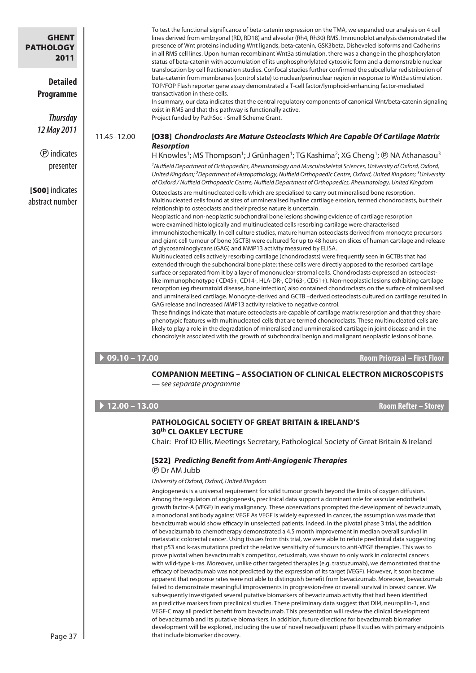|             | To test the functional significance of beta-catenin expression on the TMA, we expanded our analysis on 4 cell<br>lines derived from embryonal (RD, RD18) and alveolar (Rh4, Rh30) RMS. Immunoblot analysis demonstrated the<br>presence of Wnt proteins including Wnt ligands, beta-catenin, GSK3beta, Disheveled isoforms and Cadherins<br>in all RMS cell lines. Upon human recombinant Wnt3a stimulation, there was a change in the phosphorylaton<br>status of beta-catenin with accumulation of its unphosphorlylated cytosolic form and a demonstrable nuclear                                                                                                                                                                                                                                                                                                                                                                                                                                                                                                                                                                                                                                                                                                                                                                                                                                                                                                                                                                                                                                                                                                                                                                                                                                                                            |                                                                                                                                                                                                                                                                                                                                                                                                                                                                                                                                                                                                                                                                                                     |
|-------------|-------------------------------------------------------------------------------------------------------------------------------------------------------------------------------------------------------------------------------------------------------------------------------------------------------------------------------------------------------------------------------------------------------------------------------------------------------------------------------------------------------------------------------------------------------------------------------------------------------------------------------------------------------------------------------------------------------------------------------------------------------------------------------------------------------------------------------------------------------------------------------------------------------------------------------------------------------------------------------------------------------------------------------------------------------------------------------------------------------------------------------------------------------------------------------------------------------------------------------------------------------------------------------------------------------------------------------------------------------------------------------------------------------------------------------------------------------------------------------------------------------------------------------------------------------------------------------------------------------------------------------------------------------------------------------------------------------------------------------------------------------------------------------------------------------------------------------------------------|-----------------------------------------------------------------------------------------------------------------------------------------------------------------------------------------------------------------------------------------------------------------------------------------------------------------------------------------------------------------------------------------------------------------------------------------------------------------------------------------------------------------------------------------------------------------------------------------------------------------------------------------------------------------------------------------------------|
|             | translocation by cell fractionation studies. Confocal studies further confirmed the subcellular redistribution of<br>beta-catenin from membranes (control state) to nuclear/perinuclear region in response to Wnt3a stimulation.                                                                                                                                                                                                                                                                                                                                                                                                                                                                                                                                                                                                                                                                                                                                                                                                                                                                                                                                                                                                                                                                                                                                                                                                                                                                                                                                                                                                                                                                                                                                                                                                                |                                                                                                                                                                                                                                                                                                                                                                                                                                                                                                                                                                                                                                                                                                     |
|             | TOP/FOP Flash reporter gene assay demonstrated a T-cell factor/lymphoid-enhancing factor-mediated                                                                                                                                                                                                                                                                                                                                                                                                                                                                                                                                                                                                                                                                                                                                                                                                                                                                                                                                                                                                                                                                                                                                                                                                                                                                                                                                                                                                                                                                                                                                                                                                                                                                                                                                               |                                                                                                                                                                                                                                                                                                                                                                                                                                                                                                                                                                                                                                                                                                     |
|             | In summary, our data indicates that the central regulatory components of canonical Wnt/beta-catenin signaling                                                                                                                                                                                                                                                                                                                                                                                                                                                                                                                                                                                                                                                                                                                                                                                                                                                                                                                                                                                                                                                                                                                                                                                                                                                                                                                                                                                                                                                                                                                                                                                                                                                                                                                                   |                                                                                                                                                                                                                                                                                                                                                                                                                                                                                                                                                                                                                                                                                                     |
|             | exist in RMS and that this pathway is functionally active.                                                                                                                                                                                                                                                                                                                                                                                                                                                                                                                                                                                                                                                                                                                                                                                                                                                                                                                                                                                                                                                                                                                                                                                                                                                                                                                                                                                                                                                                                                                                                                                                                                                                                                                                                                                      |                                                                                                                                                                                                                                                                                                                                                                                                                                                                                                                                                                                                                                                                                                     |
|             |                                                                                                                                                                                                                                                                                                                                                                                                                                                                                                                                                                                                                                                                                                                                                                                                                                                                                                                                                                                                                                                                                                                                                                                                                                                                                                                                                                                                                                                                                                                                                                                                                                                                                                                                                                                                                                                 |                                                                                                                                                                                                                                                                                                                                                                                                                                                                                                                                                                                                                                                                                                     |
| 11.45-12.00 | [038] Chondroclasts Are Mature Osteoclasts Which Are Capable Of Cartilage Matrix                                                                                                                                                                                                                                                                                                                                                                                                                                                                                                                                                                                                                                                                                                                                                                                                                                                                                                                                                                                                                                                                                                                                                                                                                                                                                                                                                                                                                                                                                                                                                                                                                                                                                                                                                                |                                                                                                                                                                                                                                                                                                                                                                                                                                                                                                                                                                                                                                                                                                     |
|             |                                                                                                                                                                                                                                                                                                                                                                                                                                                                                                                                                                                                                                                                                                                                                                                                                                                                                                                                                                                                                                                                                                                                                                                                                                                                                                                                                                                                                                                                                                                                                                                                                                                                                                                                                                                                                                                 |                                                                                                                                                                                                                                                                                                                                                                                                                                                                                                                                                                                                                                                                                                     |
|             |                                                                                                                                                                                                                                                                                                                                                                                                                                                                                                                                                                                                                                                                                                                                                                                                                                                                                                                                                                                                                                                                                                                                                                                                                                                                                                                                                                                                                                                                                                                                                                                                                                                                                                                                                                                                                                                 |                                                                                                                                                                                                                                                                                                                                                                                                                                                                                                                                                                                                                                                                                                     |
|             | United Kingdom; <sup>2</sup> Department of Histopathology, Nuffield Orthopaedic Centre, Oxford, United Kingdom; <sup>3</sup> University<br>of Oxford / Nuffield Orthopaedic Centre, Nuffield Department of Orthopaedics, Rheumatology, United Kingdom                                                                                                                                                                                                                                                                                                                                                                                                                                                                                                                                                                                                                                                                                                                                                                                                                                                                                                                                                                                                                                                                                                                                                                                                                                                                                                                                                                                                                                                                                                                                                                                           |                                                                                                                                                                                                                                                                                                                                                                                                                                                                                                                                                                                                                                                                                                     |
|             | Osteoclasts are multinucleated cells which are specialised to carry out mineralised bone resorption.                                                                                                                                                                                                                                                                                                                                                                                                                                                                                                                                                                                                                                                                                                                                                                                                                                                                                                                                                                                                                                                                                                                                                                                                                                                                                                                                                                                                                                                                                                                                                                                                                                                                                                                                            |                                                                                                                                                                                                                                                                                                                                                                                                                                                                                                                                                                                                                                                                                                     |
|             | relationship to osteoclasts and their precise nature is uncertain.<br>Neoplastic and non-neoplastic subchondral bone lesions showing evidence of cartilage resorption<br>were examined histologically and multinucleated cells resorbing cartilage were characterised<br>immunohistochemically. In cell culture studies, mature human osteoclasts derived from monocyte precursors<br>and giant cell tumour of bone (GCTB) were cultured for up to 48 hours on slices of human cartilage and release<br>of glycosaminoglycans (GAG) and MMP13 activity measured by ELISA.<br>Multinucleated cells actively resorbing cartilage (chondroclasts) were frequently seen in GCTBs that had<br>extended through the subchondral bone plate; these cells were directly apposed to the resorbed cartilage<br>surface or separated from it by a layer of mononuclear stromal cells. Chondroclasts expressed an osteoclast-<br>like immunophenotype (CD45+, CD14-, HLA-DR-, CD163-, CD51+). Non-neoplastic lesions exhibiting cartilage<br>resorption (eg rheumatoid disease, bone infection) also contained chondroclasts on the surface of mineralised<br>and unmineralised cartilage. Monocyte-derived and GCTB -derived osteoclasts cultured on cartilage resulted in<br>GAG release and increased MMP13 activity relative to negative control.<br>These findings indicate that mature osteoclasts are capable of cartilage matrix resorption and that they share<br>phenotypic features with multinucleated cells that are termed chondroclasts. These multinucleated cells are<br>likely to play a role in the degradation of mineralised and unmineralised cartilage in joint disease and in the<br>chondrolysis associated with the growth of subchondral benign and malignant neoplastic lesions of bone.<br><b>Room Priorzaal - First Floor</b> |                                                                                                                                                                                                                                                                                                                                                                                                                                                                                                                                                                                                                                                                                                     |
|             | <b>COMPANION MEETING - ASSOCIATION OF CLINICAL ELECTRON MICROSCOPISTS</b><br>— see separate programme                                                                                                                                                                                                                                                                                                                                                                                                                                                                                                                                                                                                                                                                                                                                                                                                                                                                                                                                                                                                                                                                                                                                                                                                                                                                                                                                                                                                                                                                                                                                                                                                                                                                                                                                           |                                                                                                                                                                                                                                                                                                                                                                                                                                                                                                                                                                                                                                                                                                     |
|             | <b>Room Refter - Storey</b>                                                                                                                                                                                                                                                                                                                                                                                                                                                                                                                                                                                                                                                                                                                                                                                                                                                                                                                                                                                                                                                                                                                                                                                                                                                                                                                                                                                                                                                                                                                                                                                                                                                                                                                                                                                                                     |                                                                                                                                                                                                                                                                                                                                                                                                                                                                                                                                                                                                                                                                                                     |
|             | <b>PATHOLOGICAL SOCIETY OF GREAT BRITAIN &amp; IRELAND'S</b>                                                                                                                                                                                                                                                                                                                                                                                                                                                                                                                                                                                                                                                                                                                                                                                                                                                                                                                                                                                                                                                                                                                                                                                                                                                                                                                                                                                                                                                                                                                                                                                                                                                                                                                                                                                    |                                                                                                                                                                                                                                                                                                                                                                                                                                                                                                                                                                                                                                                                                                     |
|             |                                                                                                                                                                                                                                                                                                                                                                                                                                                                                                                                                                                                                                                                                                                                                                                                                                                                                                                                                                                                                                                                                                                                                                                                                                                                                                                                                                                                                                                                                                                                                                                                                                                                                                                                                                                                                                                 |                                                                                                                                                                                                                                                                                                                                                                                                                                                                                                                                                                                                                                                                                                     |
|             |                                                                                                                                                                                                                                                                                                                                                                                                                                                                                                                                                                                                                                                                                                                                                                                                                                                                                                                                                                                                                                                                                                                                                                                                                                                                                                                                                                                                                                                                                                                                                                                                                                                                                                                                                                                                                                                 |                                                                                                                                                                                                                                                                                                                                                                                                                                                                                                                                                                                                                                                                                                     |
|             | [S22] Predicting Benefit from Anti-Angiogenic Therapies                                                                                                                                                                                                                                                                                                                                                                                                                                                                                                                                                                                                                                                                                                                                                                                                                                                                                                                                                                                                                                                                                                                                                                                                                                                                                                                                                                                                                                                                                                                                                                                                                                                                                                                                                                                         |                                                                                                                                                                                                                                                                                                                                                                                                                                                                                                                                                                                                                                                                                                     |
|             | <b>P</b> Dr AM Jubb                                                                                                                                                                                                                                                                                                                                                                                                                                                                                                                                                                                                                                                                                                                                                                                                                                                                                                                                                                                                                                                                                                                                                                                                                                                                                                                                                                                                                                                                                                                                                                                                                                                                                                                                                                                                                             |                                                                                                                                                                                                                                                                                                                                                                                                                                                                                                                                                                                                                                                                                                     |
|             | University of Oxford, Oxford, United Kingdom                                                                                                                                                                                                                                                                                                                                                                                                                                                                                                                                                                                                                                                                                                                                                                                                                                                                                                                                                                                                                                                                                                                                                                                                                                                                                                                                                                                                                                                                                                                                                                                                                                                                                                                                                                                                    |                                                                                                                                                                                                                                                                                                                                                                                                                                                                                                                                                                                                                                                                                                     |
|             | Angiogenesis is a universal requirement for solid tumour growth beyond the limits of oxygen diffusion.                                                                                                                                                                                                                                                                                                                                                                                                                                                                                                                                                                                                                                                                                                                                                                                                                                                                                                                                                                                                                                                                                                                                                                                                                                                                                                                                                                                                                                                                                                                                                                                                                                                                                                                                          |                                                                                                                                                                                                                                                                                                                                                                                                                                                                                                                                                                                                                                                                                                     |
|             |                                                                                                                                                                                                                                                                                                                                                                                                                                                                                                                                                                                                                                                                                                                                                                                                                                                                                                                                                                                                                                                                                                                                                                                                                                                                                                                                                                                                                                                                                                                                                                                                                                                                                                                                                                                                                                                 | transactivation in these cells.<br>Project funded by PathSoc - Small Scheme Grant.<br><b>Resorption</b><br>H Knowles <sup>1</sup> ; MS Thompson <sup>1</sup> ; J Grünhagen <sup>1</sup> ; TG Kashima <sup>2</sup> ; XG Cheng <sup>1</sup> ; <b>@ NA Athanasou</b> <sup>3</sup><br><sup>1</sup> Nuffield Department of Orthopaedics, Rheumatology and Musculoskeletal Sciences, University of Oxford, Oxford,<br>Multinucleated cells found at sites of unmineralised hyaline cartilage erosion, termed chondroclasts, but their<br>$09.10 - 17.00$<br>$12.00 - 13.00$<br><b>30th CL OAKLEY LECTURE</b><br>Chair: Prof IO Ellis, Meetings Secretary, Pathological Society of Great Britain & Ireland |

that include biomarker discovery.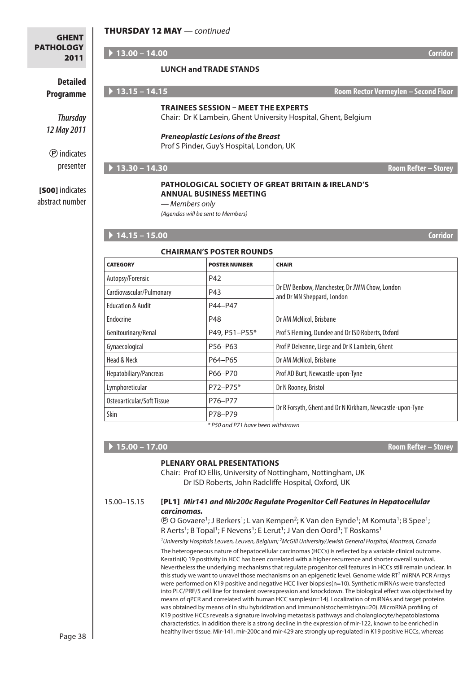### THURSDAY 12 MAY *— continued*

### GHENT **PATHOLOGY** 2011

A **13.00 – 14.00 Corridor**

#### **Lunch and Trade Stands**

# **Detailed Programme**

*Thursday 12 May 2011*

P indicates presenter

[S00] indicates abstract number

### A **13.15 – 14.15 Room Rector Vermeylen – Second Floor**

Prof S Pinder, Guy's Hospital, London, UK

*Preneoplastic Lesions of the Breast*

**Trainees Session – Meet the Experts**

A **13.30 – 14.30 Room Refter – Storey**

### **Pathological Society of Great Britain & Ireland's Annual Business Meeting**

Chair: Dr K Lambein, Ghent University Hospital, Ghent, Belgium

*— Members only*

# *(Agendas will be sent to Members)* A **14.15 – 15.00 Corridor Chairman's Poster Rounds** CATEGORY POSTER NUMBER CATEGORY Autopsy/Forensic P42 Dr EW Benbow, Manchester, Dr JWM Chow, London Cardiovascular/Pulmonary **P43** P43 and Dr MN Sheppard, London Cardiovascular Pulmonary Education & Audit P44–P47 Endocrine **P48** Dr AM McNicol, Brisbane Genitourinary/Renal | P49, P51–P55<sup>\*</sup> Prof S Fleming, Dundee and Dr ISD Roberts, Oxford Gynaecological P56–P63 Prof P Delvenne, Liege and Dr K Lambein, Ghent Head & Neck **P64–P65** Dr AM McNicol, Brisbane Hepatobiliary/Pancreas | P66–P70 | Prof AD Burt, Newcastle-upon-Tyne Lymphoreticular **P72–P75**<sup>\*</sup> Dr N Rooney, Bristol Osteoarticular/Soft Tissue P76–P77 Dr R Forsyth, Ghent and Dr N Kirkham, Newcastle-upon-Tyne Skin P78–P79  *\* P50 and P71 have been withdrawn*

A **15.00 – 17.00 Room Refter – Storey**

### **PLENARY ORAL PRESENTATIONS**

Chair: Prof IO Ellis, University of Nottingham, Nottingham, UK Dr ISD Roberts, John Radcliffe Hospital, Oxford, UK

#### 15.00–15.15 [PL1] *Mir141 and Mir200c Regulate Progenitor Cell Features in Hepatocellular carcinomas.*

**P O Govaere<sup>1</sup>; J Berkers<sup>1</sup>; L van Kempen<sup>2</sup>; K Van den Eynde<sup>1</sup>; M Komuta<sup>1</sup>; B Spee<sup>1</sup>;** R Aerts<sup>1</sup>; B Topal<sup>1</sup>; F Nevens<sup>1</sup>; E Lerut<sup>1</sup>; J Van den Oord<sup>1</sup>; T Roskams<sup>1</sup>

*1University Hospitals Leuven, Leuven, Belgium; 2McGill University/Jewish General Hospital, Montreal, Canada*

The heterogeneous nature of hepatocellular carcinomas (HCCs) is reflected by a variable clinical outcome. Keratin(K) 19 positivity in HCC has been correlated with a higher recurrence and shorter overall survival. Nevertheless the underlying mechanisms that regulate progenitor cell features in HCCs still remain unclear. In this study we want to unravel those mechanisms on an epigenetic level. Genome wide RT<sup>2</sup> miRNA PCR Arrays were performed on K19 positive and negative HCC liver biopsies(n=10). Synthetic miRNAs were transfected into PLC/PRF/5 cell line for transient overexpression and knockdown. The biological effect was objectivised by means of qPCR and correlated with human HCC samples(n=14). Localization of miRNAs and target proteins was obtained by means of in situ hybridization and immunohistochemistry(n=20). MicroRNA profiling of K19 positive HCCs reveals a signature involving metastasis pathways and cholangiocyte/hepatoblastoma characteristics. In addition there is a strong decline in the expression of mir-122, known to be enriched in healthy liver tissue. Mir-141, mir-200c and mir-429 are strongly up-regulated in K19 positive HCCs, whereas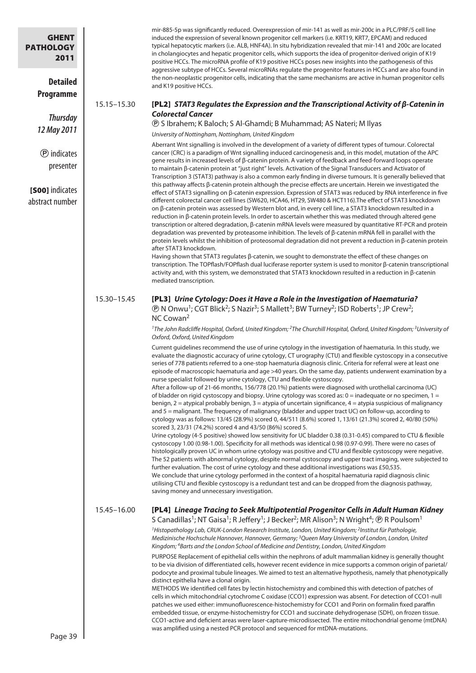| <b>GHENT</b><br><b>PATHOLOGY</b><br>2011<br><b>Detailed</b><br>Programme     |               | mir-885-5p was significantly reduced. Overexpression of mir-141 as well as mir-200c in a PLC/PRF/5 cell line<br>induced the expression of several known progenitor cell markers (i.e. KRT19, KRT7, EPCAM) and reduced<br>typical hepatocytic markers (i.e. ALB, HNF4A). In situ hybridization revealed that mir-141 and 200c are located<br>in cholangiocytes and hepatic progenitor cells, which supports the idea of progenitor-derived origin of K19<br>positive HCCs. The microRNA profile of K19 positive HCCs poses new insights into the pathogenesis of this<br>aggressive subtype of HCCs. Several microRNAs regulate the progenitor features in HCCs and are also found in<br>the non-neoplastic progenitor cells, indicating that the same mechanisms are active in human progenitor cells<br>and K19 positive HCCs.                                                                                                                                                                                                                                                                                                                                                                                                                                                                                                                                                                                                                                                                                                                                                                                                                                                                                                                                                                                                                                                                                                                                                                                                           |
|------------------------------------------------------------------------------|---------------|-------------------------------------------------------------------------------------------------------------------------------------------------------------------------------------------------------------------------------------------------------------------------------------------------------------------------------------------------------------------------------------------------------------------------------------------------------------------------------------------------------------------------------------------------------------------------------------------------------------------------------------------------------------------------------------------------------------------------------------------------------------------------------------------------------------------------------------------------------------------------------------------------------------------------------------------------------------------------------------------------------------------------------------------------------------------------------------------------------------------------------------------------------------------------------------------------------------------------------------------------------------------------------------------------------------------------------------------------------------------------------------------------------------------------------------------------------------------------------------------------------------------------------------------------------------------------------------------------------------------------------------------------------------------------------------------------------------------------------------------------------------------------------------------------------------------------------------------------------------------------------------------------------------------------------------------------------------------------------------------------------------------------------------------|
|                                                                              | 15.15 - 15.30 | [PL2] STAT3 Regulates the Expression and the Transcriptional Activity of $\beta$ -Catenin in<br><b>Colorectal Cancer</b>                                                                                                                                                                                                                                                                                                                                                                                                                                                                                                                                                                                                                                                                                                                                                                                                                                                                                                                                                                                                                                                                                                                                                                                                                                                                                                                                                                                                                                                                                                                                                                                                                                                                                                                                                                                                                                                                                                                  |
| <b>Thursday</b><br>12 May 2011                                               |               | <b>D</b> S Ibrahem; K Baloch; S Al-Ghamdi; B Muhammad; AS Nateri; M Ilyas                                                                                                                                                                                                                                                                                                                                                                                                                                                                                                                                                                                                                                                                                                                                                                                                                                                                                                                                                                                                                                                                                                                                                                                                                                                                                                                                                                                                                                                                                                                                                                                                                                                                                                                                                                                                                                                                                                                                                                 |
| <b><i>O</i></b> indicates<br>presenter<br>[SOO] indicates<br>abstract number |               | University of Nottingham, Nottingham, United Kingdom<br>Aberrant Wnt signalling is involved in the development of a variety of different types of tumour. Colorectal<br>cancer (CRC) is a paradigm of Wnt signalling induced carcinogenesis and, in this model, mutation of the APC<br>gene results in increased levels of $\beta$ -catenin protein. A variety of feedback and feed-forward loops operate<br>to maintain ß-catenin protein at "just right" levels. Activation of the Signal Transducers and Activator of<br>Transcription 3 (STAT3) pathway is also a common early finding in diverse tumours. It is generally believed that<br>this pathway affects β-catenin protein although the precise effects are uncertain. Herein we investigated the<br>effect of STAT3 signalling on β-catenin expression. Expression of STAT3 was reduced by RNA interference in five<br>different colorectal cancer cell lines (SW620, HCA46, HT29, SW480 & HCT116). The effect of STAT3 knockdown<br>on β-catenin protein was assessed by Western blot and, in every cell line, a STAT3 knockdown resulted in a<br>reduction in β-catenin protein levels. In order to ascertain whether this was mediated through altered gene                                                                                                                                                                                                                                                                                                                                                                                                                                                                                                                                                                                                                                                                                                                                                                                                               |
|                                                                              |               | transcription or altered degradation, β-catenin mRNA levels were measured by quantitative RT-PCR and protein<br>degradation was prevented by proteasome inhibition. The levels of $\beta$ -catenin mRNA fell in parallel with the<br>protein levels whilst the inhibition of proteosomal degradation did not prevent a reduction in $\beta$ -catenin protein<br>after STAT3 knockdown.<br>Having shown that STAT3 regulates $\beta$ -catenin, we sought to demonstrate the effect of these changes on<br>transcription. The TOPflash/FOPflash dual luciferase reporter system is used to monitor β-catenin transcriptional<br>activity and, with this system, we demonstrated that STAT3 knockdown resulted in a reduction in $\beta$ -catenin<br>mediated transcription.                                                                                                                                                                                                                                                                                                                                                                                                                                                                                                                                                                                                                                                                                                                                                                                                                                                                                                                                                                                                                                                                                                                                                                                                                                                                 |
|                                                                              | 15.30-15.45   | [PL3] Urine Cytology: Does it Have a Role in the Investigation of Haematuria?<br><b>@ N Onwu<sup>1</sup>; CGT Blick<sup>2</sup>; S Nazir<sup>3</sup>; S Mallett<sup>3</sup>; BW Turney<sup>2</sup>; ISD Roberts<sup>1</sup>; JP Crew<sup>2</sup>;</b><br>NC Cowan <sup>2</sup>                                                                                                                                                                                                                                                                                                                                                                                                                                                                                                                                                                                                                                                                                                                                                                                                                                                                                                                                                                                                                                                                                                                                                                                                                                                                                                                                                                                                                                                                                                                                                                                                                                                                                                                                                            |
|                                                                              |               | <sup>1</sup> The John Radcliffe Hospital, Oxford, United Kingdom; <sup>2</sup> The Churchill Hospital, Oxford, United Kingdom; <sup>3</sup> University of<br>Oxford, Oxford, United Kingdom                                                                                                                                                                                                                                                                                                                                                                                                                                                                                                                                                                                                                                                                                                                                                                                                                                                                                                                                                                                                                                                                                                                                                                                                                                                                                                                                                                                                                                                                                                                                                                                                                                                                                                                                                                                                                                               |
|                                                                              |               | Current guidelines recommend the use of urine cytology in the investigation of haematuria. In this study, we<br>evaluate the diagnostic accuracy of urine cytology, CT urography (CTU) and flexible cystoscopy in a consecutive<br>series of 778 patients referred to a one-stop haematuria diagnosis clinic. Criteria for referral were at least one<br>episode of macroscopic haematuria and age >40 years. On the same day, patients underwent examination by a<br>nurse specialist followed by urine cytology, CTU and flexible cystoscopy.<br>After a follow-up of 21-66 months, 156/778 (20.1%) patients were diagnosed with urothelial carcinoma (UC)<br>of bladder on rigid cystoscopy and biopsy. Urine cytology was scored as: $0 =$ inadequate or no specimen, $1 =$<br>benign, 2 = atypical probably benign, 3 = atypia of uncertain significance, 4 = atypia suspicious of malignancy<br>and 5 = malignant. The frequency of malignancy (bladder and upper tract UC) on follow-up, according to<br>cytology was as follows: 13/45 (28.9%) scored 0, 44/511 (8.6%) scored 1, 13/61 (21.3%) scored 2, 40/80 (50%)<br>scored 3, 23/31 (74.2%) scored 4 and 43/50 (86%) scored 5.<br>Urine cytology (4-5 positive) showed low sensitivity for UC bladder 0.38 (0.31-0.45) compared to CTU & flexible<br>cystoscopy 1.00 (0.98-1.00). Specificity for all methods was identical 0.98 (0.97-0.99). There were no cases of<br>histologically proven UC in whom urine cytology was positive and CTU and flexible cystoscopy were negative.<br>The 52 patients with abnormal cytology, despite normal cystoscopy and upper tract imaging, were subjected to<br>further evaluation. The cost of urine cytology and these additional investigations was £50,535.<br>We conclude that urine cytology performed in the context of a hospital haematuria rapid diagnosis clinic<br>utilising CTU and flexible cystoscopy is a redundant test and can be dropped from the diagnosis pathway,<br>saving money and unnecessary investigation. |
|                                                                              | 15.45-16.00   | [PL4] Lineage Tracing to Seek Multipotential Progenitor Cells in Adult Human Kidney<br>S Canadillas <sup>1</sup> ; NT Gaisa <sup>1</sup> ; R Jeffery <sup>1</sup> ; J Becker <sup>2</sup> ; MR Alison <sup>3</sup> ; N Wright <sup>4</sup> ; <b>@ R Poulsom</b> <sup>1</sup><br><sup>1</sup> Histopathology Lab, CRUK-London Research Institute, London, United Kingdom; <sup>2</sup> Institut für Pathologie,<br>Medizinische Hochschule Hannover, Hannover, Germany; <sup>3</sup> Queen Mary University of London, London, United<br>Kingdom; <sup>4</sup> Barts and the London School of Medicine and Dentistry, London, United Kingdom<br>PURPOSE Replacement of epithelial cells within the nephrons of adult mammalian kidney is generally thought<br>to be via division of differentiated cells, however recent evidence in mice supports a common origin of parietal/<br>podocyte and proximal tubule lineages. We aimed to test an alternative hypothesis, namely that phenotypically<br>distinct epithelia have a clonal origin.<br>METHODS We identified cell fates by lectin histochemistry and combined this with detection of patches of<br>cells in which mitochondrial cytochrome C oxidase (CCO1) expression was absent. For detection of CCO1-null<br>patches we used either: immunofluorescence-histochemistry for CCO1 and Porin on formalin fixed paraffin<br>embedded tissue, or enzyme-histochemistry for CCO1 and succinate dehydrogenase (SDH), on frozen tissue.<br>CCO1-active and deficient areas were laser-capture-microdissected. The entire mitochondrial genome (mtDNA)<br>was amplified using a nested PCR protocol and sequenced for mtDNA-mutations.                                                                                                                                                                                                                                                                                                                                                  |
| Page 39                                                                      |               |                                                                                                                                                                                                                                                                                                                                                                                                                                                                                                                                                                                                                                                                                                                                                                                                                                                                                                                                                                                                                                                                                                                                                                                                                                                                                                                                                                                                                                                                                                                                                                                                                                                                                                                                                                                                                                                                                                                                                                                                                                           |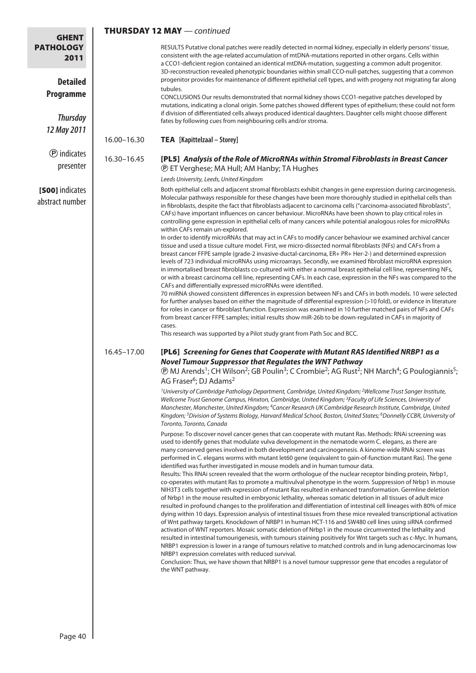| <b>GHENT</b>                           | <b>THURSDAY 12 MAY</b> - continued |                                                                                                                                                                                                                                                                                                                                                                                                                                                                                                                                                                                                                                                                                                                                                                                                                                                                                                                                                                                                                                                                                                                                                                                                                                                                                                                                                                                                                                                                                                                                                                                                                                                                                                                                                                                                                                                                                                                                                                                                                                                                                                                                                                                                                                                                                                                                                                                                                                                                                                                                                                                                                                                                                                                                                                                                                                                   |  |
|----------------------------------------|------------------------------------|---------------------------------------------------------------------------------------------------------------------------------------------------------------------------------------------------------------------------------------------------------------------------------------------------------------------------------------------------------------------------------------------------------------------------------------------------------------------------------------------------------------------------------------------------------------------------------------------------------------------------------------------------------------------------------------------------------------------------------------------------------------------------------------------------------------------------------------------------------------------------------------------------------------------------------------------------------------------------------------------------------------------------------------------------------------------------------------------------------------------------------------------------------------------------------------------------------------------------------------------------------------------------------------------------------------------------------------------------------------------------------------------------------------------------------------------------------------------------------------------------------------------------------------------------------------------------------------------------------------------------------------------------------------------------------------------------------------------------------------------------------------------------------------------------------------------------------------------------------------------------------------------------------------------------------------------------------------------------------------------------------------------------------------------------------------------------------------------------------------------------------------------------------------------------------------------------------------------------------------------------------------------------------------------------------------------------------------------------------------------------------------------------------------------------------------------------------------------------------------------------------------------------------------------------------------------------------------------------------------------------------------------------------------------------------------------------------------------------------------------------------------------------------------------------------------------------------------------------|--|
| <b>PATHOLOGY</b><br>2011               |                                    | RESULTS Putative clonal patches were readily detected in normal kidney, especially in elderly persons' tissue,<br>consistent with the age-related accumulation of mtDNA-mutations reported in other organs. Cells within<br>a CCO1-deficient region contained an identical mtDNA-mutation, suggesting a common adult progenitor.<br>3D-reconstruction revealed phenotypic boundaries within small CCO-null-patches, suggesting that a common<br>progenitor provides for maintenance of different epithelial cell types, and with progeny not migrating far along                                                                                                                                                                                                                                                                                                                                                                                                                                                                                                                                                                                                                                                                                                                                                                                                                                                                                                                                                                                                                                                                                                                                                                                                                                                                                                                                                                                                                                                                                                                                                                                                                                                                                                                                                                                                                                                                                                                                                                                                                                                                                                                                                                                                                                                                                  |  |
| <b>Detailed</b><br><b>Programme</b>    |                                    | tubules.<br>CONCLUSIONS Our results demonstrated that normal kidney shows CCO1-negative patches developed by<br>mutations, indicating a clonal origin. Some patches showed different types of epithelium; these could not form                                                                                                                                                                                                                                                                                                                                                                                                                                                                                                                                                                                                                                                                                                                                                                                                                                                                                                                                                                                                                                                                                                                                                                                                                                                                                                                                                                                                                                                                                                                                                                                                                                                                                                                                                                                                                                                                                                                                                                                                                                                                                                                                                                                                                                                                                                                                                                                                                                                                                                                                                                                                                    |  |
| <b>Thursday</b><br>12 May 2011         |                                    | if division of differentiated cells always produced identical daughters. Daughter cells might choose different<br>fates by following cues from neighbouring cells and/or stroma.                                                                                                                                                                                                                                                                                                                                                                                                                                                                                                                                                                                                                                                                                                                                                                                                                                                                                                                                                                                                                                                                                                                                                                                                                                                                                                                                                                                                                                                                                                                                                                                                                                                                                                                                                                                                                                                                                                                                                                                                                                                                                                                                                                                                                                                                                                                                                                                                                                                                                                                                                                                                                                                                  |  |
|                                        | 16.00-16.30                        | <b>TEA</b> [Kapittelzaal – Storey]                                                                                                                                                                                                                                                                                                                                                                                                                                                                                                                                                                                                                                                                                                                                                                                                                                                                                                                                                                                                                                                                                                                                                                                                                                                                                                                                                                                                                                                                                                                                                                                                                                                                                                                                                                                                                                                                                                                                                                                                                                                                                                                                                                                                                                                                                                                                                                                                                                                                                                                                                                                                                                                                                                                                                                                                                |  |
| <b><i>O</i></b> indicates<br>presenter | 16.30-16.45                        | [PL5] Analysis of the Role of MicroRNAs within Stromal Fibroblasts in Breast Cancer<br><b><i>®</i></b> ET Verghese; MA Hull; AM Hanby; TA Hughes<br>Leeds University, Leeds, United Kingdom                                                                                                                                                                                                                                                                                                                                                                                                                                                                                                                                                                                                                                                                                                                                                                                                                                                                                                                                                                                                                                                                                                                                                                                                                                                                                                                                                                                                                                                                                                                                                                                                                                                                                                                                                                                                                                                                                                                                                                                                                                                                                                                                                                                                                                                                                                                                                                                                                                                                                                                                                                                                                                                       |  |
| [SOO] indicates<br>abstract number     |                                    | Both epithelial cells and adjacent stromal fibroblasts exhibit changes in gene expression during carcinogenesis.<br>Molecular pathways responsible for these changes have been more thoroughly studied in epithelial cells than<br>in fibroblasts, despite the fact that fibroblasts adjacent to carcinoma cells ("carcinoma-associated fibroblasts",<br>CAFs) have important influences on cancer behaviour. MicroRNAs have been shown to play critical roles in<br>controlling gene expression in epithelial cells of many cancers while potential analogous roles for microRNAs<br>within CAFs remain un-explored.<br>In order to identify microRNAs that may act in CAFs to modify cancer behaviour we examined archival cancer<br>tissue and used a tissue culture model. First, we micro-dissected normal fibroblasts (NFs) and CAFs from a<br>breast cancer FFPE sample (grade-2 invasive-ductal-carcinoma, ER+ PR+ Her-2-) and determined expression<br>levels of 723 individual microRNAs using microarrays. Secondly, we examined fibroblast microRNA expression<br>in immortalised breast fibroblasts co-cultured with either a normal breast epithelial cell line, representing NFs,<br>or with a breast carcinoma cell line, representing CAFs. In each case, expression in the NFs was compared to the<br>CAFs and differentially expressed microRNAs were identified.<br>70 miRNA showed consistent differences in expression between NFs and CAFs in both models. 10 were selected<br>for further analyses based on either the magnitude of differential expression (>10 fold), or evidence in literature<br>for roles in cancer or fibroblast function. Expression was examined in 10 further matched pairs of NFs and CAFs<br>from breast cancer FFPE samples; initial results show miR-26b to be down-regulated in CAFs in majority of<br>cases.<br>This research was supported by a Pilot study grant from Path Soc and BCC.                                                                                                                                                                                                                                                                                                                                                                                                                                                                                                                                                                                                                                                                                                                                                                                                                                                                                                  |  |
|                                        | 16.45-17.00                        | [PL6] Screening for Genes that Cooperate with Mutant RAS Identified NRBP1 as a<br><b>Novel Tumour Suppressor that Regulates the WNT Pathway</b><br>(D MJ Arends <sup>1</sup> ; CH Wilson <sup>2</sup> ; GB Poulin <sup>3</sup> ; C Crombie <sup>2</sup> ; AG Rust <sup>2</sup> ; NH March <sup>4</sup> ; G Poulogiannis <sup>5</sup> ;<br>AG Fraser <sup>6</sup> ; DJ Adams <sup>2</sup><br><sup>1</sup> University of Cambridge Pathology Department, Cambridge, United Kingdom; <sup>2</sup> Wellcome Trust Sanger Institute,<br>Wellcome Trust Genome Campus, Hinxton, Cambridge, United Kingdom; <sup>3</sup> Faculty of Life Sciences, University of<br>Manchester, Manchester, United Kingdom; <sup>4</sup> Cancer Research UK Cambridge Research Institute, Cambridge, United<br>Kingdom; <sup>5</sup> Division of Systems Biology, Harvard Medical School, Boston, United States; <sup>6</sup> Donnelly CCBR, University of<br>Toronto, Toronto, Canada<br>Purpose: To discover novel cancer genes that can cooperate with mutant Ras. Methods: RNAi screening was<br>used to identify genes that modulate vulva development in the nematode worm C. elegans, as there are<br>many conserved genes involved in both development and carcinogenesis. A kinome-wide RNAi screen was<br>performed in C. elegans worms with mutant let60 gene (equivalent to gain-of-function mutant Ras). The gene<br>identified was further investigated in mouse models and in human tumour data.<br>Results: This RNAi screen revealed that the worm orthologue of the nuclear receptor binding protein, Nrbp1,<br>co-operates with mutant Ras to promote a multivulval phenotype in the worm. Suppression of Nrbp1 in mouse<br>NIH3T3 cells together with expression of mutant Ras resulted in enhanced transformation. Germline deletion<br>of Nrbp1 in the mouse resulted in embryonic lethality, whereas somatic deletion in all tissues of adult mice<br>resulted in profound changes to the proliferation and differentiation of intestinal cell lineages with 80% of mice<br>dying within 10 days. Expression analysis of intestinal tissues from these mice revealed transcriptional activation<br>of Wnt pathway targets. Knockdown of NRBP1 in human HCT-116 and SW480 cell lines using siRNA confirmed<br>activation of WNT reporters. Mosaic somatic deletion of Nrbp1 in the mouse circumvented the lethality and<br>resulted in intestinal tumourigenesis, with tumours staining positively for Wnt targets such as c-Myc. In humans,<br>NRBP1 expression is lower in a range of tumours relative to matched controls and in lung adenocarcinomas low<br>NRBP1 expression correlates with reduced survival.<br>Conclusion: Thus, we have shown that NRBP1 is a novel tumour suppressor gene that encodes a regulator of<br>the WNT pathway. |  |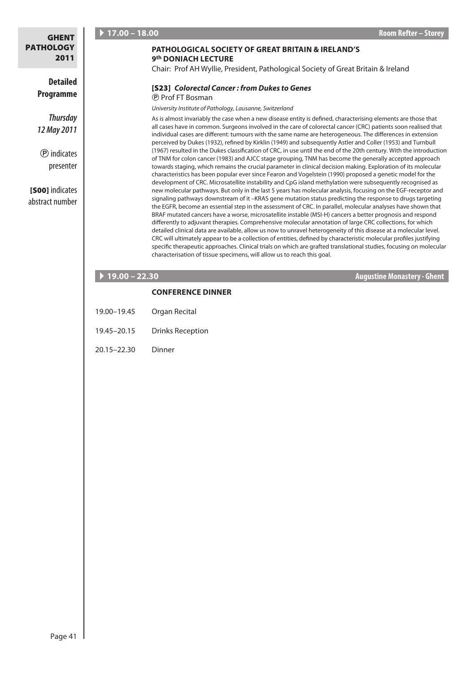| <b>GHENT</b><br>PATHOLOGY<br>2011 |  |
|-----------------------------------|--|
| Detailed<br><b>Programme</b>      |  |
| <b>Thursday</b><br>12 May 2011    |  |
| (P) indicates<br>presenter        |  |

**[S00] indicates** abstract number

# **Pathological Society of Great Britain & Ireland's**

Chair: Prof AH Wyllie, President, Pathological Society of Great Britain & Ireland

#### [S23] *Colorectal Cancer : from Dukes to Genes*  P Prof FT Bosman

#### *University Institute of Pathology, Lausanne, Switzerland*

**9th Doniach Lecture**

As is almost invariably the case when a new disease entity is defined, characterising elements are those that all cases have in common. Surgeons involved in the care of colorectal cancer (CRC) patients soon realised that individual cases are different: tumours with the same name are heterogeneous. The differences in extension perceived by Dukes (1932), refined by Kirklin (1949) and subsequently Astler and Coller (1953) and Turnbull (1967) resulted in the Dukes classification of CRC, in use until the end of the 20th century. With the introduction of TNM for colon cancer (1983) and AJCC stage grouping, TNM has become the generally accepted approach towards staging, which remains the crucial parameter in clinical decision making. Exploration of its molecular characteristics has been popular ever since Fearon and Vogelstein (1990) proposed a genetic model for the development of CRC. Microsatellite instability and CpG island methylation were subsequently recognised as new molecular pathways. But only in the last 5 years has molecular analysis, focusing on the EGF-receptor and signaling pathways downstream of it –KRAS gene mutation status predicting the response to drugs targeting the EGFR, become an essential step in the assessment of CRC. In parallel, molecular analyses have shown that BRAF mutated cancers have a worse, microsatellite instable (MSI-H) cancers a better prognosis and respond differently to adjuvant therapies. Comprehensive molecular annotation of large CRC collections, for which detailed clinical data are available, allow us now to unravel heterogeneity of this disease at a molecular level. CRC will ultimately appear to be a collection of entities, defined by characteristic molecular profiles justifying specific therapeutic approaches. Clinical trials on which are grafted translational studies, focusing on molecular characterisation of tissue specimens, will allow us to reach this goal.

### **Conference Dinner**

- 19.00–19.45 Organ Recital
- 19.45–20.15 Drinks Reception
- 20.15–22.30 Dinner

A **19.00 – 22.30 Augustine Monastery · Ghent**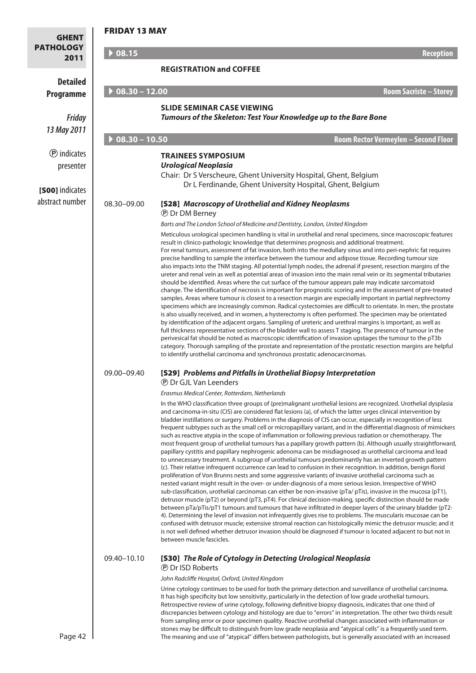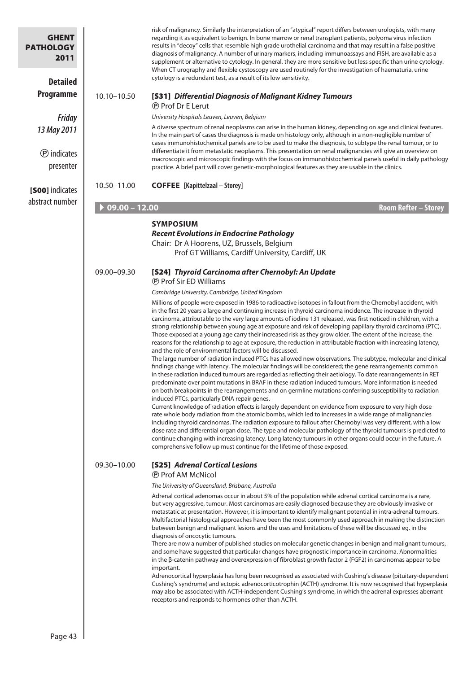| <b>GHENT</b><br><b>PATHOLOGY</b><br>2011<br><b>Detailed</b>            |                                | risk of malignancy. Similarly the interpretation of an "atypical" report differs between urologists, with many<br>regarding it as equivalent to benign. In bone marrow or renal transplant patients, polyoma virus infection<br>results in "decoy" cells that resemble high grade urothelial carcinoma and that may result in a false positive<br>diagnosis of malignancy. A number of urinary markers, including immunoassays and FISH, are available as a<br>supplement or alternative to cytology. In general, they are more sensitive but less specific than urine cytology.<br>When CT urography and flexible cystoscopy are used routinely for the investigation of haematuria, urine<br>cytology is a redundant test, as a result of its low sensitivity.                                                                                                                                                                                                                                                                                                                                                                                                                                                                                                                                                                                                                                                                                                                                                                                                                                                                                                                                                                                                                                                                                                                                                                                                                                                                                                                            |
|------------------------------------------------------------------------|--------------------------------|---------------------------------------------------------------------------------------------------------------------------------------------------------------------------------------------------------------------------------------------------------------------------------------------------------------------------------------------------------------------------------------------------------------------------------------------------------------------------------------------------------------------------------------------------------------------------------------------------------------------------------------------------------------------------------------------------------------------------------------------------------------------------------------------------------------------------------------------------------------------------------------------------------------------------------------------------------------------------------------------------------------------------------------------------------------------------------------------------------------------------------------------------------------------------------------------------------------------------------------------------------------------------------------------------------------------------------------------------------------------------------------------------------------------------------------------------------------------------------------------------------------------------------------------------------------------------------------------------------------------------------------------------------------------------------------------------------------------------------------------------------------------------------------------------------------------------------------------------------------------------------------------------------------------------------------------------------------------------------------------------------------------------------------------------------------------------------------------|
| <b>Programme</b>                                                       | 10.10-10.50                    | [S31] Differential Diagnosis of Malignant Kidney Tumours                                                                                                                                                                                                                                                                                                                                                                                                                                                                                                                                                                                                                                                                                                                                                                                                                                                                                                                                                                                                                                                                                                                                                                                                                                                                                                                                                                                                                                                                                                                                                                                                                                                                                                                                                                                                                                                                                                                                                                                                                                    |
|                                                                        |                                | <b><i><b>P</b></i></b> Prof Dr E Lerut                                                                                                                                                                                                                                                                                                                                                                                                                                                                                                                                                                                                                                                                                                                                                                                                                                                                                                                                                                                                                                                                                                                                                                                                                                                                                                                                                                                                                                                                                                                                                                                                                                                                                                                                                                                                                                                                                                                                                                                                                                                      |
| <b>Friday</b><br>13 May 2011<br><b><i>O</i></b> indicates<br>presenter |                                | University Hospitals Leuven, Leuven, Belgium<br>A diverse spectrum of renal neoplasms can arise in the human kidney, depending on age and clinical features.<br>In the main part of cases the diagnosis is made on histology only, although in a non-negligible number of<br>cases immunohistochemical panels are to be used to make the diagnosis, to subtype the renal tumour, or to<br>differentiate it from metastatic neoplasms. This presentation on renal malignancies will give an overview on<br>macroscopic and microscopic findings with the focus on immunohistochemical panels useful in daily pathology<br>practice. A brief part will cover genetic-morphological features as they are usable in the clinics.                                                                                                                                                                                                                                                                                                                                                                                                                                                                                                                                                                                                                                                                                                                                                                                                                                                                                                                                                                                                                                                                                                                                                                                                                                                                                                                                                                |
| [SOO] indicates                                                        | 10.50-11.00                    | <b>COFFEE</b> [Kapittelzaal - Storey]                                                                                                                                                                                                                                                                                                                                                                                                                                                                                                                                                                                                                                                                                                                                                                                                                                                                                                                                                                                                                                                                                                                                                                                                                                                                                                                                                                                                                                                                                                                                                                                                                                                                                                                                                                                                                                                                                                                                                                                                                                                       |
| abstract number                                                        | $\triangleright$ 09.00 - 12.00 | <b>Room Refter - Storey</b>                                                                                                                                                                                                                                                                                                                                                                                                                                                                                                                                                                                                                                                                                                                                                                                                                                                                                                                                                                                                                                                                                                                                                                                                                                                                                                                                                                                                                                                                                                                                                                                                                                                                                                                                                                                                                                                                                                                                                                                                                                                                 |
|                                                                        |                                | <b>SYMPOSIUM</b><br><b>Recent Evolutions in Endocrine Pathology</b><br>Chair: Dr A Hoorens, UZ, Brussels, Belgium<br>Prof GT Williams, Cardiff University, Cardiff, UK                                                                                                                                                                                                                                                                                                                                                                                                                                                                                                                                                                                                                                                                                                                                                                                                                                                                                                                                                                                                                                                                                                                                                                                                                                                                                                                                                                                                                                                                                                                                                                                                                                                                                                                                                                                                                                                                                                                      |
|                                                                        | 09.00-09.30                    | [S24] Thyroid Carcinoma after Chernobyl: An Update<br><b>P</b> Prof Sir ED Williams                                                                                                                                                                                                                                                                                                                                                                                                                                                                                                                                                                                                                                                                                                                                                                                                                                                                                                                                                                                                                                                                                                                                                                                                                                                                                                                                                                                                                                                                                                                                                                                                                                                                                                                                                                                                                                                                                                                                                                                                         |
|                                                                        |                                | Cambridge University, Cambridge, United Kingdom<br>Millions of people were exposed in 1986 to radioactive isotopes in fallout from the Chernobyl accident, with<br>in the first 20 years a large and continuing increase in thyroid carcinoma incidence. The increase in thyroid<br>carcinoma, attributable to the very large amounts of iodine 131 released, was first noticed in children, with a<br>strong relationship between young age at exposure and risk of developing papillary thyroid carcinoma (PTC).<br>Those exposed at a young age carry their increased risk as they grow older. The extent of the increase, the<br>reasons for the relationship to age at exposure, the reduction in attributable fraction with increasing latency,<br>and the role of environmental factors will be discussed.<br>The large number of radiation induced PTCs has allowed new observations. The subtype, molecular and clinical<br>findings change with latency. The molecular findings will be considered; the gene rearrangements common<br>in these radiation induced tumours are regarded as reflecting their aetiology. To date rearrangements in RET<br>predominate over point mutations in BRAF in these radiation induced tumours. More information is needed<br>on both breakpoints in the rearrangements and on germline mutations conferring susceptibility to radiation<br>induced PTCs, particularly DNA repair genes.<br>Current knowledge of radiation effects is largely dependent on evidence from exposure to very high dose<br>rate whole body radiation from the atomic bombs, which led to increases in a wide range of malignancies<br>including thyroid carcinomas. The radiation exposure to fallout after Chernobyl was very different, with a low<br>dose rate and differential organ dose. The type and molecular pathology of the thyroid tumours is predicted to<br>continue changing with increasing latency. Long latency tumours in other organs could occur in the future. A<br>comprehensive follow up must continue for the lifetime of those exposed. |
|                                                                        | 09.30-10.00                    | [S25] Adrenal Cortical Lesions<br><b>P</b> Prof AM McNicol                                                                                                                                                                                                                                                                                                                                                                                                                                                                                                                                                                                                                                                                                                                                                                                                                                                                                                                                                                                                                                                                                                                                                                                                                                                                                                                                                                                                                                                                                                                                                                                                                                                                                                                                                                                                                                                                                                                                                                                                                                  |
|                                                                        |                                | The University of Queensland, Brisbane, Australia<br>Adrenal cortical adenomas occur in about 5% of the population while adrenal cortical carcinoma is a rare,<br>but very aggressive, tumour. Most carcinomas are easily diagnosed because they are obviously invasive or<br>metastatic at presentation. However, it is important to identify malignant potential in intra-adrenal tumours.<br>Multifactorial histological approaches have been the most commonly used approach in making the distinction<br>between benign and malignant lesions and the uses and limitations of these will be discussed eg. in the<br>diagnosis of oncocytic tumours.<br>There are now a number of published studies on molecular genetic changes in benign and malignant tumours,<br>and some have suggested that particular changes have prognostic importance in carcinoma. Abnormalities<br>in the $\beta$ -catenin pathway and overexpression of fibroblast growth factor 2 (FGF2) in carcinomas appear to be<br>important.<br>Adrenocortical hyperplasia has long been recognised as associated with Cushing's disease (pituitary-dependent<br>Cushing's syndrome) and ectopic adrenocorticotrophin (ACTH) syndrome. It is now recognised that hyperplasia<br>may also be associated with ACTH-independent Cushing's syndrome, in which the adrenal expresses aberrant<br>receptors and responds to hormones other than ACTH.                                                                                                                                                                                                                                                                                                                                                                                                                                                                                                                                                                                                                                                                      |
| Page 43                                                                |                                |                                                                                                                                                                                                                                                                                                                                                                                                                                                                                                                                                                                                                                                                                                                                                                                                                                                                                                                                                                                                                                                                                                                                                                                                                                                                                                                                                                                                                                                                                                                                                                                                                                                                                                                                                                                                                                                                                                                                                                                                                                                                                             |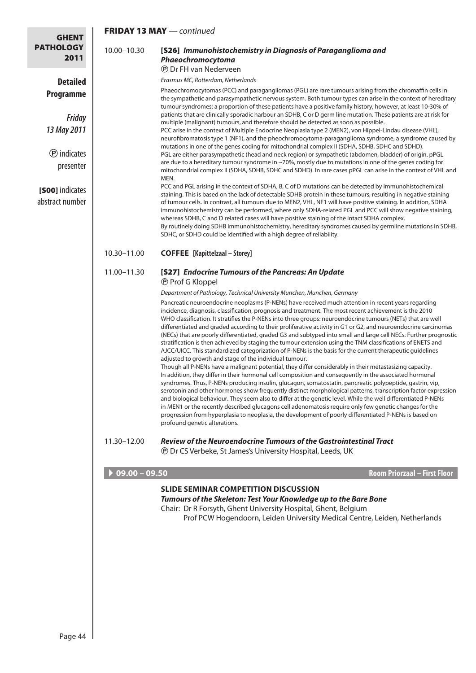| <b>GHENT</b>                             |                 | FRIDAY 13 MAY - continued                                                                                                                                                                                                                                                                                                                                                                                                                                                                                                                                                                                                                                                                                                                                                                                                                                                                                                                                                                                                                                                                                                                                                                                                                                                                                                                                                                                                                                                                                                                                                                                                                                                        |
|------------------------------------------|-----------------|----------------------------------------------------------------------------------------------------------------------------------------------------------------------------------------------------------------------------------------------------------------------------------------------------------------------------------------------------------------------------------------------------------------------------------------------------------------------------------------------------------------------------------------------------------------------------------------------------------------------------------------------------------------------------------------------------------------------------------------------------------------------------------------------------------------------------------------------------------------------------------------------------------------------------------------------------------------------------------------------------------------------------------------------------------------------------------------------------------------------------------------------------------------------------------------------------------------------------------------------------------------------------------------------------------------------------------------------------------------------------------------------------------------------------------------------------------------------------------------------------------------------------------------------------------------------------------------------------------------------------------------------------------------------------------|
| <b>PATHOLOGY</b><br>2011                 | 10.00-10.30     | [S26] Immunohistochemistry in Diagnosis of Paraganglioma and<br>Phaeochromocytoma                                                                                                                                                                                                                                                                                                                                                                                                                                                                                                                                                                                                                                                                                                                                                                                                                                                                                                                                                                                                                                                                                                                                                                                                                                                                                                                                                                                                                                                                                                                                                                                                |
|                                          |                 | <b><i>®</i></b> Dr FH van Nederveen                                                                                                                                                                                                                                                                                                                                                                                                                                                                                                                                                                                                                                                                                                                                                                                                                                                                                                                                                                                                                                                                                                                                                                                                                                                                                                                                                                                                                                                                                                                                                                                                                                              |
| <b>Detailed</b>                          |                 | Erasmus MC, Rotterdam, Netherlands                                                                                                                                                                                                                                                                                                                                                                                                                                                                                                                                                                                                                                                                                                                                                                                                                                                                                                                                                                                                                                                                                                                                                                                                                                                                                                                                                                                                                                                                                                                                                                                                                                               |
| <b>Programme</b>                         |                 | Phaeochromocytomas (PCC) and paragangliomas (PGL) are rare tumours arising from the chromaffin cells in<br>the sympathetic and parasympathetic nervous system. Both tumour types can arise in the context of hereditary<br>tumour syndromes; a proportion of these patients have a positive family history, however, at least 10-30% of<br>patients that are clinically sporadic harbour an SDHB, C or D germ line mutation. These patients are at risk for                                                                                                                                                                                                                                                                                                                                                                                                                                                                                                                                                                                                                                                                                                                                                                                                                                                                                                                                                                                                                                                                                                                                                                                                                      |
| <b>Friday</b>                            |                 | multiple (malignant) tumours, and therefore should be detected as soon as possible.                                                                                                                                                                                                                                                                                                                                                                                                                                                                                                                                                                                                                                                                                                                                                                                                                                                                                                                                                                                                                                                                                                                                                                                                                                                                                                                                                                                                                                                                                                                                                                                              |
| 13 May 2011<br><b><i>O</i></b> indicates |                 | PCC arise in the context of Multiple Endocrine Neoplasia type 2 (MEN2), von Hippel-Lindau disease (VHL),<br>neurofibromatosis type 1 (NF1), and the pheochromocytoma-paraganglioma syndrome, a syndrome caused by<br>mutations in one of the genes coding for mitochondrial complex II (SDHA, SDHB, SDHC and SDHD).                                                                                                                                                                                                                                                                                                                                                                                                                                                                                                                                                                                                                                                                                                                                                                                                                                                                                                                                                                                                                                                                                                                                                                                                                                                                                                                                                              |
| presenter                                |                 | PGL are either parasympathetic (head and neck region) or sympathetic (abdomen, bladder) of origin. pPGL<br>are due to a hereditary tumour syndrome in $\sim$ 70%, mostly due to mutations in one of the genes coding for<br>mitochondrial complex II (SDHA, SDHB, SDHC and SDHD). In rare cases pPGL can arise in the context of VHL and<br>MEN.                                                                                                                                                                                                                                                                                                                                                                                                                                                                                                                                                                                                                                                                                                                                                                                                                                                                                                                                                                                                                                                                                                                                                                                                                                                                                                                                 |
| [SOO] indicates                          |                 | PCC and PGL arising in the context of SDHA, B, C of D mutations can be detected by immunohistochemical                                                                                                                                                                                                                                                                                                                                                                                                                                                                                                                                                                                                                                                                                                                                                                                                                                                                                                                                                                                                                                                                                                                                                                                                                                                                                                                                                                                                                                                                                                                                                                           |
| abstract number                          |                 | staining. This is based on the lack of detectable SDHB protein in these tumours, resulting in negative staining<br>of tumour cells. In contrast, all tumours due to MEN2, VHL, NF1 will have positive staining. In addition, SDHA<br>immunohistochemistry can be performed, where only SDHA-related PGL and PCC will show negative staining,<br>whereas SDHB, C and D related cases will have positive staining of the intact SDHA complex.<br>By routinely doing SDHB immunohistochemistry, hereditary syndromes caused by germline mutations in SDHB,<br>SDHC, or SDHD could be identified with a high degree of reliability.                                                                                                                                                                                                                                                                                                                                                                                                                                                                                                                                                                                                                                                                                                                                                                                                                                                                                                                                                                                                                                                  |
|                                          | 10.30-11.00     | <b>COFFEE</b> [Kapittelzaal – Storey]                                                                                                                                                                                                                                                                                                                                                                                                                                                                                                                                                                                                                                                                                                                                                                                                                                                                                                                                                                                                                                                                                                                                                                                                                                                                                                                                                                                                                                                                                                                                                                                                                                            |
|                                          | 11.00-11.30     | [S27] Endocrine Tumours of the Pancreas: An Update<br><b><i><b>P</b></i></b> Prof G Kloppel                                                                                                                                                                                                                                                                                                                                                                                                                                                                                                                                                                                                                                                                                                                                                                                                                                                                                                                                                                                                                                                                                                                                                                                                                                                                                                                                                                                                                                                                                                                                                                                      |
|                                          |                 | Department of Pathology, Technical University Munchen, Munchen, Germany                                                                                                                                                                                                                                                                                                                                                                                                                                                                                                                                                                                                                                                                                                                                                                                                                                                                                                                                                                                                                                                                                                                                                                                                                                                                                                                                                                                                                                                                                                                                                                                                          |
|                                          |                 | Pancreatic neuroendocrine neoplasms (P-NENs) have received much attention in recent years regarding<br>incidence, diagnosis, classification, prognosis and treatment. The most recent achievement is the 2010<br>WHO classification. It stratifies the P-NENs into three groups: neuroendocrine tumours (NETs) that are well<br>differentiated and graded according to their proliferative activity in G1 or G2, and neuroendocrine carcinomas<br>(NECs) that are poorly differentiated, graded G3 and subtyped into small and large cell NECs. Further prognostic<br>stratification is then achieved by staging the tumour extension using the TNM classifications of ENETS and<br>AJCC/UICC. This standardized categorization of P-NENs is the basis for the current therapeutic guidelines<br>adjusted to growth and stage of the individual tumour.<br>Though all P-NENs have a malignant potential, they differ considerably in their metastasizing capacity.<br>In addition, they differ in their hormonal cell composition and consequently in the associated hormonal<br>syndromes. Thus, P-NENs producing insulin, glucagon, somatostatin, pancreatic polypeptide, gastrin, vip,<br>serotonin and other hormones show frequently distinct morphological patterns, transcription factor expression<br>and biological behaviour. They seem also to differ at the genetic level. While the well differentiated P-NENs<br>in MEN1 or the recently described glucagons cell adenomatosis require only few genetic changes for the<br>progression from hyperplasia to neoplasia, the development of poorly differentiated P-NENs is based on<br>profound genetic alterations. |
|                                          | 11.30-12.00     | <b>Review of the Neuroendocrine Tumours of the Gastrointestinal Tract</b><br><b><i>®</i></b> Dr CS Verbeke, St James's University Hospital, Leeds, UK                                                                                                                                                                                                                                                                                                                                                                                                                                                                                                                                                                                                                                                                                                                                                                                                                                                                                                                                                                                                                                                                                                                                                                                                                                                                                                                                                                                                                                                                                                                            |
|                                          |                 |                                                                                                                                                                                                                                                                                                                                                                                                                                                                                                                                                                                                                                                                                                                                                                                                                                                                                                                                                                                                                                                                                                                                                                                                                                                                                                                                                                                                                                                                                                                                                                                                                                                                                  |
|                                          | $09.00 - 09.50$ | <b>Room Priorzaal - First Floor</b>                                                                                                                                                                                                                                                                                                                                                                                                                                                                                                                                                                                                                                                                                                                                                                                                                                                                                                                                                                                                                                                                                                                                                                                                                                                                                                                                                                                                                                                                                                                                                                                                                                              |
|                                          |                 | <b>SLIDE SEMINAR COMPETITION DISCUSSION</b><br>Tumours of the Skeleton: Test Your Knowledge up to the Bare Bone<br>Chair: Dr R Forsyth, Ghent University Hospital, Ghent, Belgium<br>Prof PCW Hogendoorn, Leiden University Medical Centre, Leiden, Netherlands                                                                                                                                                                                                                                                                                                                                                                                                                                                                                                                                                                                                                                                                                                                                                                                                                                                                                                                                                                                                                                                                                                                                                                                                                                                                                                                                                                                                                  |
|                                          |                 |                                                                                                                                                                                                                                                                                                                                                                                                                                                                                                                                                                                                                                                                                                                                                                                                                                                                                                                                                                                                                                                                                                                                                                                                                                                                                                                                                                                                                                                                                                                                                                                                                                                                                  |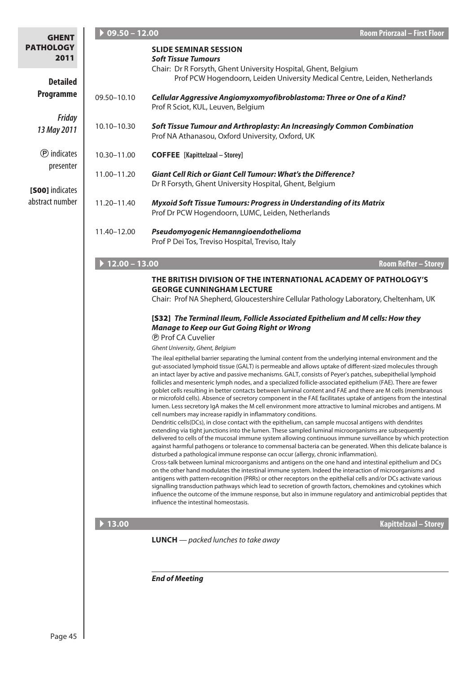| <b>GHENT</b>                        | $09.50 - 12.00$                | <b>Room Priorzaal - First Floor</b>                                                                                                                                                                                                                                                                                                                                                                                                                                                                                                                                                                                                                                                                                                                                                                                                                                                                                                                                                                                                                                                                                                                                                                                                                                                                                                                                                                                                                                                                                                                                                                                                                                                                                                                                                                                                                                                                                                                                                                                                                                                             |
|-------------------------------------|--------------------------------|-------------------------------------------------------------------------------------------------------------------------------------------------------------------------------------------------------------------------------------------------------------------------------------------------------------------------------------------------------------------------------------------------------------------------------------------------------------------------------------------------------------------------------------------------------------------------------------------------------------------------------------------------------------------------------------------------------------------------------------------------------------------------------------------------------------------------------------------------------------------------------------------------------------------------------------------------------------------------------------------------------------------------------------------------------------------------------------------------------------------------------------------------------------------------------------------------------------------------------------------------------------------------------------------------------------------------------------------------------------------------------------------------------------------------------------------------------------------------------------------------------------------------------------------------------------------------------------------------------------------------------------------------------------------------------------------------------------------------------------------------------------------------------------------------------------------------------------------------------------------------------------------------------------------------------------------------------------------------------------------------------------------------------------------------------------------------------------------------|
| <b>PATHOLOGY</b><br>2011            |                                | <b>SLIDE SEMINAR SESSION</b><br><b>Soft Tissue Tumours</b><br>Chair: Dr R Forsyth, Ghent University Hospital, Ghent, Belgium<br>Prof PCW Hogendoorn, Leiden University Medical Centre, Leiden, Netherlands                                                                                                                                                                                                                                                                                                                                                                                                                                                                                                                                                                                                                                                                                                                                                                                                                                                                                                                                                                                                                                                                                                                                                                                                                                                                                                                                                                                                                                                                                                                                                                                                                                                                                                                                                                                                                                                                                      |
| <b>Detailed</b><br><b>Programme</b> | 09.50-10.10                    | Cellular Aggressive Angiomyxomyofibroblastoma: Three or One of a Kind?<br>Prof R Sciot, KUL, Leuven, Belgium                                                                                                                                                                                                                                                                                                                                                                                                                                                                                                                                                                                                                                                                                                                                                                                                                                                                                                                                                                                                                                                                                                                                                                                                                                                                                                                                                                                                                                                                                                                                                                                                                                                                                                                                                                                                                                                                                                                                                                                    |
| <b>Friday</b><br>13 May 2011        | 10.10-10.30                    | Soft Tissue Tumour and Arthroplasty: An Increasingly Common Combination<br>Prof NA Athanasou, Oxford University, Oxford, UK                                                                                                                                                                                                                                                                                                                                                                                                                                                                                                                                                                                                                                                                                                                                                                                                                                                                                                                                                                                                                                                                                                                                                                                                                                                                                                                                                                                                                                                                                                                                                                                                                                                                                                                                                                                                                                                                                                                                                                     |
| <b>(P</b> ) indicates<br>presenter  | 10.30-11.00                    | <b>COFFEE</b> [Kapittelzaal - Storey]                                                                                                                                                                                                                                                                                                                                                                                                                                                                                                                                                                                                                                                                                                                                                                                                                                                                                                                                                                                                                                                                                                                                                                                                                                                                                                                                                                                                                                                                                                                                                                                                                                                                                                                                                                                                                                                                                                                                                                                                                                                           |
| [SOO] indicates                     | 11.00-11.20                    | <b>Giant Cell Rich or Giant Cell Tumour: What's the Difference?</b><br>Dr R Forsyth, Ghent University Hospital, Ghent, Belgium                                                                                                                                                                                                                                                                                                                                                                                                                                                                                                                                                                                                                                                                                                                                                                                                                                                                                                                                                                                                                                                                                                                                                                                                                                                                                                                                                                                                                                                                                                                                                                                                                                                                                                                                                                                                                                                                                                                                                                  |
| abstract number                     | 11.20-11.40                    | Myxoid Soft Tissue Tumours: Progress in Understanding of its Matrix<br>Prof Dr PCW Hogendoorn, LUMC, Leiden, Netherlands                                                                                                                                                                                                                                                                                                                                                                                                                                                                                                                                                                                                                                                                                                                                                                                                                                                                                                                                                                                                                                                                                                                                                                                                                                                                                                                                                                                                                                                                                                                                                                                                                                                                                                                                                                                                                                                                                                                                                                        |
|                                     | 11.40-12.00                    | Pseudomyogenic Hemanngioendothelioma<br>Prof P Dei Tos, Treviso Hospital, Treviso, Italy                                                                                                                                                                                                                                                                                                                                                                                                                                                                                                                                                                                                                                                                                                                                                                                                                                                                                                                                                                                                                                                                                                                                                                                                                                                                                                                                                                                                                                                                                                                                                                                                                                                                                                                                                                                                                                                                                                                                                                                                        |
|                                     | $\triangleright$ 12.00 - 13.00 | <b>Room Refter - Storey</b>                                                                                                                                                                                                                                                                                                                                                                                                                                                                                                                                                                                                                                                                                                                                                                                                                                                                                                                                                                                                                                                                                                                                                                                                                                                                                                                                                                                                                                                                                                                                                                                                                                                                                                                                                                                                                                                                                                                                                                                                                                                                     |
|                                     |                                | THE BRITISH DIVISION OF THE INTERNATIONAL ACADEMY OF PATHOLOGY'S<br><b>GEORGE CUNNINGHAM LECTURE</b><br>Chair: Prof NA Shepherd, Gloucestershire Cellular Pathology Laboratory, Cheltenham, UK                                                                                                                                                                                                                                                                                                                                                                                                                                                                                                                                                                                                                                                                                                                                                                                                                                                                                                                                                                                                                                                                                                                                                                                                                                                                                                                                                                                                                                                                                                                                                                                                                                                                                                                                                                                                                                                                                                  |
|                                     |                                | [S32] The Terminal Ileum, Follicle Associated Epithelium and M cells: How they<br><b>Manage to Keep our Gut Going Right or Wrong</b><br><b><i>®</i></b> Prof CA Cuvelier                                                                                                                                                                                                                                                                                                                                                                                                                                                                                                                                                                                                                                                                                                                                                                                                                                                                                                                                                                                                                                                                                                                                                                                                                                                                                                                                                                                                                                                                                                                                                                                                                                                                                                                                                                                                                                                                                                                        |
|                                     | $\blacktriangleright$ 13.00    | Ghent University, Ghent, Belgium<br>The ileal epithelial barrier separating the luminal content from the underlying internal environment and the<br>gut-associated lymphoid tissue (GALT) is permeable and allows uptake of different-sized molecules through<br>an intact layer by active and passive mechanisms. GALT, consists of Peyer's patches, subepithelial lymphoid<br>follicles and mesenteric lymph nodes, and a specialized follicle-associated epithelium (FAE). There are fewer<br>goblet cells resulting in better contacts between luminal content and FAE and there are M cells (membranous<br>or microfold cells). Absence of secretory component in the FAE facilitates uptake of antigens from the intestinal<br>lumen. Less secretory IgA makes the M cell environment more attractive to luminal microbes and antigens. M<br>cell numbers may increase rapidly in inflammatory conditions.<br>Dendritic cells(DCs), in close contact with the epithelium, can sample mucosal antigens with dendrites<br>extending via tight junctions into the lumen. These sampled luminal microorganisms are subsequently<br>delivered to cells of the mucosal immune system allowing continuous immune surveillance by which protection<br>against harmful pathogens or tolerance to commensal bacteria can be generated. When this delicate balance is<br>disturbed a pathological immune response can occur (allergy, chronic inflammation).<br>Cross-talk between luminal microorganisms and antigens on the one hand and intestinal epithelium and DCs<br>on the other hand modulates the intestinal immune system. Indeed the interaction of microorganisms and<br>antigens with pattern-recognition (PRRs) or other receptors on the epithelial cells and/or DCs activate various<br>signalling transduction pathways which lead to secretion of growth factors, chemokines and cytokines which<br>influence the outcome of the immune response, but also in immune regulatory and antimicrobial peptides that<br>influence the intestinal homeostasis.<br>Kapittelzaal - Storey |
|                                     |                                | <b>LUNCH</b> $-packet$ lunches to take away                                                                                                                                                                                                                                                                                                                                                                                                                                                                                                                                                                                                                                                                                                                                                                                                                                                                                                                                                                                                                                                                                                                                                                                                                                                                                                                                                                                                                                                                                                                                                                                                                                                                                                                                                                                                                                                                                                                                                                                                                                                     |
|                                     |                                | <b>End of Meeting</b>                                                                                                                                                                                                                                                                                                                                                                                                                                                                                                                                                                                                                                                                                                                                                                                                                                                                                                                                                                                                                                                                                                                                                                                                                                                                                                                                                                                                                                                                                                                                                                                                                                                                                                                                                                                                                                                                                                                                                                                                                                                                           |
| Page 45                             |                                |                                                                                                                                                                                                                                                                                                                                                                                                                                                                                                                                                                                                                                                                                                                                                                                                                                                                                                                                                                                                                                                                                                                                                                                                                                                                                                                                                                                                                                                                                                                                                                                                                                                                                                                                                                                                                                                                                                                                                                                                                                                                                                 |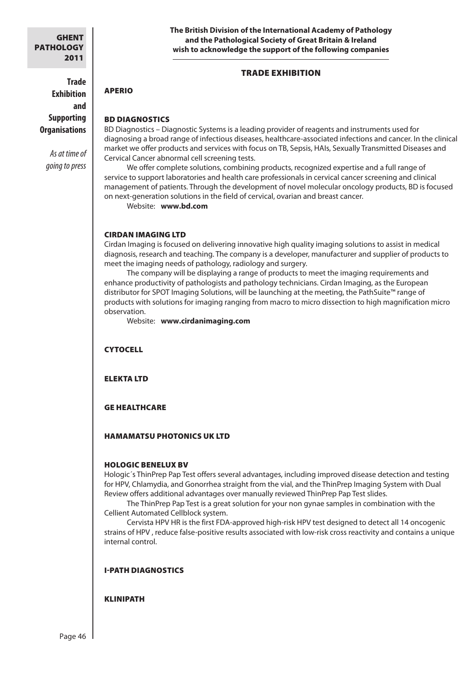> **Trade Exhibition and Supporting Organisations**

*As at time of going to press*

# Trade Exhibition

### BD DIAGNOSTICS

Aperio

BD Diagnostics – Diagnostic Systems is a leading provider of reagents and instruments used for diagnosing a broad range of infectious diseases, healthcare-associated infections and cancer. In the clinical market we offer products and services with focus on TB, Sepsis, HAIs, Sexually Transmitted Diseases and Cervical Cancer abnormal cell screening tests.

We offer complete solutions, combining products, recognized expertise and a full range of service to support laboratories and health care professionals in cervical cancer screening and clinical management of patients. Through the development of novel molecular oncology products, BD is focused on next-generation solutions in the field of cervical, ovarian and breast cancer.

Website: **[www.bd.com](http://www.bd.com)**

### Cirdan Imaging Ltd

Cirdan Imaging is focused on delivering innovative high quality imaging solutions to assist in medical diagnosis, research and teaching. The company is a developer, manufacturer and supplier of products to meet the imaging needs of pathology, radiology and surgery.

The company will be displaying a range of products to meet the imaging requirements and enhance productivity of pathologists and pathology technicians. Cirdan Imaging, as the European distributor for SPOT Imaging Solutions, will be launching at the meeting, the PathSuite™ range of products with solutions for imaging ranging from macro to micro dissection to high magnification micro observation.

Website: **[www.cirdanimaging.com](http://www.cirdanimaging.com)**

**CYTOCELL** 

Elekta Ltd

### GE Healthcare

### HAMAMATSU PHOTONICS UK LTD

#### HOLOGIC BENELUX BV

Hologic´s ThinPrep Pap Test offers several advantages, including improved disease detection and testing for HPV, Chlamydia, and Gonorrhea straight from the vial, and the ThinPrep Imaging System with Dual Review offers additional advantages over manually reviewed ThinPrep Pap Test slides.

The ThinPrep Pap Test is a great solution for your non gynae samples in combination with the Cellient Automated Cellblock system.

Cervista HPV HR is the first FDA-approved high-risk HPV test designed to detect all 14 oncogenic strains of HPV , reduce false-positive results associated with low-risk cross reactivity and contains a unique internal control.

#### i-PATH DIAGNOSTICS

### **KLINIPATH**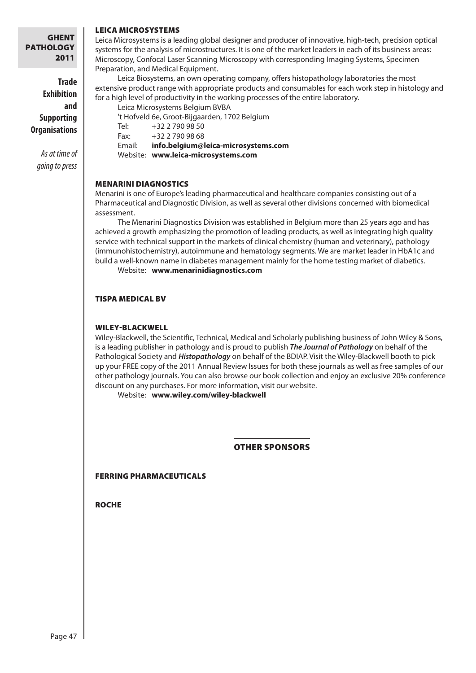> **Trade Exhibition and Supporting Organisations**

> > *As at time of going to press*

### LEICA MICROSYSTEMS

Leica Microsystems is a leading global designer and producer of innovative, high-tech, precision optical systems for the analysis of microstructures. It is one of the market leaders in each of its business areas: Microscopy, Confocal Laser Scanning Microscopy with corresponding Imaging Systems, Specimen Preparation, and Medical Equipment.

Leica Biosystems, an own operating company, offers histopathology laboratories the most extensive product range with appropriate products and consumables for each work step in histology and for a high level of productivity in the working processes of the entire laboratory.

Leica Microsystems Belgium BVBA 't Hofveld 6e, Groot-Bijgaarden, 1702 Belgium

Fax: +32 2 790 98 68

Email: **[info.belgium@leica-microsystems.com](mailto:info.belgium%40leica-microsystems.com?subject=Ghent%20Pathology%202011)**

Website: **[www.leica-microsystems.com](http://www.leica-microsystems.com)**

### Menarini Diagnostics

Menarini is one of Europe's leading pharmaceutical and healthcare companies consisting out of a Pharmaceutical and Diagnostic Division, as well as several other divisions concerned with biomedical assessment.

The Menarini Diagnostics Division was established in Belgium more than 25 years ago and has achieved a growth emphasizing the promotion of leading products, as well as integrating high quality service with technical support in the markets of clinical chemistry (human and veterinary), pathology (immunohistochemistry), autoimmune and hematology segments. We are market leader in HbA1c and build a well-known name in diabetes management mainly for the home testing market of diabetics.

Website: **[www.menarinidiagnostics.com](http://www.menarinidiagnostics.com)**

### Tispa Medical BV

#### WILEY-BLACKWELL

Wiley-Blackwell, the Scientific, Technical, Medical and Scholarly publishing business of John Wiley & Sons, is a leading publisher in pathology and is proud to publish *The Journal of Pathology* on behalf of the Pathological Society and *Histopathology* on behalf of the BDIAP. Visit the Wiley-Blackwell booth to pick up your FREE copy of the 2011 Annual Review Issues for both these journals as well as free samples of our other pathology journals. You can also browse our book collection and enjoy an exclusive 20% conference discount on any purchases. For more information, visit our website.

Website: **[www.wiley.com/wiley-blackwell](http://www.wiley.com/wiley-blackwell)**

OTHER SPONSORS

### Ferring Pharmaceuticals

**ROCHE**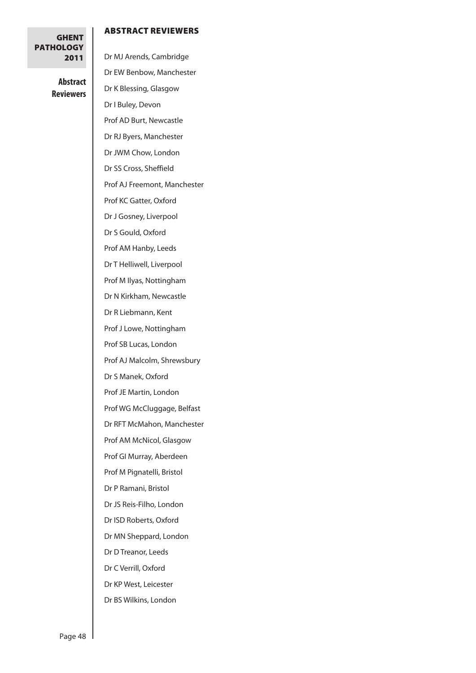### Abstract Reviewers

**Abstract Reviewers** Dr MJ Arends, Cambridge Dr EW Benbow, Manchester Dr K Blessing, Glasgow Dr I Buley, Devon Prof AD Burt, Newcastle Dr RJ Byers, Manchester Dr JWM Chow, London Dr SS Cross, Sheffield Prof AJ Freemont, Manchester Prof KC Gatter, Oxford Dr J Gosney, Liverpool Dr S Gould, Oxford Prof AM Hanby, Leeds Dr T Helliwell, Liverpool Prof M Ilyas, Nottingham Dr N Kirkham, Newcastle Dr R Liebmann, Kent Prof J Lowe, Nottingham Prof SB Lucas, London Prof AJ Malcolm, Shrewsbury Dr S Manek, Oxford Prof JE Martin, London Prof WG McCluggage, Belfast Dr RFT McMahon, Manchester Prof AM McNicol, Glasgow Prof GI Murray, Aberdeen Prof M Pignatelli, Bristol Dr P Ramani, Bristol Dr JS Reis-Filho, London Dr ISD Roberts, Oxford Dr MN Sheppard, London Dr D Treanor, Leeds Dr C Verrill, Oxford Dr KP West, Leicester Dr BS Wilkins, London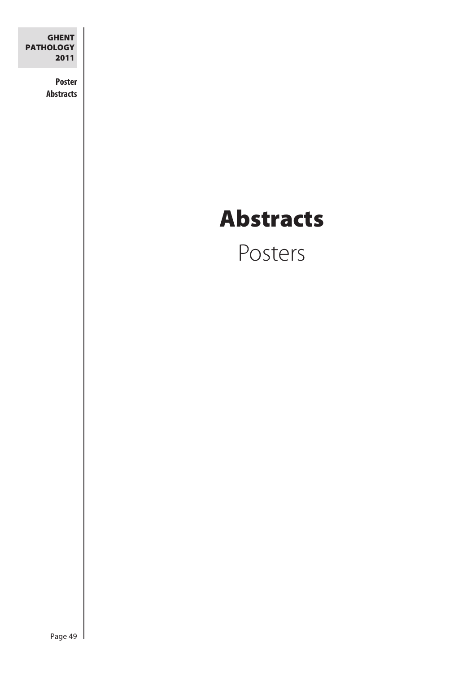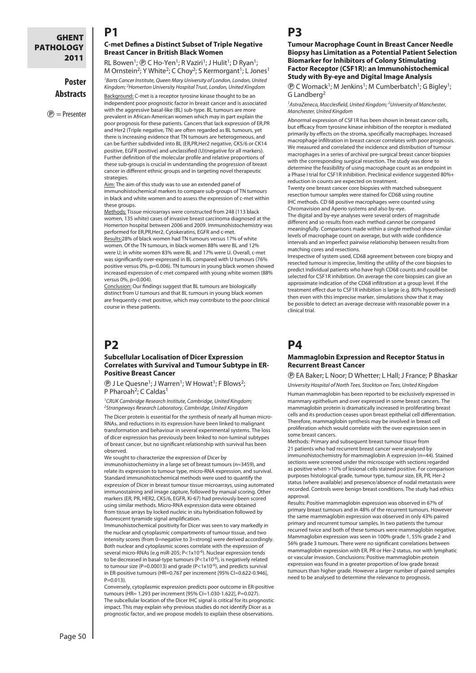# **Poster Abstracts**

**P1**

 $\circledP$  = Presenter

#### **C-met Defines a Distinct Subset of Triple Negative Breast Cancer in British Black Women**

RL Bowen<sup>1</sup>;  $\mathcal D$  C Ho-Yen<sup>1</sup>; R Vaziri<sup>1</sup>; J Hulit<sup>1</sup>; D Ryan<sup>1</sup>; M Ornstein<sup>2</sup>; Y White<sup>2</sup>; C Choy<sup>2</sup>; S Kermorgant<sup>1</sup>; L Jones<sup>1</sup> *1Barts Cancer Institute, Queen Mary University of London, London, United* 

*Kingdom; 2Homerton University Hospital Trust, London, United Kingdom* Background: C-met is a receptor tyrosine kinase thought to be an

independent poor prognostic factor in breast cancer and is associated with the aggressive basal-like (BL) sub-type. BL tumours are more prevalent in African-American women which may in part explain the poor prognosis for these patients. Cancers that lack expression of ER,PR and Her2 (Triple negative, TN) are often regarded as BL tumours, yet there is increasing evidence that TN tumours are heterogeneous, and can be further subdivided into BL (ER,PR,Her2 negative, CK5/6 or CK14 positive, EGFR positive) and unclassified (U)(negative for all markers). Further definition of the molecular profile and relative proportions of these sub-groups is crucial in understanding the progression of breast cancer in different ethnic groups and in targeting novel therapeutic strategies.

Aim: The aim of this study was to use an extended panel of immunohistochemical markers to compare sub-groups of TN tumours in black and white women and to assess the expression of c-met within these groups.

Methods: Tissue microarrays were constructed from 248 (113 black women, 135 white) cases of invasive breast carcinoma diagnosed at the Homerton hospital between 2006 and 2009. Immunohistochemistry was performed for ER,PR,Her2, Cytokeratins, EGFR and c-met.

Results:28% of black women had TN tumours versus 17% of white women. Of the TN tumours, in black women 88% were BL and 12% were U; in white women 83% were BL and 17% were U. Overall, c-met was significantly over-expressed in BL compared with U tumours (76% positive versus 0%, p=0.006). TN tumours in young black women showed increased expression of c-met compared with young white women (88% versus 0%, p=0.004).

Conclusion: Our findings suggest that BL tumours are biologically distinct from U tumours and that BL tumours in young black women are frequently c-met positive, which may contribute to the poor clinical course in these patients.

# **P2**

#### **Subcellular Localisation of Dicer Expression Correlates with Survival and Tumour Subtype in ER-Positive Breast Cancer**

 $\textcircled{P}$  J Le Quesne<sup>1</sup>; J Warren<sup>1</sup>; W Howat<sup>1</sup>; F Blows<sup>2</sup>; P Pharoah<sup>2</sup>; C Caldas<sup>1</sup>

*1CRUK Cambridge Research Institute, Cambridge, United Kingdom; 2Strangeways Research Laboratory, Cambridge, United Kingdom*

The Dicer protein is essential for the synthesis of nearly all human micro-RNAs, and reductions in its expression have been linked to malignant transformation and behaviour in several experimental systems. The loss of dicer expression has previously been linked to non-luminal subtypes of breast cancer, but no significant relationship with survival has been observed.

We sought to characterize the expression of Dicer by

immunohistochemistry in a large set of breast tumours (n=3459), and relate its expression to tumour type, micro-RNA expression, and survival. Standard immunohistochemical methods were used to quantify the expression of Dicer in breast tumour tissue microarrays, using automated immunostaining and image capture, followed by manual scoring. Other markers (ER, PR, HER2, CK5/6, EGFR, Ki-67) had previously been scored using similar methods. Micro-RNA expression data were obtained from tissue arrays by locked nucleic in situ hybridisation followed by fluorescent tyramide signal amplification.

Immunohistochemical positivity for Dicer was seen to vary markedly in the nuclear and cytoplasmic compartments of tumour tissue, and two intensity scores (from 0=negative to 3=strong) were derived accordingly. Both nuclear and cytoplasmic scores correlate with the expression of several micro-RNAs (e.g miR-205; P<1x10<sup>-6</sup>). Nuclear expression tends to be decreased in basal-type tumours (P<1x10-6), is negatively related to tumour size (P=0.00013) and grade (P<1x10<sup>-6</sup>), and predicts survival in ER-positive tumours (HR=0.767 per increment [95% CI=0.622-0.946],  $P=0.013$ ).

Conversely, cytoplasmic expression predicts poor outcome in ER-positive tumours (HR= 1.293 per increment [95% CI=1.030-1.622], P=0.027). The subcellular location of the Dicer IHC signal is critical for its prognostic impact. This may explain why previous studies do not identify Dicer as a prognostic factor, and we propose models to explain these observations.

# **P3**

#### **Tumour Macrophage Count in Breast Cancer Needle Biopsy has Limitation as a Potential Patient Selection Biomarker for Inhibitors of Colony Stimulating Factor Receptor (CSF1R): an Immunohistochemical Study with By-eye and Digital Image Analysis**

 $\mathcal{P} \subset \mathsf{Womack}^1$ ; M Jenkins<sup>1</sup>; M Cumberbatch<sup>1</sup>; G Bigley<sup>1</sup>; G Landberg2

*1AstraZeneca, Macclesfield, United Kingdom; 2University of Manchester, Manchester, United Kingdom*

Abnormal expression of CSF1R has been shown in breast cancer cells, but efficacy from tyrosine kinase inhibition of the receptor is mediated primarily by effects on the stroma, specifically macrophages. Increased macrophage infiltration in breast cancer correlates with poor prognosis. We measured and correlated the incidence and distribution of tumour macrophages in a series of archival pre-surgical breast cancer biopsies with the corresponding surgical resection. The study was done to determine the feasibility of using macrophage count as an endpoint in a Phase I trial for CSF1R inhibition. Preclinical evidence suggested 80%+ reduction in counts are expected on treatment.

Twenty one breast cancer core biopsies with matched subsequent resection tumour samples were stained for CD68 using routine IHC methods. CD 68 positive macrophages were counted using Chromavision and Aperio systems and also by-eye.

The digital and by-eye analyses were several orders of magnitude different and so results from each method cannot be compared meaningfully. Comparisons made within a single method show similar levels of macrophage count on average, but with wide confidence intervals and an imperfect pairwise relationship between results from matching cores and resections.

Irrespective of system used, CD68 agreement between core biopsy and resected tumour is imprecise, limiting the utility of the core biopsies to predict individual patients who have high CD68 counts and could be selected for CSF1R inhibition. On average the core biopsies can give an approximate indication of the CD68 infiltration at a group level. If the treatment effect due to CSF1R inhibition is large (e.g. 80% hypothesised) then even with this imprecise marker, simulations show that it may be possible to detect an average decrease with reasonable power in a clinical trial.

# **P4**

#### **Mammaglobin Expression and Receptor Status in Recurrent Breast Cancer**

P EA Baker; L Noor; D Whetter; L Hall; J France; P Bhaskar

*University Hospital of North Tees, Stockton on Tees, United Kingdom*

Human mammaglobin has been reported to be exclusively expressed in mammary epithelium and over expressed in some breast cancers. The mammaglobin protein is dramatically increased in proliferating breast cells and its production ceases upon breast epithelial cell differentiation. Therefore, mammaglobin synthesis may be involved in breast cell proliferation which would correlate with the over expression seen in some breast cancers.

Methods: Primary and subsequent breast tumour tissue from 21 patients who had recurrent breast cancer were analysed by immunohistochemistry for mammaglobin A expression (n=44). Stained sections were screened under the microscope with sections regarded as positive when >10% of lesional cells stained positive. For comparison purposes histological grade, tumour type, tumour size, ER, PR, Her-2 status (where available) and presence/absence of nodal metastasis were recorded. Controls were benign breast conditions. The study had ethics approval.

Results: Positive mammaglobin expression was observed in 67% of primary breast tumours and in 48% of the recurrent tumours. However the same mammaglobin expression was observed in only 43% paired primary and recurrent tumour samples. In two patients the tumour recurred twice and both of these tumours were mammaglobin negative. Mammaglobin expression was seen in 100% grade 1, 55% grade 2 and 56% grade 3 tumours. There were no significant correlations between mammaglobin expression with ER, PR or Her-2 status, nor with lymphatic or vascular invasion. Conclusions: Positive mammaglobin protein expression was found in a greater proportion of low grade breast tumours than higher grade. However a larger number of paired samples need to be analysed to determine the relevance to prognosis.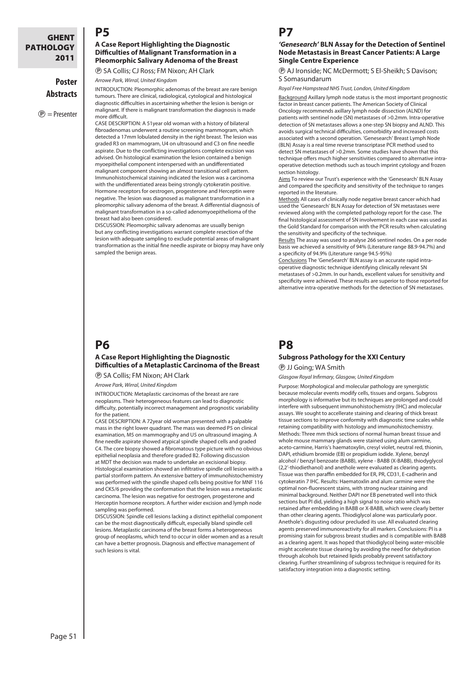# **Poster Abstracts**

 $(P)$  = Presenter

#### **A Case Report Highlighting the Diagnostic Difficulties of Malignant Transformation in a Pleomorphic Salivary Adenoma of the Breast**

P SA Collis; CJ Ross; FM Nixon; AH Clark

#### *Arrowe Park, Wirral, United Kingdom*

**P5**

INTRODUCTION: Pleomorphic adenomas of the breast are rare benign tumours. There are clinical, radiological, cytological and histological diagnostic difficulties in ascertaining whether the lesion is benign or malignant. If there is malignant transformation the diagnosis is made more difficult.

CASE DESCRIPTION: A 51year old woman with a history of bilateral fibroadenomas underwent a routine screening mammogram, which detected a 17mm lobulated density in the right breast. The lesion was graded R3 on mammogram, U4 on ultrasound and C3 on fine needle aspirate. Due to the conflicting investigations complete excision was advised. On histological examination the lesion contained a benign myoepithelial component interspersed with an undifferentiated malignant component showing an almost transitional cell pattern. Immunohistochemical staining indicated the lesion was a carcinoma with the undifferentiated areas being strongly cytokeratin positive. Hormone receptors for oestrogen, progesterone and Herceptin were negative. The lesion was diagnosed as malignant transformation in a pleomorphic salivary adenoma of the breast. A differential diagnosis of malignant transformation in a so-called adenomyoepithelioma of the breast had also been considered.

DISCUSSION: Pleomorphic salivary adenomas are usually benign but any conflicting investigations warrant complete resection of the lesion with adequate sampling to exclude potential areas of malignant transformation as the initial fine needle aspirate or biopsy may have only sampled the benign areas.

# **P6**

### **A Case Report Highlighting the Diagnostic Difficulties of a Metaplastic Carcinoma of the Breast**

P SA Collis; FM Nixon; AH Clark

*Arrowe Park, Wirral, United Kingdom*

INTRODUCTION: Metaplastic carcinomas of the breast are rare neoplasms. Their heterogeneous features can lead to diagnostic difficulty, potentially incorrect management and prognostic variability for the patient.

CASE DESCRIPTION: A 72year old woman presented with a palpable mass in the right lower quadrant. The mass was deemed P5 on clinical examination, M5 on mammography and U5 on ultrasound imaging. A fine needle aspirate showed atypical spindle shaped cells and graded C4. The core biopsy showed a fibromatous type picture with no obvious epithelial neoplasia and therefore graded B2. Following discussion at MDT the decision was made to undertake an excisional biopsy. Histological examination showed an infiltrative spindle cell lesion with a

partial storiform pattern. An extensive battery of immunohistochemistry was performed with the spindle shaped cells being positive for MNF 116 and CK5/6 providing the conformation that the lesion was a metaplastic carcinoma. The lesion was negative for oestrogen, progesterone and Herceptin hormone receptors. A further wider excision and lymph node sampling was performed.

DISCUSSION: Spindle cell lesions lacking a distinct epithelial component can be the most diagnostically difficult, especially bland spindle cell lesions. Metaplastic carcinoma of the breast forms a heterogeneous group of neoplasms, which tend to occur in older women and as a result can have a better prognosis. Diagnosis and effective management of such lesions is vital.

# **P7**

#### *'Genesearch'* **BLN Assay for the Detection of Sentinel Node Metastasis in Breast Cancer Patients: A Large Single Centre Experience**

P AJ Ironside; NC McDermott; S El-Sheikh; S Davison; S Somasundarum

*Royal Free Hampstead NHS Trust, London, United Kingdom*

Background Axillary lymph node status is the most important prognostic factor in breast cancer patients. The American Society of Clinical Oncology recommends axillary lymph node dissection (ALND) for patients with sentinel node (SN) metastases of >0.2mm. Intra-operative detection of SN metastases allows a one-step SN biopsy and ALND. This avoids surgical technical difficulties, comorbidity and increased costs associated with a second operation. 'Genesearch' Breast Lymph Node (BLN) Assay is a real time reverse transcriptase PCR method used to detect SN metastases of >0.2mm. Some studies have shown that this technique offers much higher sensitivities compared to alternative intraoperative detection methods such as touch imprint cytology and frozen section histology.

Aims To review our Trust's experience with the 'Genesearch' BLN Assay and compared the specificity and sensitivity of the technique to ranges reported in the literature.

Methods All cases of clinically node negative breast cancer which had used the 'Genesearch' BLN Assay for detection of SN metastases were reviewed along with the completed pathology report for the case. The final histological assessment of SN involvement in each case was used as the Gold Standard for comparison with the PCR results when calculating the sensitivity and specificity of the technique.

Results The assay was used to analyse 266 sentinel nodes. On a per node basis we achieved a sensitivity of 94% (Literature range 88.9-94.7%) and a specificity of 94.9% (Literature range 94.5-95%)

Conclusions The 'GeneSearch' BLN assay is an accurate rapid intraoperative diagnostic technique identifying clinically relevant SN metastases of >0.2mm. In our hands, excellent values for sensitivity and specificity were achieved. These results are superior to those reported for alternative intra-operative methods for the detection of SN metastases.

# **P8**

# **Subgross Pathology for the XXI Century**

P JJ Going; WA Smith

*Glasgow Royal Infirmary, Glasgow, United Kingdom*

Purpose: Morphological and molecular pathology are synergistic because molecular events modify cells, tissues and organs. Subgross morphology is informative but its techniques are prolonged and could interfere with subsequent immunohistochemistry (IHC) and molecular assays. We sought to accellerate staining and clearing of thick breast tissue sections to improve conformity with diagnostic time scales while retaining compatibility with histology and immunohistochemistry. Methods: Three mm thick sections of normal human breast tissue and whole mouse mammary glands were stained using alum carmine, aceto-carmine, Harris's haematoxylin, cresyl violet, neutral red, thionin, DAPI, ethidium bromide (EB) or propidium iodide. Xylene, benzyl alcohol / benzyl benzoate (BABB), xylene - BABB (X-BABB), thiodyglycol (2,2'-thiodiethanol) and anethole were evaluated as clearing agents. Tissue was then paraffin embedded for ER, PR, CD31, E-cadherin and cytokeratin 7 IHC. Results: Haematoxlin and alum carmine were the optimal non-fluorescent stains, with strong nuclear staining and minimal background. Neither DAPI nor EB penetrated well into thick sections but PI did, yielding a high signal to noise ratio which was retained after embedding in BABB or X-BABB, which were clearly better than other clearing agents. Thiodiglycol alone was particularly poor. Anethole's disgusting odour precluded its use. All evaluated clearing agents preserved immunoreactivity for all markers. Conclusions: PI is a promising stain for subgross breast studies and is compatible with BABB as a clearing agent. It was hoped that thiodiglycol being water-miscible might accelerate tissue clearing by avoiding the need for dehydration through alcohols but retained lipids probably prevent satisfactory clearing. Further streamlining of subgross technique is required for its satisfactory integration into a diagnostic setting.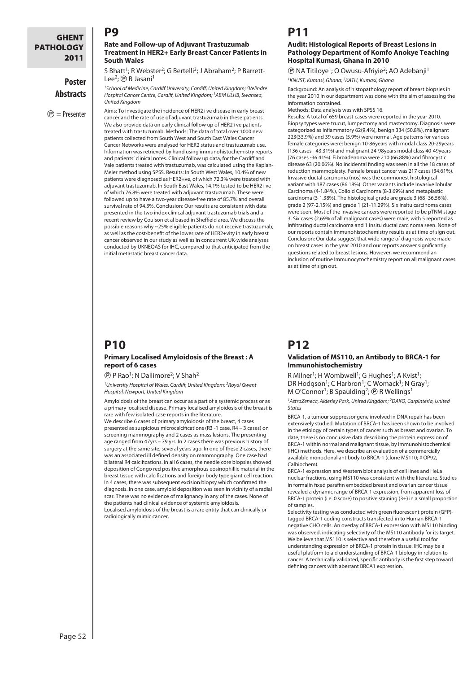# **Poster Abstracts**

**P9**

 $(P)$  = Presenter

#### **Rate and Follow-up of Adjuvant Trastuzumab Treatment in HER2+ Early Breast Cancer Patients in South Wales**

S Bhatt<sup>1</sup>; R Webster<sup>2</sup>; G Bertelli<sup>3</sup>; J Abraham<sup>2</sup>; P Barrett-Lee<sup>2</sup>;  $(P)$  B Jasani<sup>1</sup>

<sup>1</sup> School of Medicine, Cardiff University, Cardiff, United Kingdom; <sup>2</sup>Velindre *Hospital Cancer Centre, Cardiff, United Kingdom; 3ABM ULHB, Swansea, United Kingdom*

Aims: To investigate the incidence of HER2+ve disease in early breast cancer and the rate of use of adjuvant trastuzumab in these patients. We also provide data on early clinical follow up of HER2+ve patients treated with trastuzumab. Methods: The data of total over 1000 new patients collected from South West and South East Wales Cancer Cancer Networks were analysed for HER2 status and trastuzumab use. Information was retrieved by hand using immunohistochemistry reports and patients' clinical notes. Clinical follow up data, for the Cardiff and Vale patients treated with trastuzumab, was calculated using the Kaplan-Meier method using SPSS. Results: In South West Wales, 10.4% of new patients were diagnosed as HER2+ve, of which 72.3% were treated with adjuvant trastuzumab. In South East Wales, 14.1% tested to be HER2+ve of which 76.8% were treated with adjuvant trastuzumab. These were followed up to have a two-year disease-free rate of 85.7% and overall survival rate of 94.3%. Conclusion: Our results are consistent with data presented in the two index clinical adjuvant trastuzumab trials and a recent review by Coulson et al based in Sheffield area. We discuss the possible reasons why ~25% eligible patients do not receive trastuzumab, as well as the cost-benefit of the lower rate of HER2+vity in early breast cancer observed in our study as well as in concurrent UK-wide analyses conducted by UKNEQAS for IHC, compared to that anticipated from the initial metastatic breast cancer data.

# **P11**

#### **Audit: Histological Reports of Breast Lesions in Pathology Department of Komfo Anokye Teaching Hospital Kumasi, Ghana in 2010**

P NA Titiloye1; O Owusu-Afriyie2; AO Adebanji1

*1KNUST, Kumasi, Ghana; 2KATH, Kumasi, Ghana*

Background: An analysis of histopathology report of breast biopsies in the year 2010 in our department was done with the aim of assessing the information contained.

Methods: Data analysis was with SPSS 16. Results: A total of 659 breast cases were reported in the year 2010. Biopsy types were trucut, lumpectomy and mastectomy. Diagnosis were categorized as inflammatory 62(9.4%), benign 334 (50.8%), malignant 223(33.9%) and 39 cases (5.9%) were normal. Age patterns for various female categories were: benign 10-86years with modal class 20-29years (136 cases - 43.31%) and malignant 24-98years modal class 40-49years (76 cases -36.41%). Fibroadenoma were 210 (66.88%) and fibrocystic disease 63 (20.06%). No incidental finding was seen in all the 18 cases of reduction mammoplasty. Female breast cancer was 217 cases (34.61%). Invasive ductal carcinoma (nos) was the commonest histological variant with 187 cases (86.18%). Other variants include Invasive lobular Carcinoma (4-1.84%), Colloid Carcinoma (8-3.69%) and metaplastic carcinoma (3-1.38%). The histological grade are grade 3 (68 -36.56%), grade 2 (97-2.15%) and grade 1 (21-11.29%). Six insitu carcinoma cases were seen. Most of the invasive cancers were reported to be pTNM stage 3. Six cases (2.69% of all malignant cases) were male, with 5 reported as infiltrating ductal carcinoma and 1 insitu ductal carcinoma seen. None of our reports contain immunohistochemistry results as at time of sign out. Conclusion: Our data suggest that wide range of diagnosis were made on breast cases in the year 2010 and our reports answer significantly questions related to breast lesions. However, we recommend an inclusion of routine Immunocytochemistry report on all malignant cases as at time of sign out.

# **P10**

#### **Primary Localised Amyloidosis of the Breast : A report of 6 cases**

#### $\textcircled{P}$  P Rao<sup>1</sup>; N Dallimore<sup>2</sup>; V Shah<sup>2</sup>

*1University Hospital of Wales, Cardiff, United Kingdom; 2Royal Gwent Hospital, Newport, United Kingdom*

Amyloidosis of the breast can occur as a part of a systemic process or as a primary localised disease. Primary localised amyloidosis of the breast is rare with few isolated case reports in the literature.

We describe 6 cases of primary amyloidosis of the breast, 4 cases presented as suspicious microcalcifications (R3 -1 case, R4 – 3 cases) on screening mammography and 2 cases as mass lesions. The presenting age ranged from 47yrs – 79 yrs. In 2 cases there was previous history of surgery at the same site, several years ago. In one of these 2 cases, there was an associated ill defined density on mammography. One case had bilateral R4 calcifications. In all 6 cases, the needle core biopsies showed deposition of Congo red positive amorphous eosinophillic material in the breast tissue with calcifications and foreign body type giant cell reaction. In 4 cases, there was subsequent excision biopsy which confirmed the diagnosis. In one case, amyloid deposition was seen in vicinity of a radial scar. There was no evidence of malignancy in any of the cases. None of the patients had clinical evidence of systemic amyloidosis. Localised amyloidosis of the breast is a rare entity that can clinically or radiologically mimic cancer.

# **P12**

#### **Validation of MS110, an Antibody to BRCA-1 for Immunohistochemistry**

R Milner<sup>1</sup>; H Wombwell<sup>1</sup>; G Hughes<sup>1</sup>; A Kvist<sup>1</sup>; DR Hodgson<sup>1</sup>; C Harbron<sup>1</sup>; C Womack<sup>1</sup>; N Gray<sup>1</sup>; M O'Connor<sup>1</sup>; B Spaulding<sup>2</sup>;  $\oplus$  R Wellings<sup>1</sup>

*1AstraZeneca, Alderley Park, United Kingdom; 2DAKO, Carpinteria, United States*

BRCA-1, a tumour suppressor gene involved in DNA repair has been extensively studied. Mutation of BRCA-1 has been shown to be involved in the etiology of certain types of cancer such as breast and ovarian. To date, there is no conclusive data describing the protein expression of BRCA-1 within normal and malignant tissue, by immunohistochemical (IHC) methods. Here, we describe an evaluation of a commercially available monoclonal antibody to BRCA-1 (clone MS110; # OP92, Calbiochem).

BRCA-1 expression and Western blot analysis of cell lines and HeLa nuclear fractions, using MS110 was consistent with the literature. Studies in formalin fixed paraffin embedded breast and ovarian cancer tissue revealed a dynamic range of BRCA-1 expression, from apparent loss of BRCA-1 protein (i.e. 0 score) to positive staining (3+) in a small proportion of samples.

Selectivity testing was conducted with green fluorescent protein (GFP) tagged BRCA-1 coding constructs transfected in to Human BRCA-1 negative CHO cells. An overlay of BRCA-1 expression with MS110 binding was observed, indicating selectivity of the MS110 antibody for its target. We believe that MS110 is selective and therefore a useful tool for understanding expression of BRCA-1 protein in tissue. IHC may be a useful platform to aid understanding of BRCA-1 biology in relation to cancer. A technically validated, specific antibody is the first step toward defining cancers with aberrant BRCA1 expression.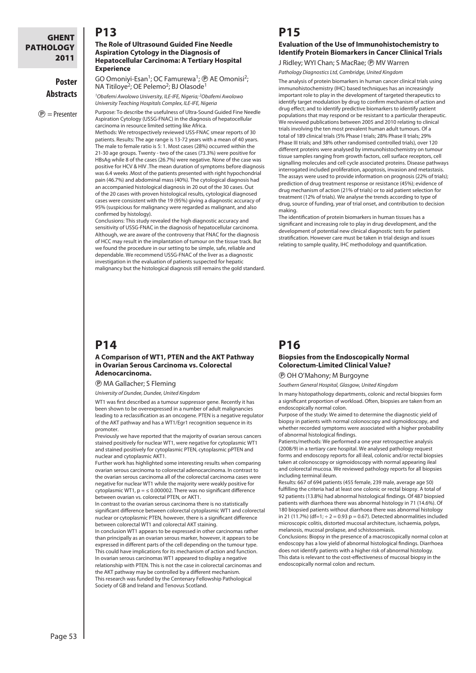# **Poster Abstracts**

 $(P)$  = Presenter

# **P13**

#### **The Role of Ultrasound Guided Fine Needle Aspiration Cytology in the Diagnosis of Hepatocellular Carcinoma: A Tertiary Hospital Experience**

GO Omoniyi-Esan<sup>1</sup>; OC Famurewa<sup>1</sup>;  $(D)$  AE Omonisi<sup>2</sup>; NA Titiloye<sup>2</sup>; OE Pelemo<sup>2</sup>; BJ Olasode<sup>1</sup>

*1Obafemi Awolowo University, ILE-IFE, Nigeria; 2Obafemi Awolowo University Teaching Hospitals Complex, ILE-IFE, Nigeria*

Purpose: To describe the usefulness of Ultra-Sound Guided Fine Needle Aspiration Cytology (USSG-FNAC) in the diagnosis of hepatocellular carcinoma in resource limited setting like Africa.

Methods: We retrospectively reviewed USS-FNAC smear reports of 30 patients. Results: The age range is 13-72 years with a mean of 40 years. The male to female ratio is 5: 1. Most cases (28%) occurred within the 21-30 age groups. Twenty - two of the cases (73.3%) were positive for HBsAg while 8 of the cases (26.7%) were negative. None of the case was positive for HCV & HIV .The mean duration of symptoms before diagnosis was 6.4 weeks .Most of the patients presented with right hypochondrial pain (46.7%) and abdominal mass (40%). The cytological diagnosis had an accompanied histological diagnosis in 20 out of the 30 cases. Out of the 20 cases with proven histological results, cytological diagnosed cases were consistent with the 19 (95%) giving a diagnostic accuracy of 95% (suspicious for malignancy were regarded as malignant, and also confirmed by histology).

Conclusions: This study revealed the high diagnostic accuracy and sensitivity of USSG-FNAC in the diagnosis of hepatocellular carcinoma. Although, we are aware of the controversy that FNAC for the diagnosis of HCC may result in the implantation of tumour on the tissue track. But we found the procedure in our setting to be simple, safe, reliable and dependable. We recommend USSG-FNAC of the liver as a diagnostic investigation in the evaluation of patients suspected for hepatic malignancy but the histological diagnosis still remains the gold standard.

# **P14**

#### **A Comparison of WT1, PTEN and the AKT Pathway in Ovarian Serous Carcinoma vs. Colorectal Adenocarcinoma.**

#### P MA Gallacher; S Fleming

*University of Dundee, Dundee, United Kingdom*

WT1 was first described as a tumour suppressor gene. Recently it has been shown to be overexpressed in a number of adult malignancies leading to a reclassification as an oncogene. PTEN is a negative regulator of the AKT pathway and has a WT1/Egr1 recognition sequence in its promoter.

Previously we have reported that the majority of ovarian serous cancers stained positively for nuclear WT1, were negative for cytoplasmic WT1 and stained positively for cytoplasmic PTEN, cytoplasmic pPTEN and nuclear and cytoplasmic AKT1.

Further work has highlighted some interesting results when comparing ovarian serous carcinoma to colorectal adenocarcinoma. In contrast to the ovarian serous carcinoma all of the colorectal carcinoma cases were negative for nuclear WT1 while the majority were weakly positive for cytoplasmic WT1,  $p = \leq 0.000002$ . There was no significant difference between ovarian vs. colorectal PTEN, or AKT1.

In contrast to the ovarian serous carcinoma there is no statistically significant difference between colorectal cytoplasmic WT1 and colorectal nuclear or cytoplasmic PTEN, however, there is a significant difference between colorectal WT1 and colorectal AKT staining.

In conclusion WT1 appears to be expressed in other carcinomas rather than principally as an ovarian serous marker, however, it appears to be expressed in different parts of the cell depending on the tumour type. This could have implications for its mechanism of action and function. In ovarian serous carcinomas WT1 appeared to display a negative relationship with PTEN. This is not the case in colorectal carcinomas and the AKT pathway may be controlled by a different mechanism. This research was funded by the Centenary Fellowship Pathological Society of GB and Ireland and Tenovus Scotland.

# **P15**

# **Evaluation of the Use of Immunohistochemistry to Identify Protein Biomarkers in Cancer Clinical Trials**

J Ridley; WYI Chan; S MacRae; ® MV Warren *Pathology Diagnostics Ltd, Cambridge, United Kingdom*

The analysis of protein biomarkers in human cancer clinical trials using immunohistochemistry (IHC) based techniques has an increasingly important role to play in the development of targeted therapeutics to identify target modulation by drug to confirm mechanism of action and drug effect; and to identify predictive biomarkers to identify patient populations that may respond or be resistant to a particular therapeutic. We reviewed publications between 2005 and 2010 relating to clinical trials involving the ten most prevalent human adult tumours. Of a total of 189 clinical trials (5% Phase I trials; 28% Phase II trials; 29% Phase III trials; and 38% other randomised controlled trials), over 120 different proteins were analysed by immunohistochemistry on tumour tissue samples ranging from growth factors, cell surface receptors, cell signalling molecules and cell cycle associated proteins. Disease pathways interrogated included proliferation, apoptosis, invasion and metastasis. The assays were used to provide information on prognosis (22% of trials); prediction of drug treatment response or resistance (45%); evidence of drug mechanism of action (21% of trials) or to aid patient selection for treatment (12% of trials). We analyse the trends according to type of drug, source of funding, year of trial onset, and contribution to decision making.

The identification of protein biomarkers in human tissues has a significant and increasing role to play in drug development, and the development of potential new clinical diagnostic tests for patient stratification. However care must be taken in trial design and issues relating to sample quality, IHC methodology and quantification.

# **P16**

### **Biopsies from the Endoscopically Normal Colorectum-Limited Clinical Value?**

P OH O'Mahony; M Burgoyne

*Southern General Hospital, Glasgow, United Kingdom*

In many histopathology departments, colonic and rectal biopsies form a significant proportion of workload. Often, biopsies are taken from an endoscopically normal colon.

Purpose of the study: We aimed to determine the diagnostic yield of biopsy in patients with normal colonoscopy and sigmoidoscopy, and whether recorded symptoms were associated with a higher probability of abnormal histological findings.

Patients/methods: We performed a one year retrospective analysis (2008/9) in a tertiary care hospital. We analysed pathology request forms and endoscopy reports for all ileal, colonic and/or rectal biopsies taken at colonoscopy or sigmoidoscopy with normal appearing ileal and colorectal mucosa. We reviewed pathology reports for all biopsies including terminal ileum.

Results: 667 of 694 patients (455 female, 239 male, average age 50) fulfilling the criteria had at least one colonic or rectal biopsy. A total of 92 patients (13.8%) had abnormal histological findings. Of 487 biopsied patients with diarrhoea there was abnormal histology in 71 (14.6%). Of 180 biopsied patients without diarrhoea there was abnormal histology in 21 (11.7%) (df=1; ÷ 2 = 0.93 p = 0.67). Detected abnormalities included microscopic colitis, distorted mucosal architecture, ischaemia, polyps, melanosis, mucosal prolapse, and schistosomiasis.

Conclusions: Biopsy in the presence of a macroscopically normal colon at endoscopy has a low yield of abnormal histological findings. Diarrhoea does not identify patients with a higher risk of abnormal histology. This data is relevant to the cost-effectiveness of mucosal biopsy in the endoscopically normal colon and rectum.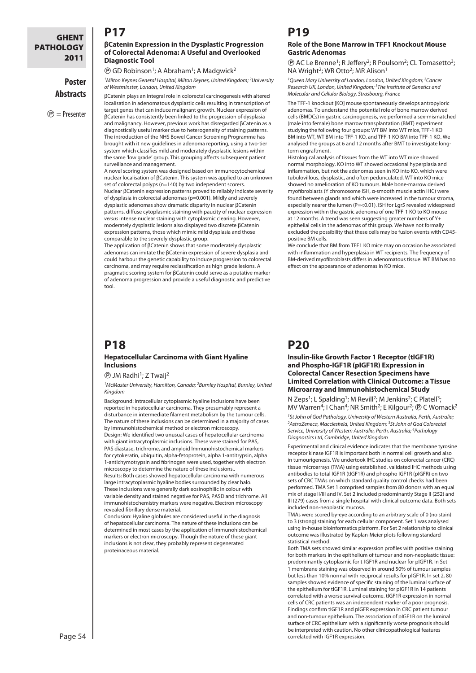# **Poster Abstracts**

 $(P)$  = Presenter

# **P17**

#### **βCatenin Expression in the Dysplastic Progression of Colorectal Adenoma: A Useful and Overlooked Diagnostic Tool**

 $\textcircled{P}$  GD Robinson<sup>1</sup>; A Abraham<sup>1</sup>; A Madgwick<sup>2</sup>

*1Milton Keynes General Hospital, Milton Keynes, United Kingdom; 2University of Westminster, London, United Kingdom*

βCatenin plays an integral role in colorectal carcinogenesis with altered localisation in adenomatous dysplastic cells resulting in transcription of target genes that can induce malignant growth. Nuclear expression of βCatenin has consistently been linked to the progression of dysplasia and malignancy. However, previous work has disregarded βCatenin as a diagnostically useful marker due to heterogeneity of staining patterns. The introduction of the NHS Bowel Cancer Screening Programme has brought with it new guidelines in adenoma reporting, using a two-tier system which classifies mild and moderately dysplastic lesions within the same 'low grade' group. This grouping affects subsequent patient surveillance and management.

A novel scoring system was designed based on immunocytochemical nuclear localisation of βCatenin. This system was applied to an unknown set of colorectal polyps (n=140) by two independent scorers. Nuclear βCatenin expression patterns proved to reliably indicate severity of dysplasia in colorectal adenomas (p=0.001). Mildly and severely dysplastic adenomas show dramatic disparity in nuclear βCatenin patterns, diffuse cytoplasmic staining with paucity of nuclear expression *versus* intense nuclear staining with cytoplasmic clearing. However, moderately dysplastic lesions also displayed two discrete βCatenin expression patterns, those which mimic mild dysplasia and those comparable to the severely dysplastic group.

The application of βCatenin shows that some moderately dysplastic adenomas can imitate the βCatenin expression of severe dysplasia and could harbour the genetic capability to induce progression to colorectal carcinoma, and may require reclassification as high grade lesions. A pragmatic scoring system for βCatenin could serve as a putative marker of adenoma progression and provide a useful diagnostic and predictive tool.

# **P18**

#### **Hepatocellular Carcinoma with Giant Hyaline Inclusions**

#### $\textcircled{P}$  JM Radhi<sup>1</sup>; Z Twaij<sup>2</sup>

*1McMaster University, Hamilton, Canada; 2Burnley Hospital, Burnley, United Kingdom*

Background: Intracellular cytoplasmic hyaline inclusions have been reported in hepatocellular carcinoma. They presumably represent a disturbance in intermediate filament metabolism by the tumour cells. The nature of these inclusions can be determined in a majority of cases by immunohistochemical method or electron microscopy. Design: We identified two unusual cases of hepatocellular carcinoma with giant intracytoplasmic inclusions. These were stained for PAS, PAS diastase, trichrome, and amyloid Immunohistochemical markers for cytokeratin, ubiquitin, alpha-fetoprotein, alpha 1-antitrypsin, alpha 1-antichymotrypsin and fibrinogen were used, together with electron microscopy to determine the nature of these inclusions.. Results: Both cases showed hepatocellular carcinoma with numerous large intracytoplasmic hyaline bodies surrounded by clear halo. These inclusions were generally dark eosinophilic in colour with variable density and stained negative for PAS, PASD and trichrome. All immunohistochemistry markers were negative. Electron microscopy revealed fibrillary dense material.

Conclusion: Hyaline globules are considered useful in the diagnosis of hepatocellular carcinoma. The nature of these inclusions can be determined in most cases by the application of immunohistochemical markers or electron microscopy. Though the nature of these giant inclusions is not clear, they probably represent degenerated proteinaceous material.

# **P19**

#### **Role of the Bone Marrow in TFF1 Knockout Mouse Gastric Adenomas**

**P AC Le Brenne<sup>1</sup>; R Jeffery<sup>2</sup>; R Poulsom<sup>2</sup>; CL Tomasetto<sup>3</sup>;** NA Wright<sup>2</sup>; WR Otto<sup>2</sup>; MR Alison<sup>1</sup>

*1Queen Mary University of London, London, United Kingdom; 2Cancer Research UK, London, United Kingdom; 3The Institute of Genetics and Molecular and Cellular Biology, Strasbourg, France*

The TFF-1 knockout [KO] mouse spontaneously develops antropyloric adenomas. To understand the potential role of bone marrow derived cells (BMDCs) in gastric carcinogenesis, we performed a sex-mismatched (male into female) bone marrow transplantation (BMT) experiment studying the following four groups: WT BM into WT mice, TFF-1 KO BM into WT, WT BM into TFF-1 KO, and TFF-1 KO BM into TFF-1 KO. We analysed the groups at 6 and 12 months after BMT to investigate longterm engraftment.

Histological analysis of tissues from the WT into WT mice showed normal morphology. KO into WT showed occasional hyperplasia and inflammation, but not the adenomas seen in KO into KO, which were tubulovillous, dysplastic, and often pedunculated. WT into KO mice showed no amelioration of KO tumours. Male bone-marrow derived myofibroblasts (Y chromosome ISH, α-smooth muscle actin IHC) were found between glands and which were increased in the tumour stroma, especially nearer the lumen (P=<0.01). ISH for Lgr5 revealed widespread expression within the gastric adenoma of one TFF-1 KO to KO mouse at 12 months. A trend was seen suggesting greater numbers of Y+ epithelial cells in the adenomas of this group. We have not formally excluded the possibility that these cells may be fusion events with CD45 positive BM cells.

We conclude that BM from TFF1 KO mice may on occasion be associated with inflammation and hyperplasia in WT recipients. The frequency of BM-derived myofibroblasts differs in adenomatous tissue. WT BM has no effect on the appearance of adenomas in KO mice.

# **P20**

#### **Insulin-like Growth Factor 1 Receptor (tIGF1R) and Phospho-IGF1R (pIGF1R) Expression in Colorectal Cancer Resection Specimens have Limited Correlation with Clinical Outcome: a Tissue Microarray and Immunohistochemical Study**

N Zeps<sup>1</sup>; L Spalding<sup>1</sup>; M Revill<sup>2</sup>; M Jenkins<sup>2</sup>; C Platell<sup>3</sup>; MV Warren<sup>4</sup>; I Chan<sup>4</sup>; NR Smith<sup>2</sup>; E Kilgour<sup>2</sup>; **D C Womack**<sup>2</sup>

*1St John of God Pathology, University of Western Australia, Perth, Australia; 2AstraZeneca, Macclesfield, United Kingdom; 3St John of God Colorectal Service, University of Western Australia, Perth, Australia; 4Pathology Diagnostics Ltd, Cambridge, United Kingdom*

Experimental and clinical evidence indicates that the membrane tyrosine receptor kinase IGF1R is important both in normal cell growth and also in tumourigenesis. We undertook IHC studies on colorectal cancer (CRC) tissue microarrays (TMA) using established, validated IHC methods using antibodies to total IGF1R (tIGF1R) and phospho IGF1R (pIGFR) on two sets of CRC TMAs on which standard quality control checks had been performed. TMA Set 1 comprised samples from 80 donors with an equal mix of stage II/III and IV. Set 2 included predominantly Stage II (252) and III (279) cases from a single hospital with clinical outcome data. Both sets included non-neoplastic mucosa.

TMAs were scored by-eye according to an arbitrary scale of 0 (no stain) to 3 (strong) staining for each cellular component. Set 1 was analysed using in-house bioinformatics platform. For Set 2 relationship to clinical outcome was illustrated by Kaplan-Meier plots following standard statistical method.

Both TMA sets showed similar expression profiles with positive staining for both markers in the epithelium of tumour and non-neoplastic tissue: predominantly cytoplasmic for t-IGF1R and nuclear for pIGF1R. In Set 1 membrane staining was observed in around 50% of tumour samples but less than 10% normal with reciprocal results for pIGF1R. In set 2, 80 samples showed evidence of specific staining of the luminal surface of the epithelium for tIGF1R. Luminal staining for pIGF1R in 14 patients correlated with a worse survival outcome. tIGF1R expression in normal cells of CRC patients was an independent marker of a poor prognosis. Findings confirm tIGF1R and pIGFR expression in CRC patient tumour and non-tumour epithelium. The association of pIGF1R on the luminal surface of CRC epithelium with a significantly worse prognosis should be interpreted with caution. No other clinicopathological features correlated with IGF1R expression.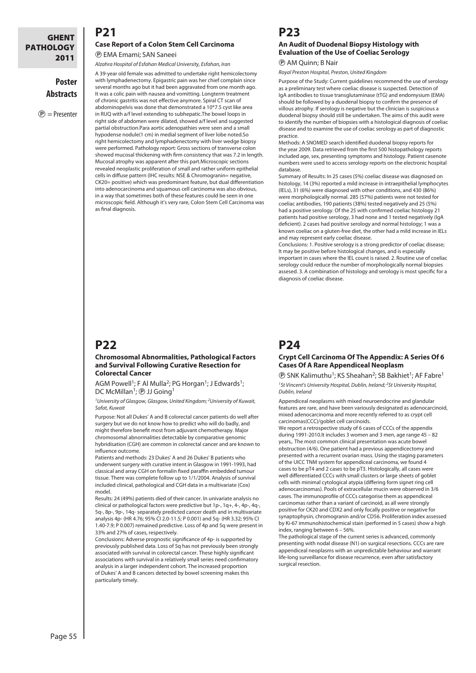# **Poster Abstracts**

 $(P)$  = Presenter

# **P21**

#### **Case Report of a Colon Stem Cell Carcinoma** P EMA Emami; SAN Saneei

*Alzahra Hospital of Esfahan Medical University, Esfahan, Iran*

A 39-year old female was admitted to undertake right hemicolectomy with lymphadenectomy. Epigastric pain was her chief complain since several months ago but it had been aggravated from one month ago. It was a colic pain with nausea and vomitting. Longterm treatment of chronic gastritis was not effective anymore. Spiral CT scan of abdominopelvis was done that demonstrated a 10\*7.5 cyst like area in RUQ with a/f level extending to subhepatic.The bowel loops in right side of abdomen were dilated, showed a/f level and suggested partial obstruction.Para aortic adenopathies were seen and a small hypodense nodule(1 cm) in medial segment of liver lobe noted.So right hemicolectomy and lymphadenectomy with liver wedge biopsy were performed. Pathology report: Gross sections of transverse colon showed mucosal thickening with firm consistency that was 7.2 in length. Mucosal atrophy was apparent after this part.Microscopic sections revealed neoplastic proliferation of small and rather uniform epithelial cells in diffuse pattern (IHC results: NSE & Chromogranin= negative, CK20= positive) which was predominant feature, but dual differentiation into adenocarcinoma and squamous cell carcinoma was also obvious, in a way that sometimes both of these features could be seen in one microscopic field. Although it's very rare, Colon Stem Cell Carcinoma was as final diagnosis.

# **P22**

#### **Chromosomal Abnormalities, Pathological Factors and Survival Following Curative Resection for Colorectal Cancer**

AGM Powell<sup>1</sup>; F Al Mulla<sup>2</sup>; PG Horgan<sup>1</sup>; J Edwards<sup>1</sup>; DC McMillan<sup>1</sup>; **(** $\Theta$  JJ Going<sup>1</sup>

*1University of Glasgow, Glasgow, United Kingdom; 2University of Kuwait, Safat, Kuwait*

Purpose: Not all Dukes' A and B colorectal cancer patients do well after surgery but we do not know how to predict who will do badly, and might therefore benefit most from adjuvant chemotherapy. Major chromosomal abnormalities detectable by comparative genomic hybridisation (CGH) are common in colorectal cancer and are known to influence outcome.

Patients and methods: 23 Dukes' A and 26 Dukes' B patients who underwent surgery with curative intent in Glasgow in 1991-1993, had classical and array CGH on formalin fixed paraffin embedded tumour tissue. There was complete follow up to 1/1/2004. Analysis of survival included clinical, pathological and CGH data in a multivariate (Cox) model.

Results: 24 (49%) patients died of their cancer. In univariate analysis no clinical or pathological factors were predictive but 1p-, 1q+, 4-, 4p-, 4q-, 5q-, 8p-, 9p-, 14q- separately predicted cancer death and in multivariate analysis 4p- (HR 4.76; 95% CI 2.0-11.5; P 0.001) and 5q- (HR 3.32; 95% CI 1.40-7.9; P 0.007) remained predictive. Loss of 4p and 5q were present in 33% and 27% of cases, respectively.

Conclusions: Adverse prognostic significance of 4p- is supported by previously published data. Loss of 5q has not previously been strongly associated with survival in colorectal cancer. These highly significant associations with survival in a relatively small series need confirmatory analysis in a larger independent cohort. The increased proportion of Dukes' A and B cancers detected by bowel screening makes this particularly timely.

# **P23**

### **An Audit of Duodenal Biopsy Histology with Evaluation of the Use of Coeliac Serology**

P AM Quinn; B Nair

*Royal Preston Hospital, Preston, United Kingdom*

Purpose of the Study: Current guidelines recommend the use of serology as a preliminary test where coeliac disease is suspected. Detection of IgA antibodies to tissue transglutaminase (tTG) and endomysium (EMA) should be followed by a duodenal biopsy to confirm the presence of villous atrophy. If serology is negative but the clinician is suspicious a duodenal biopsy should still be undertaken. The aims of this audit were to identify the number of biopsies with a histological diagnosis of coeliac disease and to examine the use of coeliac serology as part of diagnostic practice.

Methods: A SNOMED search identified duodenal biopsy reports for the year 2009. Data retrieved from the first 500 histopathology reports included age, sex, presenting symptoms and histology. Patient casenote numbers were used to access serology reports on the electronic hospital database.

Summary of Results: In 25 cases (5%) coeliac disease was diagnosed on histology, 14 (3%) reported a mild increase in intraepithelial lymphocytes (IELs), 31 (6%) were diagnosed with other conditions, and 430 (86%) were morphologically normal. 285 (57%) patients were not tested for coeliac antibodies, 190 patients (38%) tested negatively and 25 (5%) had a positive serology. Of the 25 with confirmed coeliac histology 21 patients had positive serology, 3 had none and 1 tested negatively (IgA deficient). 2 cases had positive serology and normal histology; 1 was a known coeliac on a gluten-free diet, the other had a mild increase in IELs and may represent early coeliac disease.

Conclusions: 1. Positive serology is a strong predictor of coeliac disease; It may be positive before histological changes, and is especially important in cases where the IEL count is raised. 2. Routine use of coeliac serology could reduce the number of morphologically normal biopsies assesed. 3. A combination of histology and serology is most specific for a diagnosis of coeliac disease.

# **P24**

### **Crypt Cell Carcinoma Of The Appendix: A Series Of 6 Cases Of A Rare Appendiceal Neoplasm**

**P SNK Kalimuthu<sup>1</sup>; KS Sheahan<sup>2</sup>; SB Bakhiet<sup>1</sup>; AF Fabre<sup>1</sup>** *1St Vincent's University Hospital, Dublin, Ireland; 2St University Hospital, Dublin, Ireland*

Appendiceal neoplasms with mixed neuroendocrine and glandular features are rare, and have been variously designated as adenocarcinoid, mixed adenocarcinoma and more recently referred to as crypt cell carcinomas(CCC)/goblet cell carcinoids.

We report a retrospective study of 6 cases of CCCs of the appendix during 1991-2010.It includes 3 women and 3 men, age range 45 – 82 years,. The most common clinical presentation was acute bowel obstruction (4/6). One patient had a previous appendicectomy and presented with a recurrent ovarian mass. Using the staging parameters of the UICC TNM system for appendiceal carcinoma, we found 4 cases to be pT4 and 2 cases to be pT3. Histologically, all cases were well differentiated CCCs with small clusters or large sheets of goblet cells with minimal cytological atypia (differing form signet ring cell adenocarcinomas). Pools of extracellular mucin were observed in 3/6 cases. The immunoprofile of CCCs categorise them as appendiceal carcinomas rather than a variant of carcinoid, as all were strongly positive for CK20 and CDX2 and only focally positive or negative for synaptophysin, chromogranin and/or CD56. Proliferation index assessed by Ki-67 immunohistochemical stain (performed in 5 cases) show a high index, ranging between 6 – 56%.

The pathological stage of the current series is advanced, commonly presenting with nodal disease (N1) on surgical resections. CCCs are rare appendiceal neoplasms with an unpredictable behaviour and warrant life-long surveillance for disease recurrence, even after satisfactory surgical resection.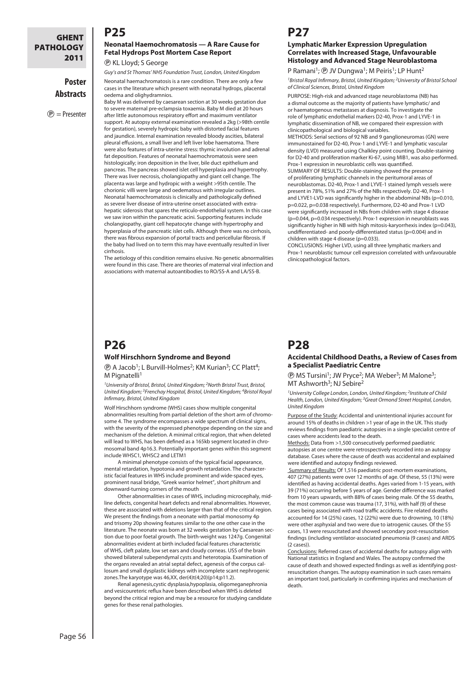# **Poster Abstracts**

 $\circledP$  = Presenter

# **P25**

#### **Neonatal Haemochromatosis — A Rare Cause for Fetal Hydrops Post Mortem Case Report**

P KL Lloyd; S George *Guy's and St Thomas' NHS Foundation Trust, London, United Kingdom*

Neonatal haemachromatosis is a rare condition. There are only a few cases in the literature which present with neonatal hydrops, placental oedema and olighydramnios.

Baby M was delivered by caesarean section at 30 weeks gestation due to severe maternal pre-eclampsia toxaemia. Baby M died at 20 hours after little autonomous respiratory effort and maximum ventilator support. At autopsy external examination revealed a 2kg (>98th centile for gestation), severely hydropic baby with distorted facial features and jaundice. Internal examination revealed bloody ascities, bilateral pleural effusions, a small liver and left liver lobe haematoma. There were also features of intra-uterine stress: thymic involution and adrenal fat deposition. Features of neonatal haemochromatosis were seen histologically; iron deposition in the liver, bile duct epithelium and pancreas. The pancreas showed islet cell hyperplasia and hypertrophy. There was liver necrosis, cholangiopathy and giant cell change. The placenta was large and hydropic with a weight >95th centile. The chorionic villi were large and oedematous with irregular outlines. Neonatal haemochromatosis is clinically and pathologically defined as severe liver disease of intra-uterine onset associated with extrahepatic siderosis that spares the reticulo-endothelial system. In this case we saw iron within the pancreatic acini. Supporting features include cholangiopathy, giant cell hepatocyte change with hypertrophy and hyperplasia of the pancreatic islet cells. Although there was no cirrhosis, there was fibrous expansion of portal tracts and pericellular fibrosis. If the baby had lived on to term this may have eventually resulted in liver cirrhosis.

The aetiology of this condition remains elusive. No genetic abnormalities were found in this case. There are theories of maternal viral infection and associations with maternal autoantibodies to RO/SS-A and LA/SS-B.

# **P27**

#### **Lymphatic Marker Expression Upregulation Correlates with Increased Stage, Unfavourable Histology and Advanced Stage Neuroblastoma**

P Ramani<sup>1</sup>; **(** $\bullet$  JV Dungwa<sup>1</sup>; M Peiris<sup>1</sup>; LP Hunt<sup>2</sup>

*1Bristol Royal Infirmary, Bristol, United Kingdom; 2University of Bristol School of Clinical Sciences, Bristol, United Kingdom*

PURPOSE: High-risk and advanced stage neuroblastoma (NB) has a dismal outcome as the majority of patients have lymphatic/ and or haematogenous metastases at diagnosis. To investigate the role of lymphatic endothelial markers D2-40, Prox-1 and LYVE-1 in lymphatic dissemination of NB, we compared their expression with clinicopathological and biological variables.

METHODS: Serial sections of 92 NB and 9 ganglioneuromas (GN) were immunostained for D2-40, Prox-1 and LYVE-1 and lymphatic vascular density (LVD) measured using Chalkley point counting. Double-staining for D2-40 and proliferation marker Ki-67, using MIB1, was also performed. Prox-1 expression in neuroblastic cells was quantified.

SUMMARY OF RESULTS: Double-staining showed the presence of proliferating lymphatic channels in the peritumoral areas of neuroblastomas. D2-40, Prox-1 and LYVE-1 stained lymph vessels were present in 78%, 51% and 27% of the NBs respectively. D2-40, Prox-1 and LYVE1-LVD was significantly higher in the abdominal NBs (p=0.010, p=0.022, p=0.038 respectively). Furthermore, D2-40 and Prox-1 LVD were significantly increased in NBs from children with stage 4 disease (p=0.044, p=0.034 respectively). Prox-1 expression in neuroblasts was significantly higher in NB with high mitosis-karyorrhexis index (p=0.043), undifferentiated- and poorly-differentiated status (p=0.004) and in children with stage 4 disease (p=0.033).

CONCLUSIONS: Higher LVD, using all three lymphatic markers and Prox-1 neuroblastic tumour cell expression correlated with unfavourable clinicopathological factors.

# **P26**

#### **Wolf Hirschhorn Syndrome and Beyond**

**P A Jacob<sup>1</sup>; L Burvill-Holmes<sup>2</sup>; KM Kurian<sup>3</sup>; CC Platt<sup>4</sup>;** M Pignatelli<sup>1</sup>

*1University of Bristol, Bristol, United Kingdom; 2North Bristol Trust, Bristol, United Kingdom; 3Frenchay Hospital, Bristol, United Kingdom; 4Bristol Royal Infirmary, Bristol, United Kingdom*

Wolf Hirschhorn syndrome (WHS) cases show multiple congenital abnormalities resulting from partial deletion of the short arm of chromosome 4. The syndrome encompasses a wide spectrum of clinical signs, with the severity of the expressed phenotype depending on the size and mechanism of the deletion. A minimal critical region, that when deleted will lead to WHS, has been defined as a 165kb segment located in chromosomal band 4p16.3. Potentially important genes within this segment include WHSC1, WHSC2 and LETM1

A minimal phenotype consists of the typical facial appearance, mental retardation, hypotonia and growth retardation. The characteristic facial features in WHS include prominent and wide-spaced eyes, prominent nasal bridge, "Greek warrior helmet", short philtrum and downward-turning corners of the mouth

Other abnormalities in cases of WHS, including microcephaly, midline defects, congenital heart defects and renal abnormalities. However, these are associated with deletions larger than that of the critical region. We present the findings from a neonate with partial monosomy 4p and trisomy 20p showing features similar to the one other case in the literature. The neonate was born at 32 weeks gestation by Caesarean section due to poor foetal growth. The birth-weight was 1247g. Congenital abnormalities evident at birth included facial features characteristic of WHS, cleft palate, low set ears and cloudy corneas. USS of the brain showed bilateral subependymal cysts and heterotopia. Examination of the organs revealed an atrial septal defect, agenesis of the corpus callosum and small dysplastic kidneys with incomplete scant nephrogenic zones.The karyotype was 46,XX, der(4)t(4;20)(p14;p11.2).

Renal agenesis,cystic dysplasia,hypoplasia, oligomeganephronia and vesicoureteric reflux have been described when WHS is deleted beyond the critical region and may be a resource for studying candidate genes for these renal pathologies.

# **P28**

#### **Accidental Childhood Deaths, a Review of Cases from a Specialist Paediatric Centre**

 $\textcircled{P}$  MS Tursini<sup>1</sup>; JW Pryce<sup>2</sup>; MA Weber<sup>3</sup>; M Malone<sup>3</sup>; MT Ashworth<sup>3</sup>; NJ Sebire<sup>2</sup>

*1University College London, London, United Kingdom; 2Institute of Child Health, London, United Kingdom; 3Great Ormond Street Hospital, London, United Kingdom*

Purpose of the Study: Accidental and unintentional injuries account for around 15% of deaths in children >1 year of age in the UK. This study reviews findings from paediatric autopsies in a single specialist centre of cases where accidents lead to the death.

Methods: Data from >1,500 consecutively performed paediatric autopsies at one centre were retrospectively recorded into an autopsy database. Cases where the cause of death was accidental and explained were identified and autopsy findings reviewed.

 Summary of Results: Of 1,516 paediatric post-mortem examinations, 407 (27%) patients were over 12 months of age. Of these, 55 (13%) were identified as having accidental deaths. Ages varied from 1-15 years, with 39 (71%) occurring before 5 years of age. Gender difference was marked from 10 years upwards, with 88% of cases being male. Of the 55 deaths, the most common cause was trauma (17, 31%), with half (9) of these cases being associated with road traffic accidents. Fire related deaths accounted for 14 (25%) cases, 12 (22%) were due to drowning, 10 (18%) were other asphyxial and two were due to iatrogenic causes. Of the 55 cases, 13 were resuscitated and showed secondary post-resuscitation findings (including ventilator-associated pneumonia (9 cases) and ARDS

(2 cases)). Conclusions: Referred cases of accidental deaths for autopsy align with National statistics in England and Wales. The autopsy confirmed the cause of death and showed expected findings as well as identifying postresuscitation changes. The autopsy examination in such cases remains an important tool, particularly in confirming injuries and mechanism of death.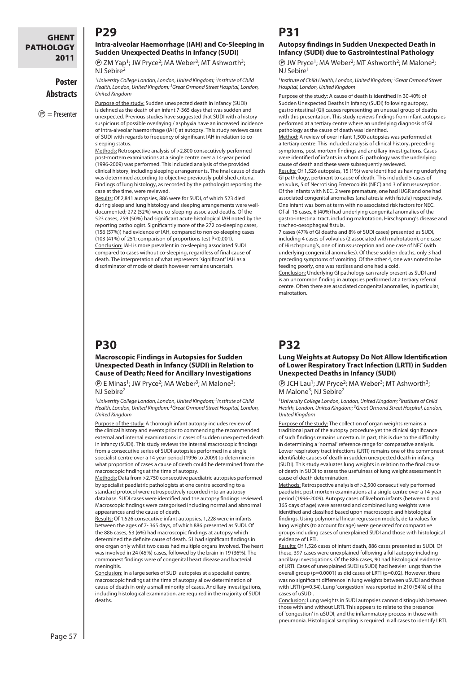# **Poster Abstracts**

 $(P)$  = Presenter

# **P29**

**Intra-alveolar Haemorrhage (IAH) and Co-Sleeping in Sudden Unexpected Deaths in Infancy (SUDI)**

**P ZM Yap<sup>1</sup>; JW Pryce<sup>2</sup>; MA Weber<sup>3</sup>; MT Ashworth<sup>3</sup>;** NJ Sebire2

*1University College London, London, United Kingdom; 2Institute of Child Health, London, United Kingdom; 3Great Ormond Street Hospital, London, United Kingdom*

Purpose of the study: Sudden unexpected death in infancy (SUDI) is defined as the death of an infant 7-365 days that was sudden and unexpected. Previous studies have suggested that SUDI with a history suspicious of possible overlaying / asphyxia have an increased incidence of intra-alveolar haemorrhage (IAH) at autopsy. This study reviews cases of SUDI with regards to frequency of significant IAH in relation to cosleeping status.

Methods: Retrospective analysis of >2,800 consecutively performed post-mortem examinations at a single centre over a 14-year period (1996-2009) was performed. This included analysis of the provided clinical history, including sleeping arrangements. The final cause of death was determined according to objective previously published criteria. Findings of lung histology, as recorded by the pathologist reporting the case at the time, were reviewed.

Results: Of 2,841 autopsies, 886 were for SUDI, of which 523 died during sleep and lung histology and sleeping arrangements were welldocumented; 272 (52%) were co-sleeping-associated deaths. Of the 523 cases, 259 (50%) had significant acute histological IAH noted by the reporting pathologist. Significantly more of the 272 co-sleeping cases, (156 (57%)) had evidence of IAH, compared to non co-sleeping cases (103 (41%) of 251; comparison of proportions test P<0.001). Conclusion: IAH is more prevalent in co-sleeping associated SUDI compared to cases without co-sleeping, regardless of final cause of death. The interpretation of what represents 'significant' IAH as a discriminator of mode of death however remains uncertain.

# **P30**

#### **Macroscopic Findings in Autopsies for Sudden Unexpected Death in Infancy (SUDI) in Relation to Cause of Death; Need for Ancillary Investigations**

**P** E Minas<sup>1</sup>; JW Pryce<sup>2</sup>; MA Weber<sup>3</sup>; M Malone<sup>3</sup>; NJ Sebire2

*1University College London, London, United Kingdom; 2Institute of Child Health, London, United Kingdom; 3Great Ormond Street Hospital, London, United Kingdom*

Purpose of the study: A thorough infant autopsy includes review of the clinical history and events prior to commencing the recommended external and internal examinations in cases of sudden unexpected death in infancy (SUDI). This study reviews the internal macroscopic findings from a consecutive series of SUDI autopsies performed in a single specialist centre over a 14 year period (1996 to 2009) to determine in what proportion of cases a cause of death could be determined from the macroscopic findings at the time of autopsy.

Methods: Data from >2,750 consecutive paediatric autopsies performed by specialist paediatric pathologists at one centre according to a standard protocol were retrospectively recorded into an autopsy database. SUDI cases were identified and the autopsy findings reviewed. Macroscopic findings were categorised including normal and abnormal appearances and the cause of death.

Results: Of 1,526 consecutive infant autopsies, 1,228 were in infants between the ages of 7- 365 days, of which 886 presented as SUDI. Of the 886 cases, 53 (6%) had macroscopic findings at autopsy which determined the definite cause of death. 51 had significant findings in one organ only whilst two cases had multiple organs involved. The heart was involved in 24 (45%) cases, followed by the brain in 19 (36%). The commonest findings were of congenital heart disease and bacterial meningitis

Conclusion: In a large series of SUDI autopsies at a specialist centre, macroscopic findings at the time of autopsy allow determination of cause of death in only a small minority of cases. Ancillary investigations, including histological examination, are required in the majority of SUDI deaths.

# **P31**

**Autopsy findings in Sudden Unexpected Death in Infancy (SUDI) due to Gastrointestinal Pathology P** JW Pryce<sup>1</sup>; MA Weber<sup>2</sup>; MT Ashworth<sup>2</sup>; M Malone<sup>2</sup>; NJ Sebire1

*1Institute of Child Health, London, United Kingdom; 2Great Ormond Street Hospital, London, United Kingdom*

Purpose of the study: A cause of death is identified in 30-40% of Sudden Unexpected Deaths in Infancy (SUDI) following autopsy, gastrointestinal (GI) causes representing an unusual group of deaths with this presentation. This study reviews findings from infant autopsies performed at a tertiary centre where an underlying diagnosis of GI pathology as the cause of death was identified.

Method: A review of over infant 1,500 autopsies was performed at a tertiary centre. This included analysis of clinical history, preceding symptoms, post-mortem findings and ancillary investigations. Cases were identified of infants in whom GI pathology was the underlying cause of death and these were subsequently reviewed.

Results: Of 1,526 autopsies, 15 (1%) were identified as having underlying GI pathology, pertinent to cause of death. This included 5 cases of volvulus, 5 of Necrotising Enterocolitis (NEC) and 3 of intussusception. Of the infants with NEC, 2 were premature, one had IUGR and one had associated congenital anomalies (anal atresia with fistula) respectively. One infant was born at term with no associated risk factors for NEC. Of all 15 cases, 6 (40%) had underlying congenital anomalies of the gastro-intestinal tract, including malrotation, Hirschsprung's disease and

tracheo-oesophageal fistula. 7 cases (47% of GI deaths and 8% of SUDI cases) presented as SUDI, including 4 cases of volvulus (2 associated with malrotation), one case of Hirschsprung's, one of intussusception and one case of NEC (with underlying congenital anomalies). Of these sudden deaths, only 3 had preceding symptoms of vomiting. Of the other 4, one was noted to be feeding poorly, one was restless and one had a cold.

Conclusion: Underlying GI pathology can rarely present as SUDI and is an uncommon finding in autopsies performed at a tertiary referral centre. Often there are associated congenital anomalies, in particular, malrotation.

# **P32**

#### **Lung Weights at Autopsy Do Not Allow Identification of Lower Respiratory Tract Infection (LRTI) in Sudden Unexpected Deaths in Infancy (SUDI)**

**P** JCH Lau<sup>1</sup>; JW Pryce<sup>2</sup>; MA Weber<sup>3</sup>; MT Ashworth<sup>3</sup>; M Malone<sup>3</sup>; NJ Sebire<sup>2</sup>

*1University College London, London, United Kingdom; 2Institute of Child Health, London, United Kingdom; 3Great Ormond Street Hospital, London, United Kingdom*

Purpose of the study: The collection of organ weights remains a traditional part of the autopsy procedure yet the clinical significance of such findings remains uncertain. In part, this is due to the difficulty in determining a 'normal' reference range for comparative analysis. Lower respiratory tract infections (LRTI) remains one of the commonest identifiable causes of death in sudden unexpected death in infancy (SUDI). This study evaluates lung weights in relation to the final cause of death in SUDI to assess the usefulness of lung weight assessment in cause of death determination.

Methods: Retrospective analysis of >2,500 consecutively performed paediatric post-mortem examinations at a single centre over a 14-year period (1996-2009). Autopsy cases of liveborn infants (between 0 and 365 days of age) were assessed and combined lung weights were identified and classified based upon macroscopic and histological findings. Using polynomial linear regression models, delta values for lung weights (to account for age) were generated for comparative groups including cases of unexplained SUDI and those with histological evidence of LRTI.

Results: Of 1,526 cases of infant death, 886 cases presented as SUDI. Of these, 397 cases were unexplained following a full autopsy including ancillary investigations. Of the 886 cases, 90 had histological evidence of LRTI. Cases of unexplained SUDI (uSUDI) had heavier lungs than the overall group (p=0.0001) as did cases of LRTI (p=0.02). However, there was no significant difference in lung weights between uSUDI and those with LRTI (p=0.34). Lung 'congestion' was reported in 210 (54%) of the cases of uSUDI.

Conclusion: Lung weights in SUDI autopsies cannot distinguish between those with and without LRTI. This appears to relate to the presence of 'congestion' in uSUDI, and the inflammatory process in those with pneumonia. Histological sampling is required in all cases to identify LRTI.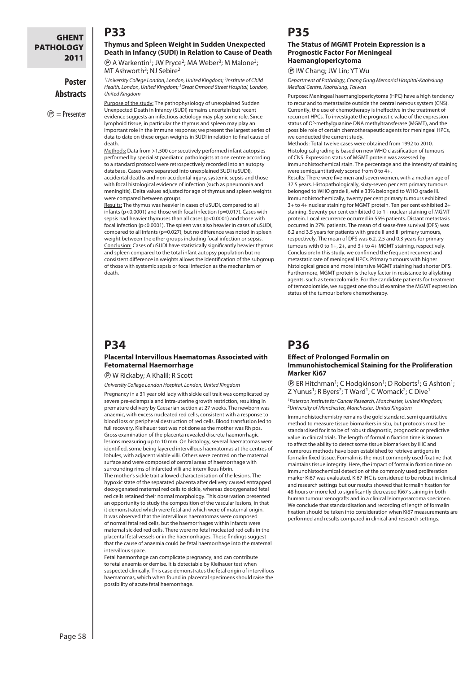# **Poster Abstracts**

 $\circledP$  = Presenter

### **P33**

**Thymus and Spleen Weight in Sudden Unexpected Death in Infancy (SUDI) in Relation to Cause of Death**

**(B)** A Warkentin<sup>1</sup>; JW Pryce<sup>2</sup>; MA Weber<sup>3</sup>; M Malone<sup>3</sup>; MT Ashworth<sup>3</sup>; NJ Sebire<sup>2</sup>

*1University College London, London, United Kingdom; 2Institute of Child Health, London, United Kingdom; 3Great Ormond Street Hospital, London, United Kingdom*

Purpose of the study: The pathophysiology of unexplained Sudden Unexpected Death in Infancy (SUDI) remains uncertain but recent evidence suggests an infectious aetiology may play some role. Since lymphoid tissue, in particular the thymus and spleen may play an important role in the immune response; we present the largest series of data to date on these organ weights in SUDI in relation to final cause of death.

Methods: Data from >1,500 consecutively performed infant autopsies performed by specialist paediatric pathologists at one centre according to a standard protocol were retrospectively recorded into an autopsy database. Cases were separated into unexplained SUDI (uSUDI), accidental deaths and non-accidental injury, systemic sepsis and those with focal histological evidence of infection (such as pneumonia and meningitis). Delta values adjusted for age of thymus and spleen weights were compared between groups.

Results: The thymus was heavier in cases of uSUDI, compared to all infants (p<0.0001) and those with focal infection (p=0.017). Cases with sepsis had heavier thymuses than all cases (p<0.0001) and those with focal infection (p<0.0001). The spleen was also heavier in cases of uSUDI, compared to all infants (p=0.027), but no difference was noted in spleen weight between the other groups including focal infection or sepsis. Conclusion: Cases of uSUDI have statistically significantly heavier thymus and spleen compared to the total infant autopsy population but no consistent difference in weights allows the identification of the subgroup of those with systemic sepsis or focal infection as the mechanism of death.

# **P35**

#### **The Status of MGMT Protein Expression is a Prognostic Factor For Meningeal Haemangiopericytoma**

P IW Chang; JW Lin; YT Wu

*Department of Pathology, Chang Gung Memorial Hospital-Kaohsiung Medical Centre, Kaohsiung, Taiwan*

Purpose: Meningeal haemangiopericytoma (HPC) have a high tendency to recur and to metastasize outside the central nervous system (CNS). Currently, the use of chemotherapy is ineffective in the treatment of recurrent HPCs. To investigate the prognostic value of the expression status of O<sup>6</sup>-methylguanine DNA methyltransferase (MGMT), and the possible role of certain chemotherapeutic agents for meningeal HPCs, we conducted the current study.

Methods: Total twelve cases were obtained from 1992 to 2010. Histological grading is based on new WHO classification of tumours of CNS. Expression status of MGMT protein was assessed by immunohistochemical stain. The percentage and the intensity of staining were semiquantitatively scored from 0 to 4+.

Results: There were five men and seven women, with a median age of 37.5 years. Histopathologically, sixty-seven per cent primary tumours belonged to WHO grade II, while 33% belonged to WHO grade III. Immunohistochemically, twenty per cent primary tumours exhibited 3+ to 4+ nuclear staining for MGMT protein. Ten per cent exhibited 2+ staining. Seventy per cent exhibited 0 to 1+ nuclear staining of MGMT protein. Local recurrence occurred in 55% patients. Distant metastasis occurred in 27% patients. The mean of disease-free survival (DFS) was 6.2 and 3.5 years for patients with grade II and III primary tumours, respectively. The mean of DFS was 6.2, 2.5 and 0.3 years for primary tumours with 0 to 1+, 2+, and 3+ to 4+ MGMT staining, respectively. Conclusion: In this study, we confirmed the frequent recurrent and metastatic rate of meningeal HPCs. Primary tumours with higher histological grade and more intensive MGMT staining had shorter DFS. Furthermore, MGMT protein is the key factor in resistance to alkylating agents, such as temozolomide. For the candidate patients for treatment of temozolomide, we suggest one should examine the MGMT expression status of the tumour before chemotherapy.

# **P34**

#### **Placental Intervillous Haematomas Associated with Fetomaternal Haemorrhage**

#### P W Rickaby; A Khalil; R Scott

*University College London Hospital, London, United Kingdom*

Pregnancy in a 31 year old lady with sickle cell trait was complicated by severe pre-eclampsia and intra-uterine growth restriction, resulting in premature delivery by Caesarian section at 27 weeks. The newborn was anaemic, with excess nucleated red cells, consistent with a response to blood loss or peripheral destruction of red cells. Blood transfusion led to full recovery. Kleihauer test was not done as the mother was Rh pos. Gross examination of the placenta revealed discrete haemorrhagic lesions measuring up to 10 mm. On histology, several haematomas were identified, some being layered intervillous haematomas at the centres of lobules, with adjacent viable villi. Others were centred on the maternal surface and were composed of central areas of haemorrhage with surrounding rims of infarcted villi and intervillous fibrin. The mother's sickle trait allowed characterisation of the lesions. The hypoxic state of the separated placenta after delivery caused entrapped deoxygenated maternal red cells to sickle, whereas deoxygenated fetal red cells retained their normal morphology. This observation presented an opportunity to study the composition of the vascular lesions, in that it demonstrated which were fetal and which were of maternal origin. It was observed that the intervillous haematomas were composed of normal fetal red cells, but the haemorrhages within infarcts were maternal sickled red cells. There were no fetal nucleated red cells in the placental fetal vessels or in the haemorrhages. These findings suggest that the cause of anaemia could be fetal haemorrhage into the maternal

intervillous space. Fetal haemorrhage can complicate pregnancy, and can contribute to fetal anaemia or demise. It is detectable by Kleihauer test when suspected clinically. This case demonstrates the fetal origin of intervillous haematomas, which when found in placental specimens should raise the possibility of acute fetal haemorrhage.

# **P36**

#### **Effect of Prolonged Formalin on Immunohistochemical Staining for the Proliferation Marker Ki67**

 $\textcircled{P}$  ER Hitchman<sup>1</sup>; C Hodgkinson<sup>1</sup>; D Roberts<sup>1</sup>; G Ashton<sup>1</sup>; Z Yunus<sup>1</sup>; R Byers<sup>2</sup>; T Ward<sup>1</sup>; C Womack<sup>2</sup>; C Dive<sup>1</sup>

*1Paterson Institute for Cancer Research, Manchester, United Kingdom; 2University of Manchester, Manchester, United Kingdom*

Immunohistochemistry remains the gold standard, semi quantitative method to measure tissue biomarkers in situ, but protocols must be standardised for it to be of robust diagnostic, prognostic or predictive value in clinical trials. The length of formalin fixation time is known to affect the ability to detect some tissue biomarkers by IHC and numerous methods have been established to retrieve antigens in formalin fixed tissue. Formalin is the most commonly used fixative that maintains tissue integrity. Here, the impact of formalin fixation time on immunohistochemical detection of the commonly used proliferation marker Ki67 was evaluated. Ki67 IHC is considered to be robust in clinical and research settings but our results showed that formalin fixation for 48 hours or more led to significantly decreased Ki67 staining in both human tumour xenografts and in a clinical leiomyosarcoma specimen. We conclude that standardisation and recording of length of formalin fixation should be taken into consideration when Ki67 measurements are performed and results compared in clinical and research settings.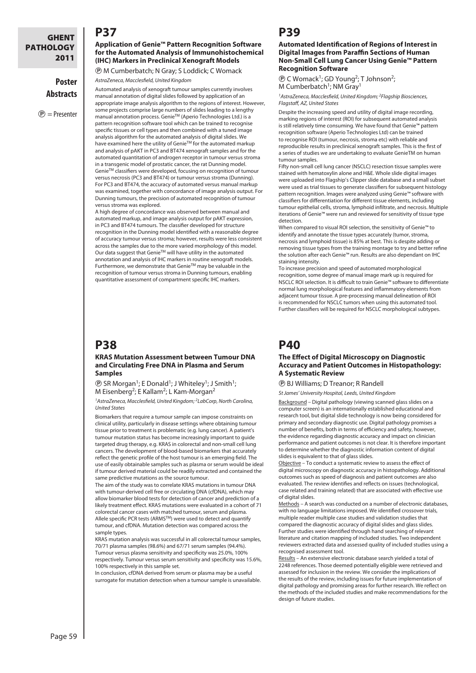# **Poster Abstracts**

 $(P)$  = Presenter

### **Application of Genie™ Pattern Recognition Software for the Automated Analysis of Immunohistochemical (IHC) Markers in Preclinical Xenograft Models**

P M Cumberbatch; N Gray; S Loddick; C Womack

*AstraZeneca, Macclesfield, United Kingdom*

**P37**

Automated analysis of xenograft tumour samples currently involves manual annotation of digital slides followed by application of an appropriate image analysis algorithm to the regions of interest. However, some projects comprise large numbers of slides leading to a lengthy manual annotation process. Genie™ (Aperio Technologies Ltd.) is a pattern recognition software tool which can be trained to recognise specific tissues or cell types and then combined with a tuned image analysis algorithm for the automated analysis of digital slides. We have examined here the utility of GenieTM for the automated markup and analysis of pAKT in PC3 and BT474 xenograft samples and for the automated quantitation of androgen receptor in tumour versus stroma in a transgenic model of prostatic cancer, the rat Dunning model. GenieTM classifiers were developed, focusing on recognition of tumour versus necrosis (PC3 and BT474) or tumour versus stroma (Dunning). For PC3 and BT474, the accuracy of automated versus manual markup was examined, together with concordance of image analysis output. For Dunning tumours, the precision of automated recognition of tumour versus stroma was explored.

A high degree of concordance was observed between manual and automated markup, and image analysis output for pAKT expression, in PC3 and BT474 tumours. The classifier developed for structure recognition in the Dunning model identified with a reasonable degree of accuracy tumour versus stroma; however, results were less consistent across the samples due to the more varied morphology of this model. Our data suggest that Genie<sup>™</sup> will have utility in the automated annotation and analysis of IHC markers in routine xenograft models.<br>Furthermore, we demonstrate that Genie™ may be valuable in the recognition of tumour versus stroma in Dunning tumours, enabling quantitative assessment of compartment specific IHC markers.

# **P38**

#### **KRAS Mutation Assessment between Tumour DNA and Circulating Free DNA in Plasma and Serum Samples**

 $\textcircled{P}$  SR Morgan<sup>1</sup>; E Donald<sup>1</sup>; J Whiteley<sup>1</sup>; J Smith<sup>1</sup>; M Eisenberg<sup>2</sup>; E Kallam<sup>2</sup>; L Kam-Morgan<sup>2</sup>

*1AstraZeneca, Macclesfield, United Kingdom; 2LabCorp, North Carolina, United States*

Biomarkers that require a tumour sample can impose constraints on clinical utility, particularly in disease settings where obtaining tumour tissue prior to treatment is problematic (e.g. lung cancer). A patient's tumour mutation status has become increasingly important to guide targeted drug therapy, e.g. KRAS in colorectal and non-small cell lung cancers. The development of blood-based biomarkers that accurately reflect the genetic profile of the host tumour is an emerging field. The use of easily obtainable samples such as plasma or serum would be ideal if tumour derived material could be readily extracted and contained the same predictive mutations as the source tumour.

The aim of the study was to correlate KRAS mutations in tumour DNA with tumour-derived cell free or circulating DNA (cfDNA), which may allow biomarker blood tests for detection of cancer and prediction of a likely treatment effect. KRAS mutations were evaluated in a cohort of 71 colorectal cancer cases with matched tumour, serum and plasma. Allele specific PCR tests (ARMSTM) were used to detect and quantify tumour, and cfDNA. Mutation detection was compared across the sample types.

KRAS mutation analysis was successful in all colorectal tumour samples, 70/71 plasma samples (98.6%) and 67/71 serum samples (94.4%). Tumour versus plasma sensitivity and specificity was 25.0%, 100% respectively. Tumour versus serum sensitivity and specificity was 15.6%, 100% respectively in this sample set.

In conclusion, cfDNA derived from serum or plasma may be a useful surrogate for mutation detection when a tumour sample is unavailable.

# **P39**

#### **Automated Identification of Regions of Interest in Digital Images from Paraffin Sections of Human Non-Small Cell Lung Cancer Using Genie™ Pattern Recognition Software**

 $\mathcal{P}$  C Womack<sup>1</sup>; GD Young<sup>2</sup>; T Johnson<sup>2</sup>; M Cumberbatch<sup>1</sup>; NM Gray<sup>1</sup>

*1AstraZeneca, Macclesfield, United Kingdom; 2Flagship Biosciences, Flagstaff, AZ, United States*

Despite the increasing speed and utility of digital image recording, marking regions of interest (ROI) for subsequent automated analysis is still relatively time consuming. We have found that Genie™ pattern recognition software (Aperio Technologies Ltd) can be trained to recognise ROI (tumour, necrosis, stroma etc) with reliable and reproducible results in preclinical xenograft samples. This is the first of a series of studies we are undertaking to evaluate GenieTM on human tumour samples.

Fifty non-small cell lung cancer (NSCLC) resection tissue samples were stained with hematoxylin alone and H&F. Whole slide digital images were uploaded into Flagship's Clipper slide database and a small subset were used as trial tissues to generate classifiers for subsequent histology pattern recognition. Images were analyzed using Genie™ software with classifiers for differentiation for different tissue elements, including tumour epithelial cells, stroma, lymphoid infiltrate, and necrosis. Multiple iterations of Genie™ were run and reviewed for sensitivity of tissue type detection.

When compared to visual ROI selection, the sensitivity of Genie™ to identify and annotate the tissue types accurately (tumor, stroma, necrosis and lymphoid tissue) is 85% at best. This is despite adding or removing tissue types from the training montage to try and better refine the solution after each Genie™ run. Results are also dependant on IHC staining intensity.

To increase precision and speed of automated morphological recognition, some degree of manual image mark up is required for NSCLC ROI selection. It is difficult to train Genie™ software to differentiate normal lung morphological features and inflammatory elements from adjacent tumour tissue. A pre-processing manual delineation of ROI is recommended for NSCLC tumors when using this automated tool. Further classifiers will be required for NSCLC morphological subtypes.

# **P40**

#### **The Effect of Digital Microscopy on Diagnostic Accuracy and Patient Outcomes in Histopathology: A Systematic Review**

P BJ Williams; D Treanor; R Randell

*St James' University Hospital, Leeds, United Kingdom*

Background – Digital pathology (viewing scanned glass slides on a computer screen) is an internationally established educational and research tool, but digital slide technology is now being considered for primary and secondary diagnostic use. Digital pathology promises a number of benefits, both in terms of efficiency and safety, however, the evidence regarding diagnostic accuracy and impact on clinician performance and patient outcomes is not clear. It is therefore important to determine whether the diagnostic information content of digital slides is equivalent to that of glass slides.

Objective – To conduct a systematic review to assess the effect of digital microscopy on diagnostic accuracy in histopathology. Additional outcomes such as speed of diagnosis and patient outcomes are also evaluated. The review identifies and reflects on issues (technological, case related and training related) that are associated with effective use of digital slides.

Methods – A search was conducted on a number of electronic databases, with no language limitations imposed. We identified crossover trials, multiple reader multiple case studies and validation studies that compared the diagnostic accuracy of digital slides and glass slides. Further studies were identified through hand searching of relevant literature and citation mapping of included studies. Two independent reviewers extracted data and assessed quality of included studies using a recognised assessment tool.

Results – An extensive electronic database search yielded a total of 2248 references. Those deemed potentially eligible were retrieved and assessed for inclusion in the review. We consider the implications of the results of the review, including issues for future implementation of digital pathology and promising areas for further research. We reflect on the methods of the included studies and make recommendations for the design of future studies.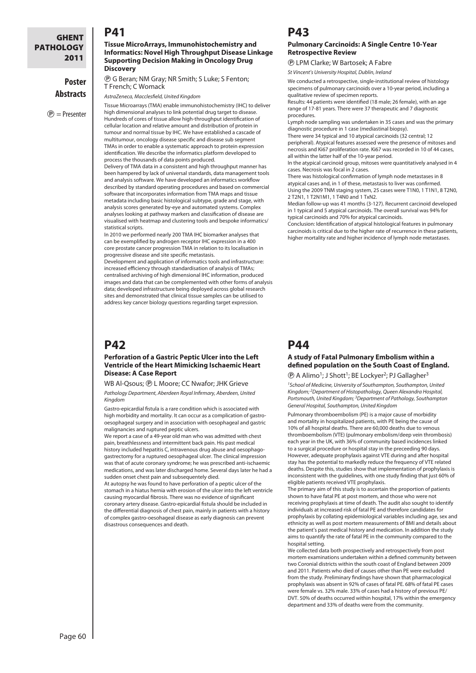# **Poster Abstracts**

**P41**

 $(P)$  = Presenter

#### **Tissue MicroArrays, Immunohistochemistry and Informatics: Novel High Throughput Disease Linkage Supporting Decision Making in Oncology Drug Discovery**

P G Beran; NM Gray; NR Smith; S Luke; S Fenton; T French; C Womack

*AstraZeneca, Macclesfield, United Kingdom*

Tissue Microarrays (TMA) enable immunohistochemistry (IHC) to deliver high dimensional analyses to link potential drug target to disease. Hundreds of cores of tissue allow high-throughput identification of cellular location and relative amount and distribution of protein in tumour and normal tissue by IHC. We have established a cascade of multitumour, oncology disease specific and disease sub segment TMAs in order to enable a systematic approach to protein expression identification. We describe the informatics platform developed to process the thousands of data points produced.

Delivery of TMA data in a consistent and high throughput manner has been hampered by lack of universal standards, data management tools and analysis software. We have developed an informatics workflow described by standard operating procedures and based on commercial software that incorporates information from TMA maps and tissue metadata including basic histological subtype, grade and stage, with analysis scores generated by-eye and automated systems. Complex analyses looking at pathway markers and classification of disease are visualised with heatmap and clustering tools and bespoke informatics/ statistical scripts.

In 2010 we performed nearly 200 TMA IHC biomarker analyses that can be exemplified by androgen receptor IHC expression in a 400 core prostate cancer progression TMA in relation to its localisation in progressive disease and site specific metastasis.

Development and application of informatics tools and infrastructure: increased efficiency through standardisation of analysis of TMAs; centralised archiving of high dimensional IHC information, produced images and data that can be complemented with other forms of analysis data; developed infrastructure being deployed across global research sites and demonstrated that clinical tissue samples can be utilised to address key cancer biology questions regarding target expression.

# **P42**

#### **Perforation of a Gastric Peptic Ulcer into the Left Ventricle of the Heart Mimicking Ischaemic Heart Disease: A Case Report**

WB Al-Qsous;  $\circledR$  L Moore; CC Nwafor; JHK Grieve

*Pathology Department, Aberdeen Royal Infirmary, Aberdeen, United Kingdom*

Gastro-epicardial fistula is a rare condition which is associated with high morbidity and mortality. It can occur as a complication of gastrooesophageal surgery and in association with oesophageal and gastric malignancies and ruptured peptic ulcers.

We report a case of a 49-year old man who was admitted with chest pain, breathlessness and intermittent back pain. His past medical history included hepatitis C, intravenous drug abuse and oesophagogastrectomy for a ruptured oesophageal ulcer. The clinical impression was that of acute coronary syndrome; he was prescribed anti-ischaemic medications, and was later discharged home. Several days later he had a sudden onset chest pain and subsequentely died.

At autopsy he was found to have perforation of a peptic ulcer of the stomach in a hiatus hernia with erosion of the ulcer into the left ventricle causing myocardial fibrosis. There was no evidence of significant coronary artery disease. Gastro-epicardial fistula should be included in the differential diagnosis of chest pain, mainly in patients with a history of complex gastro-oesohageal disease as early diagnosis can prevent disastrous consequences and death.

# **P43**

#### **Pulmonary Carcinoids: A Single Centre 10-Year Retrospective Review**

P LPM Clarke; W Bartosek; A Fabre

*St Vincent's University Hospital, Dublin, Ireland*

We conducted a retrospective, single-institutional review of histology specimens of pulmonary carcinoids over a 10-year period, including a qualitative review of specimen reports.

Results: 44 patients were identified (18 male; 26 female), with an age range of 17-81 years. There were 37 therapeutic and 7 diagnostic procedures.

Lymph node sampling was undertaken in 35 cases and was the primary diagnostic procedure in 1 case (mediastinal biopsy).

There were 34 typical and 10 atypical carcinoids (32 central; 12 peripheral). Atypical features assessed were the presence of mitoses and necrosis and Ki67 proliferation rate. Ki67 was recorded in 10 of 44 cases, all within the latter half of the 10-year period.

In the atypical carcinoid group, mitoses were quantitatively analysed in 4 cases. Necrosis was focal in 2 cases.

There was histological confirmation of lymph node metastases in 8 atypical cases and, in 1 of these, metastasis to liver was confirmed. Using the 2009 TNM staging system, 25 cases were T1N0, 1 T1N1, 8 T2N0, 2 T2N1, 1 T2N1M1, 1 T4N0 and 1 TxN2.

Median follow-up was 41 months (3-127). Recurrent carcinoid developed in 1 typical and 5 atypical carcinoids. The overall survival was 94% for typical carcinoids and 70% for atypical carcinoids.

Conclusion: Identification of atypical histological features in pulmonary carcinoids is critical due to the higher rate of recurrence in these patients, higher mortality rate and higher incidence of lymph node metastases.

# **P44**

### **A study of Fatal Pulmonary Embolism within a defined population on the South Coast of England.**

**P A Alimo<sup>1</sup>; J Shott<sup>1</sup>; BE Lockyer<sup>2</sup>; PJ Gallagher<sup>3</sup>** 

*1School of Medicine, University of Southampton, Southampton, United Kingdom; 2Department of Histopathology, Queen Alexandra Hospital, Portsmouth, United Kingdom; 3Department of Pathology, Southampton General Hospital, Southampton, United Kingdom*

Pulmonary thromboembolism (PE) is a major cause of morbidity and mortality in hospitalized patients, with PE being the cause of 10% of all hospital deaths. There are 60,000 deaths due to venous thromboembolism (VTE) (pulmonary embolism/deep vein thrombosis) each year in the UK, with 36% of community based incidences linked to a surgical procedure or hospital stay in the preceeding 90 days. However, adequate prophylaxis against VTE during and after hospital stay has the potential to markedly reduce the frequency of VTE related deaths. Despite this, studies show that implementation of prophylaxis is inconsistent with the guidelines, with one study finding that just 60% of eligible patients received VTE prophylaxis.

The primary aim of this study is to ascertain the proportion of patients shown to have fatal PE at post mortem, and those who were not receiving prophylaxis at time of death. The audit also sought to identify individuals at increased risk of fatal PE and therefore candidates for prophylaxis by collating epidemiological variables including age, sex and ethnicity as well as post mortem measurements of BMI and details about the patient's past medical history and medication. In addition the study aims to quantify the rate of fatal PE in the community compared to the hospital setting.

We collected data both prospectively and retrospectively from post mortem examinations undertaken within a defined community between two Coronial districts within the south coast of England between 2009 and 2011. Patients who died of causes other than PE were excluded from the study. Preliminary findings have shown that pharmacological prophylaxis was absent in 92% of cases of fatal PE. 68% of fatal PE cases were female vs. 32% male. 33% of cases had a history of previous PE/ DVT. 50% of deaths occurred within hospital, 17% within the emergency department and 33% of deaths were from the community.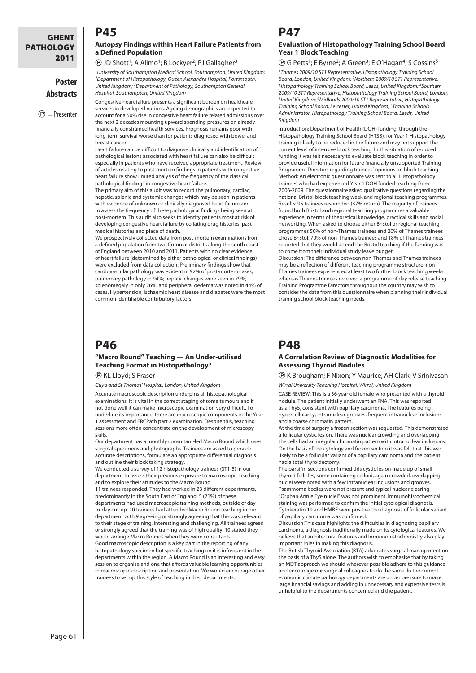# **Poster Abstracts**

 $(P)$  = Presenter

# **P45**

#### **Autopsy Findings within Heart Failure Patients from a Defined Population**

 $\textcircled{P}$  JD Shott<sup>1</sup>; A Alimo<sup>1</sup>; B Lockyer<sup>2</sup>; PJ Gallagher<sup>3</sup>

*1University of Southampton Medical School, Southampton, United Kingdom; 2Department of Histopathology, Queen Alexandra Hospital, Portsmouth, United Kingdom; 3Department of Pathology, Southampton General Hospital, Southampton, United Kingdom*

Congestive heart failure presents a significant burden on healthcare services in developed nations. Ageing demographics are expected to account for a 50% rise in congestive heart failure related admissions over the next 2 decades mounting upward spending pressures on already financially constrained health services. Prognosis remains poor with long-term survival worse than for patients diagnosed with bowel and breast cancer.

Heart failure can be difficult to diagnose clinically and identification of pathological lesions associated with heart failure can also be difficult especially in patients who have received appropriate treatment. Review of articles relating to post-mortem findings in patients with congestive heart failure show limited analysis of the frequency of the classical pathological findings in congestive heart failure.

The primary aim of this audit was to record the pulmonary, cardiac, hepatic, splenic and systemic changes which may be seen in patients with evidence of unknown or clinically diagnosed heart failure and to assess the frequency of these pathological findings being seen at post-mortem. This audit also seeks to identify patients most at risk of developing congestive heart failure by collating drug histories, past medical histories and place of death.

We prospectively collected data from post-mortem examinations from a defined population from two Coronial districts along the south coast of England between 2010 and 2011. Patients with no clear evidence of heart failure (determined by either pathological or clinical findings) were excluded from data collection. Preliminary findings show that cardiovascular pathology was evident in 92% of post-mortem cases; pulmonary pathology in 94%; hepatic changes were seen in 79%; splenomegaly in only 26%; and peripheral oedema was noted in 44% of cases. Hypertension, ischaemic heart disease and diabetes were the most common identifiable contributory factors.

# **P46**

### **"Macro Round" Teaching — An Under-utilised Teaching Format in Histopathology?**

P KL Lloyd; S Fraser

*Guy's and St Thomas' Hospital, London, United Kingdom*

Accurate macroscopic description underpins all histopathological examinations. It is vital in the correct staging of some tumours and if not done well it can make microscopic examination very difficult. To underline its importance, there are macroscopic components in the Year 1 assessment and FRCPath part 2 examination. Despite this, teaching sessions more often concentrate on the development of microscopy skills.

Our department has a monthly consultant-led Macro Round which uses surgical specimens and photographs. Trainees are asked to provide accurate descriptions, formulate an appropriate differential diagnosis and outline their block taking strategy.

We conducted a survey of 12 histopathology trainees (ST1-5) in our department to assess their previous exposure to macroscopic teaching and to explore their attitudes to the Macro Round.

11 trainees responded. They had worked in 23 different departments, predominantly in the South East of England. 5 (21%) of these departments had used macroscopic training methods, outside of dayto-day cut-up. 10 trainees had attended Macro Round teaching in our department with 9 agreeing or strongly agreeing that this was; relevant to their stage of training, interesting and challenging. All trainees agreed or strongly agreed that the training was of high quality. 10 stated they would arrange Macro Rounds when they were consultants. Good macroscopic description is a key part in the reporting of any histopathology specimen but specific teaching on it is infrequent in the departments within the region. A Macro Round is an interesting and easy session to organise and one that affords valuable learning opportunities in macroscopic description and presentation. We would encourage other trainees to set up this style of teaching in their departments.

# **P47**

#### **Evaluation of Histopathology Training School Board Year 1 Block Teaching**

**P G Petts<sup>1</sup>; E Byrne<sup>2</sup>; A Green<sup>3</sup>; E O'Hagan<sup>4</sup>; S Cossins<sup>5</sup>** 

*1Thames 2009/10 ST1 Representative, Histopathology Training School Board, London, United Kingdom; 2Northern 2009/10 ST1 Representative, Histopathology Training School Board, Leeds, United Kingdom; 3Southern 2009/10 ST1 Representative, Histopathology Training School Board, London, United Kingdom; 4Midlands 2009/10 ST1 Representative, Histopathology Training School Board, Leicester, United Kingdom; 5Training Schools Administrator, Histopathology Training School Board, Leeds, United Kingdom*

Introduction: Department of Health (DOH) funding, through the Histopathology Training School Board (HTSB), for Year 1 Histopathology training is likely to be reduced in the future and may not support the current level of intensive block teaching. In this situation of reduced funding it was felt necessary to evaluate block teaching in order to provide useful information for future financially unsupported Training Programme Directors regarding trainees' opinions on block teaching. Method: An electronic questionnaire was sent to all Histopathology trainees who had experienced Year 1 DOH funded teaching from 2006-2009. The questionnaire asked qualitative questions regarding the national Bristol block teaching week and regional teaching programm Results: 95 trainees responded (37% return). The majority of trainees found both Bristol and regional teaching programmes a valuable experience in terms of theoretical knowledge, practical skills and social networking. When asked to choose either Bristol or regional teaching programmes 50% of non-Thames trainees and 20% of Thames trainees chose Bristol. 70% of non-Thames trainees and 18% of Thames trainees reported that they would attend the Bristol teaching if the funding was to come from their individual study leave budget. Discussion: The difference between non-Thames and Thames trainees may be a reflection of different teaching programme structure; non-

Thames trainees experienced at least two further block teaching weeks whereas Thames trainees received a programme of day release teaching. Training Programme Directors throughout the country may wish to consider the data from this questionnaire when planning their individual training school block teaching needs.

# **P48**

#### **A Correlation Review of Diagnostic Modalities for Assessing Thyroid Nodules**

P K Brougham; F Nixon; Y Maurice; AH Clark; V Srinivasan

*Wirral University Teaching Hospital, Wirral, United Kingdom*

CASE REVIEW: This is a 36 year old female who presented with a thyroid nodule. The patient initially underwent an FNA. This was reported as a Thy5, consistent with papillary carcinoma. The features being hypercellularity, intranuclear grooves, frequent intranuclear inclusions and a coarse chromatin pattern.

At the time of surgery a frozen section was requested. This demonstrated a follicular cystic lesion. There was nuclear crowding and overlapping, the cells had an irregular chromatin pattern with intranuclear inclusions. On the basis of the cytology and frozen section it was felt that this was likely to be a follicular variant of a papillary carcinoma and the patient had a total thyroidectomy.

The paraffin sections confirmed this cystic lesion made up of small thyroid follicles, some containing colloid, again crowded, overlapping nuclei were noted with a few intranuclear inclusions and grooves. Psammoma bodies were not present and typical nuclear clearing "Orphan Annie Eye nuclei" was not prominent. Immunohistochemical staining was performed to confirm the initial cytological diagnosis. Cytokeratin 19 and HMBE were positive the diagnosis of follicular variant of papillary carcinoma was confirmed.

Discussion:This case highlights the difficulties in diagnosing papillary carcinoma, a diagnosis traditionally made on its cytological features. We believe that architectural features and Immunohistochemistry also play important roles in making this diagnosis.

The British Thyroid Association (BTA) advocates surgical management on the basis of a Thy5 alone. The authors wish to emphasise that by taking an MDT approach we should wherever possible adhere to this guidance and encourage our surgical colleagues to do the same. In the current economic climate pathology departments are under pressure to make large financial savings and adding in unnecessary and expensive tests is unhelpful to the departments concerned and the patient.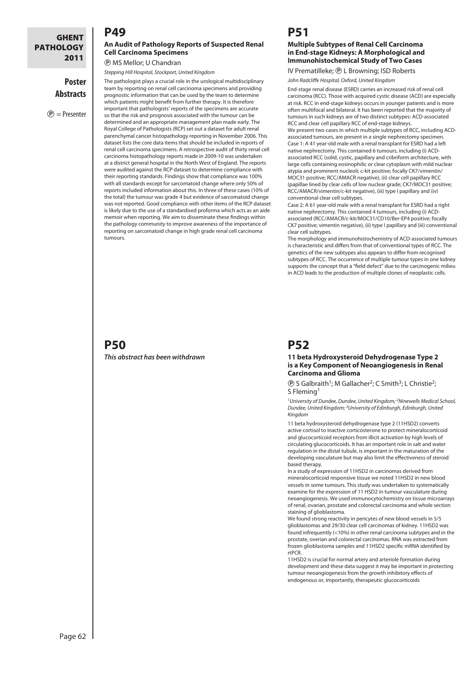# **Poster Abstracts**

 $(P)$  = Presenter

# **P49**

#### **An Audit of Pathology Reports of Suspected Renal Cell Carcinoma Specimens**

P MS Mellor; U Chandran

*Stepping Hill Hospital, Stockport, United Kingdom*

The pathologist plays a crucial role in the urological multidisciplinary team by reporting on renal cell carcinoma specimens and providing prognostic information that can be used by the team to determine which patients might benefit from further therapy. It is therefore important that pathologists' reports of the specimens are accurate so that the risk and prognosis associated with the tumour can be determined and an appropriate management plan made early. The Royal College of Pathologists (RCP) set out a dataset for adult renal parenchymal cancer histopathology reporting in November 2006. This dataset lists the core data items that should be included in reports of renal cell carcinoma specimens. A retrospective audit of thirty renal cell carcinoma histopathology reports made in 2009-10 was undertaken at a district general hospital in the North West of England. The reports were audited against the RCP dataset to determine compliance with their reporting standards. Findings show that compliance was 100% with all standards except for sarcomatoid change where only 50% of reports included information about this. In three of these cases (10% of the total) the tumour was grade 4 but evidence of sarcomatoid change was not reported. Good compliance with other items of the RCP dataset is likely due to the use of a standardised proforma which acts as an aide memoir when reporting. We aim to disseminate these findings within the pathology community to improve awareness of the importance of reporting on sarcomatoid change in high grade renal cell carcinoma tumours.

# **P51**

#### **Multiple Subtypes of Renal Cell Carcinoma in End-stage Kidneys: A Morphological and Immunohistochemical Study of Two Cases**

IV Prematilleke; (P) L Browning; ISD Roberts

*John Radcliffe Hospital, Oxford, United Kingdom*

End-stage renal disease (ESRD) carries an increased risk of renal cell carcinoma (RCC). Those with acquired cystic disease (ACD) are especially at risk. RCC in end-stage kidneys occurs in younger patients and is more often multifocal and bilateral. It has been reported that the majority of tumours in such kidneys are of two distinct subtypes: ACD-associated RCC and clear cell papillary RCC of end-stage kidneys.

We present two cases in which multiple subtypes of RCC, including ACDassociated tumours, are present in a single nephrectomy specimen. Case 1: A 41 year-old male with a renal transplant for ESRD had a left native nephrectomy. This contained 6 tumours, including (i) ACDassociated RCC (solid, cystic, papillary and cribriform architecture, with large cells containing eosinophilic or clear cytoplasm with mild nuclear atypia and prominent nucleoli; c-kit positive; focally CK7/vimentin/ MOC31 positive; RCC/AMACR negative), (ii) clear cell papillary RCC (papillae lined by clear cells of low nuclear grade; CK7/MOC31 positive; RCC/AMACR/vimentin/c-kit negative), (iii) type I papillary and (iv) conventional clear cell subtypes.

Case 2: A 61 year-old male with a renal transplant for ESRD had a right native nephrectomy. This contained 4 tumours, including (i) ACDassociated (RCC/AMACR/c-kit/MOC31/CD10/Ber-EP4 positive; focally CK7 positive; vimentin negative), (ii) type I papillary and (iii) conventional clear cell subtypes.

The morphology and immunohistochemistry of ACD-associated tumours is characteristic and differs from that of conventional types of RCC. The genetics of the new subtypes also appears to differ from recognised subtypes of RCC. The occurrence of multiple tumour types in one kidney supports the concept that a "field defect" due to the carcinogenic milieu in ACD leads to the production of multiple clones of neoplastic cells.

# **P50** *This abstract has been withdrawn*

# **P52**

#### **11 beta Hydroxysteroid Dehydrogenase Type 2 is a Key Component of Neoangiogenesis in Renal Carcinoma and Glioma**

 $\textcircled{P}$  S Galbraith<sup>1</sup>; M Gallacher<sup>2</sup>; C Smith<sup>3</sup>; L Christie<sup>2</sup>; S Fleming<sup>1</sup>

*1University of Dundee, Dundee, United Kingdom; 2Ninewells Medical School, Dundee, United Kingdom; 3University of Edinburgh, Edinburgh, United Kingdom*

11 beta hydroxysteroid dehydrogenase type 2 (11HSD2) converts active cortisol to inactive corticosterone to protect mineralocorticoid and glucocorticoid receptors from illicit activation by high levels of circulating glucocorticoids. It has an important role in salt and water regulation in the distal tubule, is important in the maturation of the developing vasculature but may also limit the effectiveness of steroid based therapy.

In a study of expression of 11HSD2 in carcinomas derived from mineralocorticoid responsive tissue we noted 11HSD2 in new blood vessels in some tumours. This study was undertaken to systematically examine for the expression of 11 HSD2 in tumour vasculature during neoangiogenesis. We used immunocytochemistry on tissue microarrays of renal, ovarian, prostate and colorectal carcinoma and whole section staining of glioblastoma.

We found strong reactivity in pericytes of new blood vessels in 5/5 glioblastomas and 29/30 clear cell carcinomas of kidney. 11HSD2 was found infrequently (<10%) in other renal carcinoma subtypes and in the prostate, overian and colorectal carcinomas. RNA was extracted from frozen glioblastoma samples and 11HSD2 specific mRNA identified by rtPCR.

11HSD2 is crucial for normal artery and arteriole formation during development and these data suggest it may be important in protecting tumour neoangiogenesis from the growth inhibitory effects of endogenous or, importantly, therapeutic glucocorticoids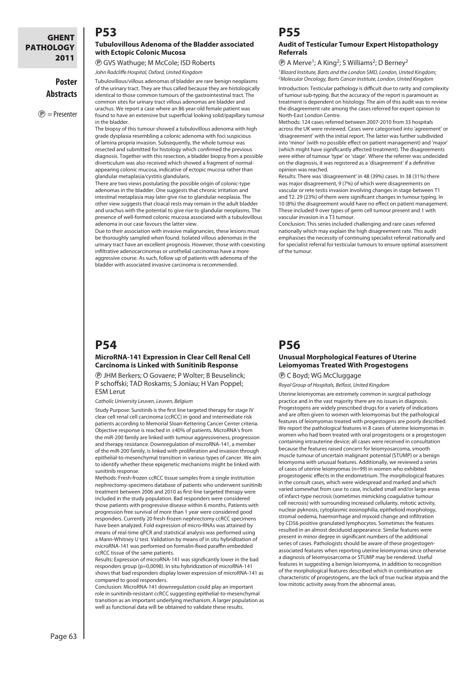# **Poster Abstracts**

 $(P)$  = Presenter

# **P53**

#### **Tubulovillous Adenoma of the Bladder associated with Ectopic Colonic Mucosa**

P GVS Wathuge; M McCole; ISD Roberts

*John Radcliffe Hospital, Oxford, United Kingdom*

Tubulovillous/villous adenomas of bladder are rare benign neoplasms of the urinary tract. They are thus called because they are histologically identical to those common tumours of the gastrointestinal tract. The common sites for urinary tract villous adenomas are bladder and urachus. We report a case where an 86 year-old female patient was found to have an extensive but superficial looking solid/papillary tumour in the bladder.

The biopsy of this tumour showed a tubulovillous adenoma with high grade dysplasia resembling a colonic adenoma with foci suspicious of lamina propria invasion. Subsequently, the whole tumour was resected and submitted for histology which confirmed the previous diagnosis. Together with this resection, a bladder biopsy from a possible diverticulum was also received which showed a fragment of normalappearing colonic mucosa, indicative of ectopic mucosa rather than glandular metaplasia/cystitis glandularis.

There are two views postulating the possible origin of colonic-type adenomas in the bladder. One suggests that chronic irritation and intestinal metaplasia may later give rise to glandular neoplasia. The other view suggests that cloacal rests may remain in the adult bladder and urachus with the potential to give rise to glandular neoplasms. The presence of well-formed colonic mucosa associated with a tubulovillous adenoma in our case favours the latter view.

Due to their association with invasive malignancies, these lesions must be thoroughly sampled when found. Isolated villous adenomas in the urinary tract have an excellent prognosis. However, those with coexisting infiltrative adenocarcinomas or urothelial carcinomas have a more aggressive course. As such, follow up of patients with adenoma of the bladder with associated invasive carcinoma is recommended.

# **P54**

#### **MicroRNA-141 Expression in Clear Cell Renal Cell Carcinoma is Linked with Sunitinib Response**

P JHM Berkers; O Govaere; P Wolter; B Beuselinck; P schoffski; TAD Roskams; S Joniau; H Van Poppel; ESM Lerut

#### *Catholic University Leuven, Leuven, Belgium*

Study Purpose: Sunitinib is the first line targeted therapy for stage IV clear cell renal cell carcinoma (ccRCC) in good and intermediate risk patients according to Memorial Sloan-Kettering Cancer Center criteria. Objective response is reached in ±40% of patients. MicroRNA's from the miR-200 family are linked with tumour aggressiveness, progression and therapy resistance. Downregulation of microRNA-141, a member of the miR-200 family, is linked with proliferation and invasion through epithelial-to-mesenchymal transition in various types of cancer. We aim to identify whether these epigenetic mechanisms might be linked with sunitinib response.

Methods: Fresh-frozen ccRCC tissue samples from a single institution nephrectomy-specimens database of patients who underwent sunitinib treatment between 2006 and 2010 as first-line targeted therapy were included in the study population. Bad responders were considered those patients with progressive disease within 6 months. Patients with progression free survival of more than 1 year were considered good responders. Currently 20 fresh-frozen nephrectomy ccRCC specimens have been analyzed. Fold expression of micro-RNAs was attained by means of real-time qPCR and statistical analysis was performed using a Mann-Whitney U test. Validation by means of in situ hybridization of microRNA-141 was performed on formalin-fixed paraffin embedded ccRCC tissue of the same patients.

Results: Expression of microRNA-141 was significantly lower in the bad responders group (p=0,0098). In situ hybridization of microRNA-141 shows that bad responders display lower expression of microRNA-141 as compared to good responders.

Conclusion: MicroRNA-141 downregulation could play an important role in sunitinib-resistant ccRCC suggesting epithelial-to-mesenchymal transition as an important underlying mechanism. A larger population as well as functional data will be obtained to validate these results.

# **P55**

### **Audit of Testicular Tumour Expert Histopathology Referrals**

### $\textcircled{P}$  A Merve<sup>1</sup>; A King<sup>2</sup>; S Williams<sup>2</sup>; D Berney<sup>2</sup>

*1Blizard Institute, Barts and the London SMD, London, United Kingdom; 2Molecular Oncology, Barts Cancer Institute, London, United Kingdom*

Introduction: Testicular pathology is difficult due to rarity and complexity of tumour sub-typing. But the accuracy of the report is paramount as treatment is dependent on histology. The aim of this audit was to review the disagreement rate among the cases referred for expert opinion to North-East London Centre.

Methods: 124 cases referred between 2007-2010 from 33 hospitals across the UK were reviewed. Cases were categorised into 'agreement' or 'disagreement' with the initial report. The latter was further subdivided into 'minor' (with no possible effect on patient management) and 'major' (which might have significantly affected treatment). The disagreements were either of tumour 'type' or 'stage'. Where the referrer was undecided on the diagnosis, it was registered as a 'disagreement' if a definitive opinion was reached.

Results: There was 'disagreement' in 48 (39%) cases. In 38 (31%) there was major disagreement, 9 (7%) of which were disagreements on vascular or rete testis invasion involving changes in stage between T1 and T2. 29 (23%) of them were significant changes in tumour typing. In 10 (8%) the disagreement would have no effect on patient management. These included 9 over types of germ cell tumour present and 1 with vascular invasion in a T3 tumour.

Conclusion: This series included challenging and rare cases referred nationally which may explain the high disagreement rate. This audit emphasises the necessity of continuing specialist referral nationally and for specialist referral for testicular tumours to ensure optimal assessment of the tumour.

# **P56**

### **Unusual Morphological Features of Uterine Leiomyomas Treated With Progestogens**

P C Boyd; WG McCluggage

*Royal Group of Hospitals, Belfast, United Kingdom*

Uterine leiomyomas are extremely common in surgical pathology practice and in the vast majority there are no issues in diagnosis. Progestogens are widely prescribed drugs for a variety of indications and are often given to women with leiomyomas but the pathological features of leiomyomas treated with progestogens are poorly described. We report the pathological features in 8 cases of uterine leiomyomas in women who had been treated with oral progestogens or a progestogen containing intrauterine device; all cases were received in consultation because the features raised concern for leiomyosarcoma, smooth muscle tumour of uncertain malignant potential (STUMP) or a benign leiomyoma with unusual features. Additionally, we reviewed a series of cases of uterine leiomyomas (n=99) in women who exhibited progestogenic effects in the endometrium. The morphological features in the consult cases, which were widespread and marked and which varied somewhat from case to case, included small and/or large areas of infarct-type necrosis (sometimes mimicking coagulative tumour cell necrosis) with surrounding increased cellularity, mitotic activity, nuclear pyknosis, cytoplasmic eosinophilia, epithelioid morphology, stromal oedema, haemorrhage and myxoid change and infiltration by CD56 positive granulated lymphocytes. Sometimes the features resulted in an almost deciduoid appearance. Similar features were present in minor degree in significant numbers of the additional series of cases. Pathologists should be aware of these progestogenassociated features when reporting uterine leiomyomas since otherwise a diagnosis of leiomyosarcoma or STUMP may be rendered. Useful features in suggesting a benign leiomyoma, in addition to recognition of the morphological features described which in combination are characteristic of progestogens, are the lack of true nuclear atypia and the low mitotic activity away from the abnormal areas.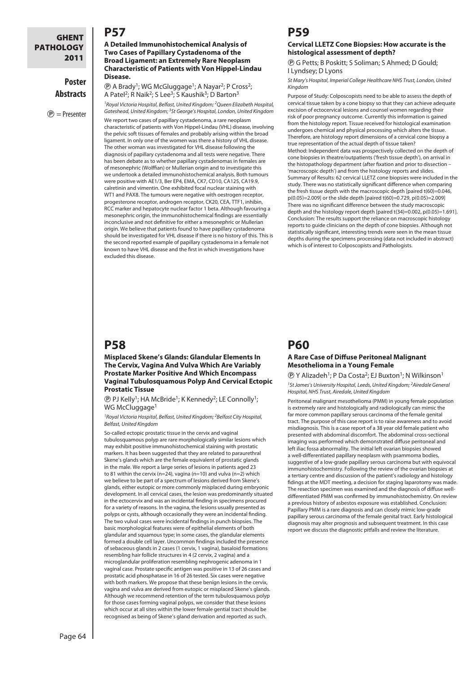# **Poster Abstracts**

**P57**

 $\circledP$  = Presenter

#### **A Detailed Immunohistochemical Analysis of Two Cases of Papillary Cystadenoma of the Broad Ligament: an Extremely Rare Neoplasm Characteristic of Patients with Von Hippel-Lindau Disease.**

*<b>@* A Brady<sup>1</sup>; WG McGluggage<sup>1</sup>; A Nayar<sup>2</sup>; P Cross<sup>2</sup>; A Patel<sup>2</sup>; R Naik<sup>2</sup>; S Lee<sup>3</sup>; S Kaushik<sup>3</sup>; D Barton<sup>3</sup>

*1Royal Victoria Hospital, Belfast, United Kingdom; 2Queen Elizabeth Hospital, Gateshead, United Kingdom; 3St George's Hospital, London, United Kingdom*

We report two cases of papillary cystadenoma, a rare neoplasm characteristic of patients with Von Hippel-Lindau (VHL) disease, involving the pelvic soft tissues of females and probably arising within the broad ligament. In only one of the women was there a history of VHL disease. The other woman was investigated for VHL disease following the diagnosis of papillary cystadenoma and all tests were negative. There has been debate as to whether papillary cystadenomas in females are of mesonephric (Wolffian) or Mullerian origin and to investigate this we undertook a detailed immunohistochemical analysis. Both tumours were positive with AE1/3, Ber EP4, EMA, CK7, CD10, CA125, CA19.9, calretinin and vimentin. One exhibited focal nuclear staining with WT1 and PAX8. The tumours were negative with oestrogen receptor, progesterone receptor, androgen receptor, CK20, CEA, TTF1, inhibin, RCC marker and hepatocyte nuclear factor 1 beta. Although favouring a mesonephric origin, the immunohistochemical findings are essentially inconclusive and not definitive for either a mesonephric or Mullerian origin. We believe that patients found to have papillary cystadenoma should be investigated for VHL disease if there is no history of this. This is the second reported example of papillary cystadenoma in a female not known to have VHL disease and the first in which investigations have excluded this disease.

# **P59**

#### **Cervical LLETZ Cone Biopsies: How accurate is the histological assessment of depth?**

P G Petts; B Poskitt; S Soliman; S Ahmed; D Gould; I Lyndsey; D Lyons

*St Mary's Hospital, Imperial College Healthcare NHS Trust, London, United Kingdom*

Purpose of Study: Colposcopists need to be able to assess the depth of cervical tissue taken by a cone biopsy so that they can achieve adequate excision of ectocervical lesions and counsel women regarding their risk of poor pregnancy outcome. Currently this information is gained from the histology report. Tissue received for histological examination undergoes chemical and physical processing which alters the tissue. Therefore, are histology report dimensions of a cervical cone biopsy a true representation of the actual depth of tissue taken? Method: Independent data was prospectively collected on the depth of cone biopsies in theatre/outpatients ('fresh tissue depth'), on arrival in the histopathology department (after fixation and prior to dissection – 'macroscopic depth') and from the histology reports and slides. Summary of Results: 62 cervical LLETZ cone biopsies were included in the study. There was no statistically significant difference when comparing the fresh tissue depth with the macroscopic depth [paired t(60)=0.046, p(0.05)=2.009] or the slide depth [paired t(60)=0.729, p(0.05)=2.009] There was no significant difference between the study macroscopic depth and the histology report depth [paired t(34)=0.002, p(0.05)=1.691]. Conclusion: The results support the reliance on macroscopic histology reports to guide clinicians on the depth of cone biopsies. Although not statistically significant, interesting trends were seen in the mean tissue depths during the specimens processing (data not included in abstract) which is of interest to Colposcopists and Pathologists.

# **P58**

**Misplaced Skene's Glands: Glandular Elements In The Cervix, Vagina And Vulva Which Are Variably Prostate Marker Positive And Which Encompass Vaginal Tubulosquamous Polyp And Cervical Ectopic Prostatic Tissue**

**P** PJ Kelly<sup>1</sup>; HA McBride<sup>1</sup>; K Kennedy<sup>2</sup>; LE Connolly<sup>1</sup>; WG McCluggage<sup>1</sup>

*1Royal Victoria Hospital, Belfast, United Kingdom; 2Belfast City Hospital, Belfast, United Kingdom*

So-called ectopic prostatic tissue in the cervix and vaginal tubulosquamous polyp are rare morphologically similar lesions which may exhibit positive immunohistochemical staining with prostatic markers. It has been suggested that they are related to paraurethral Skene's glands which are the female equivalent of prostatic glands in the male. We report a large series of lesions in patients aged 23 to 81 within the cervix (n=24), vagina (n=10) and vulva (n=2) which we believe to be part of a spectrum of lesions derived from Skene's glands, either eutopic or more commonly misplaced during embryonic development. In all cervical cases, the lesion was predominantly situated in the ectocervix and was an incidental finding in specimens procured for a variety of reasons. In the vagina, the lesions usually presented as polyps or cysts, although occasionally they were an incidental finding. The two vulval cases were incidental findings in punch biopsies. The basic morphological features were of epithelial elements of both glandular and squamous type; in some cases, the glandular elements formed a double cell layer. Uncommon findings included the presence of sebaceous glands in 2 cases (1 cervix, 1 vagina), basaloid formations resembling hair follicle structures in 4 (2 cervix, 2 vagina) and a microglandular proliferation resembling nephrogenic adenoma in 1 vaginal case. Prostate specific antigen was positive in 13 of 26 cases and prostatic acid phosphatase in 16 of 26 tested. Six cases were negative with both markers. We propose that these benign lesions in the cervix, vagina and vulva are derived from eutopic or misplaced Skene's glands. Although we recommend retention of the term tubulosquamous polyp for those cases forming vaginal polyps, we consider that these lesions which occur at all sites within the lower female gential tract should be recognised as being of Skene's gland derivation and reported as such.

# **P60**

### **A Rare Case of Diffuse Peritoneal Malignant Mesothelioma in a Young Female**

 $\textcircled{P}$  Y Alizadeh<sup>1</sup>; P Da Costa<sup>2</sup>; EJ Buxton<sup>1</sup>; N Wilkinson<sup>1</sup> *1St James's University Hospital, Leeds, United Kingdom; 2Airedale General Hospital, NHS Trust, Airedale, United Kingdom*

Peritoneal malignant mesothelioma (PMM) in young female population is extremely rare and histologically and radiologically can mimic the far more common papillary serous carcinoma of the female genital tract. The purpose of this case report is to raise awareness and to avoid misdiagnosis. This is a case report of a 38 year old female patient who presented with abdominal discomfort. The abdominal cross-sectional imaging was performed which demonstrated diffuse peritoneal and left iliac fossa abnormality. The initial left ovarian biopsies showed a well-differentiated papillary neoplasm with psammoma bodies, suggestive of a low-grade papillary serous carcinoma but with equivocal immunohistochemistry. Following the review of the ovarian biopsies at a tertiary centre and discussion of the patient's radiology and histology fidings at the MDT meeting, a decision for staging laparotomy was made. The resection specimen was examined and the diagnosis of diffuse welldifferentiated PMM was confirmed by immunohistochemistry. On review a previous history of asbestos exposure was established. Conclusion: Papillary PMM is a rare diagnosis and can closely mimic low-grade papillary serous carcinoma of the female genital tract. Early histological diagnosis may alter prognosis and subsequent treatment. In this case report we discuss the diagnostic pitfalls and review the literature.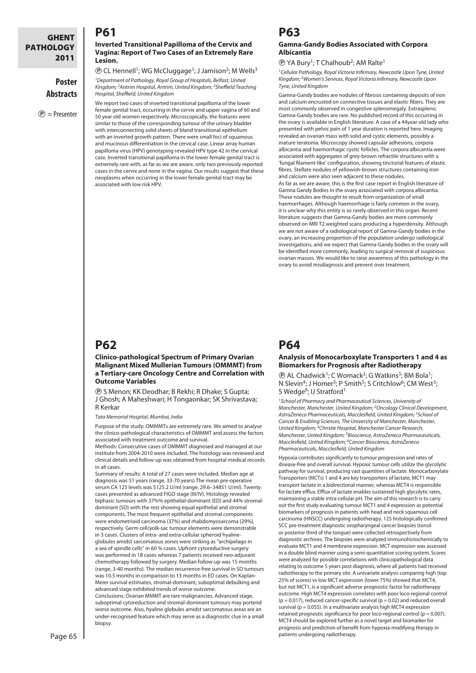# **Poster Abstracts**

 $(P)$  = Presenter

# **P61**

#### **Inverted Transitional Papilloma of the Cervix and Vagina: Report of Two Cases of an Extremely Rare Lesion.**

**P CL Hennell<sup>1</sup>; WG McCluggage<sup>1</sup>; J Jamison<sup>2</sup>; M Wells<sup>3</sup>** 

*1Department of Pathology, Royal Group of Hospitals, Belfast, United Kingdom; 2Antrim Hospital, Antrim, United Kingdom; 3Sheffield Teaching Hospital, Sheffield, United Kingdom*

We report two cases of inverted transitional papilloma of the lower female genital tract, occurring in the cervix and upper vagina of 60 and 50 year old women respectively. Microscopically, the features were similar to those of the corresponding tumour of the urinary bladder with interconnecting solid sheets of bland transitional epithelium with an inverted growth pattern. There were small foci of squamous and mucinous differentiation in the cervical case. Linear array human papilloma virus (HPV) genotyping revealed HPV type 42 in the cervical case. Inverted transitional papilloma in the lower female genital tract is extremely rare with, as far as we are aware, only two previously reported cases in the cervix and none in the vagina. Our results suggest that these neoplasms when occurring in the lower female genital tract may be associated with low risk HPV.

# **P63**

#### **Gamna-Gandy Bodies Associated with Corpora Albicantia**

#### $\textcircled{P}$  YA Bury<sup>1</sup>; T Chalhoub<sup>2</sup>; AM Ralte<sup>1</sup>

*1Cellular Pathology, Royal Victoria Infirmary, Newcastle Upon Tyne, United Kingdom; 2Women's Services, Royal Victoria Infirmary, Newcastle Upon Tyne, United Kingdom*

Gamna-Gandy bodies are nodules of fibrosis containing deposits of iron and calcium encrusted on connective tissues and elastic fibers. They are most commonly observed in congestive splenomegaly. Extrasplenic Gamna-Gandy bodies are rare. No published record of this occurring in the ovary is available in English literature. A case of a 44year old lady who presented with pelvic pain of 1 year duration is reported here. Imaging revealed an ovarian mass with solid and cystic elements, possibly a mature teratoma. Microscopy showed capsular adhesions, corpora albicantia and haemorrhagic cystic follicles. The corpora albicantia were associated with aggregates of grey-brown refractile structures with a 'fungal filament-like' configuration, showing tinctorial features of elastic fibres. Stellate nodules of yellowish-brown structures containing iron and calcium were also seen adjacent to these nodules.

As far as we are aware, this is the first case report in English literature of Gamna Gandy Bodies in the ovary associated with corpora albicantia. These nodules are thought to result from organization of small haemorrhages. Although haemorrhage is fairly common in the ovary, it is unclear why this entity is so rarely observed in this organ. Recent literature suggests that Gamna-Gandy bodies are more commonly observed on MRI T2 weighted scans producing a hyperdensity. Although we are not aware of a radiological report of Gamna-Gandy bodies in the ovary, an increasing proportion of the population undergo radiological investigations, and we expect that Gamna-Gandy bodies in the ovary will be identified more commonly, leading to surgical removal of suspicious ovarian masses. We would like to raise awareness of this pathology in the ovary to avoid misdiagnosis and prevent over treatment.

# **P62**

**Clinico-pathological Spectrum of Primary Ovarian Malignant Mixed Mullerian Tumours (OMMMT) from a Tertiary-care Oncology Centre and Correlation with Outcome Variables**

P S Menon; KK Deodhar; B Rekhi; R Dhake; S Gupta; J Ghosh; A Maheshwari; H Tongaonkar; SK Shrivastava; R Kerkar

*Tata Memorial Hospital, Mumbai, India*

Purpose of the study: OMMMTs are extremely rare. We aimed to analyse the clinico-pathological characteristics of OMMMT and assess the factors associated with treatment outcome and survival.

Methods: Consecutive cases of OMMMT diagnosed and managed at our institute from 2004-2010 were included. The histology was reviewed and clinical details and follow-up was obtained from hospital medical records in all cases.

Summary of results: A total of 27 cases were included. Median age at diagnosis was 51 years (range, 33-70 years).The mean pre-operative serum CA 125 levels was 5125.2 U/ml (range, 29.6–34851 U/ml). Twenty cases presented as advanced FIGO stage (III/IV). Histology revealed biphasic tumours with 37%% epithelial-dominant (ED) and 44% stromaldominant (SD) with the rest showing equal epithelial and stromal components. The most frequent epithelial and stromal components were endometrioid carcinoma (37%) and rhabdomyosarcoma (29%), respectively. Germ cell/yolk-sac tumour elements were demonstrable in 3 cases. Clusters of intra- and extra-cellular spheroid hyalineglobules amidst sarcomatous zones were striking as "archipelago in a sea of spindle cells" in 60 % cases. Upfront cytoreductive surgery was performed in 18 cases whereas 7 patients received neo-adjuvant chemotherapy followed by surgery. Median follow-up was 15 months (range, 3-40 months). The median recurrence-free survival in SD tumours was 10.5 months in comparison to 13 months in ED cases. On Kaplan-Meier survival estimates, stromal-dominant, suboptimal debulking and advanced stage exhibited trends of worse outcome. Conclusions: Ovarian MMMT are rare malignancies. Advanced stage, suboptimal cytoreduction and stromal-dominant tumours may portend

worse outcome. Also, hyaline globules amidst sarcomatous areas are an under-recognised feature which may serve as a diagnostic clue in a small biopsy.

# **P64**

#### **Analysis of Monocarboxylate Transporters 1 and 4 as Biomarkers for Prognosis after Radiotherapy**

 $\textcircled{P}$  AL Chadwick<sup>1</sup>; C Womack<sup>2</sup>; G Watkins<sup>3</sup>; BM Bola<sup>1</sup>; N Slevin<sup>4</sup>; J Homer<sup>3</sup>; P Smith<sup>5</sup>; S Critchlow<sup>6</sup>; CM West<sup>3</sup>; S Wedge<sup>6</sup>; IJ Stratford<sup>1</sup>

*1School of Pharmacy and Pharmaceutical Sciences, University of Manchester, Manchester, United Kingdom; 2Oncology Clinical Development, AstraZeneca Pharmaceuticals, Macclesfield, United Kingdom; 3School of Cancer & Enabling Sciences, The University of Manchester, Manchester, United Kingdom; 4Christie Hospital, Manchester Cancer Research, Manchester, United Kingdom; 5Bioscience, AstraZeneca Pharmaceuticals, Macclesfield, United Kingdom; 6Cancer Bioscience, AstraZeneca Pharmaceuticals, Macclesfield, United Kingdom*

Hypoxia contributes significantly to tumour progression and rates of disease-free and overall survival. Hypoxic tumour cells utilize the glycolytic pathway for survival, producing vast quantities of lactate. Monocarboxylate Transporters (MCTs) 1 and 4 are key transporters of lactate, MCT1 may transport lactate in a bidirectional manner, whereas MCT4 is responsible for lactate efflux. Efflux of lactate enables sustained high glycolytic rates, maintaining a stable intra-cellular pH. The aim of this research is to carry out the first study evaluating tumour MCT1 and 4 expression as potential biomarkers of prognosis in patients with head and neck squamous cell carcinoma (HNSCC) undergoing radiotherapy. 125 histologically confirmed SCC pre-treatment diagnostic oropharyngeal cancer biopsies (tonsil or posterior third of the tongue) were collected retrospectively from diagnostic archives. The biopsies were analyzed immunohistochemically to evaluate MCT1 and 4 membrane expression. MCT expression was assessed in a double blind manner using a semi-quantitative scoring system. Scores were analyzed for possible correlations with clinicopathological data relating to outcome 5 years post diagnosis, where all patients had received radiotherapy to the primary site. A univariate analysis comparing high (top 25% of scores) vs low MCT expression (lower 75%) showed that MCT4, but not MCT1, is a significant adverse prognostic factor for radiotherapy outcome. High MCT4 expression correlates with poor loco-regional control  $(p = 0.017)$ , reduced cancer-specific survival  $(p = 0.02)$  and reduced overall survival ( $p = 0.055$ ). In a multivariate analysis high MCT4 expression retained prognostic significance for poor loco-regional control ( $p = 0.007$ ). MCT4 should be explored further as a novel target and biomarker for prognosis and prediction of benefit from hypoxia-modifying therapy in patients undergoing radiotherapy.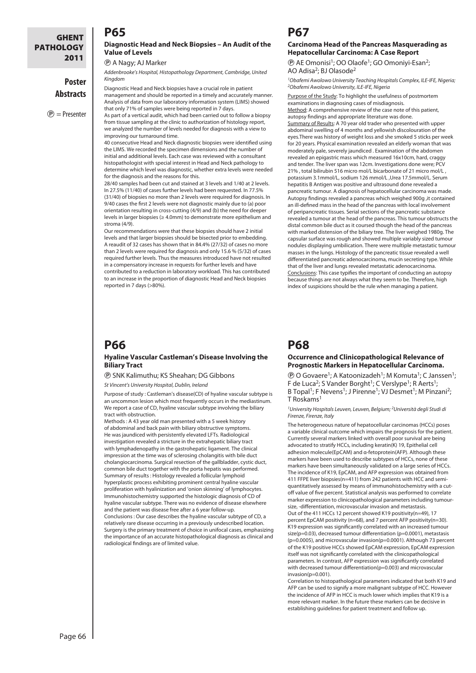# **Poster Abstracts**

 $\circledP$  = Presenter

# **P65**

#### **Diagnostic Head and Neck Biopsies – An Audit of the Value of Levels**

P A Nagy; AJ Marker

*Addenbrooke's Hospital, Histopathology Department, Cambridge, United Kingdom*

Diagnostic Head and Neck biopsies have a crucial role in patient management and should be reported in a timely and accurately manner. Analysis of data from our laboratory information system (LIMS) showed that only 71% of samples were being reported in 7 days.

As part of a vertical audit, which had been carried out to follow a biopsy from tissue sampling at the clinic to authorization of histology report, we analyzed the number of levels needed for diagnosis with a view to improving our turnaround time.

40 consecutive Head and Neck diagnostic biopsies were identified using the LIMS. We recorded the specimen dimensions and the number of initial and additional levels. Each case was reviewed with a consultant histopathologist with special interest in Head and Neck pathology to determine which level was diagnostic, whether extra levels were needed for the diagnosis and the reasons for this.

28/40 samples had been cut and stained at 3 levels and 1/40 at 2 levels. In 27.5% (11/40) of cases further levels had been requested. In 77.5% (31/40) of biopsies no more than 2 levels were required for diagnosis. In 9/40 cases the first 2 levels were not diagnostic mainly due to (a) poor orientation resulting in cross-cutting (4/9) and (b) the need for deeper levels in larger biopsies (≥ 4.0mm) to demonstrate more epithelium and stroma (4/9).

Our recommendations were that these biopsies should have 2 initial levels and that larger biopsies should be bisected prior to embedding. A reaudit of 32 cases has shown that in 84.4% (27/32) of cases no more than 2 levels were required for diagnosis and only 15.6 % (5/32) of cases required further levels. Thus the measures introduced have not resulted in a compensatory increase in requests for further levels and have contributed to a reduction in laboratory workload. This has contributed to an increase in the proportion of diagnostic Head and Neck biopsies reported in 7 days (>80%).

# **P67**

#### **Carcinoma Head of the Pancreas Masquerading as Hepatocellular Carcinoma: A Case Report**

P AE Omonisi1; OO Olaofe1; GO Omoniyi-Esan2; AO Adisa<sup>2</sup>; BJ Olasode<sup>2</sup>

*1Obafemi Awolowo University Teaching Hospitals Complex, ILE-IFE, Nigeria; 2Obafemi Awolowo University, ILE-IFE, Nigeria*

Purpose of the Study: To highlight the usefulness of postmortem examinations in diagnosing cases of misdiagnosis. Method: A comprehensive review of the case note of this patient, autopsy findings and appropriate literature was done. Summary of Results: A 70 year old trader who presented with upper abdominal swelling of 4 months and yellowish discolouration of the eyes.There was history of weight loss and she smoked 5 sticks per week for 20 years. Physical examination revealed an elderly woman that was moderately pale, severely jaundiced . Examination of the abdomen revealed an epigastric mass which measured 16x10cm, hard, craggy and tender. The liver span was 12cm. Investigations done were; PCV 21% , total bilirubin 516 micro mol/L bicarbonate of 21 micro mol/L , potassium 3.1mmol/L, sodium 126 mmol/L ,Urea 17.5mmol/L. Serum hepatitis B Antigen was positive and ultrasound done revealed a pancreatic tumour. A diagnosis of hepatocellular carcinoma was made. Autopsy findings revealed a pancreas which weighed 900g ,it contained an ill-defined mass in the head of the pancreas with local involvement of peripancreatic tissues. Serial sections of the pancreatic substance revealed a tumour at the head of the pancreas. This tumour obstructs the distal common bile duct as it coursed though the head of the pancreas with marked distension of the biliary tree. The liver weighed 1980g. The capsular surface was rough and showed multiple variably sized tumour nodules displaying umbilication. There were multiple metastatic tumour masses in the lungs. Histology of the pancreatic tissue revealed a well differentiated pancreatic adenocarcinoma, mucin secreting type. While that of the liver and lungs revealed metastatic adenocarcinoma. Conclusions: This case typifies the important of conducting an autopsy because things are not always what they seem to be. Therefore, high index of suspicions should be the rule when managing a patient.

# **P66**

#### **Hyaline Vascular Castleman's Disease Involving the Biliary Tract**

P SNK Kalimuthu; KS Sheahan; DG Gibbons

*St Vincent's University Hospital, Dublin, Ireland*

Purpose of study : Castleman's disease(CD) of hyaline vascular subtype is an uncommon lesion which most frequently occurs in the mediastinum. We report a case of CD, hyaline vascular subtype involving the biliary tract with obstruction.

Methods : A 43 year old man presented with a 5 week history of abdominal and back pain with biliary obstructive symptoms. He was jaundiced with persistently elevated LFTs. Radiological investigation revealed a stricture in the extrahepatic biliary tract with lymphadenopathy in the gastrohepatic ligament. The clinical impression at the time was of sclerosing cholangitis with bile duct cholangiocarcinoma. Surgical resection of the gallbladder, cystic duct, common bile duct together with the porta hepatis was performed. Summary of results : Histology revealed a follicular lymphoid hyperplastic process exhibiting prominent central hyaline vascular proliferation with hyalinization and 'onion skinning' of lymphocytes. Immunohistochemistry supported the histologic diagnosis of CD of hyaline vascular subtype. There was no evidence of disease elsewhere and the patient was disease free after a 6 year follow-up. Conclusions : Our case describes the hyaline vascular subtype of CD, a relatively rare disease occurring in a previously undescribed location. Surgery is the primary treatment of choice in unifocal cases, emphasizing the importance of an accurate histopathological diagnosis as clinical and radiological findings are of limited value.

# **P68**

#### **Occurrence and Clinicopathological Relevance of Prognostic Markers in Hepatocellular Carcinoma.**

P O Govaere1; A Katoonizadeh1; M Komuta1; C Janssen1; F de Luca<sup>2</sup>; S Vander Borght<sup>1</sup>; C Verslype<sup>1</sup>; R Aerts<sup>1</sup>; B Topal<sup>1</sup>; F Nevens<sup>1</sup>; J Pirenne<sup>1</sup>; VJ Desmet<sup>1</sup>; M Pinzani<sup>2</sup>; T Roskams1

*1University Hospitals Leuven, Leuven, Belgium; 2Università degli Studi di Firenze, Firenze, Italy*

The heterogeneous nature of hepatocellular carcinomas (HCCs) poses a variable clinical outcome which impairs the prognosis for the patient. Currently several markers linked with overall poor survival are being advocated to stratify HCCs, including keratin(K) 19, Epithelial cell adhesion molecule(EpCAM) and α-fetoprotein(AFP). Although these markers have been used to describe subtypes of HCCs, none of these markers have been simultaneously validated on a large series of HCCs. The incidence of K19, EpCAM, and AFP expression was obtained from 411 FFPE liver biopsies(n=411) from 242 patients with HCC and semiquantitatively assessed by means of immunohistochemistry with a cutoff value of five percent. Statistical analysis was performed to correlate marker expression to clinicopathological parameters including tumoursize, -differentiation, microvascular invasion and metastasis. Out of the 411 HCCs 12 percent showed K19 positivity(n=49), 17

percent EpCAM positivity (n=68), and 7 percent AFP positivity(n=30). K19 expression was significantly correlated with an increased tumour size(p=0.03), decreased tumour differentiation (p=0.0001), metastasis (p=0.0005), and microvascular invasion(p=0.0001). Although 73 percent of the K19 positive HCCs showed EpCAM expression, EpCAM expression itself was not significantly correlated with the clinicopathological parameters. In contrast, AFP expression was significantly correlated with decreased tumour differentiation(p=0.003) and microvascular invasion(p=0.001).

Correlation to histopathological parameters indicated that both K19 and AFP can be used to signify a more malignant subtype of HCC. However the incidence of AFP in HCC is much lower which implies that K19 is a more relevant marker. In the future these markers can be decisive in establishing guidelines for patient treatment and follow up.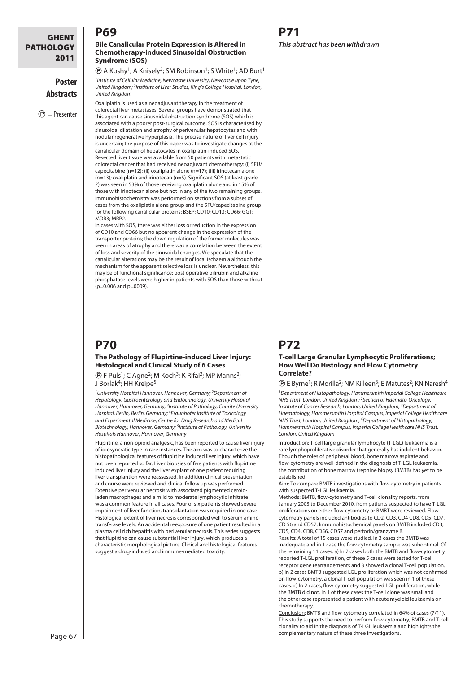# **Poster Abstracts**

 $(P)$  = Presenter

# **P69**

#### **Bile Canalicular Protein Expression is Altered in Chemotherapy-induced Sinusoidal Obstruction Syndrome (SOS)**

 $\textcircled{P}$  A Koshy<sup>1</sup>; A Knisely<sup>2</sup>; SM Robinson<sup>1</sup>; S White<sup>1</sup>; AD Burt<sup>1</sup>

*1Institute of Cellular Medicine, Newcastle University, Newcastle upon Tyne, United Kingdom; 2Institute of Liver Studies, King's College Hospital, London, United Kingdom*

Oxaliplatin is used as a neoadjuvant therapy in the treatment of colorectal liver metastases. Several groups have demonstrated that this agent can cause sinusoidal obstruction syndrome (SOS) which is associated with a poorer post-surgical outcome. SOS is characterised by sinusoidal dilatation and atrophy of perivenular hepatocytes and with nodular regenerative hyperplasia. The precise nature of liver cell injury is uncertain; the purpose of this paper was to investigate changes at the canalicular domain of hepatocytes in oxaliplatin-induced SOS. Resected liver tissue was available from 50 patients with metastatic colorectal cancer that had received neoadjuvant chemotherapy: (i) 5FU/ capecitabine (n=12); (ii) oxaliplatin alone (n=17); (iii) irinotecan alone (n=13); oxaliplatin and irinotecan (n=5). Significant SOS (at least grade 2) was seen in 53% of those receiving oxaliplatin alone and in 15% of those with irinotecan alone but not in any of the two remaining groups. Immunohistochemistry was performed on sections from a subset of cases from the oxaliplatin alone group and the 5FU/capecitabine group for the following canalicular proteins: BSEP; CD10; CD13; CD66; GGT; MDR3; MRP2.

In cases with SOS, there was either loss or reduction in the expression of CD10 and CD66 but no apparent change in the expression of the transporter proteins; the down regulation of the former molecules was seen in areas of atrophy and there was a correlation between the extent of loss and severity of the sinusoidal changes. We speculate that the canalicular alterations may be the result of local ischaemia although the mechanism for the apparent selective loss is unclear. Nevertheless, this may be of functional significance: post operative bilirubin and alkaline phosphatase levels were higher in patients with SOS than those without  $(n=0.006$  and  $n=0009)$ .

# **P70**

#### **The Pathology of Flupirtine-induced Liver Injury: Histological and Clinical Study of 6 Cases**

P F Puls1; C Agne2; M Koch3; K Rifai2; MP Manns2; J Borlak<sup>4</sup>; HH Kreipe<sup>5</sup>

*1University Hospital Hannover, Hannover, Germany; 2Department of Hepatology, Gastroenterology and Endocrinology, University Hospital Hannover, Hannover, Germany; 3Institute of Pathology, Charite University Hospital, Berlin, Berlin, Germany; 4Fraunhofer Institute of Toxicology and Experimental Medicine, Centre for Drug Research and Medical Biotechnology, Hannover, Germany; 5Institute of Pathology, University Hospitals Hannover, Hannover, Germany*

Flupirtine, a non-opioid analgesic, has been reported to cause liver injury of idiosyncratic type in rare instances. The aim was to characterize the histopathological features of flupirtine induced liver injury, which have not been reported so far. Liver biopsies of five patients with flupirtine induced liver injury and the liver explant of one patient requiring liver transplantion were reassessed. In addition clinical presentation and course were reviewed and clinical follow up was performed. Extensive perivenular necrosis with associated pigmented ceroidladen macrophages and a mild to moderate lymphocytic infiltrate was a common feature in all cases. Four of six patients showed severe impairment of liver function, transplantation was required in one case. Histological extent of liver necrosis corresponded well to serum aminotransferase levels. An accidental reexposure of one patient resulted in a plasma cell rich hepatitis with perivenular necrosis. This series suggests that flupirtine can cause substantial liver injury, which produces a characteristic morphological picture. Clinical and histological features suggest a drug-induced and immune-mediated toxicity.

# **P71** *This abstract has been withdrawn*

# **P72**

#### **T-cell Large Granular Lymphocytic Proliferations; How Well Do Histology and Flow Cytometry Correlate?**

**P** E Byrne<sup>1</sup>; R Morilla<sup>2</sup>; NM Killeen<sup>3</sup>; E Matutes<sup>2</sup>; KN Naresh<sup>4</sup> *1Department of Histopathology, Hammersmith Imperial College Healthcare NHS Trust, London, United Kingdom; 2Section of Haemato-Oncology, Institute of Cancer Research, London, United Kingdom; 3Department of Haematology, Hammersmith Hospital Campus, Imperial College Healthcare NHS Trust, London, United Kingdom; 4Department of Histopathology, Hammersmith Hospital Campus, Imperial College Healthcare NHS Trust, London, United Kingdom*

Introduction: T-cell large granular lymphocyte (T-LGL) leukaemia is a rare lymphoproliferative disorder that generally has indolent behavior. Though the roles of peripheral blood, bone marrow aspirate and flow-cytometry are well-defined in the diagnosis of T-LGL leukaemia, the contribution of bone marrow trephine biopsy (BMTB) has yet to be established.

Aim: To compare BMTB investigations with flow-cytometry in patients with suspected T-LGL leukaemia.

Methods: BMTB, flow-cytometry and T-cell clonality reports, from January 2003 to December 2010, from patients suspected to have T-LGL proliferations on either flow-cytometry or BMBT were reviewed. Flowcytometry panels included antibodies to CD2, CD3, CD4 CD8, CD5, CD7, CD 56 and CD57. Immunohistochemical panels on BMTB included CD3, CD5, CD4, CD8, CD56, CD57 and perforin/granzyme B. Results: A total of 15 cases were studied. In 3 cases the BMTB was

inadequate and in 1 case the flow-cytometry sample was suboptimal. Of the remaining 11 cases: a) In 7 cases both the BMTB and flow-cytometry reported T-LGL proliferation, of these 5 cases were tested for T-cell receptor gene rearrangements and 3 showed a clonal T-cell population. b) In 2 cases BMTB suggested LGL proliferation which was not confirmed on flow-cytometry, a clonal T-cell population was seen in 1 of these cases. c) In 2 cases, flow-cytometry suggested LGL proliferation, while the BMTB did not. In 1 of these cases the T-cell clone was small and the other case represented a patient with acute myeloid leukaemia on chemotherapy.

Conclusion: BMTB and flow-cytometry correlated in 64% of cases (7/11). This study supports the need to perform flow-cytometry, BMTB and T-cell clonality to aid in the diagnosis of T-LGL leukaemia and highlights the complementary nature of these three investigations.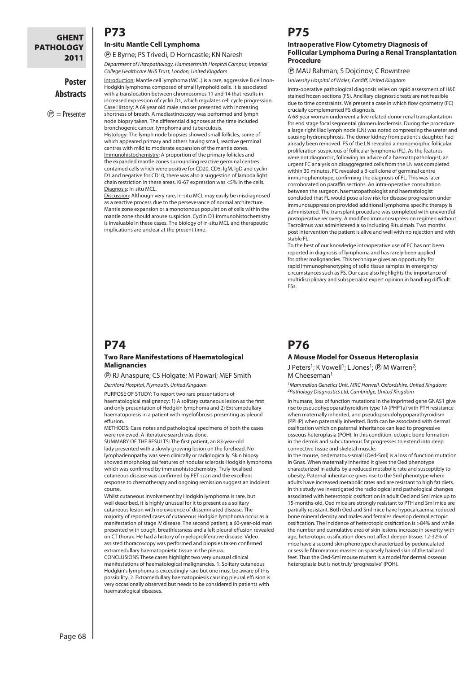# **Poster Abstracts**

 $\circledP$  = Presenter

# **P73**

#### **In-situ Mantle Cell Lymphoma**

P E Byrne; PS Trivedi; D Horncastle; KN Naresh

*Department of Histopathology, Hammersmith Hospital Campus, Imperial College Healthcare NHS Trust, London, United Kingdom*

Introduction: Mantle cell lymphoma (MCL) is a rare, aggressive B cell non-Hodgkin lymphoma composed of small lymphoid cells. It is associated with a translocation between chromosomes 11 and 14 that results in increased expression of cyclin D1, which regulates cell cycle progression. Case History: A 69 year old male smoker presented with increasing shortness of breath. A mediastinoscopy was performed and lymph

node biopsy taken. The differential diagnoses at the time included bronchogenic cancer, lymphoma and tuberculosis. Histology: The lymph node biopsies showed small follicles, some of

which appeared primary and others having small, reactive germinal centres with mild to moderate expansion of the mantle zones. Immunohistochemistry: A proportion of the primary follicles and the expanded mantle zones surrounding reactive germinal centres contained cells which were positive for CD20, CD5, IgM, IgD and cyclin D1 and negative for CD10, there was also a suggestion of lambda light chain restriction in these areas. Ki-67 expression was <5% in the cells. Diagnosis: In-situ MCL.

Discussion: Although very rare, In-situ MCL may easily be misdiagnosed as a reactive process due to the perseverance of normal architecture. Mantle zone expansion or a monotonous population of cells within the mantle zone should arouse suspicion. Cyclin D1 immunohistochemistry is invaluable in these cases. The biology of in-situ MCL and therapeutic implications are unclear at the present time.

# **P74**

#### **Two Rare Manifestations of Haematological Malignancies**

P RJ Anaspure; CS Holgate; M Powari; MEF Smith

*Derriford Hospital, Plymouth, United Kingdom*

PURPOSE OF STUDY: To report two rare presentations of haematological malignancy: 1) A solitary cutaneous lesion as the first and only presentation of Hodgkin lymphoma and 2) Extramedullary haematopoiesis in a patient with myelofibrosis presenting as pleural effusion.

METHODS: Case notes and pathological specimens of both the cases were reviewed. A literature search was done.

SUMMARY OF THE RESULTS: The first patient, an 83-year-old lady presented with a slowly growing lesion on the forehead. No lymphadenopathy was seen clinically or radiologically. Skin biopsy showed morphological features of nodular sclerosis Hodgkin lymphoma which was confirmed by immunohistochemistry. Truly localised cutaneous disease was confirmed by PET scan and the excellent response to chemotherapy and ongoing remission suggest an indolent course.

Whilst cutaneous involvement by Hodgkin lymphoma is rare, but well described, it is highly unusual for it to present as a solitary cutaneous lesion with no evidence of disseminated disease. The majority of reported cases of cutaneous Hodgkin lymphoma occur as a manifestation of stage IV disease. The second patient, a 60-year-old man presented with cough, breathlessness and a left pleural effusion revealed on CT thorax. He had a history of myeloproliferative disease. Video assisted thoracoscopy was performed and biopsies taken confirmed extramedullary haematopoietic tissue in the pleura.

CONCLUSIONS These cases highlight two very unusual clinical manifestations of haematological malignancies. 1. Solitary cutaneous Hodgkin's lymphoma is exceedingly rare but one must be aware of this possibility. 2. Extramedullary haematopoiesis causing pleural effusion is very occasionally observed but needs to be considered in patients with haematological diseases.

# **P75**

#### **Intraoperative Flow Cytometry Diagnosis of Follicular Lymphoma During a Renal Transplantation Procedure**

P MAU Rahman; S Dojcinov; C Rowntree

*University Hospital of Wales, Cardiff, United Kingdom*

Intra-operative pathological diagnosis relies on rapid assessment of H&E stained frozen sections (FS). Ancillary diagnostic tests are not feasible due to time constraints. We present a case in which flow cytometry (FC) crucially complemented FS diagnosis.

A 68-year woman underwent a live related donor renal transplantation for end stage focal segmental glomerulosclerosis. During the procedure a large right iliac lymph node (LN) was noted compressing the ureter and causing hydronephrosis. The donor kidney from patient's daughter had already been removed. FS of the LN revealed a monomorphic follicular proliferation suspicious of follicular lymphoma (FL). As the features were not diagnostic, following an advice of a haematopathologist, an urgent FC analysis on disaggregated cells from the LN was completed within 30 minutes. FC revealed a B-cell clone of germinal centre immunophenotype, confirming the diagnosis of FL. This was later corroborated on paraffin sections. An intra-operative consultation between the surgeon, haematopathologist and haematologist concluded that FL would pose a low risk for disease progression under immunosuppression provided additional lymphoma specific therapy is administered. The transplant procedure was completed with uneventful postoperative recovery. A modified immunosupression regimen without Tacrolimus was administered also including Rituximab. Two months post intervention the patient is alive and well with no rejection and with stable FL.

To the best of our knowledge intraoperative use of FC has not been reported in diagnosis of lymphoma and has rarely been applied for other malignancies. This technique gives an opportunity for rapid immunophenotyping of solid tissue samples in emergency circumstances such as FS. Our case also highlights the importance of multidisciplinary and subspecialist expert opinion in handling difficult FSs.

# **P76**

#### **A Mouse Model for Osseous Heteroplasia**

J Peters<sup>1</sup>; K Vowell<sup>1</sup>; L Jones<sup>1</sup>; **@** M Warren<sup>2</sup>; M Cheeseman<sup>1</sup>

*1Mammalian Genetics Unit, MRC Harwell, Oxfordshire, United Kingdom; 2Pathology Diagnostics Ltd, Cambridge, United Kingdom*

In humans, loss of function mutations in the imprinted gene GNAS1 give rise to pseudohypoparathyroidism type 1A (PHP1a) with PTH resistance when maternally inherited, and pseudopseudohypoparathyroidism (PPHP) when paternally inherited. Both can be associated with dermal ossification which on paternal inheritance can lead to progressive osseous heteroplasia (POH). In this condition, ectopic bone formation in the dermis and subcutaneous fat progresses to extend into deep connective tissue and skeletal muscle.

In the mouse, oedematous-small (Oed-Sml) is a loss of function mutation in Gnas. When maternally inherited it gives the Oed phenotype characterized in adults by a reduced metabolic rate and susceptibly to obesity. Paternal inheritance gives rise to the Sml phenotype where adults have increased metabolic rates and are resistant to high fat diets. In this study we investigated the radiological and pathological changes associated with heterotopic ossification in adult Oed and Sml mice up to 15-months-old. Oed mice are strongly resistant to PTH and Sml mice are partially resistant. Both Oed and Sml mice have hypocalcaemia, reduced bone mineral density and males and females develop dermal ectopic ossification. The incidence of heterotopic ossification is >84% and while the number and cumulative area of skin lesions increase in severity with age, heterotopic ossification does not affect deeper tissue. 12-32% of mice have a second skin phenotype characterized by pedunculated or sessile fibromatous masses on sparsely haired skin of the tail and feet. Thus the Oed-Sml mouse mutant is a model for dermal osseous heteroplasia but is not truly 'progressive' (POH).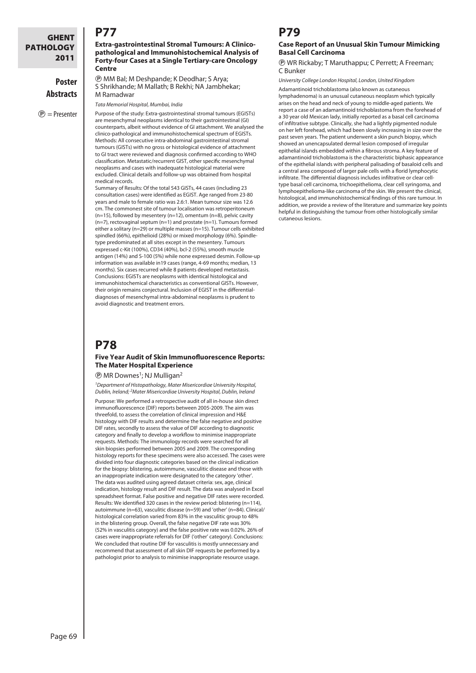# **Poster Abstracts**

 $(P)$  = Presenter

# **P77**

#### **Extra-gastrointestinal Stromal Tumours: A Clinicopathological and Immunohistochemical Analysis of Forty-four Cases at a Single Tertiary-care Oncology Centre**

P MM Bal; M Deshpande; K Deodhar; S Arya; S Shrikhande; M Mallath; B Rekhi; NA Jambhekar; M Ramadwar

*Tata Memorial Hospital, Mumbai, India*

Purpose of the study: Extra-gastrointestinal stromal tumours (EGISTs) are mesenchymal neoplasms identical to their gastrointestinal (GI) counterparts, albeit without evidence of GI attachment. We analysed the clinico-pathological and immunohistochemical spectrum of EGISTs. Methods: All consecutive intra-abdominal gastrointestinal stromal tumours (GISTs) with no gross or histological evidence of attachment to GI tract were reviewed and diagnosis confirmed according to WHO classification. Metastatic/recurrent GIST, other specific mesenchymal neoplasms and cases with inadequate histological material were excluded. Clinical details and follow-up was obtained from hospital medical records.

Summary of Results: Of the total 543 GISTs, 44 cases (including 23 consultation cases) were identified as EGIST. Age ranged from 23-80 years and male to female ratio was 2.6:1. Mean tumour size was 12.6 cm. The commonest site of tumour localisation was retroperitoneum  $(n=15)$ , followed by mesentery  $(n=12)$ , omentum  $(n=8)$ , pelvic cavity (n=7), rectovaginal septum (n=1) and prostate (n=1). Tumours formed either a solitary (n=29) or multiple masses (n=15). Tumour cells exhibited spindled (66%), epithelioid (28%) or mixed morphology (6%). Spindletype predominated at all sites except in the mesentery. Tumours expressed c-Kit (100%), CD34 (40%), bcl-2 (55%), smooth muscle antigen (14%) and S-100 (5%) while none expressed desmin. Follow-up information was available in19 cases (range, 4-69 months; median, 13 months). Six cases recurred while 8 patients developed metastasis. Conclusions: EGISTs are neoplasms with identical histological and immunohistochemical characteristics as conventional GISTs. However, their origin remains conjectural. Inclusion of EGIST in the differentialdiagnoses of mesenchymal intra-abdominal neoplasms is prudent to avoid diagnostic and treatment errors.

# **P78**

#### **Five Year Audit of Skin Immunofluorescence Reports: The Mater Hospital Experience**

 $\textcircled{P}$  MR Downes<sup>1</sup>; NJ Mulligan<sup>2</sup>

*1Department of Histopathology, Mater Misericordiae University Hospital, Dublin, Ireland; 2Mater Misericordiae University Hospital, Dublin, Ireland*

Purpose: We performed a retrospective audit of all in-house skin direct immunofluorescence (DIF) reports between 2005-2009. The aim was threefold, to assess the correlation of clinical impression and H&E histology with DIF results and determine the false negative and positive DIF rates, secondly to assess the value of DIF according to diagnostic category and finally to develop a workflow to minimise inappropriate requests. Methods: The immunology records were searched for all skin biopsies performed between 2005 and 2009. The corresponding histology reports for these specimens were also accessed. The cases were divided into four diagnostic categories based on the clinical indication for the biopsy: blistering, autoimmune, vasculitic disease and those with an inappropriate indication were designated to the category 'other'. The data was audited using agreed dataset criteria: sex, age, clinical indication, histology result and DIF result. The data was analysed in Excel spreadsheet format. False positive and negative DIF rates were recorded. Results: We identified 320 cases in the review period: blistering (n=114), autoimmune (n=63), vasculitic disease (n=59) and 'other' (n=84). Clinical/ histological correlation varied from 83% in the vasculitic group to 48% in the blistering group. Overall, the false negative DIF rate was 30% (52% in vasculitis category) and the false positive rate was 0.02%. 26% of cases were inappropriate referrals for DIF ('other' category). Conclusions: We concluded that routine DIF for vasculitis is mostly unnecessary and recommend that assessment of all skin DIF requests be performed by a pathologist prior to analysis to minimise inappropriate resource usage.

# **P79**

#### **Case Report of an Unusual Skin Tumour Mimicking Basal Cell Carcinoma**

P WR Rickaby; T Maruthappu; C Perrett; A Freeman; C Bunker

*University College London Hospital, London, United Kingdom* Adamantinoid trichoblastoma (also known as cutaneous lymphadenoma) is an unusual cutaneous neoplasm which typically arises on the head and neck of young to middle-aged patients. We report a case of an adamantinoid trichoblastoma from the forehead of a 30 year old Mexican lady, initially reported as a basal cell carcinoma of infiltrative subtype. Clinically, she had a lightly pigmented nodule on her left forehead, which had been slowly increasing in size over the past seven years. The patient underwent a skin punch biopsy, which showed an unencapsulated dermal lesion composed of irregular epithelial islands embedded within a fibrous stroma. A key feature of adamantinoid trichoblastoma is the characteristic biphasic appearance of the epithelial islands with peripheral palisading of basaloid cells and a central area composed of larger pale cells with a florid lymphocytic infiltrate. The differential diagnosis includes infiltrative or clear celltype basal cell carcinoma, trichoepithelioma, clear cell syringoma, and lymphoepithelioma-like carcinoma of the skin. We present the clinical, histological, and immunohistochemical findings of this rare tumour. In addition, we provide a review of the literature and summarize key points helpful in distinguishing the tumour from other histologically similar cutaneous lesions.